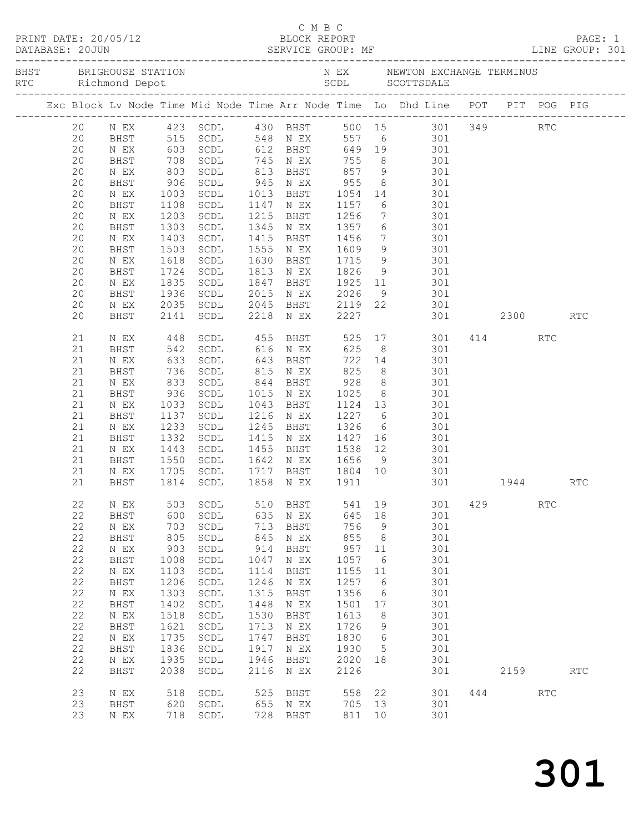|  |                   |                                   |                      |                                                                  |              |                                    |                    |             | Exc Block Lv Node Time Mid Node Time Arr Node Time Lo Dhd Line POT PIT POG PIG                                      |     |          |                      |                      |
|--|-------------------|-----------------------------------|----------------------|------------------------------------------------------------------|--------------|------------------------------------|--------------------|-------------|---------------------------------------------------------------------------------------------------------------------|-----|----------|----------------------|----------------------|
|  | 20                |                                   |                      |                                                                  |              |                                    |                    |             | N EX   423   SCDL   430   BHST   500   15   301   349                                                               |     |          | RTC                  |                      |
|  | 20                | <b>BHST</b>                       |                      |                                                                  |              |                                    |                    |             | 515 SCDL 548 NEX 557 6<br>603 SCDL 612 BHST 649 19 301<br>708 SCDL 745 NEX 755 8 301<br>803 SCDL 813 BHST 857 9 301 |     |          |                      |                      |
|  | 20                | N EX                              |                      |                                                                  |              |                                    |                    |             |                                                                                                                     |     |          |                      |                      |
|  | 20                | BHST                              |                      |                                                                  |              |                                    |                    |             |                                                                                                                     |     |          |                      |                      |
|  | 20<br>20          | N EX                              |                      | SCDL                                                             |              | 945 N EX                           |                    |             |                                                                                                                     |     |          |                      |                      |
|  | 20                | BHST<br>N EX                      | 906                  | SCDL                                                             |              | 1013 BHST                          | 955                |             | 8 301                                                                                                               |     |          |                      |                      |
|  | 20                | BHST                              | 1003<br>1108<br>1108 | SCDL                                                             |              | 1147 N EX                          |                    |             | 1054 14 301<br>1157 6 301                                                                                           |     |          |                      |                      |
|  | 20                | N EX                              | 1203                 | SCDL                                                             | 1215         | BHST                               | 1256               |             | 7 301                                                                                                               |     |          |                      |                      |
|  | 20                | BHST                              | 1303                 | SCDL                                                             |              | 1345 N EX                          | 1357               |             | 6 301                                                                                                               |     |          |                      |                      |
|  | 20                | N EX                              |                      | SCDL                                                             | 1415         | BHST                               |                    |             |                                                                                                                     |     |          |                      |                      |
|  | 20                | BHST                              | 1403<br>1503         | SCDL                                                             | 1555         | N EX                               | 1456<br>1609       |             | $\begin{array}{ccc} 7 & 301 \\ 9 & 301 \end{array}$                                                                 |     |          |                      |                      |
|  | 20                | N EX                              | 1618                 | SCDL                                                             | 1630         | BHST                               | 1715               |             | 9 301                                                                                                               |     |          |                      |                      |
|  | 20                | BHST                              | 1724                 | SCDL                                                             | 1813         | N EX                               | 1826               |             | 9 301                                                                                                               |     |          |                      |                      |
|  | 20                | N EX                              | 1835<br>1936         | SCDL                                                             | 1847         | BHST                               |                    |             | 1925 11 301<br>2026 9 301                                                                                           |     |          |                      |                      |
|  | 20                | BHST                              |                      | SCDL                                                             | 2015         | N EX                               |                    |             |                                                                                                                     |     |          |                      |                      |
|  | 20                | N EX                              | 2035                 | SCDL                                                             |              |                                    |                    |             | 2045 BHST 2119 22 301                                                                                               |     |          |                      |                      |
|  | 20                | BHST                              | 2141                 | SCDL                                                             |              | 2218 N EX                          | 2227               |             | 301 2300                                                                                                            |     |          |                      | <b>RTC</b>           |
|  | 21                | N EX                              |                      | 448 SCDL<br>542 SCDL                                             |              |                                    |                    |             | 455 BHST 525 17 301 414 RTC                                                                                         |     |          |                      |                      |
|  | 21                | BHST                              |                      |                                                                  |              | 616 N EX 625                       |                    |             | 8 301                                                                                                               |     |          |                      |                      |
|  | 21                | N EX                              | 633                  | SCDL                                                             | 643          | BHST                               |                    |             | 722 14 301                                                                                                          |     |          |                      |                      |
|  | 21                | BHST                              | 736<br>833<br>936    | SCDL                                                             |              | 815 N EX                           | 825<br>928<br>1025 |             | 8 301                                                                                                               |     |          |                      |                      |
|  | 21                | N EX                              |                      | SCDL                                                             |              | 844 BHST                           |                    |             | 8 301<br>8 301                                                                                                      |     |          |                      |                      |
|  | 21                | BHST                              |                      | SCDL                                                             |              | 1015 N EX                          |                    |             |                                                                                                                     |     |          |                      |                      |
|  | 21                | N EX                              | 1033                 | SCDL                                                             | 1043         | BHST                               |                    |             | 1124 13 301                                                                                                         |     |          |                      |                      |
|  | 21<br>21          | BHST                              | 1137                 | SCDL                                                             | 1216<br>1245 | N EX                               | 1227<br>1326       |             | 6 301                                                                                                               |     |          |                      |                      |
|  | 21                | N EX<br>BHST                      | 1235<br>1332         | SCDL<br>SCDL                                                     |              | BHST<br>1415 N EX                  | 1326 6<br>1427 16  |             | 301<br>301                                                                                                          |     |          |                      |                      |
|  | 21                | N EX                              | 1443                 | SCDL                                                             | 1455         | BHST                               |                    |             | 1538 12 301                                                                                                         |     |          |                      |                      |
|  | 21                | BHST                              | 1550                 | SCDL                                                             | 1642         | N EX                               | 1656               | 9           | 301                                                                                                                 |     |          |                      |                      |
|  | 21                | N EX                              |                      |                                                                  |              |                                    |                    |             | $\frac{301}{20}$                                                                                                    |     |          |                      |                      |
|  | 21                | BHST                              |                      | 1705 SCDL<br>1814 SCDL                                           |              | 1717 BHST 1804 10<br>1858 NEX 1911 |                    |             |                                                                                                                     |     | 301 1944 |                      | <b>RTC</b>           |
|  | 22                | N EX                              | 503                  | $\operatorname{\mathsf{SCDL}}$                                   | 510          | <b>BHST</b>                        | 541                | 19          | 301                                                                                                                 | 429 |          | <b>RTC</b>           |                      |
|  | 22                | BHST                              | 600                  | $\operatorname{\mathsf{SCDL}}$                                   | 635          | N EX                               | 645                | 18          | 301                                                                                                                 |     |          |                      |                      |
|  | 22                | $\mathbb N$ $\mathbb E \mathbf X$ | 703                  | SCDL                                                             | 713          | BHST                               | 756                | $\mathsf 9$ | 301                                                                                                                 |     |          |                      |                      |
|  | 22                | BHST                              | 805                  | SCDL                                                             | 845          | N EX                               | 855                | 8           | 301                                                                                                                 |     |          |                      |                      |
|  | 22                | $\,$ N $\,$ EX $\,$               | 903                  | $\operatorname{\mathsf{SCDL}}$                                   | 914          | BHST                               | 957                | 11          | 301                                                                                                                 |     |          |                      |                      |
|  | 22                | BHST                              | 1008                 | $\operatorname{\mathsf{SCDL}}$                                   | 1047         | N EX                               | 1057               | 6           | 301                                                                                                                 |     |          |                      |                      |
|  | 22                | $\,$ N $\,$ EX $\,$               | 1103                 | $\operatorname{\mathsf{SCDL}}$                                   | 1114         | <b>BHST</b>                        | 1155               | 11          | 301                                                                                                                 |     |          |                      |                      |
|  | 22                | BHST                              | 1206                 | $\operatorname{\mathsf{SCDL}}$                                   | 1246         | N EX                               | 1257               | 6           | 301                                                                                                                 |     |          |                      |                      |
|  | 22                | $\,$ N $\,$ EX $\,$               | 1303                 | SCDL                                                             | 1315         | <b>BHST</b>                        | 1356               | 6           | 301                                                                                                                 |     |          |                      |                      |
|  | $2\sqrt{2}$<br>22 | BHST<br>$\,$ N $\,$ EX $\,$       | 1402<br>1518         | $\operatorname{\mathsf{SCDL}}$<br>$\operatorname{\mathsf{SCDL}}$ | 1448<br>1530 | $\,$ N $\,$ EX $\,$<br>BHST        | 1501<br>1613       | 17<br>8     | 301<br>301                                                                                                          |     |          |                      |                      |
|  | 22                | BHST                              | 1621                 | $\operatorname{\mathsf{SCDL}}$                                   | 1713         | N EX                               | 1726               | 9           | 301                                                                                                                 |     |          |                      |                      |
|  | 22                | $\,$ N $\,$ EX $\,$               | 1735                 | SCDL                                                             | 1747         | <b>BHST</b>                        | 1830               | 6           | 301                                                                                                                 |     |          |                      |                      |
|  | 22                | BHST                              | 1836                 | $\operatorname{\mathsf{SCDL}}$                                   | 1917         | N EX                               | 1930               | 5           | 301                                                                                                                 |     |          |                      |                      |
|  | 22                | N EX                              | 1935                 | SCDL                                                             | 1946         | BHST                               | 2020               | 18          | 301                                                                                                                 |     |          |                      |                      |
|  | 22                | BHST                              | 2038                 | $\operatorname{\mathsf{SCDL}}$                                   | 2116         | N EX                               | 2126               |             | 301                                                                                                                 |     | 2159     |                      | $\operatorname{RTC}$ |
|  | 23                |                                   | 518                  | $\operatorname{\mathsf{SCDL}}$                                   | 525          |                                    | 558                | 22          | 301                                                                                                                 | 444 |          | $\operatorname{RTC}$ |                      |
|  | 23                | N EX<br>BHST                      | 620                  | $\operatorname{\mathsf{SCDL}}$                                   | 655          | BHST<br>N EX                       | 705                | 13          | 301                                                                                                                 |     |          |                      |                      |
|  | 23                | $\,$ N $\,$ EX $\,$               | 718                  | $\operatorname{\mathsf{SCDL}}$                                   | 728          | BHST                               | 811                | 10          | 301                                                                                                                 |     |          |                      |                      |
|  |                   |                                   |                      |                                                                  |              |                                    |                    |             |                                                                                                                     |     |          |                      |                      |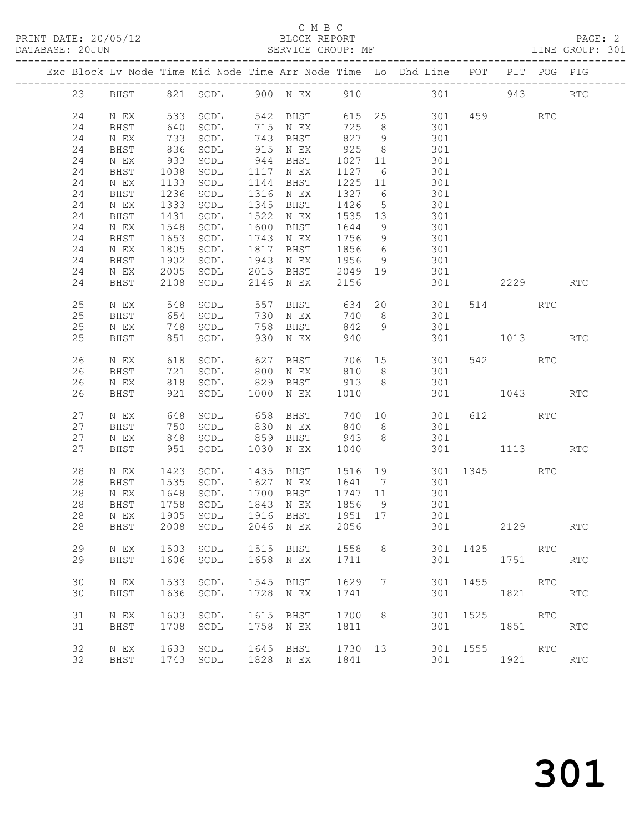#### C M B C<br>BLOCK REPORT SERVICE GROUP: MF

|  |    |      |            |                                  |      |                      |                 |                 | Exc Block Lv Node Time Mid Node Time Arr Node Time Lo Dhd Line POT |          |              | PIT POG PIG |                             |
|--|----|------|------------|----------------------------------|------|----------------------|-----------------|-----------------|--------------------------------------------------------------------|----------|--------------|-------------|-----------------------------|
|  | 23 |      |            | BHST 821 SCDL 900 N EX 910       |      |                      |                 |                 | 301                                                                |          | 943          |             | <b>RTC</b>                  |
|  | 24 | N EX |            | 533 SCDL                         |      | 542 BHST             |                 |                 | 615 25 301 459 RTC                                                 |          |              |             |                             |
|  | 24 | BHST | 640        | SCDL                             |      | 715 N EX             | 725             | 8 <sup>8</sup>  | 301                                                                |          |              |             |                             |
|  | 24 | N EX |            | SCDL                             |      |                      | 827             | 9               | 301                                                                |          |              |             |                             |
|  | 24 | BHST | 733<br>836 | SCDL                             |      | 743 BHST<br>915 N EX | 925             | 8 <sup>8</sup>  | 301                                                                |          |              |             |                             |
|  | 24 | N EX | 933        | SCDL                             |      | 944 BHST             | 1027            | 11              | 301                                                                |          |              |             |                             |
|  | 24 | BHST | 1038       | SCDL                             |      | 1117 N EX            | 1127            | $6\overline{6}$ | 301                                                                |          |              |             |                             |
|  | 24 | N EX | 1133       | SCDL                             |      | 1144 BHST            | 1225            | 11              |                                                                    |          |              |             |                             |
|  | 24 | BHST |            | 1236 SCDL                        |      | 1316 N EX            | 1327 6          |                 | 301<br>301                                                         |          |              |             |                             |
|  | 24 |      |            | 1333 SCDL                        |      | 1345 BHST            | 1426            | 5               |                                                                    |          |              |             |                             |
|  |    | N EX |            |                                  |      |                      |                 |                 | 301<br>301                                                         |          |              |             |                             |
|  | 24 | BHST | 1431       | SCDL                             | 1522 | N EX                 | 1535 13         |                 |                                                                    |          |              |             |                             |
|  | 24 | N EX | 1548       | SCDL                             | 1600 | BHST                 | 1644            | 9               | 301                                                                |          |              |             |                             |
|  | 24 | BHST | 1653       | SCDL                             |      | 1743 N EX            | 1756            | 9               | 301<br>$\frac{1}{301}$                                             |          |              |             |                             |
|  | 24 | N EX |            | 1805 SCDL                        | 1817 | BHST                 | 1856            | $6\overline{6}$ |                                                                    |          |              |             |                             |
|  | 24 | BHST |            | 1902 SCDL                        | 1943 | N EX                 | 1956            | 9               | 301                                                                |          |              |             |                             |
|  | 24 | N EX | 2005       | SCDL                             | 2015 | BHST                 | 2049            |                 | 19 301                                                             |          |              |             |                             |
|  | 24 | BHST | 2108       | SCDL                             | 2146 | N EX                 | 2156            |                 |                                                                    | 301 000  | 2229         |             | <b>RTC</b>                  |
|  | 25 | N EX |            | 548 SCDL                         | 557  |                      |                 |                 | BHST 634 20 301                                                    |          | 514          | RTC         |                             |
|  | 25 | BHST |            | 654 SCDL                         |      | 730 N EX             | 740             | 8 <sup>8</sup>  | 301                                                                |          |              |             |                             |
|  | 25 | N EX |            | 748 SCDL                         |      | 758 BHST             | 842             | 9               | 301                                                                |          |              |             |                             |
|  | 25 | BHST |            | 851 SCDL                         |      | 930 N EX             | 940             |                 |                                                                    |          | 301 1013     |             | <b>RTC</b>                  |
|  |    |      |            |                                  |      |                      |                 |                 |                                                                    |          |              |             |                             |
|  | 26 | N EX | 618        | SCDL                             | 627  | BHST                 |                 |                 | 706 15 301                                                         |          | 542          | RTC         |                             |
|  | 26 | BHST |            |                                  | 800  | N EX                 | 810             | 8 <sup>8</sup>  | 301                                                                |          |              |             |                             |
|  | 26 | N EX |            | 721 SCDL<br>818 SCDL             | 829  | BHST                 | 913             | 8 <sup>8</sup>  | 301                                                                |          |              |             |                             |
|  | 26 | BHST |            | 921 SCDL                         | 1000 | N EX                 | 1010            |                 |                                                                    |          | 301 1043 RTC |             |                             |
|  |    |      |            |                                  |      |                      |                 |                 |                                                                    |          |              |             |                             |
|  | 27 | N EX |            | 648 SCDL<br>750 SCDL<br>848 SCDL |      | 658 BHST<br>830 N EX | 740 10<br>840 8 |                 | 301                                                                |          | 612 RTC      |             |                             |
|  | 27 | BHST |            |                                  |      |                      |                 |                 | 301                                                                |          |              |             |                             |
|  | 27 | N EX |            |                                  | 859  | BHST                 | 943             | 8 <sup>8</sup>  | 301                                                                |          |              |             |                             |
|  | 27 | BHST |            | 951 SCDL                         | 1030 | N EX                 | 1040            |                 |                                                                    |          | 301 1113     |             | $\mathop{\rm RTC}\nolimits$ |
|  | 28 | N EX |            | 1423 SCDL                        |      |                      |                 |                 |                                                                    |          |              | RTC         |                             |
|  | 28 | BHST |            | 1535 SCDL                        |      | 1627 N EX            | 1641 7          |                 | 1435 BHST 1516 19 301 1345<br>1627 NEX 1641 7 301<br>301           |          |              |             |                             |
|  | 28 | N EX | 1648       | SCDL                             |      | 1700 BHST 1747 11    |                 |                 | 301                                                                |          |              |             |                             |
|  | 28 | BHST | 1758       | SCDL                             |      | 1843 N EX            | 1856            | 9               | 301                                                                |          |              |             |                             |
|  | 28 | N EX | 1905       | SCDL                             |      | 1916 BHST            | 1951 17         |                 | 301                                                                |          |              |             |                             |
|  |    |      |            |                                  |      |                      |                 |                 | 28 BHST 2008 SCDL 2046 NEX 2056 301                                |          | 2129         |             | $\mathop{\rm RTC}\nolimits$ |
|  |    |      |            |                                  |      |                      |                 |                 |                                                                    |          |              |             |                             |
|  | 29 | N EX |            | 1503 SCDL                        |      | 1515 BHST            | 1558            | 8               |                                                                    | 301 1425 |              | RTC         |                             |
|  | 29 | BHST | 1606       | SCDL                             |      | 1658 N EX            | 1711            |                 | 301                                                                |          | 1751         |             | RTC                         |
|  |    |      |            |                                  |      |                      |                 |                 |                                                                    |          |              |             |                             |
|  | 30 | N EX | 1533       | SCDL                             | 1545 | BHST                 | 1629            | 7               | 301                                                                | 1455     |              | RTC         |                             |
|  | 30 | BHST | 1636       | SCDL                             | 1728 | N EX                 | 1741            |                 | 301                                                                |          | 1821         |             | RTC                         |
|  |    |      |            |                                  |      |                      |                 |                 |                                                                    |          |              |             |                             |
|  | 31 | N EX |            | 1603 SCDL                        | 1615 | BHST                 | 1700            | 8               |                                                                    | 301 1525 | <b>RTC</b>   |             |                             |
|  | 31 | BHST | 1708       | SCDL                             | 1758 | N EX                 | 1811            |                 | 301                                                                |          | 1851 1890    |             | RTC                         |
|  |    |      |            |                                  |      |                      |                 |                 |                                                                    |          |              |             |                             |
|  | 32 | N EX | 1633       | SCDL                             | 1645 | BHST                 | 1730 13         |                 |                                                                    | 301 1555 | <b>RTC</b>   |             |                             |
|  | 32 | BHST |            | 1743 SCDL                        |      | 1828 N EX            | 1841            |                 | 301                                                                |          | 1921 RTC     |             |                             |
|  |    |      |            |                                  |      |                      |                 |                 |                                                                    |          |              |             |                             |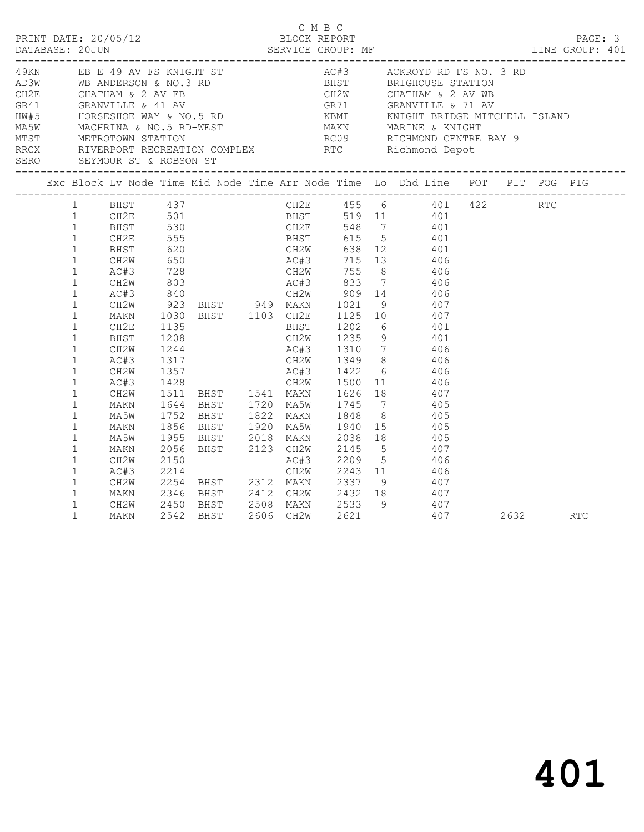|                                                                                                                                                                                                                                                                                                                                                        |                                                                                                                                                                                                                                           |                                                                  |  | C M B C<br>BLOCK REPORT |                                                                                                                                                                                                                                                                                                                                                                                                                                                                                                                                                                                                                                                                                                 |  |  |
|--------------------------------------------------------------------------------------------------------------------------------------------------------------------------------------------------------------------------------------------------------------------------------------------------------------------------------------------------------|-------------------------------------------------------------------------------------------------------------------------------------------------------------------------------------------------------------------------------------------|------------------------------------------------------------------|--|-------------------------|-------------------------------------------------------------------------------------------------------------------------------------------------------------------------------------------------------------------------------------------------------------------------------------------------------------------------------------------------------------------------------------------------------------------------------------------------------------------------------------------------------------------------------------------------------------------------------------------------------------------------------------------------------------------------------------------------|--|--|
| 49KN EB E 49 AV FS KNIGHT ST<br>A BANDERSON & NO.3 RD<br>CH2E CHATHAM & 2 AV EB<br>GR41 GRANVILLE & 41 AV<br>HW#5 HORSESHOE WAY & NO.5 RD<br>MA5W MACHRINA & NO.5 RD<br>MA5W MACHRINA & NO.5 RD<br>MA5W MACHRINA & NO.5 RD<br>MA5W MACHRINA & NO.5 RD<br>MA5W MACHRINA & NO.5                                                                          |                                                                                                                                                                                                                                           |                                                                  |  |                         | AC#3 ACKROYD RD FS NO. 3 RD                                                                                                                                                                                                                                                                                                                                                                                                                                                                                                                                                                                                                                                                     |  |  |
| Exc Block Lv Node Time Mid Node Time Arr Node Time Lo Dhd Line POT PIT POG PIG                                                                                                                                                                                                                                                                         |                                                                                                                                                                                                                                           |                                                                  |  |                         |                                                                                                                                                                                                                                                                                                                                                                                                                                                                                                                                                                                                                                                                                                 |  |  |
| $\mathbf{1}$<br>1<br>$\mathbf{1}$<br>$\mathbf{1}$<br>$\mathbf{1}$<br>$\mathbf{1}$<br>$\mathbf{1}$<br>$\mathbf{1}$<br>$\mathbf{1}$<br>$\mathbf{1}$<br>$\mathbf{1}$<br>$\mathbf{1}$<br>1<br>$\mathbf{1}$<br>$\mathbf{1}$<br>$\mathbf{1}$<br>$\mathbf{1}$<br>$\mathbf{1}$<br>$\mathbf{1}$<br>$\mathbf{1}$<br>$\mathbf{1}$<br>$\mathbf{1}$<br>$\mathbf{1}$ | 1 CH2E 501<br>1 BHST 530<br>$1$ CH2E<br>$\begin{tabular}{ll} 1 & \quad \quad \text{BHST} \\ 1 & \quad \quad \text{CH2W} \end{tabular}$<br>AC#3<br>CH2W<br>AC#3<br>CH <sub>2E</sub><br>BHST<br>CH2W<br>AC#3<br>CH2W<br>MAKN<br><b>MAKN</b> | 555<br>620<br>650<br>$728$<br>803<br>840<br>1208<br>1244<br>1317 |  |                         | 1 BHST 437 CH2E 455 6 401 422 RTC<br>BHST 519 11 401<br>CH2E 548 7 401<br>BHST 615 5 401<br>CH2W 638 12 401<br>AC#3 715 13 406<br>CH2W 755 8 406<br>AC#3 833 7 406<br>CH2W 909 14 406<br>CH2W 923 BHST 949 MAKN 1021 9<br>MAKN 1030 BHST 1103 CH2E 1125 10 407<br>CH2E 1135 BHST 1202 6 401<br>CH2W 1235 9 401<br>AC#3 1310 7 406<br>CH2W 1349 8 406<br>MAKN 1644 BHST 1720 MA5W 1745 7       405<br>MA5W 1752 BHST 1822 MAKN 1848 8     405<br>1856 BHST 1920 MA5W 1940 15 405<br>MA5W 1955 BHST 2018 MAKN 2038 18<br>MAKN 2056 BHST 2123 CH2W 2145 5 407<br>CH2W 2150 AC#3 2209 5 406<br>AC#3 2214 CH2W 2243 11 406<br>CH2W 2254 BHST 2312 MAKN 2337 9 407<br>2346 BHST 2412 CH2W 2432 18 407 |  |  |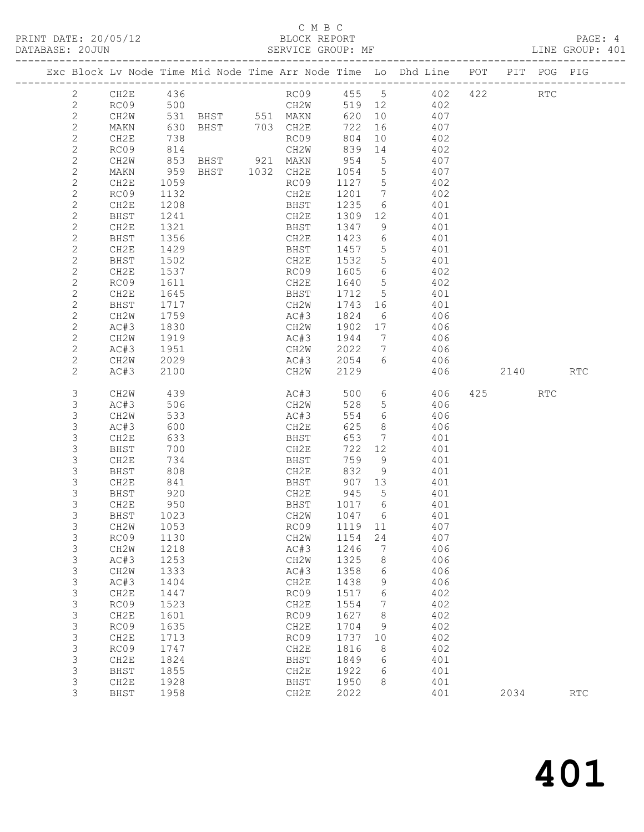#### C M B C<br>BLOCK REPORT

LINE GROUP: 401

|  |                              |              |              |                |              |               |                              | Exc Block Lv Node Time Mid Node Time Arr Node Time Lo Dhd Line POT PIT POG PIG |     |      |            |                             |
|--|------------------------------|--------------|--------------|----------------|--------------|---------------|------------------------------|--------------------------------------------------------------------------------|-----|------|------------|-----------------------------|
|  | $\mathbf{2}$                 | CH2E         | 436          |                |              |               |                              | RC09 455 5 402                                                                 | 422 |      | <b>RTC</b> |                             |
|  | $\mathbf{2}$                 | RC09         | 500          |                |              | 519 12        |                              | 402                                                                            |     |      |            |                             |
|  | $\sqrt{2}$                   | CH2W         |              |                |              | 620           | 10                           | 407                                                                            |     |      |            |                             |
|  | $\mathbf{2}$                 | MAKN         | 630          | BHST 703 CH2E  |              | 722           | 16                           | 407                                                                            |     |      |            |                             |
|  | $\mathbf{2}$                 | CH2E         | 738          |                | RC09         | 804           | 10                           | 402                                                                            |     |      |            |                             |
|  | $\mathbf{2}$                 | RC09         | 814          |                | CH2W         | 839           | 14                           | 402                                                                            |     |      |            |                             |
|  | $\mathbf{2}$                 | CH2W         | 853          | BHST 921 MAKN  |              | 954           | $5\phantom{.0}$              | 407                                                                            |     |      |            |                             |
|  | $\mathbf{2}$                 | MAKN         | 959          | BHST 1032 CH2E |              | 1054          | $5\overline{)}$              | 407                                                                            |     |      |            |                             |
|  | $\mathbf{2}$                 | CH2E         | 1059         |                | RC09         | 1127          | $5^{\circ}$                  | 402                                                                            |     |      |            |                             |
|  | $\mathbf{2}$                 | RC09         | 1132         |                | CH2E         | 1201          | $\overline{7}$               | 402                                                                            |     |      |            |                             |
|  | $\mathbf{2}$                 | CH2E         | 1208         |                | BHST         | 1235          | 6                            | 401                                                                            |     |      |            |                             |
|  | $\mathbf{2}$                 | BHST         | 1241         |                | CH2E         | 1309          | 12                           | 401                                                                            |     |      |            |                             |
|  | $\mathbf{2}$                 | CH2E         | 1321         |                | BHST         | 1347          | 9                            | 401                                                                            |     |      |            |                             |
|  | $\mathbf{2}$                 | BHST         | 1356         |                | CH2E         | 1423          | 6                            | 401                                                                            |     |      |            |                             |
|  | $\mathbf{2}$                 | CH2E         | 1429         |                | BHST         | 1457          | 5                            | 401                                                                            |     |      |            |                             |
|  | $\mathbf{2}$                 | BHST         | 1502         |                | CH2E         | 1532          | 5                            | 401                                                                            |     |      |            |                             |
|  | $\mathbf{2}$                 | CH2E<br>RC09 | 1537         |                | RC09<br>CH2E | 1605<br>1640  | 6<br>$5^{\circ}$             | 402<br>402                                                                     |     |      |            |                             |
|  | $\mathbf{2}$<br>$\mathbf{2}$ | CH2E         | 1611<br>1645 |                | BHST         | 1712          | $5\overline{)}$              | 401                                                                            |     |      |            |                             |
|  | $\mathbf{2}$                 | BHST         | 1717         |                | CH2W         | 1743 16       |                              | 401                                                                            |     |      |            |                             |
|  | $\mathbf{2}$                 | CH2W         | 1759         |                | AC#3         | 1824          | 6                            | 406                                                                            |     |      |            |                             |
|  | $\mathbf{2}$                 | AC#3         | 1830         |                | CH2W         | 1902          | 17                           | 406                                                                            |     |      |            |                             |
|  | $\mathbf{2}$                 | CH2W         | 1919         |                | AC#3         | 1944          | $7\phantom{.0}\phantom{.0}7$ | 406                                                                            |     |      |            |                             |
|  | $\mathbf{2}$                 | AC#3         | 1951         |                | CH2W         | 2022          | $7\overline{ }$              | 406                                                                            |     |      |            |                             |
|  | $\mathbf{2}$                 | CH2W         | 2029         |                | AC#3         | 2054          | 6                            | 406                                                                            |     |      |            |                             |
|  | $\mathbf{2}$                 | AC#3         | 2100         |                | CH2W         | 2129          |                              | 406                                                                            |     | 2140 |            | <b>RTC</b>                  |
|  |                              |              |              |                |              |               |                              |                                                                                |     |      |            |                             |
|  | 3                            | CH2W         | 439          |                | AC#3         | 500           | $6\overline{6}$              | 406                                                                            |     | 425  | RTC        |                             |
|  | 3                            | AC#3         | 506          |                | CH2W         | 528           | $5^{\circ}$                  | 406                                                                            |     |      |            |                             |
|  | 3                            | CH2W         | 533          |                | AC#3         | 554           | 6                            | 406                                                                            |     |      |            |                             |
|  | 3                            | AC#3         | 600          |                | CH2E         | 625           | 8                            | 406                                                                            |     |      |            |                             |
|  | $\mathsf S$                  | CH2E         | 633          |                | BHST         | 653           | $7\phantom{.0}\,$            | 401                                                                            |     |      |            |                             |
|  | 3                            | BHST         | 700          |                | CH2E         | 722           | 12                           | 401                                                                            |     |      |            |                             |
|  | $\mathsf S$                  | CH2E         | 734          |                | BHST         | 759           | 9                            | 401                                                                            |     |      |            |                             |
|  | 3                            | <b>BHST</b>  | 808          |                | CH2E         | 832           | 9                            | 401                                                                            |     |      |            |                             |
|  | $\mathsf S$<br>$\mathsf S$   | CH2E         | 841<br>920   |                | BHST         | 907 13<br>945 | $5\overline{)}$              | 401<br>401                                                                     |     |      |            |                             |
|  | 3                            | BHST<br>CH2E | 950          |                | CH2E<br>BHST | 1017 6        |                              | 401                                                                            |     |      |            |                             |
|  | 3                            | BHST         | 1023         |                | CH2W         | 1047 6        |                              | 401                                                                            |     |      |            |                             |
|  | $\mathsf 3$                  | CH2W 1053    |              |                | RC09 1119 11 |               |                              | 407                                                                            |     |      |            |                             |
|  | 3                            | RC09         | 1130         |                | CH2W         | 1154          | 24                           | 407                                                                            |     |      |            |                             |
|  | 3                            | CH2W         | 1218         |                | AC#3         | 1246          | 7                            | 406                                                                            |     |      |            |                             |
|  | 3                            | AC#3         | 1253         |                | CH2W         | 1325          | 8                            | 406                                                                            |     |      |            |                             |
|  | $\mathsf S$                  | CH2W         | 1333         |                | AC#3         | 1358          | 6                            | 406                                                                            |     |      |            |                             |
|  | $\mathsf 3$                  | AC#3         | 1404         |                | CH2E         | 1438          | 9                            | 406                                                                            |     |      |            |                             |
|  | $\mathsf 3$                  | CH2E         | 1447         |                | RC09         | 1517          | 6                            | 402                                                                            |     |      |            |                             |
|  | $\mathsf S$                  | RC09         | 1523         |                | CH2E         | 1554          | 7                            | 402                                                                            |     |      |            |                             |
|  | $\mathsf S$                  | CH2E         | 1601         |                | RC09         | 1627          | 8                            | 402                                                                            |     |      |            |                             |
|  | $\mathsf S$                  | RC09         | 1635         |                | CH2E         | 1704          | 9                            | 402                                                                            |     |      |            |                             |
|  | $\mathsf 3$                  | CH2E         | 1713         |                | RC09         | 1737          | 10                           | 402                                                                            |     |      |            |                             |
|  | 3                            | RC09         | 1747         |                | CH2E         | 1816          | 8                            | 402                                                                            |     |      |            |                             |
|  | $\mathsf S$                  | CH2E         | 1824         |                | BHST         | 1849          | 6                            | 401                                                                            |     |      |            |                             |
|  | $\mathsf S$                  | BHST         | 1855         |                | CH2E         | 1922          | 6                            | 401                                                                            |     |      |            |                             |
|  | $\mathsf 3$                  | CH2E         | 1928         |                | BHST         | 1950          | 8                            | 401                                                                            |     |      |            |                             |
|  | 3                            | BHST         | 1958         |                | CH2E         | 2022          |                              | 401                                                                            |     | 2034 |            | $\mathop{\rm RTC}\nolimits$ |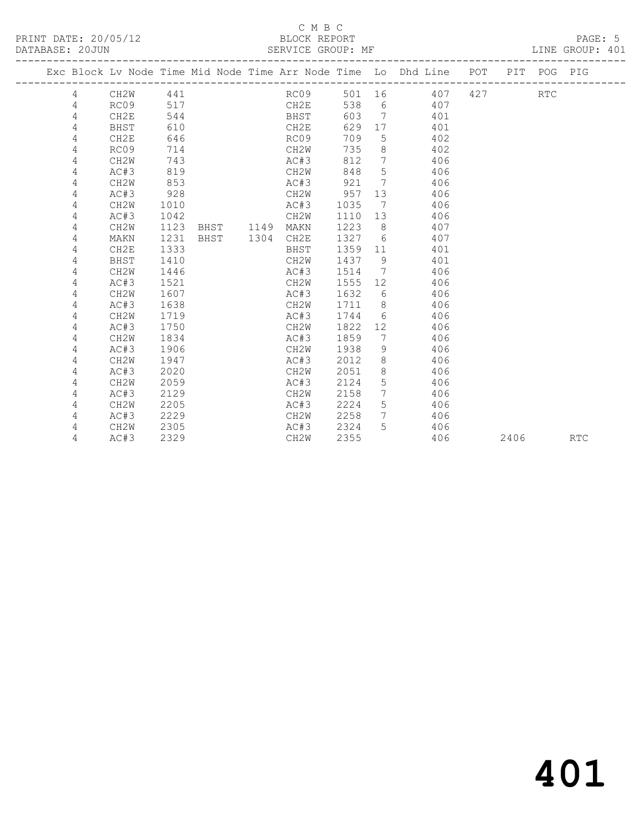#### C M B C<br>BLOCK REPORT SERVICE GROUP: MF

|  |   |                   |      |      |      |                   |      |                              | Exc Block Lv Node Time Mid Node Time Arr Node Time Lo Dhd Line POT |     |      | PIT POG PIG |     |
|--|---|-------------------|------|------|------|-------------------|------|------------------------------|--------------------------------------------------------------------|-----|------|-------------|-----|
|  | 4 | CH <sub>2</sub> W | 441  |      |      | RC09              | 501  | 16                           | 407                                                                | 427 |      | <b>RTC</b>  |     |
|  | 4 | RC09              | 517  |      |      | CH2E              | 538  | 6                            | 407                                                                |     |      |             |     |
|  | 4 | CH2E              | 544  |      |      | BHST              | 603  | $\overline{7}$               | 401                                                                |     |      |             |     |
|  | 4 | BHST              | 610  |      |      | CH2E              | 629  | 17                           | 401                                                                |     |      |             |     |
|  | 4 | CH2E              | 646  |      |      | RC09              | 709  | 5                            | 402                                                                |     |      |             |     |
|  | 4 | RC09              | 714  |      |      | CH2W              | 735  | 8                            | 402                                                                |     |      |             |     |
|  | 4 | CH <sub>2</sub> W | 743  |      |      | AC#3              | 812  | $7\phantom{.0}$              | 406                                                                |     |      |             |     |
|  | 4 | AC#3              | 819  |      |      | CH2W              | 848  | 5                            | 406                                                                |     |      |             |     |
|  | 4 | CH <sub>2</sub> W | 853  |      |      | AC#3              | 921  | 7                            | 406                                                                |     |      |             |     |
|  | 4 | AC#3              | 928  |      |      | CH2W              | 957  | 13                           | 406                                                                |     |      |             |     |
|  | 4 | CH <sub>2</sub> W | 1010 |      |      | AC#3              | 1035 | 7                            | 406                                                                |     |      |             |     |
|  | 4 | AC#3              | 1042 |      |      | CH2W              | 1110 | 13                           | 406                                                                |     |      |             |     |
|  | 4 | CH <sub>2</sub> M | 1123 | BHST | 1149 | MAKN              | 1223 | 8                            | 407                                                                |     |      |             |     |
|  | 4 | MAKN              | 1231 | BHST | 1304 | CH2E              | 1327 | 6                            | 407                                                                |     |      |             |     |
|  | 4 | CH2E              | 1333 |      |      | BHST              | 1359 | 11                           | 401                                                                |     |      |             |     |
|  | 4 | BHST              | 1410 |      |      | CH2W              | 1437 | 9                            | 401                                                                |     |      |             |     |
|  | 4 | CH <sub>2</sub> W | 1446 |      |      | AC#3              | 1514 | $7\phantom{.0}\phantom{.0}7$ | 406                                                                |     |      |             |     |
|  | 4 | AC#3              | 1521 |      |      | CH2W              | 1555 | $12 \overline{ }$            | 406                                                                |     |      |             |     |
|  | 4 | CH <sub>2</sub> W | 1607 |      |      | AC#3              | 1632 | 6                            | 406                                                                |     |      |             |     |
|  | 4 | AC#3              | 1638 |      |      | CH2W              | 1711 | 8                            | 406                                                                |     |      |             |     |
|  | 4 | CH <sub>2</sub> W | 1719 |      |      | AC#3              | 1744 | 6                            | 406                                                                |     |      |             |     |
|  | 4 | AC#3              | 1750 |      |      | CH2W              | 1822 | 12                           | 406                                                                |     |      |             |     |
|  | 4 | CH <sub>2</sub> W | 1834 |      |      | AC#3              | 1859 | 7                            | 406                                                                |     |      |             |     |
|  | 4 | AC#3              | 1906 |      |      | CH2W              | 1938 | 9                            | 406                                                                |     |      |             |     |
|  | 4 | CH <sub>2</sub> W | 1947 |      |      | AC#3              | 2012 | 8                            | 406                                                                |     |      |             |     |
|  | 4 | AC#3              | 2020 |      |      | CH2W              | 2051 | 8                            | 406                                                                |     |      |             |     |
|  | 4 | CH <sub>2</sub> W | 2059 |      |      | AC#3              | 2124 | 5                            | 406                                                                |     |      |             |     |
|  | 4 | AC#3              | 2129 |      |      | CH2W              | 2158 | $7\phantom{.0}$              | 406                                                                |     |      |             |     |
|  | 4 | CH <sub>2</sub> W | 2205 |      |      | AC#3              | 2224 | 5                            | 406                                                                |     |      |             |     |
|  | 4 | AC#3              | 2229 |      |      | CH2W              | 2258 | $7\phantom{.0}$              | 406                                                                |     |      |             |     |
|  | 4 | CH <sub>2</sub> W | 2305 |      |      | AC#3              | 2324 | 5.                           | 406                                                                |     |      |             |     |
|  | 4 | AC#3              | 2329 |      |      | CH <sub>2</sub> W | 2355 |                              | 406                                                                |     | 2406 |             | RTC |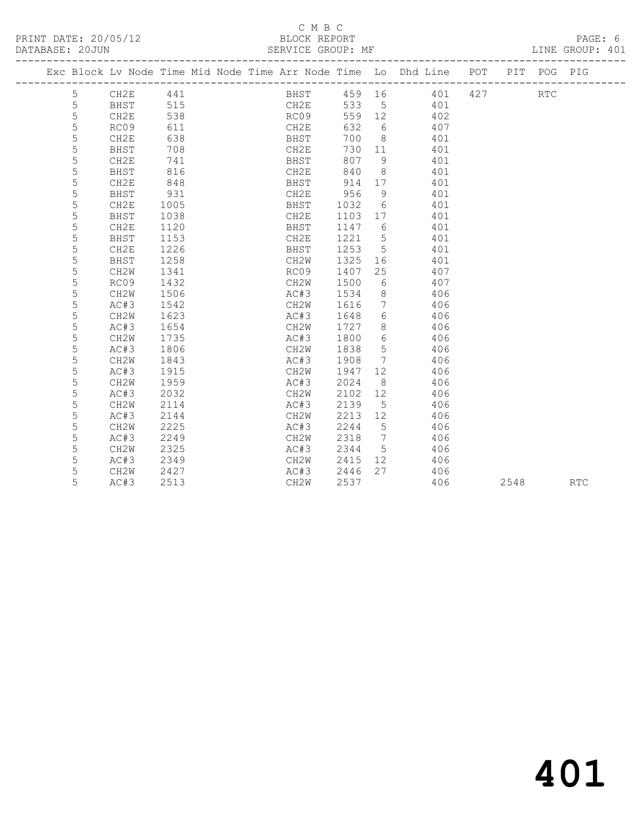### C M B C<br>BLOCK REPORT

DATABASE: 20JUN SERVICE GROUP: MF LINE GROUP: 401

|  |   |                   |      |  |              |         |                 | Exc Block Lv Node Time Mid Node Time Arr Node Time Lo Dhd Line POT |     |      | PIT POG PIG          |            |
|--|---|-------------------|------|--|--------------|---------|-----------------|--------------------------------------------------------------------|-----|------|----------------------|------------|
|  | 5 | CH2E 441          |      |  |              |         |                 | BHST 459 16 401                                                    | 427 |      | $\operatorname{RTC}$ |            |
|  | 5 | BHST              | 515  |  | CH2E         |         |                 | 533 5 401                                                          |     |      |                      |            |
|  | 5 | CH2E              | 538  |  | RC09         |         |                 | 559 12 402                                                         |     |      |                      |            |
|  | 5 | RC09              | 611  |  | CH2E         | 632     | 6               | 407                                                                |     |      |                      |            |
|  | 5 | CH2E              | 638  |  | BHST         | 700 8   |                 | 401                                                                |     |      |                      |            |
|  | 5 | <b>BHST</b>       | 708  |  | CH2E         | 730 11  |                 | 401                                                                |     |      |                      |            |
|  | 5 | CH2E              | 741  |  | BHST         | 807 9   |                 | 401                                                                |     |      |                      |            |
|  | 5 | BHST              | 816  |  | ыныT<br>CH2E | 840     | 8 <sup>1</sup>  | 401                                                                |     |      |                      |            |
|  | 5 | CH2E              | 848  |  | BHST         | 914 17  |                 | 401                                                                |     |      |                      |            |
|  | 5 | BHST              | 931  |  | CH2E         | 956     | $\overline{9}$  | 401                                                                |     |      |                      |            |
|  | 5 | CH2E              | 1005 |  | BHST         | 1032 6  |                 | 401                                                                |     |      |                      |            |
|  | 5 | <b>BHST</b>       | 1038 |  | CH2E         | 1103 17 |                 | 401                                                                |     |      |                      |            |
|  | 5 | CH2E              | 1120 |  | BHST         | 1147 6  |                 | 401                                                                |     |      |                      |            |
|  | 5 | BHST              | 1153 |  | CH2E         | 1221 5  |                 | 401                                                                |     |      |                      |            |
|  | 5 | CH2E              | 1226 |  | BHST         | 1253 5  |                 | 401                                                                |     |      |                      |            |
|  | 5 | BHST              | 1258 |  | CH2W         | 1325    |                 | 401                                                                |     |      |                      |            |
|  | 5 | CH2W              | 1341 |  | RC09         | 1407    | 25              | 407                                                                |     |      |                      |            |
|  | 5 | RC09              | 1432 |  | CH2W         | 1500    | 6               | 407                                                                |     |      |                      |            |
|  | 5 | CH <sub>2</sub> W | 1506 |  | AC#3         | 1534    | 8 <sup>8</sup>  | 406                                                                |     |      |                      |            |
|  | 5 | AC#3              | 1542 |  | CH2W         | 1616    | $7\phantom{0}$  | 406                                                                |     |      |                      |            |
|  | 5 | CH2W              | 1623 |  | AC#3         | 1648    | 6               | 406                                                                |     |      |                      |            |
|  | 5 | AC#3              | 1654 |  | CH2W         | 1727 8  |                 | 406                                                                |     |      |                      |            |
|  | 5 | CH2W              | 1735 |  | AC#3         | 1800    | 6               | 406                                                                |     |      |                      |            |
|  | 5 | AC#3              | 1806 |  | CH2W         | 1838    | $5\overline{)}$ | 406                                                                |     |      |                      |            |
|  | 5 | CH2W              | 1843 |  | AC#3         | 1908    | $7\phantom{0}$  | 406                                                                |     |      |                      |            |
|  | 5 | AC#3              | 1915 |  | CH2W         | 1947    | 12              | 406                                                                |     |      |                      |            |
|  | 5 | CH2W              | 1959 |  | AC#3         | 2024    | 8 <sup>8</sup>  | 406                                                                |     |      |                      |            |
|  | 5 | AC#3              | 2032 |  | CH2W         | 2102 12 |                 | 406                                                                |     |      |                      |            |
|  | 5 | CH2W              | 2114 |  | AC#3         | 2139    | $5^{\circ}$     | 406                                                                |     |      |                      |            |
|  | 5 | AC#3              | 2144 |  | CH2W         | 2213 12 |                 | 406                                                                |     |      |                      |            |
|  | 5 | CH <sub>2</sub> W | 2225 |  | AC#3         | 2244 5  |                 | 406                                                                |     |      |                      |            |
|  | 5 | AC#3              | 2249 |  | CH2W         | 2318 7  |                 | 406                                                                |     |      |                      |            |
|  | 5 | CH2W              | 2325 |  | AC#3         | 2344 5  |                 | 406                                                                |     |      |                      |            |
|  | 5 | AC#3              | 2349 |  | CH2W         | 2415 12 |                 | 406                                                                |     |      |                      |            |
|  | 5 | CH2W              | 2427 |  | AC#3         | 2446    | 27              | 406                                                                |     |      |                      |            |
|  | 5 | AC#3              | 2513 |  | CH2W         | 2537    |                 | 406                                                                |     | 2548 |                      | <b>RTC</b> |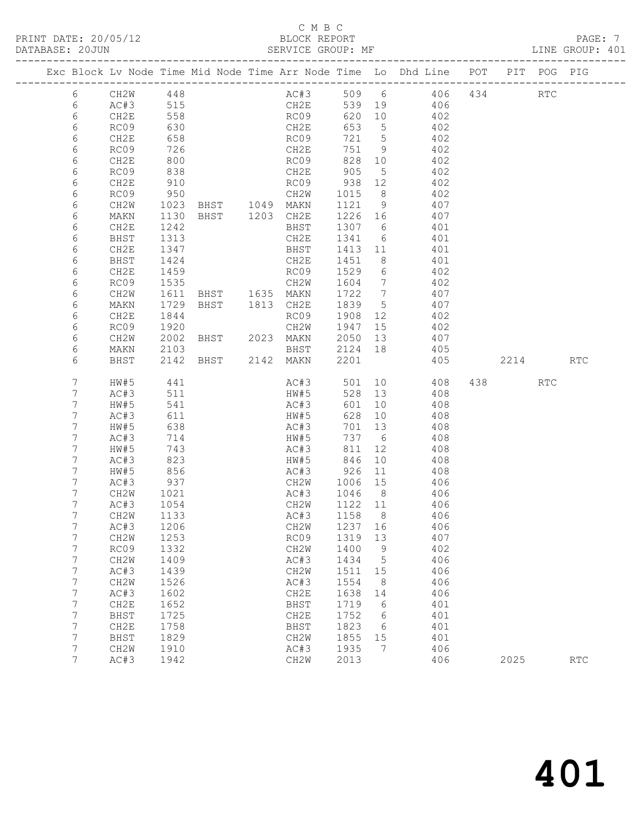### C M B C

| DATABASE: 20JUN |      | ------------------- |                | SERVICE GROUP: MF                     |         |                 |                                                                                |          | LINE GROUP: 401 |  |
|-----------------|------|---------------------|----------------|---------------------------------------|---------|-----------------|--------------------------------------------------------------------------------|----------|-----------------|--|
|                 |      |                     |                |                                       |         |                 | Exc Block Lv Node Time Mid Node Time Arr Node Time Lo Dhd Line POT PIT POG PIG |          |                 |  |
| 6               |      | CH2W 448            |                |                                       |         |                 | AC#3 509 6 406 434 RTC                                                         |          |                 |  |
| 6               |      | AC#3 515            |                |                                       |         |                 | CH2E 539 19 406                                                                |          |                 |  |
| 6               | CH2E | 558                 |                | RC09                                  |         |                 | 620 10 402                                                                     |          |                 |  |
| 6               | RC09 | 630                 |                |                                       |         | 653 5           | 402                                                                            |          |                 |  |
| 6               | CH2E | 658                 |                | CH2E<br>RC09                          | 721 5   |                 | $702$<br>402                                                                   |          |                 |  |
| 6               | RC09 | 726                 |                | CH2E                                  |         |                 | 751 9 402                                                                      |          |                 |  |
| 6               | CH2E | 800                 |                | RC09                                  |         |                 | 828 10 402                                                                     |          |                 |  |
| 6               | RC09 |                     |                |                                       |         |                 | 402                                                                            |          |                 |  |
| 6               | CH2E | 838<br>910          |                |                                       |         |                 | 402                                                                            |          |                 |  |
| 6               | RC09 | 950                 |                |                                       |         |                 | CH2W 1015 8 402                                                                |          |                 |  |
| 6               | CH2W |                     |                |                                       |         |                 | 1023 BHST 1049 MAKN 1121 9 407                                                 |          |                 |  |
| 6               | MAKN |                     |                |                                       |         |                 | 407                                                                            |          |                 |  |
| 6               | CH2E | 1130<br>1242        |                | BHST 1203 CH2E 1226 16<br>BHST 1307 6 |         |                 | 401                                                                            |          |                 |  |
| 6               | BHST | 1313                |                |                                       |         |                 | CH2E 1341 6 401                                                                |          |                 |  |
| 6               | CH2E | 1347                |                |                                       |         |                 | BHST 1413 11 401                                                               |          |                 |  |
| 6               | BHST | 1424                |                | CH2E                                  | 1451 8  |                 | 401                                                                            |          |                 |  |
| 6               | CH2E | 1459                |                | RC09 1529 6                           |         |                 | 402                                                                            |          |                 |  |
| 6               | RC09 | 1535                |                |                                       |         |                 | CH2W 1604 7 402                                                                |          |                 |  |
| 6               | CH2W | 1611                |                |                                       |         |                 | BHST 1635 MAKN 1722 7 407                                                      |          |                 |  |
| 6               | MAKN | 1729                | BHST 1813 CH2E |                                       | 1839 5  |                 | 407                                                                            |          |                 |  |
| 6               | CH2E | 1844                |                | RC09                                  | 1908 12 |                 | 402                                                                            |          |                 |  |
| 6               | RC09 | 1920                |                |                                       |         |                 | CH2W 1947 15 402                                                               |          |                 |  |
| 6               | CH2W | 2002                |                |                                       |         |                 | BHST 2023 MAKN 2050 13 407                                                     |          |                 |  |
| 6               | MAKN | 2103                |                |                                       |         |                 |                                                                                |          |                 |  |
| 6               | BHST |                     |                |                                       |         |                 | 2103 BHST 2124 18 405<br>2142 BHST 2142 MAKN 2201 405<br>405                   | 2214 RTC |                 |  |
| 7               | HW#5 | 441                 |                |                                       |         |                 | AC#3 501 10 408                                                                | 438 RTC  |                 |  |
| 7               | AC#3 | 511                 |                | HW#5                                  |         |                 | 528 13 408                                                                     |          |                 |  |
| 7               | HW#5 | 541                 |                | AC#3<br>HW#5                          | 601     | 10              | 408                                                                            |          |                 |  |
| 7               | AC#3 | 611                 |                |                                       |         |                 | $628$ 10 $408$                                                                 |          |                 |  |
| 7               | HW#5 | 638                 |                | AC#3                                  | 701 13  |                 | 408                                                                            |          |                 |  |
| 7               | AC#3 | 714                 |                | HW#5                                  | 737 6   |                 | 408                                                                            |          |                 |  |
| 7               | HW#5 | 743<br>823          |                | AC#3 811 12<br>HW#5 846 10            |         |                 | 408                                                                            |          |                 |  |
| 7               | AC#3 |                     |                |                                       |         |                 | 408                                                                            |          |                 |  |
| 7               | HW#5 | 856                 |                |                                       |         |                 | AC#3 926 11 408                                                                |          |                 |  |
| 7               | AC#3 | 937                 |                |                                       |         |                 | CH2W 1006 15 406                                                               |          |                 |  |
| 7               | CH2W | 1021<br>1054        |                | AC#3 1046 8<br>CH2W 1122 11           |         |                 | 406                                                                            |          |                 |  |
| 7               | AC#3 |                     |                |                                       |         |                 | 406                                                                            |          |                 |  |
| $7^{\circ}$     |      | CH2W 1133           |                |                                       |         |                 | AC#3 1158 8 406                                                                |          |                 |  |
| 7               | AC#3 | 1206                |                | CH2W                                  | 1237    | 16              | 406                                                                            |          |                 |  |
| 7               | CH2W | 1253                |                | RC09                                  | 1319    | 13              | 407                                                                            |          |                 |  |
| 7               | RC09 | 1332                |                | CH2W                                  | 1400    | - 9             | 402                                                                            |          |                 |  |
| 7               | CH2W | 1409                |                | AC#3                                  | 1434    | 5               | 406                                                                            |          |                 |  |
| 7               | AC#3 | 1439                |                | CH2W                                  | 1511    | 15              | 406                                                                            |          |                 |  |
| 7               | CH2W | 1526                |                | AC#3                                  | 1554    | 8               | 406                                                                            |          |                 |  |
| 7               | AC#3 | 1602                |                | CH2E                                  | 1638    | 14              | 406                                                                            |          |                 |  |
| 7               | CH2E | 1652                |                | BHST                                  | 1719    | $6\overline{6}$ | 401                                                                            |          |                 |  |
| 7               | BHST | 1725                |                | CH2E                                  | 1752    | 6               | 401                                                                            |          |                 |  |
| 7               | CH2E | 1758                |                | BHST                                  | 1823    | 6               | 401                                                                            |          |                 |  |
| 7               | BHST | 1829                |                | CH2W                                  | 1855    | 15              | 401                                                                            |          |                 |  |
| 7               | CH2W | 1910                |                | AC#3                                  | 1935    | 7               | 406                                                                            |          |                 |  |
| 7               | AC#3 | 1942                |                | CH2W                                  | 2013    |                 | 406                                                                            | 2025     | RTC             |  |
|                 |      |                     |                |                                       |         |                 |                                                                                |          |                 |  |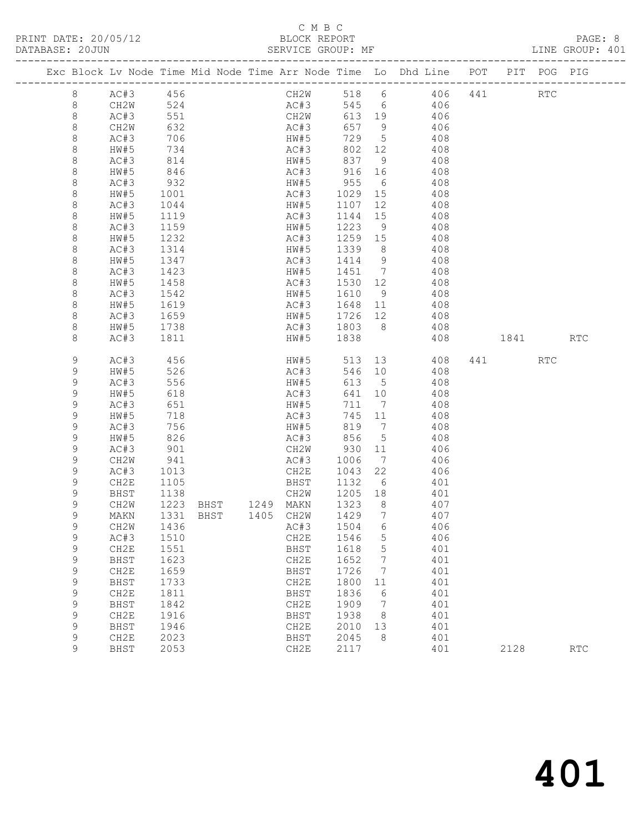#### C M B C<br>BLOCK REPORT SERVICE GROUP: MF

|              |              |                   |                                            |                            |                   |     | Exc Block Lv Node Time Mid Node Time Arr Node Time Lo Dhd Line POT |     |      | PIT POG PIG |                      |
|--------------|--------------|-------------------|--------------------------------------------|----------------------------|-------------------|-----|--------------------------------------------------------------------|-----|------|-------------|----------------------|
| $\,8\,$      | AC#3 456     |                   |                                            |                            |                   |     | CH2W 518 6 406                                                     | 441 |      | <b>RTC</b>  |                      |
| 8            | CH2W         | 524               |                                            | AC#3                       |                   |     | 545 6 406                                                          |     |      |             |                      |
| 8            | AC#3         | 551               |                                            | CH2W                       | 613 19            |     | 406                                                                |     |      |             |                      |
| 8            | CH2W         | 632               |                                            | AC#3                       | 657 9             |     | 406                                                                |     |      |             |                      |
| 8            | AC#3         | 706               |                                            | HW#5<br>AC#3               | 729 5             |     | 408                                                                |     |      |             |                      |
| 8            | HW#5         | 734               |                                            |                            | 802 12            |     | 408                                                                |     |      |             |                      |
| 8            | AC#3         | 814               |                                            | HW#5                       | 837 9             |     | 408                                                                |     |      |             |                      |
| 8            | HW#5         | 846               |                                            | AC#3 916 16                |                   |     | 408                                                                |     |      |             |                      |
| 8            | AC#3         | 932               |                                            | HW#5 955 6<br>AC#3 1029 15 |                   |     | 408                                                                |     |      |             |                      |
| 8            | HW#5         | 1001              |                                            |                            |                   |     | 408                                                                |     |      |             |                      |
| 8            | AC#3         | 1044              |                                            | HW#5                       | 1107 12           |     | 408                                                                |     |      |             |                      |
| 8            | HW#5         | 1119              |                                            | AC#3                       | 1144 15           |     | 408                                                                |     |      |             |                      |
| 8<br>$\,8\,$ | AC#3<br>HW#5 | 1159<br>1232      |                                            | HW#5<br>AC#3               | 1223 9<br>1259 15 |     | 408<br>408                                                         |     |      |             |                      |
| 8            | AC#3         | 1314              |                                            | HW#5 1339 8                |                   |     | 408                                                                |     |      |             |                      |
| 8            | HW#5         | 1347              |                                            | AC#3                       | 1414 9            |     | 408                                                                |     |      |             |                      |
| 8            | AC#3         | 1423              |                                            | HW#5                       | 1451 7            |     | 408                                                                |     |      |             |                      |
| $\,8\,$      | HW#5         | $\frac{1}{1}$ 458 |                                            | AC#3                       |                   |     | 408                                                                |     |      |             |                      |
| 8            | AC#3         | 1542              |                                            |                            | $1431$<br>1530 12 |     | HW#5 1610 9 408                                                    |     |      |             |                      |
| 8            | HW#5         | 1619              |                                            | AC#3 1648 11               |                   |     | 408                                                                |     |      |             |                      |
| 8            | AC#3         |                   |                                            | HW#5                       | 1726 12           |     | 408                                                                |     |      |             |                      |
| 8            | HW#5         | 1659<br>1738      |                                            | AC#3 1803 8                |                   |     | 408                                                                |     |      |             |                      |
| 8            | AC#3         | 1811              |                                            | HW#5 1838                  |                   |     | 408                                                                |     | 1841 |             | <b>RTC</b>           |
|              |              |                   |                                            |                            |                   |     |                                                                    |     |      |             |                      |
| 9            | AC#3         | 456               |                                            | HW#5                       | 513 13            |     | 408                                                                |     | 441  | RTC         |                      |
| 9            | HW#5         | 526               |                                            | AC#3                       | 546 10            |     | 408                                                                |     |      |             |                      |
| 9            | AC#3         | 556               |                                            | HW#5                       | 613 5             |     | 408                                                                |     |      |             |                      |
| 9            | HW#5         | 618               |                                            | AC#3                       | 641 10            |     | 408                                                                |     |      |             |                      |
| 9            | AC#3         | 651               |                                            | HW#5                       | 711 7             |     | 408                                                                |     |      |             |                      |
| 9            | HW#5         | 718               |                                            | AC#3<br>HW#5               | 745 11            |     | 408                                                                |     |      |             |                      |
| 9            | AC#3         | 756               |                                            |                            | 819 7             |     | 408                                                                |     |      |             |                      |
| 9<br>9       | HW#5         | 826               |                                            | AC#3 856 5                 |                   |     | 408                                                                |     |      |             |                      |
| 9            | AC#3<br>CH2W | 901               |                                            | CH2W 930 11<br>AC#3        | 1006 7            |     | 406<br>406                                                         |     |      |             |                      |
| $\mathsf 9$  | AC#3         | 941<br>1013       |                                            | CH2E                       | 1043 22           |     | 406                                                                |     |      |             |                      |
| 9            | CH2E         | 1105              |                                            | BHST                       |                   |     | 1132 6 401                                                         |     |      |             |                      |
| 9            | BHST         | 1138              |                                            | CH2W                       | 1205 18           |     | 401                                                                |     |      |             |                      |
| 9            | CH2W         |                   |                                            |                            | 1323 8            |     | 407                                                                |     |      |             |                      |
| $\mathsf 9$  | MAKN         |                   | 1223 BHST 1249 MAKN<br>1331 BHST 1405 CH2W |                            | 1429 7            |     | 407                                                                |     |      |             |                      |
| 9            | CH2W         |                   |                                            |                            |                   |     | 406                                                                |     |      |             |                      |
| 9            | AC#3         | 1510              |                                            | CH2E                       | 1546              | 5   | 406                                                                |     |      |             |                      |
| 9            | CH2E         | 1551              |                                            | BHST                       | 1618              | 5   | 401                                                                |     |      |             |                      |
| $\mathsf 9$  | BHST         | 1623              |                                            | CH2E                       | 1652              | 7   | 401                                                                |     |      |             |                      |
| 9            | CH2E         | 1659              |                                            | BHST                       | 1726              | 7   | 401                                                                |     |      |             |                      |
| 9            | BHST         | 1733              |                                            | CH2E                       | 1800              | 11  | 401                                                                |     |      |             |                      |
| $\mathsf 9$  | CH2E         | 1811              |                                            | BHST                       | 1836              | 6   | 401                                                                |     |      |             |                      |
| $\mathsf 9$  | BHST         | 1842              |                                            | CH2E                       | 1909              | 7   | 401                                                                |     |      |             |                      |
| $\mathsf 9$  | CH2E         | 1916              |                                            | BHST                       | 1938              | - 8 | 401                                                                |     |      |             |                      |
| $\mathsf 9$  | BHST         | 1946              |                                            | CH2E                       | 2010              | 13  | 401                                                                |     |      |             |                      |
| 9            | CH2E         | 2023              |                                            | BHST                       | 2045              | 8   | 401                                                                |     |      |             |                      |
| 9            | BHST         | 2053              |                                            | CH2E                       | 2117              |     | 401                                                                |     | 2128 |             | $\operatorname{RTC}$ |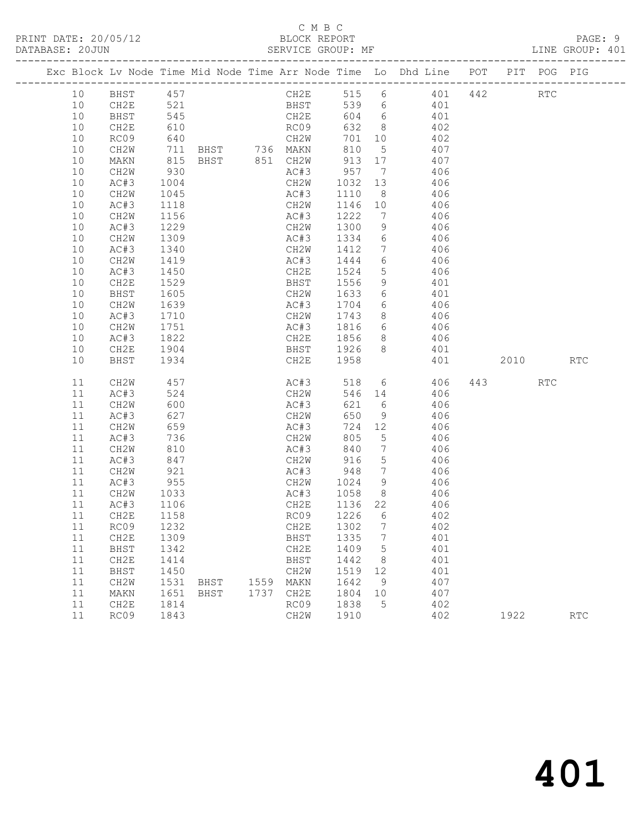### C M B C<br>BLOCK REPORT

|  |    |              |              |      |      |                              |         |                 | Exc Block Lv Node Time Mid Node Time Arr Node Time Lo Dhd Line POT |     |      | PIT POG PIG |                             |
|--|----|--------------|--------------|------|------|------------------------------|---------|-----------------|--------------------------------------------------------------------|-----|------|-------------|-----------------------------|
|  | 10 | BHST 457     |              |      |      | CH2E                         |         |                 | 515 6 401                                                          | 442 |      | <b>RTC</b>  |                             |
|  | 10 | CH2E         | 521          |      |      | <b>BHST</b>                  |         |                 | 539 6 401                                                          |     |      |             |                             |
|  | 10 | BHST         | 545          |      |      | CH2E                         |         |                 | 604 6 401                                                          |     |      |             |                             |
|  | 10 | CH2E         | 610          |      |      | RC09                         | 632 8   |                 | 402                                                                |     |      |             |                             |
|  | 10 | RC09         | 640          |      |      |                              | 701 10  |                 | 402                                                                |     |      |             |                             |
|  | 10 | CH2W         | 711          |      |      |                              | 810     | 5 <sup>5</sup>  | 407                                                                |     |      |             |                             |
|  | 10 | MAKN         | 815          |      |      | BHST 851 CH2W 913 17         |         |                 | 407                                                                |     |      |             |                             |
|  | 10 | CH2W         | 930          |      |      | AC#3 957 7                   |         |                 | 406                                                                |     |      |             |                             |
|  | 10 | AC#3         | 1004         |      |      | CH2W 1032 13                 |         |                 | 406                                                                |     |      |             |                             |
|  | 10 | CH2W         | 1045         |      |      | AC#3                         | 1110 8  |                 | 406                                                                |     |      |             |                             |
|  | 10 | AC#3         | 1118         |      |      | CH2W                         | 1146 10 |                 | 406                                                                |     |      |             |                             |
|  | 10 | CH2W         | 1156         |      |      | AC#3                         | 1222    | $\overline{7}$  | 406                                                                |     |      |             |                             |
|  | 10 | AC#3         | 1229         |      |      | CH2W                         | 1300 9  |                 | 406                                                                |     |      |             |                             |
|  | 10 | CH2W         | 1309         |      |      | AC#3                         | 1334 6  |                 | 406                                                                |     |      |             |                             |
|  | 10 | AC#3         | 1340         |      |      | CH2W 1412 7                  |         |                 | 406                                                                |     |      |             |                             |
|  | 10 | CH2W         | 1419         |      |      | AC#3                         | 1444 6  |                 | 406                                                                |     |      |             |                             |
|  | 10 | AC#3         | 1450<br>1529 |      |      | CH2E                         | 1524 5  |                 | 406                                                                |     |      |             |                             |
|  | 10 | CH2E         |              |      |      | BHST                         | 1556 9  |                 | 401                                                                |     |      |             |                             |
|  | 10 | BHST         | 1605         |      |      | CH2W 1633 6                  |         |                 | 401                                                                |     |      |             |                             |
|  | 10 | CH2W         | 1639         |      |      |                              |         |                 | AC#3 1704 6 406                                                    |     |      |             |                             |
|  | 10 | AC#3         | 1710<br>1751 |      |      | CH2W                         | 1743 8  |                 | 406                                                                |     |      |             |                             |
|  | 10 | CH2W         |              |      |      | AC#3                         | 1816 6  |                 | 406                                                                |     |      |             |                             |
|  | 10 | AC#3         | 1822         |      |      |                              |         |                 | CH2E 1856 8 406                                                    |     |      |             |                             |
|  | 10 | CH2E         | 1904         |      |      | BHST 1926 8                  |         |                 | 401                                                                |     |      |             |                             |
|  | 10 | BHST         | 1934         |      |      | CH2E 1958                    |         |                 | 401                                                                |     | 2010 |             | $\mathop{\rm RTC}\nolimits$ |
|  | 11 | CH2W         | 457          |      |      | AC#3                         |         |                 | 518 6 406                                                          |     | 443  | RTC         |                             |
|  | 11 | AC#3         | 524          |      |      | CH2W                         |         |                 | 546 14 406                                                         |     |      |             |                             |
|  | 11 | CH2W         | 600          |      |      | AC#3                         | 621 6   |                 | 406                                                                |     |      |             |                             |
|  | 11 | AC#3         | 627          |      |      | CH2W                         | 650     | 9               | 406                                                                |     |      |             |                             |
|  | 11 | CH2W         | 659          |      |      | AC#3                         | 724 12  |                 | 406                                                                |     |      |             |                             |
|  | 11 | AC#3         | 736          |      |      | CH2W                         | 805     | $5^{\circ}$     | 406                                                                |     |      |             |                             |
|  | 11 | CH2W         | 810          |      |      | AC#3                         | 840     | $\overline{7}$  | 406                                                                |     |      |             |                             |
|  | 11 | AC#3         | 847<br>921   |      |      | CH2W<br>CH2W 916<br>AC#3 948 | 916     | 5 <sup>5</sup>  | 406                                                                |     |      |             |                             |
|  | 11 | CH2W         |              |      |      |                              |         | $7\overline{ }$ | 406                                                                |     |      |             |                             |
|  | 11 | AC#3         | 955          |      |      | CH2W 1024 9                  |         |                 | 406                                                                |     |      |             |                             |
|  | 11 | CH2W         | 1033         |      |      | AC#3                         | 1058    | 8 <sup>8</sup>  | 406                                                                |     |      |             |                             |
|  | 11 | AC#3         | 1106<br>1158 |      |      | CH2E                         | 1136 22 |                 | 406                                                                |     |      |             |                             |
|  | 11 | CH2E         |              |      |      | RC09                         | 1226 6  |                 | 402                                                                |     |      |             |                             |
|  |    | 11 RC09 1232 |              |      |      | CH2E 1302 7                  |         |                 | 402                                                                |     |      |             |                             |
|  | 11 | CH2E         | 1309         |      |      | BHST                         | 1335    | $\overline{7}$  | 401                                                                |     |      |             |                             |
|  | 11 | BHST         | 1342         |      |      | CH2E                         | 1409    | $5^{\circ}$     | 401                                                                |     |      |             |                             |
|  | 11 | CH2E         | 1414         |      |      | BHST                         | 1442    | 8 <sup>8</sup>  | 401                                                                |     |      |             |                             |
|  | 11 | BHST         | 1450         |      |      | CH2W                         | 1519    | 12              | 401                                                                |     |      |             |                             |
|  | 11 | CH2W         | 1531         | BHST | 1559 | MAKN                         | 1642    | 9               | 407                                                                |     |      |             |                             |
|  | 11 | MAKN         | 1651         | BHST | 1737 | CH2E                         | 1804    | 10              | 407                                                                |     |      |             |                             |
|  | 11 | CH2E         | 1814         |      |      | RC09                         | 1838    | 5               | 402                                                                |     |      |             |                             |
|  | 11 | RC09         | 1843         |      |      | CH2W                         | 1910    |                 | 402                                                                |     | 1922 |             | <b>RTC</b>                  |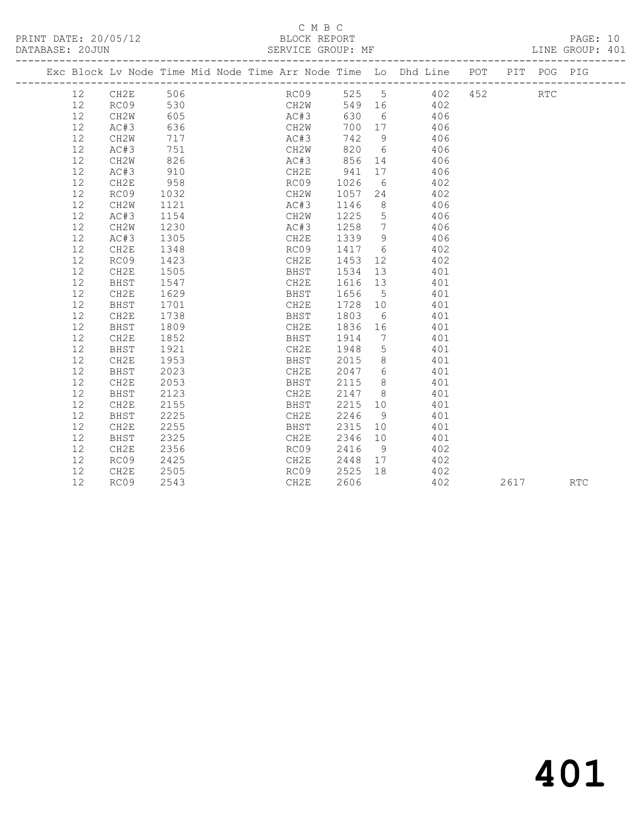### C M B C<br>BLOCK REPORT

SERVICE GROUP: MF

|                   |                   |      |  |      |      |                 | Exc Block Lv Node Time Mid Node Time Arr Node Time Lo Dhd Line POT |     |      | PIT POG PIG |            |
|-------------------|-------------------|------|--|------|------|-----------------|--------------------------------------------------------------------|-----|------|-------------|------------|
| $12 \overline{ }$ | CH2E              | 506  |  | RC09 | 525  | $5\overline{)}$ | 402                                                                | 452 |      | <b>RTC</b>  |            |
| 12                | RC09              | 530  |  | CH2W | 549  | 16              | 402                                                                |     |      |             |            |
| 12                | CH2W              | 605  |  | AC#3 | 630  | 6               | 406                                                                |     |      |             |            |
| 12                | AC#3              | 636  |  | CH2W | 700  | 17              | 406                                                                |     |      |             |            |
| 12                | CH2W              | 717  |  | AC#3 | 742  | 9               | 406                                                                |     |      |             |            |
| 12                | AC#3              | 751  |  | CH2W | 820  | 6               | 406                                                                |     |      |             |            |
| 12                | CH2W              | 826  |  | AC#3 | 856  | 14              | 406                                                                |     |      |             |            |
| 12                | AC#3              | 910  |  | CH2E | 941  | 17              | 406                                                                |     |      |             |            |
| 12                | CH2E              | 958  |  | RC09 | 1026 | 6               | 402                                                                |     |      |             |            |
| 12                | RC09              | 1032 |  | CH2W | 1057 | 24              | 402                                                                |     |      |             |            |
| 12                | CH2W              | 1121 |  | AC#3 | 1146 | 8               | 406                                                                |     |      |             |            |
| 12                | AC#3              | 1154 |  | CH2W | 1225 | 5               | 406                                                                |     |      |             |            |
| 12                | CH <sub>2</sub> W | 1230 |  | AC#3 | 1258 | $7\phantom{.0}$ | 406                                                                |     |      |             |            |
| 12                | AC#3              | 1305 |  | CH2E | 1339 | 9               | 406                                                                |     |      |             |            |
| 12                | CH2E              | 1348 |  | RC09 | 1417 | 6               | 402                                                                |     |      |             |            |
| 12                | RC09              | 1423 |  | CH2E | 1453 | 12              | 402                                                                |     |      |             |            |
| 12                | CH2E              | 1505 |  | BHST | 1534 | 13              | 401                                                                |     |      |             |            |
| 12                | BHST              | 1547 |  | CH2E | 1616 | 13              | 401                                                                |     |      |             |            |
| 12                | CH2E              | 1629 |  | BHST | 1656 | 5               | 401                                                                |     |      |             |            |
| 12                | <b>BHST</b>       | 1701 |  | CH2E | 1728 | 10 <sup>°</sup> | 401                                                                |     |      |             |            |
| 12                | CH2E              | 1738 |  | BHST | 1803 | - 6             | 401                                                                |     |      |             |            |
| 12                | BHST              | 1809 |  | CH2E | 1836 | 16              | 401                                                                |     |      |             |            |
| 12                | CH2E              | 1852 |  | BHST | 1914 | 7               | 401                                                                |     |      |             |            |
| 12                | <b>BHST</b>       | 1921 |  | CH2E | 1948 | 5               | 401                                                                |     |      |             |            |
| 12                | CH2E              | 1953 |  | BHST | 2015 | 8               | 401                                                                |     |      |             |            |
| 12                | BHST              | 2023 |  | CH2E | 2047 | 6               | 401                                                                |     |      |             |            |
| 12                | CH2E              | 2053 |  | BHST | 2115 | 8 <sup>8</sup>  | 401                                                                |     |      |             |            |
| 12                | <b>BHST</b>       | 2123 |  | CH2E | 2147 | 8 <sup>8</sup>  | 401                                                                |     |      |             |            |
| 12                | CH2E              | 2155 |  | BHST | 2215 | 10              | 401                                                                |     |      |             |            |
| 12                | <b>BHST</b>       | 2225 |  | CH2E | 2246 | 9               | 401                                                                |     |      |             |            |
| 12                | CH2E              | 2255 |  | BHST | 2315 | 10 <sup>°</sup> | 401                                                                |     |      |             |            |
| 12                | BHST              | 2325 |  | CH2E | 2346 | 10              | 401                                                                |     |      |             |            |
| 12                | CH2E              | 2356 |  | RC09 | 2416 | 9               | 402                                                                |     |      |             |            |
| 12                | RC09              | 2425 |  | CH2E | 2448 | 17              | 402                                                                |     |      |             |            |
| 12                | CH2E              | 2505 |  | RC09 | 2525 | 18              | 402                                                                |     |      |             |            |
| 12                | RC09              | 2543 |  | CH2E | 2606 |                 | 402                                                                |     | 2617 |             | <b>RTC</b> |
|                   |                   |      |  |      |      |                 |                                                                    |     |      |             |            |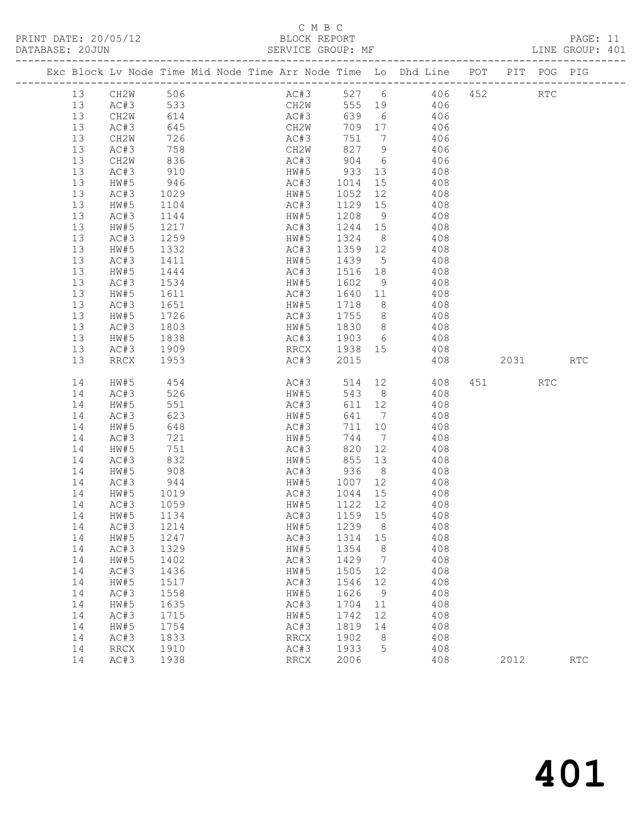### C M B C<br>BLOCK REPORT

SERVICE GROUP: MF

|         |                          |                  |  |                            |         |                | Exc Block Lv Node Time Mid Node Time Arr Node Time Lo Dhd Line POT |     |         | PIT POG PIG |                             |
|---------|--------------------------|------------------|--|----------------------------|---------|----------------|--------------------------------------------------------------------|-----|---------|-------------|-----------------------------|
| 13      | CH2W 506                 |                  |  |                            |         |                | AC#3 527 6 406                                                     | 452 |         | <b>RTC</b>  |                             |
| 13      | AC#3 533                 |                  |  | CH2W                       |         |                | 555 19 406                                                         |     |         |             |                             |
| 13      | CH2W                     | 614              |  | AC#3                       |         |                | 639 6 406                                                          |     |         |             |                             |
| 13      | AC#3                     | 645              |  | CH2W                       |         |                | 709 17 406                                                         |     |         |             |                             |
| 13      | CH2W                     | 726              |  |                            |         |                | 406                                                                |     |         |             |                             |
| 13      | AC#3                     | 758              |  |                            |         |                | 406                                                                |     |         |             |                             |
| 13      | CH2W                     | 836              |  |                            |         |                | AC#3 904 6 406                                                     |     |         |             |                             |
| 13      | AC#3                     | 910              |  |                            |         |                | HW#5 933 13 408                                                    |     |         |             |                             |
| 13      | HW#5                     | 946              |  |                            |         |                |                                                                    |     |         |             |                             |
| 13      | AC#3                     | 1029             |  |                            |         |                | AC#3 1014 15 408<br>HW#5 1052 12 408                               |     |         |             |                             |
| 13      | HW#5                     | 1104             |  | AC#3                       |         |                | 1129 15 408                                                        |     |         |             |                             |
| 13      | AC#3                     | 1144             |  | HW#5                       | 1208 9  |                | 408                                                                |     |         |             |                             |
| 13      | HW#5                     | 1217             |  | AC#3                       | 1244 15 |                | 408                                                                |     |         |             |                             |
| 13      | AC#3                     | $\frac{1}{1259}$ |  | HW#5                       | 1324 8  |                | 408                                                                |     |         |             |                             |
| 13      | HW#5                     | 1332             |  |                            |         |                | AC#3 1359 12 408                                                   |     |         |             |                             |
| 13      | AC#3                     | 1411             |  | HW#5 1439 5                |         |                | 408                                                                |     |         |             |                             |
| 13      | HW#5                     |                  |  | AC#3                       | 1516 18 |                | 408                                                                |     |         |             |                             |
| 13      | AC#3                     | 1444<br>1534     |  | HW#5                       | 1602 9  |                | 408                                                                |     |         |             |                             |
| 13      | HW#5                     | 1611             |  | AC#3 1640 11               |         |                | 408                                                                |     |         |             |                             |
| 13      | AC#3                     | 1651             |  | HW#5                       | 1718 8  |                | 408                                                                |     |         |             |                             |
| 13      | HW#5                     |                  |  |                            | 1755 8  |                | 408                                                                |     |         |             |                             |
| 13      | AC#3                     | 1726<br>1803     |  | AC#3 1755 8<br>HW#5 1830 8 |         |                | 408                                                                |     |         |             |                             |
| 13      | HW#5                     | 1838             |  |                            |         |                | AC#3 1903 6 408                                                    |     |         |             |                             |
| 13      | AC#3                     | 1909             |  |                            |         |                | RRCX 1938 15 408                                                   |     |         |             |                             |
| 13      | RRCX                     | 1953             |  | AC#3                       | 2015    |                | 408                                                                |     | 2031 70 |             | $\mathop{\rm RTC}\nolimits$ |
|         |                          |                  |  |                            |         |                |                                                                    |     |         |             |                             |
| 14      | HW#5                     | 454              |  | AC#3                       |         |                | 514 12 408                                                         |     | 451 RTC |             |                             |
| 14      | AC#3                     | 526              |  | HW#5                       |         |                | 543 8 408                                                          |     |         |             |                             |
| 14      | HW#5                     | 551              |  | AC#3                       | 611 12  |                | 408                                                                |     |         |             |                             |
| 14      | AC#3                     | 623              |  | HW#5                       | 641 7   |                | 408                                                                |     |         |             |                             |
| 14      | HW#5                     | 648              |  | AC#3                       | 711 10  |                | 408                                                                |     |         |             |                             |
| 14      | AC#3                     | 721              |  | HW#5                       |         |                | 744 7 408                                                          |     |         |             |                             |
| 14      | HW#5                     | 751              |  | AC#3                       | 820     | 12             | 408                                                                |     |         |             |                             |
| 14      | AC#3                     | 832              |  | HW#5 855 13<br>AC#3 936 8  |         |                | 408                                                                |     |         |             |                             |
| 14      | HW#5                     | 908              |  |                            |         |                | 408                                                                |     |         |             |                             |
| 14      | AC#3                     | 944              |  |                            |         |                | HW#5 1007 12 408                                                   |     |         |             |                             |
| 14      | HW#5                     | 1019             |  | AC#3                       |         |                | 1044 15 408                                                        |     |         |             |                             |
| 14      | AC#3                     | 1059<br>1134     |  | HW#5                       | 1122 12 |                | 408                                                                |     |         |             |                             |
| 14      | HW#5                     |                  |  | AC#3                       | 1159 15 |                | 408                                                                |     |         |             |                             |
| 14 AC#3 |                          | 1214             |  | HW#5 1239 8                |         |                | 408                                                                |     |         |             |                             |
| 14      | HW#5                     | 1247             |  | AC#3                       | 1314    | 15             | 408                                                                |     |         |             |                             |
| 14      | AC#3                     | 1329             |  | HW#5                       | 1354    | 8 <sup>8</sup> | 408                                                                |     |         |             |                             |
| 14      | HW#5                     | 1402             |  | AC#3                       | 1429    | $\overline{7}$ | 408                                                                |     |         |             |                             |
| 14      | AC#3                     | 1436             |  | HW#5                       | 1505    | 12             | 408                                                                |     |         |             |                             |
| 14      | HW#5                     | 1517             |  | AC#3                       | 1546    | 12             | 408                                                                |     |         |             |                             |
| 14      | AC#3                     | 1558             |  | HW#5                       | 1626    | 9              | 408                                                                |     |         |             |                             |
| 14      | HW#5                     | 1635             |  | AC#3                       | 1704    | 11             | 408                                                                |     |         |             |                             |
| 14      | AC#3                     | 1715             |  | HW#5                       | 1742    | 12             | 408                                                                |     |         |             |                             |
| 14      | HW#5                     | 1754             |  | AC#3                       | 1819    | 14             | 408                                                                |     |         |             |                             |
| 14      | AC#3                     | 1833             |  | RRCX                       | 1902    | - 8            | 408                                                                |     |         |             |                             |
| 14      | $\mathop{\mathrm{RRCX}}$ | 1910             |  | AC#3                       | 1933    | 5              | 408                                                                |     |         |             |                             |
| 14      | AC#3                     | 1938             |  | <b>RRCX</b>                | 2006    |                | 408                                                                |     | 2012    |             | <b>RTC</b>                  |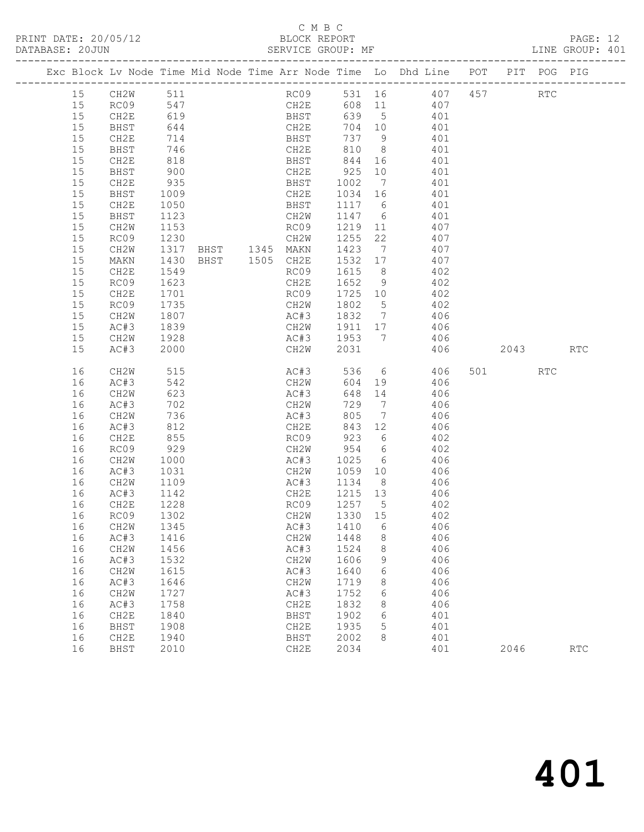#### C M B C

| DATABASE: 20JUN |          |              |                  | SERVICE GROUP: MF |                            |         |   |                                                                                |          | LINE GROUP: 401 |  |
|-----------------|----------|--------------|------------------|-------------------|----------------------------|---------|---|--------------------------------------------------------------------------------|----------|-----------------|--|
|                 |          |              |                  |                   |                            |         |   | Exc Block Lv Node Time Mid Node Time Arr Node Time Lo Dhd Line POT PIT POG PIG |          |                 |  |
|                 | 15       | CH2W 511     |                  |                   |                            |         |   | RC09 531 16 407 457 RTC                                                        |          |                 |  |
|                 | 15       | RC09 547     |                  |                   |                            |         |   | CH2E 608 11 407                                                                |          |                 |  |
|                 | 15       | CH2E         | 619              |                   | BHST<br>CH2E<br>BHST       |         |   | 639 5 401                                                                      |          |                 |  |
|                 | 15       | BHST         | $-644$           |                   |                            |         |   | 704 10 401<br>737 9 401                                                        |          |                 |  |
|                 | 15       | CH2E         |                  |                   |                            |         |   |                                                                                |          |                 |  |
|                 | 15       | BHST         | 746              |                   |                            |         |   | CH2E 810 8 401                                                                 |          |                 |  |
|                 | 15       | CH2E         | 818              |                   | BHST 844                   |         |   | 16 401                                                                         |          |                 |  |
|                 | 15       | BHST         | 900<br>935       |                   |                            |         |   | 401                                                                            |          |                 |  |
|                 | 15       | CH2E         |                  |                   |                            |         |   | 401                                                                            |          |                 |  |
|                 | 15       | BHST         | 1009             |                   |                            |         |   | CH2E 1034 16 401                                                               |          |                 |  |
|                 | 15       | CH2E         | 1050             |                   | <b>BHST</b>                |         |   | 1117 6 401                                                                     |          |                 |  |
|                 | 15       | BHST         | 1123             |                   | CH2W                       |         |   | $1147$ 6 401<br>1219 11 407                                                    |          |                 |  |
|                 | 15       | CH2W         | $\frac{1}{1153}$ |                   | RC09                       |         |   |                                                                                |          |                 |  |
|                 | 15       | RC09         | 1230             |                   | CH2W                       |         |   | 1255 22 407                                                                    |          |                 |  |
|                 | 15       | CH2W         | 1317             |                   |                            |         |   | BHST 1345 MAKN 1423 7 407                                                      |          |                 |  |
|                 | 15       | MAKN         | 1430<br>1549     | BHST 1505 CH2E    |                            | 1532 17 |   | 407                                                                            |          |                 |  |
|                 | 15<br>15 | CH2E         | 1623             |                   | RC09<br>CH2E               | 1615 8  |   | 402<br>1652 9 402                                                              |          |                 |  |
|                 | 15       | RC09<br>CH2E | 1701             |                   | RC09                       |         |   | 1725 10 402                                                                    |          |                 |  |
|                 | 15       | RC09         |                  |                   |                            | 1802 5  |   |                                                                                |          |                 |  |
|                 | 15       | CH2W         | 1735<br>1807     |                   | CH2W 1802 5<br>AC#3 1832 7 |         |   | 402<br>406                                                                     |          |                 |  |
|                 | 15       | AC#3         | 1839             |                   |                            |         |   | CH2W 1911 17 406                                                               |          |                 |  |
|                 | 15       | CH2W         | 1928             |                   |                            |         |   | AC#3 1953 7 406                                                                |          |                 |  |
|                 | 15       | AC#3         | 2000             |                   | CH2W                       | 2031    |   |                                                                                | 406 2043 | <b>RTC</b>      |  |
|                 | 16       | CH2W         | 515              |                   | AC#3                       |         |   | 536 6 406                                                                      | 501 RTC  |                 |  |
|                 | 16       | AC#3         | 542              |                   | CH2W                       |         |   | 604 19 406                                                                     |          |                 |  |
|                 | 16       | CH2W         | 623              |                   | AC#3                       | 648     |   | 14 406                                                                         |          |                 |  |
|                 | 16       | AC#3         | 702              |                   | CH2W                       | 729 7   |   | 406                                                                            |          |                 |  |
|                 | 16       | CH2W         | 736              |                   | AC#3                       | 805     |   | 7 406                                                                          |          |                 |  |
|                 | 16       | AC#3         | 812              |                   | CH2E                       | 843 12  |   | 406                                                                            |          |                 |  |
|                 | 16       | CH2E         | 855              |                   | RC09 923 6                 |         |   | 402                                                                            |          |                 |  |
|                 | 16       | RC09         | 929              |                   | CH2W 954 6                 |         |   | 402<br>406                                                                     |          |                 |  |
|                 | 16       | CH2W         | 1000             |                   | AC#3                       | 1025 6  |   |                                                                                |          |                 |  |
|                 | 16       | AC#3         | 1031             |                   |                            |         |   | CH2W 1059 10 406                                                               |          |                 |  |
|                 | 16<br>16 | CH2W         | 1109             |                   | AC#3<br>CH2E               | 1215 13 |   | 1134 8 406                                                                     |          |                 |  |
|                 | 16       | AC#3<br>CH2E | 1142<br>1228     |                   | RC09                       | 1257 5  |   | 406<br>402                                                                     |          |                 |  |
|                 |          | 16 RC09 1302 |                  |                   |                            |         |   | CH2W 1330 15 402                                                               |          |                 |  |
|                 | 16       | CH2W         | 1345             |                   | AC#3                       | 1410    | 6 | 406                                                                            |          |                 |  |
|                 | 16       | AC#3         | 1416             |                   | CH2W                       | 1448    | 8 | 406                                                                            |          |                 |  |
|                 | 16       | CH2W         | 1456             |                   | AC#3                       | 1524    | 8 | 406                                                                            |          |                 |  |
|                 | 16       | AC#3         | 1532             |                   | CH2W                       | 1606    | 9 | 406                                                                            |          |                 |  |
|                 | 16       | CH2W         | 1615             |                   | AC#3                       | 1640    | 6 | 406                                                                            |          |                 |  |
|                 | 16       | AC#3         | 1646             |                   | CH2W                       | 1719    | 8 | 406                                                                            |          |                 |  |
|                 | 16       | CH2W         | 1727             |                   | AC#3                       | 1752    | 6 | 406                                                                            |          |                 |  |
|                 | 16       | AC#3         | 1758             |                   | CH2E                       | 1832    | 8 | 406                                                                            |          |                 |  |
|                 | 16       | CH2E         | 1840             |                   | BHST                       | 1902    | 6 | 401                                                                            |          |                 |  |
|                 | 16       | BHST         | 1908             |                   | CH2E                       | 1935    | 5 | 401                                                                            |          |                 |  |
|                 | 16       | CH2E         | 1940             |                   | BHST                       | 2002    | 8 | 401                                                                            |          |                 |  |
|                 | 16       | BHST         | 2010             |                   | CH2E                       | 2034    |   | 401                                                                            | 2046     | RTC             |  |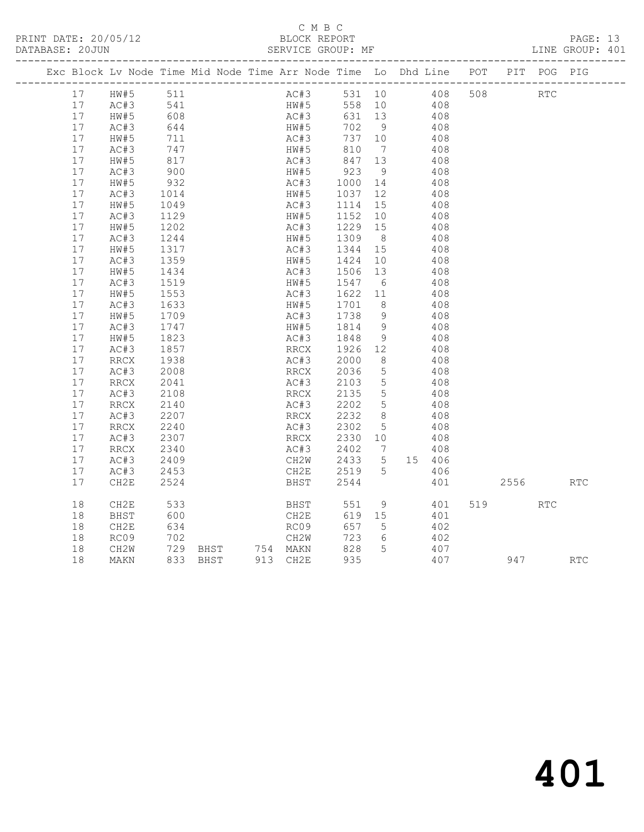### C M B C<br>BLOCK REPORT

SERVICE GROUP: MF

| Exc Block Lv Node Time Mid Node Time Arr Node Time Lo Dhd Line POT PIT POG PIG |                          |                  |                   |          |      |              |                              |                 |            |     |            |     |            |
|--------------------------------------------------------------------------------|--------------------------|------------------|-------------------|----------|------|--------------|------------------------------|-----------------|------------|-----|------------|-----|------------|
|                                                                                | 17 HW#5                  | 511              |                   |          |      | AC#3         |                              |                 | 531 10 408 | 508 | <b>RTC</b> |     |            |
| 17                                                                             | AC#3<br>hw#5             | 541<br>608       |                   |          |      | HW#5<br>AC#3 | 558 10                       |                 | 408<br>408 |     |            |     |            |
| 17                                                                             |                          |                  |                   |          | AC#3 |              | 631 13                       |                 |            |     |            |     |            |
| 17                                                                             | AC#3                     | 644<br>711       |                   |          | HW#5 |              | 702 9                        |                 | 408        |     |            |     |            |
| 17                                                                             | HW#5                     |                  |                   |          | AC#3 |              | 737 10                       |                 | 408        |     |            |     |            |
| 17                                                                             | AC#3                     | 747              |                   |          | HW#5 |              | 810                          | $\overline{7}$  | 408        |     |            |     |            |
| 17                                                                             | HW#5                     | 817              |                   |          | AC#3 |              | 847 13<br>923 9              |                 | 408        |     |            |     |            |
| 17                                                                             | AC#3                     | 900              |                   |          | HW#5 |              |                              |                 | 408        |     |            |     |            |
| 17                                                                             | HW#5                     | 932              |                   |          | AC#3 |              | 1000 14                      |                 | 408        |     |            |     |            |
| 17                                                                             | AC#3                     | 1014             |                   |          | HW#5 |              | 1037 12                      |                 | 408        |     |            |     |            |
| 17                                                                             | HW#5                     | 1049             |                   |          | AC#3 |              | 1114 15                      |                 | 408        |     |            |     |            |
| 17                                                                             | AC#3                     | 1129<br>1202     |                   |          | HW#5 |              | 1152 10                      |                 | 408        |     |            |     |            |
| 17                                                                             | HW#5                     |                  |                   |          | AC#3 |              | $\overline{1229}$ 15         |                 | 408        |     |            |     |            |
| 17                                                                             | AC#3                     | 1244             |                   |          | HW#5 |              | 1309                         | 8 <sup>8</sup>  | 408        |     |            |     |            |
| 17                                                                             | HW#5                     | 1317             |                   |          | AC#3 |              | 1344 15                      |                 | 408        |     |            |     |            |
| 17                                                                             | AC#3                     | 1359             |                   |          | HW#5 |              | 1424 10                      |                 | 408        |     |            |     |            |
| 17                                                                             | HW#5                     | 1434<br>1519     |                   |          | AC#3 |              | 1506                         | 13              | 408        |     |            |     |            |
| 17                                                                             | AC#3                     |                  |                   |          | HW#5 |              | 1547 6                       |                 | 408        |     |            |     |            |
| 17                                                                             | HW#5                     | 1553             |                   |          | AC#3 |              | 1622 11                      |                 | 408        |     |            |     |            |
| 17                                                                             | AC#3                     | 1633             |                   |          | HW#5 |              | 1701 8                       |                 | 408        |     |            |     |            |
| 17                                                                             | HW#5                     | 1709             |                   |          | AC#3 |              | 1738                         | - 9             | 408        |     |            |     |            |
| 17                                                                             | AC#3                     | 1747<br>1823     |                   |          | HW#5 |              | 1814                         | - 9             | 408        |     |            |     |            |
| 17                                                                             | HW#5                     |                  |                   |          | AC#3 |              | 1848                         | 9               | 408        |     |            |     |            |
| 17                                                                             | AC#3                     | 1857             |                   |          | RRCX |              | 1926 12                      |                 | 408        |     |            |     |            |
| 17                                                                             | RRCX                     | 1938<br>2008     |                   |          | AC#3 |              | 2000                         | 8 <sup>8</sup>  | 408        |     |            |     |            |
| 17                                                                             | AC#3                     |                  |                   |          | RRCX |              | 2036                         | $5^{\circ}$     | 408        |     |            |     |            |
| 17                                                                             | $\mathop{\mathrm{RRCX}}$ | 2041             |                   |          | AC#3 |              | 2103                         | $5\overline{)}$ | 408        |     |            |     |            |
| 17                                                                             | AC#3                     | 2108             |                   |          | RRCX |              | 2135                         | $5\overline{)}$ | 408        |     |            |     |            |
| 17                                                                             | RRCX                     | 2140             |                   |          | AC#3 |              | 2202                         | $5^{\circ}$     | 408        |     |            |     |            |
| 17                                                                             | AC#3                     | $2207$<br>$2240$ |                   |          |      |              | $AC#3$<br>RRC#3 2300<br>RRCY | 8 <sup>8</sup>  | 408        |     |            |     |            |
| 17                                                                             | RRCX                     |                  |                   |          |      |              | 2302 5                       |                 | 408        |     |            |     |            |
| 17                                                                             | AC#3                     | 2307             |                   |          | RRCX |              | 2330 10                      |                 | 408        |     |            |     |            |
| 17                                                                             | RRCX                     | 2340             |                   |          | AC#3 |              | 2402                         | $\overline{7}$  | 408        |     |            |     |            |
| 17                                                                             | AC#3                     | 2409             |                   |          | CH2W |              | 2433                         | 5 <sup>5</sup>  | 15 406     |     |            |     |            |
| 17                                                                             | AC#3                     | 2453             |                   |          | CH2E |              | 2519                         | $5^{\circ}$     | 406        |     |            |     |            |
| 17                                                                             | CH2E                     | 2524             |                   |          | BHST |              | 2544                         |                 | 401        |     | 2556 70    |     | RTC        |
| 18                                                                             | CH2E                     | 533              |                   |          | BHST |              | 551                          | 9               | 401        |     | 519        | RTC |            |
| 18                                                                             | BHST                     | 600              |                   |          | CH2E |              | 619 15                       |                 | 401        |     |            |     |            |
| 18                                                                             | CH2E                     | 634              |                   |          | RC09 |              | 657                          | $5\overline{)}$ | 402        |     |            |     |            |
| 18                                                                             | RC09                     | 702              |                   |          | CH2W |              | 723                          | 6               | 402        |     |            |     |            |
| 18                                                                             | CH2W                     |                  | 729 BHST 754 MAKN |          |      |              | 828 5                        |                 | 407        |     |            |     |            |
| 18                                                                             | MAKN                     |                  | 833 BHST          | 913 CH2E |      |              | 935                          |                 | 407        |     | 947        |     | <b>RTC</b> |
|                                                                                |                          |                  |                   |          |      |              |                              |                 |            |     |            |     |            |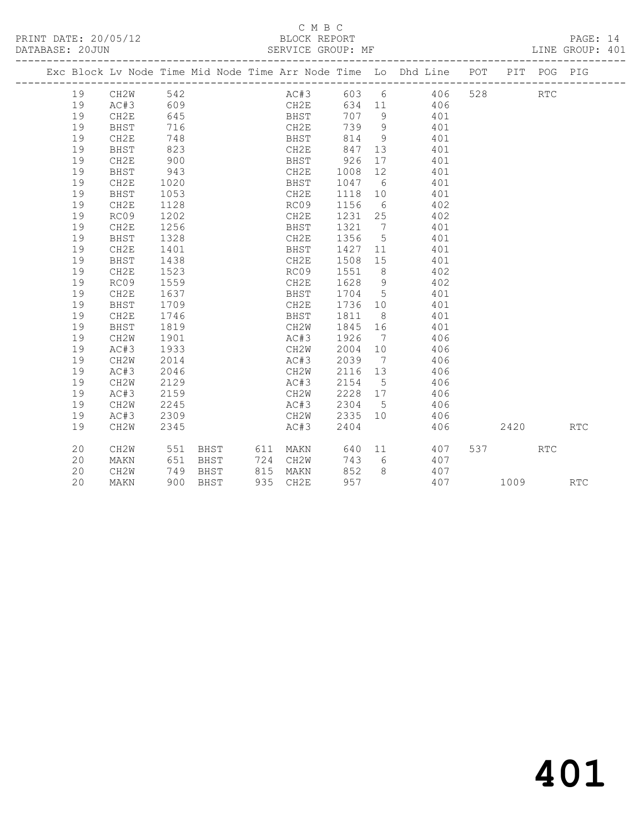#### C M B C<br>BLOCK REPORT SERVICE GROUP: MF

|  |    |          |      |          |             |         |                | Exc Block Lv Node Time Mid Node Time Arr Node Time Lo Dhd Line POT |           | PIT POG PIG |            |
|--|----|----------|------|----------|-------------|---------|----------------|--------------------------------------------------------------------|-----------|-------------|------------|
|  | 19 | CH2W 542 |      |          |             |         |                | AC#3 603 6 406                                                     | 528 32    | <b>RTC</b>  |            |
|  | 19 | AC#3     | 609  |          | CH2E        |         |                | 634 11 406                                                         |           |             |            |
|  | 19 | CH2E     | 645  |          | <b>BHST</b> |         |                | 707 9 401                                                          |           |             |            |
|  | 19 | BHST     | 716  |          | CH2E        |         |                | 739 9 401                                                          |           |             |            |
|  | 19 | CH2E     | 748  |          | <b>BHST</b> |         |                | 814 9 401                                                          |           |             |            |
|  | 19 | BHST     | 823  |          | CH2E        | 847 13  |                | 401                                                                |           |             |            |
|  | 19 | CH2E     | 900  |          | BHST 926    |         | 17             | 401                                                                |           |             |            |
|  | 19 | BHST     | 943  |          | CH2E        | 1008 12 |                | 401                                                                |           |             |            |
|  | 19 | CH2E     | 1020 |          | BHST        | 1047 6  |                | 401                                                                |           |             |            |
|  | 19 | BHST     | 1053 |          | CH2E        | 1118 10 |                | 401                                                                |           |             |            |
|  | 19 | CH2E     | 1128 |          | RC09        | 1156 6  |                | 402                                                                |           |             |            |
|  | 19 | RC09     | 1202 |          | CH2E        |         |                | 1231 25 402                                                        |           |             |            |
|  | 19 | CH2E     | 1256 |          | BHST        |         |                | 1321 7 401                                                         |           |             |            |
|  | 19 | BHST     | 1328 |          | CH2E        |         |                | 1356 5 401                                                         |           |             |            |
|  | 19 | CH2E     | 1401 |          | BHST        |         |                | 1427 11 401                                                        |           |             |            |
|  | 19 | BHST     | 1438 |          | CH2E        |         |                | 1508 15 401                                                        |           |             |            |
|  | 19 | CH2E     | 1523 |          | RC09        |         |                | 1551 8 402                                                         |           |             |            |
|  | 19 | RC09     | 1559 |          | CH2E        | 1628 9  |                | 402                                                                |           |             |            |
|  | 19 | CH2E     | 1637 |          | BHST        | 1704 5  |                | 401                                                                |           |             |            |
|  | 19 | BHST     | 1709 |          | CH2E        | 1736 10 |                | 401                                                                |           |             |            |
|  | 19 | CH2E     | 1746 |          | BHST        | 1811 8  |                | 401                                                                |           |             |            |
|  | 19 | BHST     | 1819 |          | CH2W        | 1845 16 |                | 401                                                                |           |             |            |
|  | 19 | CH2W     | 1901 |          | AC#3        | 1926 7  |                | 406                                                                |           |             |            |
|  | 19 | AC#3     | 1933 |          | CH2W        | 2004 10 |                | 406                                                                |           |             |            |
|  | 19 | CH2W     | 2014 |          | AC#3        | 2039 7  |                | 406                                                                |           |             |            |
|  | 19 | AC#3     | 2046 |          | CH2W        | 2116 13 |                | 406                                                                |           |             |            |
|  | 19 | CH2W     | 2129 |          | AC#3        |         |                | 2154 5 406                                                         |           |             |            |
|  | 19 | AC#3     | 2159 |          | CH2W        |         |                | 2228 17 406                                                        |           |             |            |
|  | 19 | CH2W     | 2245 |          | AC#3        | 2304 5  |                | 406                                                                |           |             |            |
|  | 19 | AC#3     | 2309 |          | CH2W        |         |                | 2335 10 406                                                        |           |             |            |
|  | 19 | CH2W     | 2345 |          | AC#3        | 2404    |                | 406                                                                | 2420      |             | <b>RTC</b> |
|  | 20 | CH2W     | 551  |          |             |         |                | BHST 611 MAKN 640 11 407                                           | 537 — 100 | <b>RTC</b>  |            |
|  | 20 | MAKN     | 651  | BHST     | 724 CH2W    | 743 6   |                | 407                                                                |           |             |            |
|  | 20 | CH2W     | 749  | BHST     | 815 MAKN    | 852     | 8 <sup>8</sup> | 407                                                                |           |             |            |
|  | 20 | MAKN     |      | 900 BHST | 935 CH2E    | 957     |                | 407                                                                | 1009      |             | <b>RTC</b> |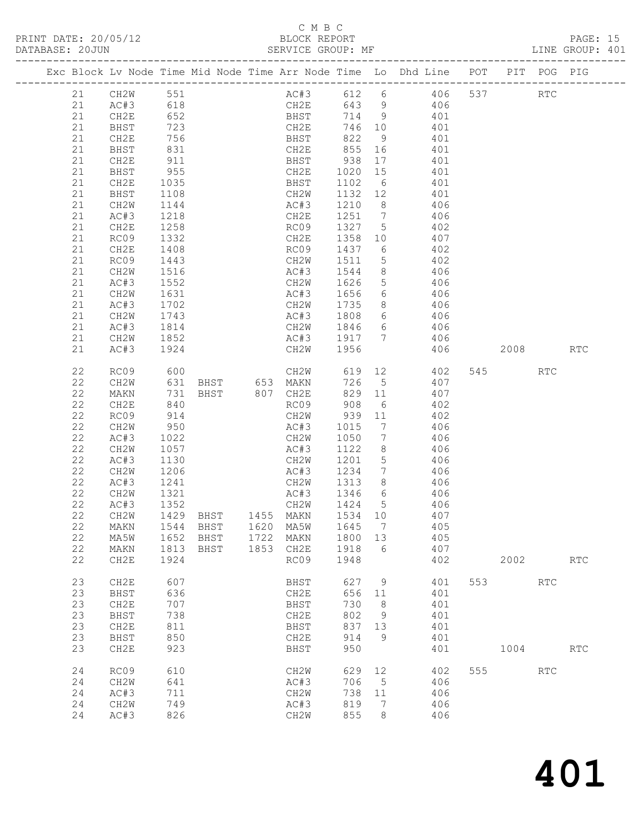### C M B C

|                                                                                                          |                                                                                                                                                                       |                                                                                                                   |                              |                              |                                                                                                                         |                                                             |                                         |                                                                                                                                                                                                                                                                                                                                                                                                                                                                                                                                                                                                   |            |             |                   | PAGE: 15<br>LINE GROUP: 401 |  |
|----------------------------------------------------------------------------------------------------------|-----------------------------------------------------------------------------------------------------------------------------------------------------------------------|-------------------------------------------------------------------------------------------------------------------|------------------------------|------------------------------|-------------------------------------------------------------------------------------------------------------------------|-------------------------------------------------------------|-----------------------------------------|---------------------------------------------------------------------------------------------------------------------------------------------------------------------------------------------------------------------------------------------------------------------------------------------------------------------------------------------------------------------------------------------------------------------------------------------------------------------------------------------------------------------------------------------------------------------------------------------------|------------|-------------|-------------------|-----------------------------|--|
|                                                                                                          |                                                                                                                                                                       |                                                                                                                   |                              |                              |                                                                                                                         |                                                             |                                         | Exc Block Lv Node Time Mid Node Time Arr Node Time Lo Dhd Line POT PIT POG PIG                                                                                                                                                                                                                                                                                                                                                                                                                                                                                                                    |            |             |                   |                             |  |
| 21<br>21<br>21<br>21<br>21<br>21<br>21<br>21<br>21<br>21<br>21<br>21<br>21<br>21                         | CH2E<br>BHST<br>CH2W<br>AC#3<br>CH2E<br>RC09<br>CH2E<br>RC09<br>CH2W<br>AC#3<br>CH2W<br>AC#3<br>CH2W                                                                  | 1035<br>1108<br>1144<br>1218<br>1258<br>1332<br>1408<br>1443<br>1516<br>1552<br>1631<br>1702<br>1743              |                              |                              | CH2W 1626                                                                                                               |                                                             |                                         | 21 CH2W 551 AC#3 612 6 406 537<br>CH2E 643 9 406<br>BHST 714 9 401<br>CH2E 746 10 401<br>21 AC#3 618<br>21 AC#3 618<br>21 CH2E 652 BHST 714 9 401<br>21 BHST 723 CH2E 746 10 401<br>21 CH2E 756 BHST 822 9 401<br>21 BHST 831 CH2E 855 16 401<br>21 CH2E 911 BHST 938 17 401<br>21 BHST 955 CH2E 1020 15 401<br>BHST 1102 6 401<br>CH2W 1132 12 401<br>AC#3 1210 8 406<br>CH2E 1251 7 406<br>AC#3 1210 8 406<br>CH2E 1251 7 406<br>RC09 1327 5 402<br>CH2E 1358 10 407<br>RC09 1437 6 402<br>CH2W 1511 5 402<br>AC#3 1544 8 406<br>5 406<br>AC#3 1656 6 406<br>CH2W 1735 8 406<br>AC#3 1808 6 406 |            |             | <b>RTC</b>        |                             |  |
| 21<br>21                                                                                                 | AC#3<br>CH2W<br>AC#3                                                                                                                                                  | 1814<br>1852<br>1924                                                                                              |                              |                              |                                                                                                                         |                                                             |                                         | CH2W 1846 6 406<br>AC#3 1917 7 406<br>CH2W 1956 406<br>406 2008                                                                                                                                                                                                                                                                                                                                                                                                                                                                                                                                   |            |             |                   | RTC                         |  |
| 22<br>22<br>22<br>22<br>22<br>22<br>22<br>22<br>22<br>22<br>22<br>22<br>22<br>22<br>22<br>22<br>22<br>22 | RC09<br>CH2W<br>MAKN<br>CH2E<br>RC09<br>CH2W<br>AC#3<br>CH2W<br>AC#3<br>CH2W<br>AC#3<br>CH2W<br>AC#3<br>CH <sub>2</sub> W<br>MAKN<br>MA5W<br>MAKN<br>CH <sub>2E</sub> | 600<br>914<br>950<br>1022<br>1057<br>1130<br>1206<br>1241<br>1321<br>1352<br>1429<br>1544<br>1652<br>1813<br>1924 | BHST<br>BHST<br>BHST<br>BHST | 1455<br>1620<br>1722<br>1853 | AC#3 1015<br>CH2W 1050<br>AC#3 1122<br>AC#3 1234<br>CH2W 1313 8<br>AC#3<br>CH2W<br>MAKN<br>MA5W<br>MAKN<br>CH2E<br>RC09 | 1424<br>1534<br>1645<br>1800<br>1918<br>1948                | 5<br>10<br>7<br>13<br>6                 | CH2W 619 12 402<br>631 BHST 653 MAKN 726 5 407<br>731 BHST 807 CH2E 829 11 407<br>840 RC09 908 6 402<br>CH2W 939 11 402<br>$\begin{array}{ccc} 7 & 406 \\ 7 & 406 \end{array}$<br>$8 \overline{406}$<br>CH2W 1201 5 406<br>7 406<br>1313 8 406<br>1346 6 406<br>406<br>407<br>405<br>405<br>407<br>402                                                                                                                                                                                                                                                                                            |            | 545<br>2002 | <b>RTC</b>        | <b>RTC</b>                  |  |
| 23<br>23<br>23<br>23<br>23<br>23<br>23<br>24<br>24                                                       | CH2E<br>BHST<br>CH2E<br>BHST<br>CH2E<br>BHST<br>CH <sub>2E</sub><br>RC09<br>CH <sub>2</sub> M                                                                         | 607<br>636<br>707<br>738<br>811<br>850<br>923<br>610<br>641                                                       |                              |                              | BHST<br>CH2E<br>BHST<br>CH2E<br>BHST<br>CH2E<br>BHST<br>CH <sub>2</sub> W<br>AC#3                                       | 627<br>656<br>730<br>802<br>837<br>914<br>950<br>629<br>706 | 9<br>11<br>8<br>9<br>13<br>9<br>12<br>5 | 401<br>401<br>401<br>401<br>401<br>401<br>401<br>402<br>406                                                                                                                                                                                                                                                                                                                                                                                                                                                                                                                                       | 553<br>555 | 1004        | <b>RTC</b><br>RTC | <b>RTC</b>                  |  |
| 24<br>24<br>24                                                                                           | AC#3<br>CH <sub>2</sub> W<br>AC#3                                                                                                                                     | 711<br>749<br>826                                                                                                 |                              |                              | CH2W<br>AC#3<br>CH2W                                                                                                    | 738<br>819<br>855                                           | 11<br>7<br>8                            | 406<br>406<br>406                                                                                                                                                                                                                                                                                                                                                                                                                                                                                                                                                                                 |            |             |                   |                             |  |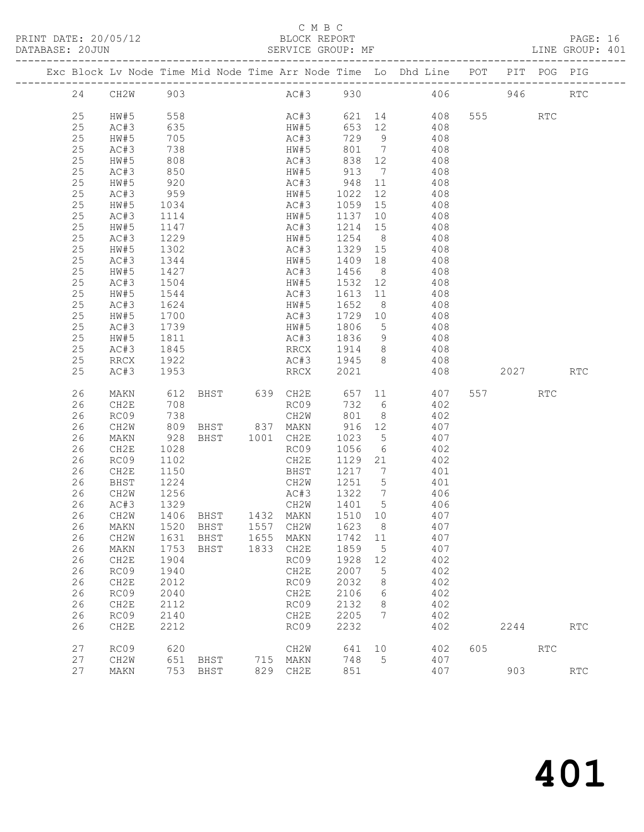PRINT DATE: 20/05/12

### C M B C<br>BLOCK REPORT<br>EFRITCE CROUP: MF

| DATABASE: 20JUN |    |             |                  | ------------------------- |           | SERVICE GROUP: MF          |                   |                | LINE GROUP: 401                                                                |          |            |            |  |
|-----------------|----|-------------|------------------|---------------------------|-----------|----------------------------|-------------------|----------------|--------------------------------------------------------------------------------|----------|------------|------------|--|
|                 |    |             |                  |                           |           |                            |                   |                | Exc Block Lv Node Time Mid Node Time Arr Node Time Lo Dhd Line POT PIT POG PIG |          |            |            |  |
|                 |    | 24 CH2W 903 |                  |                           |           |                            |                   |                | AC#3 930 406 946 RTC                                                           |          |            |            |  |
|                 | 25 | HW#5        | 558              |                           |           |                            |                   |                | AC#3 621 14 408 555 RTC                                                        |          |            |            |  |
|                 | 25 | AC#3        |                  |                           |           | HW#5                       | 653 12            |                | 408                                                                            |          |            |            |  |
|                 | 25 | HW#5        | $-38$<br>635     |                           |           | AC#3                       |                   |                | $729$ 9 408                                                                    |          |            |            |  |
|                 | 25 | AC#3        | 738              |                           |           | HW#5                       |                   |                | 801 7 408                                                                      |          |            |            |  |
|                 | 25 | HW#5        | 808              |                           |           | AC#3                       |                   |                | 838 12 408                                                                     |          |            |            |  |
|                 | 25 | AC#3        |                  |                           |           | HW#5                       | 913 7             |                | 408                                                                            |          |            |            |  |
|                 | 25 | HW#5        | 850<br>920       |                           |           |                            |                   |                | $AC#3$ 948 11 408                                                              |          |            |            |  |
|                 | 25 | AC#3        | 959              |                           |           |                            |                   |                | HW#5 1022 12 408                                                               |          |            |            |  |
|                 | 25 | HW#5        | 1034             |                           |           | AC#3                       |                   |                | 1059 15 408                                                                    |          |            |            |  |
|                 | 25 | AC#3        | 1114             |                           |           | HW#5                       | 1137 10           |                |                                                                                |          |            |            |  |
|                 | 25 | HW#5        | $\frac{1}{1147}$ |                           |           | AC#3                       | $\frac{1214}{15}$ |                | $408$<br>$408$                                                                 |          |            |            |  |
|                 | 25 | AC#3        | 1229             |                           |           |                            |                   |                | HW#5 1254 8 408                                                                |          |            |            |  |
|                 | 25 | HW#5        | 1302             |                           |           | AC#3                       |                   |                | 1329 15 408                                                                    |          |            |            |  |
|                 | 25 | AC#3        |                  |                           |           | HW#5                       | 1409 18           |                |                                                                                |          |            |            |  |
|                 | 25 | HW#5        | 1344<br>1427     |                           |           | AC#3                       | 1456 8            |                | 408<br>408                                                                     |          |            |            |  |
|                 | 25 | AC#3        | 1504             |                           |           |                            |                   |                | HW#5 1532 12 408                                                               |          |            |            |  |
|                 | 25 |             |                  |                           |           | AC#3                       |                   |                |                                                                                |          |            |            |  |
|                 | 25 | HW#5        | 1544             |                           |           |                            | 1652 8            |                | 1613 11 408                                                                    |          |            |            |  |
|                 |    | AC#3        | 1624<br>1700     |                           |           | HW#5                       |                   |                | 408                                                                            |          |            |            |  |
|                 | 25 | HW#5        | 1739             |                           |           | AC#3                       | 1729 10           |                | 408<br>HW#5 1806 5 408                                                         |          |            |            |  |
|                 | 25 | AC#3        |                  |                           |           |                            |                   |                |                                                                                |          |            |            |  |
|                 | 25 | HW#5        | 1811             |                           |           |                            |                   |                | AC#3 1836 9 408                                                                |          |            |            |  |
|                 | 25 | AC#3        | 1845             |                           |           | RRCX 1914 8                |                   |                | 408                                                                            |          |            |            |  |
|                 | 25 | RRCX        | 1922<br>1953     |                           |           | AC#3 1945 8                |                   |                | 408                                                                            |          |            |            |  |
|                 | 25 | AC#3        |                  |                           |           | <b>RRCX</b>                | 2021              |                | 408                                                                            | 2027 RTC |            |            |  |
|                 | 26 | MAKN        | 612              |                           |           |                            |                   |                | BHST 639 CH2E 657 11 407                                                       | 557 RTC  |            |            |  |
|                 | 26 | CH2E        | 708              |                           |           | RC09                       | 732 6             |                | 402                                                                            |          |            |            |  |
|                 | 26 | RC09        | 738              |                           |           | $CH2W$ $801$ 8             |                   |                | 402                                                                            |          |            |            |  |
|                 | 26 | CH2W        |                  |                           |           |                            |                   |                | 809 BHST 837 MAKN 916 12 407                                                   |          |            |            |  |
|                 | 26 | MAKN        | 928              | BHST 1001 CH2E            |           |                            | 1023 5            |                | 407                                                                            |          |            |            |  |
|                 | 26 | CH2E        | 1028             |                           |           | RC09                       | 1056 6            |                | 402                                                                            |          |            |            |  |
|                 | 26 | RC09        | 1102             |                           |           | CH2E                       | 1129 21           |                | 402                                                                            |          |            |            |  |
|                 | 26 | CH2E        | 1150             |                           |           | <b>BHST</b>                |                   |                | 1217 7 401                                                                     |          |            |            |  |
|                 | 26 | BHST        | 1224             |                           |           | CH2W                       |                   |                | 1251 5 401                                                                     |          |            |            |  |
|                 | 26 | CH2W        |                  |                           |           | AC#3                       |                   |                |                                                                                |          |            |            |  |
|                 | 26 | AC#3        | 1256<br>1329     |                           |           | AC#3 1322 7<br>CH2W 1401 5 |                   |                | 406<br>406                                                                     |          |            |            |  |
|                 |    |             |                  |                           |           |                            |                   |                | 26 CH2W 1406 BHST 1432 MAKN 1510 10 407                                        |          |            |            |  |
|                 | 26 | MAKN        | 1520             | BHST                      | 1557      | CH2W                       | 1623              | 8              | 407                                                                            |          |            |            |  |
|                 | 26 | CH2W        | 1631             | BHST                      | 1655 MAKN |                            | 1742 11           |                | 407                                                                            |          |            |            |  |
|                 | 26 | MAKN        | 1753             | BHST                      | 1833 CH2E |                            | 1859              | $5^{\circ}$    | 407                                                                            |          |            |            |  |
|                 | 26 | CH2E        | 1904             |                           |           | RC09                       | 1928              | 12             | 402                                                                            |          |            |            |  |
|                 | 26 | RC09        | 1940             |                           |           | CH2E                       | 2007              | 5              | 402                                                                            |          |            |            |  |
|                 | 26 | CH2E        | 2012             |                           |           | RC09                       | 2032              | - 8            | 402                                                                            |          |            |            |  |
|                 | 26 | RC09        | 2040             |                           |           | CH2E                       | 2106              | 6              | 402                                                                            |          |            |            |  |
|                 | 26 | CH2E        | 2112             |                           |           | RC09                       | 2132              | 8 <sup>8</sup> | 402                                                                            |          |            |            |  |
|                 | 26 | RC09        | 2140             |                           |           | CH2E                       | 2205              | 7              | 402                                                                            |          |            |            |  |
|                 | 26 | CH2E        | 2212             |                           |           | RC09                       | 2232              |                | 402                                                                            | 2244     |            | <b>RTC</b> |  |
|                 |    |             |                  |                           |           |                            |                   |                |                                                                                |          |            |            |  |
|                 | 27 | RC09        | 620              |                           |           | CH2W                       | 641               | 10             | 402                                                                            | 605 000  | <b>RTC</b> |            |  |
|                 | 27 | CH2W        | 651              | BHST                      | 715 MAKN  |                            | 748               | $5^{\circ}$    | 407                                                                            |          |            |            |  |
|                 | 27 | MAKN        |                  | 753 BHST                  |           | 829 CH2E                   | 851               |                | 407                                                                            | 903      |            | <b>RTC</b> |  |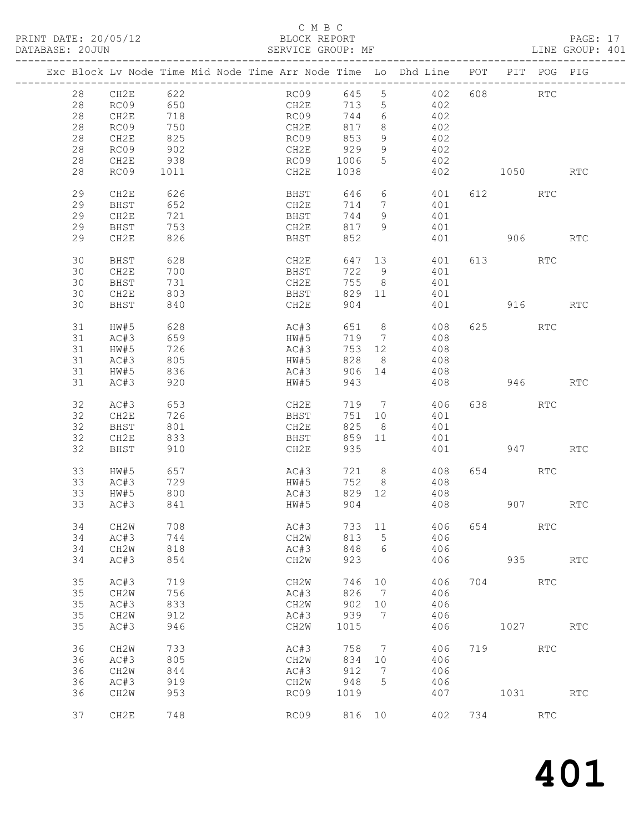## C M B C<br>BLOCK REPORT<br>SERVICE GROUP: MF

| DATABASE: 20JUN |    |                   |                   | SERVICE GROUP: MF |        |                   |                                                                                |     |              |                      | LINE GROUP: 401      |  |
|-----------------|----|-------------------|-------------------|-------------------|--------|-------------------|--------------------------------------------------------------------------------|-----|--------------|----------------------|----------------------|--|
|                 |    |                   |                   |                   |        |                   | Exc Block Lv Node Time Mid Node Time Arr Node Time Lo Dhd Line POT PIT POG PIG |     |              |                      |                      |  |
|                 |    | 28 CH2E 622       |                   | RC09 645 5        |        |                   | 402 608 RTC                                                                    |     |              |                      |                      |  |
|                 | 28 |                   | RC09 650          |                   |        |                   | CH2E 713 5 402                                                                 |     |              |                      |                      |  |
|                 | 28 | CH2E              |                   | RC09              | 744    | 6                 | 402                                                                            |     |              |                      |                      |  |
|                 | 28 | RC09              | 718<br>750<br>825 | CH2E              | 817    | 8                 | 402                                                                            |     |              |                      |                      |  |
|                 |    |                   |                   |                   | 853    |                   | 402                                                                            |     |              |                      |                      |  |
|                 | 28 | CH2E              |                   | RC09              |        | 9                 |                                                                                |     |              |                      |                      |  |
|                 | 28 | RC09              | 902               | CH2E              | 929    | 9                 | 402                                                                            |     |              |                      |                      |  |
|                 | 28 | CH2E              | 938               | RC09 1006         |        | 5 <sup>5</sup>    | 402                                                                            |     |              |                      |                      |  |
|                 | 28 | RC09              | 1011              | CH2E              | 1038   |                   |                                                                                |     | 402 1050 RTC |                      |                      |  |
|                 | 29 | CH2E              | 626               | BHST 646          |        |                   | $6\overline{}$<br>401                                                          |     | 612 RTC      |                      |                      |  |
|                 | 29 | BHST              | 652               | CH2E              | 714    | $7\overline{ }$   | 401                                                                            |     |              |                      |                      |  |
|                 | 29 | CH2E              | 721<br>753        | BHST              | 744    | 9                 | 401                                                                            |     |              |                      |                      |  |
|                 | 29 | BHST              |                   | CH2E              | 817    | 9                 | 401                                                                            |     |              |                      |                      |  |
|                 | 29 | CH2E              | 826               | BHST              | 852    |                   |                                                                                | 401 |              | 906 — 100            | RTC                  |  |
|                 | 30 | BHST              |                   | CH2E              |        | 647 13            | 401                                                                            |     | 613 RTC      |                      |                      |  |
|                 | 30 | CH2E              | 628<br>700        | BHST              |        | 722 9             | 401                                                                            |     |              |                      |                      |  |
|                 | 30 | BHST              | 731               | CH2E              | 755    | 8 <sup>8</sup>    | 401                                                                            |     |              |                      |                      |  |
|                 | 30 |                   |                   |                   |        |                   | 829 11<br>401                                                                  |     |              |                      |                      |  |
|                 | 30 | CH2E<br>BHST      | 803<br>840        | BHST<br>CH2E      | 904    |                   |                                                                                |     | 401 916 RTC  |                      |                      |  |
|                 |    |                   |                   |                   |        |                   |                                                                                |     |              |                      |                      |  |
|                 | 31 | HW#5              | 628               | AC#3              | 651    |                   | $8 \overline{)}$<br>408                                                        |     | 625 RTC      |                      |                      |  |
|                 | 31 | AC#3              | 659               | HW#5              | 719    | $7\phantom{0}$    | 408                                                                            |     |              |                      |                      |  |
|                 | 31 | HW#5              | 726<br>805        | AC#3              | 753    |                   | 12 and $\overline{a}$<br>408                                                   |     |              |                      |                      |  |
|                 | 31 | AC#3              |                   | HW#5              | 828    | 8 <sup>8</sup>    | 408                                                                            |     |              |                      |                      |  |
|                 | 31 | HW#5              | 836               | AC#3              |        | 906 14            | 408                                                                            |     |              |                      |                      |  |
|                 | 31 | AC#3              | 920               | HW#5              | 943    |                   |                                                                                |     | 408 946 RTC  |                      |                      |  |
|                 | 32 | AC#3              | 653               | CH2E              | 719    |                   | $7\overline{ }$<br>406                                                         |     | 638 RTC      |                      |                      |  |
|                 |    |                   | 726               |                   |        |                   |                                                                                |     |              |                      |                      |  |
|                 | 32 | CH2E              |                   | BHST              | 751    | 10                | 401                                                                            |     |              |                      |                      |  |
|                 | 32 | BHST              | 801               | CH2E              | 825    | 8 <sup>8</sup>    | 401                                                                            |     |              |                      |                      |  |
|                 | 32 | CH2E              | 833               | BHST              | 859    | 11                | 401                                                                            |     |              |                      |                      |  |
|                 | 32 | BHST              | 910               | CH2E              | 935    |                   |                                                                                | 401 |              | 947 — 100            | RTC                  |  |
|                 | 33 | HW#5              | 657               | AC#3              |        |                   | 721 8<br>408                                                                   |     | 654 RTC      |                      |                      |  |
|                 | 33 | AC#3              | 729               | HW#5              | 752    |                   | 8 408                                                                          |     |              |                      |                      |  |
|                 | 33 | HW#5              |                   | AC#3              | 829 12 |                   | 408                                                                            |     |              |                      |                      |  |
|                 | 33 | AC#3              | 800<br>841        | HW#5              | 904    |                   | 408                                                                            |     |              | 907 — 100            | RTC                  |  |
|                 | 34 | CH <sub>2</sub> M | 708               | AC#3              | 733    | 11                | 406                                                                            | 654 |              | $\operatorname{RTC}$ |                      |  |
|                 | 34 | AC#3              | 744               |                   | 813    | 5                 | 406                                                                            |     |              |                      |                      |  |
|                 |    |                   |                   | CH2W              |        |                   |                                                                                |     |              |                      |                      |  |
|                 | 34 | CH2W              | 818               | AC#3              | 848    | 6                 | 406                                                                            |     |              |                      |                      |  |
|                 | 34 | AC#3              | 854               | CH2W              | 923    |                   | 406                                                                            |     | 935          |                      | $\operatorname{RTC}$ |  |
|                 | 35 | AC#3              | 719               | CH2W              | 746    | 10                | 406                                                                            | 704 |              | <b>RTC</b>           |                      |  |
|                 | 35 | CH2W              | 756               | AC#3              | 826    | $7\phantom{.0}\,$ | 406                                                                            |     |              |                      |                      |  |
|                 | 35 | AC#3              | 833               | CH2W              | 902    | 10                | 406                                                                            |     |              |                      |                      |  |
|                 | 35 | CH <sub>2</sub> M | 912               | AC#3              | 939    | 7                 | 406                                                                            |     |              |                      |                      |  |
|                 | 35 | AC#3              | 946               | CH2W              | 1015   |                   | 406                                                                            |     | 1027         |                      | RTC                  |  |
|                 | 36 | CH2W              | 733               | AC#3              | 758    | 7                 | 406                                                                            |     | 719          | <b>RTC</b>           |                      |  |
|                 | 36 | AC#3              | 805               | CH <sub>2</sub> W | 834    | 10                | 406                                                                            |     |              |                      |                      |  |
|                 |    |                   |                   |                   |        |                   |                                                                                |     |              |                      |                      |  |
|                 | 36 | CH2W              | 844               | AC#3              | 912    | 7                 | 406                                                                            |     |              |                      |                      |  |
|                 | 36 | AC#3              | 919               | CH2W              | 948    | 5                 | 406                                                                            |     |              |                      |                      |  |
|                 | 36 | CH <sub>2</sub> W | 953               | RC09              | 1019   |                   | 407                                                                            |     | 1031         |                      | $\operatorname{RTC}$ |  |
|                 | 37 | CH2E              | 748               | RC09              | 816 10 |                   | 402                                                                            | 734 |              | <b>RTC</b>           |                      |  |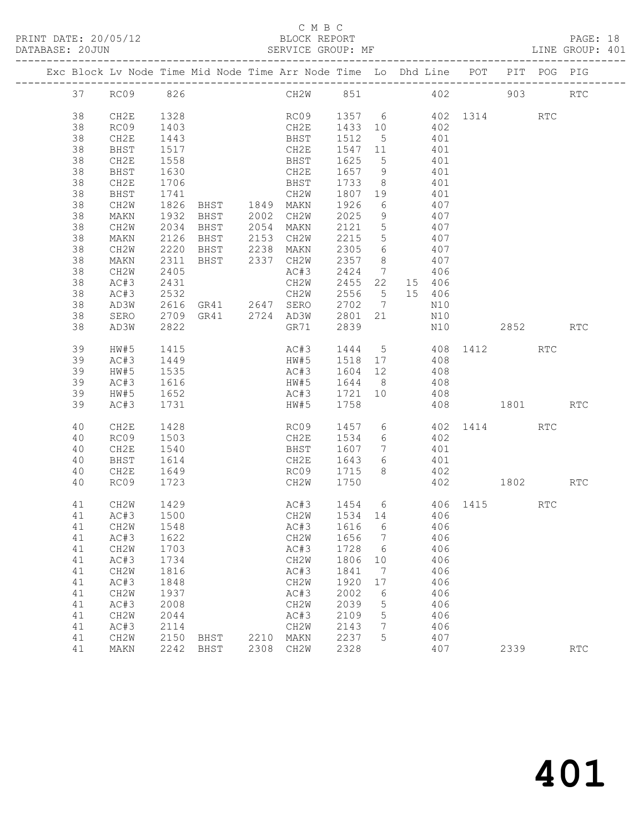PRINT DATE: 20/05/12<br>DATABASE: 20JUN

## C M B C<br>BLOCK REPORT<br>SERVICE GROUP: MF

|          |                   |              | PRINT DATE: 20/05/12 BLOCK REPORT<br>DATABASE: 20JUN SERVICE GROUP: MF PAGE: LINE GROUP: ME PATABASE: 20JUN SERVICE GROUP: MF |      | BLOCK REPORT<br>SERVICE GROUP: MF                       |                                                                                             |    |     |     |                     |      | PAGE: 18<br>LINE GROUP: 401 |  |
|----------|-------------------|--------------|-------------------------------------------------------------------------------------------------------------------------------|------|---------------------------------------------------------|---------------------------------------------------------------------------------------------|----|-----|-----|---------------------|------|-----------------------------|--|
|          |                   |              | Exc Block Lv Node Time Mid Node Time Arr Node Time Lo Dhd Line POT PIT POG PIG                                                |      |                                                         |                                                                                             |    |     |     |                     |      |                             |  |
|          | 37 RC09 826       |              |                                                                                                                               |      | CH2W 851 402 903 RTC                                    |                                                                                             |    |     |     |                     |      |                             |  |
| 38       | CH2E              | 1328         |                                                                                                                               |      | RC09 1357 6 402 1314 RTC                                |                                                                                             |    |     |     |                     |      |                             |  |
| 38       | RC09              | 1403         |                                                                                                                               |      |                                                         |                                                                                             |    |     |     |                     |      |                             |  |
| 38       | CH2E              | 1443         |                                                                                                                               |      | CH2E 1433 10 402<br>BHST 1512 5 401<br>CH2E 1547 11 401 |                                                                                             |    |     |     |                     |      |                             |  |
| 38       | BHST              | 1517         |                                                                                                                               |      |                                                         |                                                                                             |    |     |     |                     |      |                             |  |
| 38       | CH2E              | 1558         |                                                                                                                               |      | BHST                                                    | 1625 5 401                                                                                  |    |     |     |                     |      |                             |  |
| 38       | BHST              | 1630         |                                                                                                                               |      | CH2E                                                    | $\begin{array}{cccc} 1657 & 9 & & 401 \\ 1733 & 8 & & 401 \\ 1807 & 19 & & 401 \end{array}$ |    |     |     |                     |      |                             |  |
| 38       | CH2E              | 1706         |                                                                                                                               |      | BHST                                                    |                                                                                             |    |     |     |                     |      |                             |  |
| 38       | BHST              | 1741         |                                                                                                                               |      | CH2W                                                    |                                                                                             |    |     |     |                     |      |                             |  |
| 38       | CH2W              |              | 1826 BHST 1849 MAKN                                                                                                           |      |                                                         | 1926 6 407                                                                                  |    |     |     |                     |      |                             |  |
| 38       | MAKN              | 1932         | BHST 2002 CH2W<br>BHST 2054 MAKN<br>BHST 2153 CH2W                                                                            |      |                                                         | $\begin{array}{cccc} 2025 & 9 & & 407 \\ 2121 & 5 & & 407 \\ 2215 & 5 & & 407 \end{array}$  |    |     |     |                     |      |                             |  |
| 38       | CH2W              | 2034         |                                                                                                                               |      |                                                         |                                                                                             |    |     |     |                     |      |                             |  |
| 38       | MAKN              | 2126         |                                                                                                                               |      |                                                         |                                                                                             |    |     |     |                     |      |                             |  |
| 38       | CH2W              | 2220         |                                                                                                                               |      | BHST 2238 MAKN                                          | 2305 6 407                                                                                  |    |     |     |                     |      |                             |  |
| 38       | MAKN              | 2311         |                                                                                                                               |      | BHST 2337 CH2W                                          | 2357 8                                                                                      |    | 407 |     |                     |      |                             |  |
| 38       | CH2W              | 2405         |                                                                                                                               |      | AC#3 2424 7 406<br>CH2W 2455 22 15 406                  |                                                                                             |    |     |     |                     |      |                             |  |
| 38       | AC#3              | 2431         |                                                                                                                               |      |                                                         |                                                                                             |    |     |     |                     |      |                             |  |
| 38       | AC#3              | 2532         |                                                                                                                               |      | CH2W 2556 5 15 406                                      |                                                                                             |    |     |     |                     |      |                             |  |
| 38       | AD3W              |              | 2616 GR41 2647 SERO 2702 7                                                                                                    |      |                                                         |                                                                                             |    |     | N10 |                     |      |                             |  |
| 38       | SERO              |              | 2709 GR41 2724 AD3W 2801 21                                                                                                   |      |                                                         |                                                                                             |    |     | N10 |                     |      |                             |  |
| 38       | AD3W              | 2822         |                                                                                                                               |      | GR71                                                    | 2839                                                                                        |    |     |     | N10 2852            |      | RTC                         |  |
| 39       | HW#5              | 1415         |                                                                                                                               |      | AC#3 1444 5 408 1412 RTC                                |                                                                                             |    |     |     |                     |      |                             |  |
| 39       | AC#3              | 1449<br>1535 |                                                                                                                               |      | HW#5<br>AC#3                                            | 1518  17  408<br>1604  12  408                                                              |    |     |     |                     |      |                             |  |
| 39       | HW#5              |              |                                                                                                                               |      | HW#5 1644 8 408                                         |                                                                                             |    |     |     |                     |      |                             |  |
| 39       | AC#3              | 1616         |                                                                                                                               |      |                                                         |                                                                                             |    |     |     |                     |      |                             |  |
| 39<br>39 | HW#5<br>AC#3      | 1652<br>1731 |                                                                                                                               |      | AC#3 1721 10 408<br>HW#5                                | 1758                                                                                        |    |     |     | 408 1801 RTC        |      |                             |  |
| 40       | CH2E              | 1428         |                                                                                                                               |      | RC09                                                    |                                                                                             |    |     |     | 1457 6 402 1414 RTC |      |                             |  |
| 40       | RC09              | 1503         |                                                                                                                               |      | CH2E                                                    | 1534 6 402                                                                                  |    |     |     |                     |      |                             |  |
| 40       | CH2E              | 1540         |                                                                                                                               |      | <b>BHST</b>                                             | 1607 7 401                                                                                  |    |     |     |                     |      |                             |  |
| 40       | BHST              | 1614         |                                                                                                                               |      | CH2E 1643 6                                             |                                                                                             |    |     |     |                     |      |                             |  |
| 40       | CH2E              | 1649         |                                                                                                                               |      | CH2E 1643 6 401<br>RC09 1715 8 402                      |                                                                                             |    |     |     |                     |      |                             |  |
| 40       | RC09              | 1723         |                                                                                                                               |      | CH2W 1750                                               |                                                                                             |    |     |     | 402 1802 RTC        |      |                             |  |
| 41       | CH2W 1429         |              |                                                                                                                               |      | AC#3 1454 6 406 1415 RTC                                |                                                                                             |    |     |     |                     |      |                             |  |
| 41       | AC#3              | 1500         |                                                                                                                               |      | CH2W                                                    | 1534                                                                                        | 14 |     | 406 |                     |      |                             |  |
| 41       | CH <sub>2</sub> W | 1548         |                                                                                                                               |      | AC#3                                                    | 1616                                                                                        | 6  |     | 406 |                     |      |                             |  |
| 41       | AC#3              | 1622         |                                                                                                                               |      | CH <sub>2</sub> W                                       | 1656                                                                                        | 7  |     | 406 |                     |      |                             |  |
| 41       | CH2W              | 1703         |                                                                                                                               |      | AC#3                                                    | 1728                                                                                        | 6  |     | 406 |                     |      |                             |  |
| 41       | AC#3              | 1734         |                                                                                                                               |      | CH2W                                                    | 1806                                                                                        | 10 |     | 406 |                     |      |                             |  |
| 41       | CH <sub>2</sub> W | 1816         |                                                                                                                               |      | AC#3                                                    | 1841                                                                                        | 7  |     | 406 |                     |      |                             |  |
| 41       | AC#3              | 1848         |                                                                                                                               |      | CH2W                                                    | 1920                                                                                        | 17 |     | 406 |                     |      |                             |  |
| 41       | CH <sub>2</sub> W | 1937         |                                                                                                                               |      | AC#3                                                    | 2002                                                                                        | 6  |     | 406 |                     |      |                             |  |
| 41       | AC#3              | 2008         |                                                                                                                               |      | CH2W                                                    | 2039                                                                                        | 5  |     | 406 |                     |      |                             |  |
| 41       | CH <sub>2</sub> W | 2044         |                                                                                                                               |      | AC#3                                                    | 2109                                                                                        | 5  |     | 406 |                     |      |                             |  |
| 41       | AC#3              | 2114         |                                                                                                                               |      | CH2W                                                    | 2143                                                                                        | 7  |     | 406 |                     |      |                             |  |
| 41       | CH <sub>2</sub> W | 2150         | BHST                                                                                                                          | 2210 | MAKN                                                    | 2237                                                                                        | 5  |     | 407 |                     |      |                             |  |
| 41       | MAKN              | 2242         | BHST                                                                                                                          | 2308 | CH2W                                                    | 2328                                                                                        |    |     | 407 |                     | 2339 | $\operatorname{RTC}$        |  |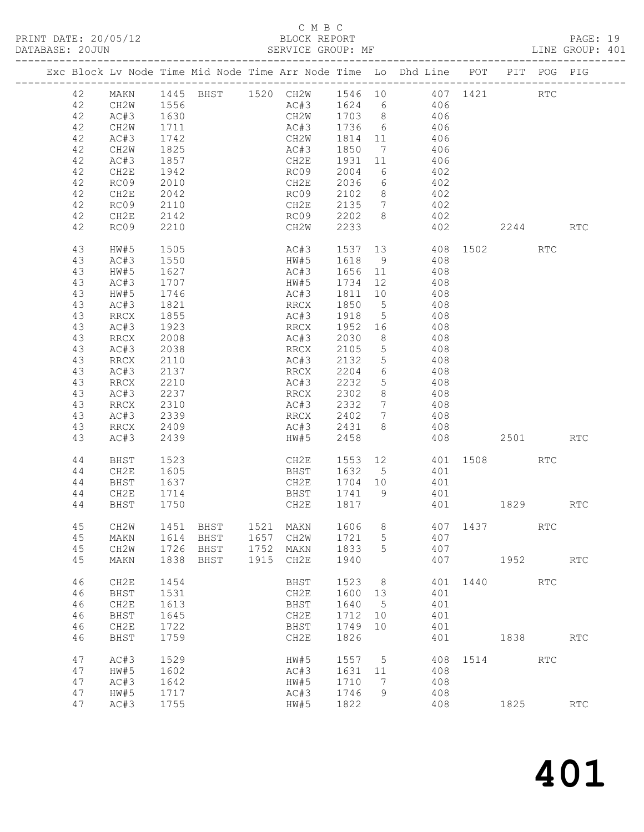#### C M B C BLOCK REPORT<br>SERVICE GROUP: MF

| Exc Block Lv Node Time Mid Node Time Arr Node Time Lo Dhd Line POT PIT POG PIG<br>42 AC#3 1630 CH2W 1703 8 406<br>AC#3 1736 6 406<br>42<br>CH2W<br>1711<br>42<br>AC#3<br>1742<br>1825<br>CH2W 1814 11 406<br>AC#3 1850 7 406<br>42<br>CH2W<br>CH2E 1931<br>406<br>42<br>1857<br>AC#3<br>11<br>42<br>CH2E<br>1942<br>RCO <sub>9</sub><br>2004<br>6 402<br>42<br>RC09<br>2010<br>CH2E<br>$\frac{6}{9}$ $\frac{402}{102}$<br>8 <sup>8</sup><br>42<br>CH2E<br>2042<br>402<br>CH2E 2135 7 402<br>RC09<br>42<br>2110<br>8 402<br>42<br>CH2E<br>2142<br>RC09 2202<br>402 2244 RTC<br>2233<br>42<br>RC09<br>2210<br>CH2W<br>AC#3 1537 13 408 1502 RTC<br>43<br>1505<br>HW#5<br>AC#3<br>1550<br>1618<br>9 408<br>43<br>HW#5<br>43<br>HW#5<br>1656 11 408<br>1734 12 408<br>AC#3<br>$1330$<br>1627<br>1707<br>1746<br>AC#3<br>43<br>HW#5<br>1811 10 408<br>43<br>HW#5<br>AC#3<br>1850<br>5 408<br>43<br>AC#3<br>1821<br>RRCX<br>43<br>RRCX<br>1855<br>AC#3<br>1918<br>5 408<br>43<br>AC#3<br>1923<br>RRCX  1952<br>AC#3  2030<br>$\begin{array}{cc} 16 & \qquad 408 \\ 8 & \qquad 408 \end{array}$<br>2008<br>43<br>RRCX<br>2105<br>AC#3<br>2038<br>5 408<br>43<br>RRCX<br>2132<br>5 <sup>5</sup><br>43<br>RRCX<br>2110<br>AC#3<br>408<br>$\begin{array}{ccc} 6 & & 408 \\ 5 & & 408 \end{array}$<br>43<br>AC#3<br>2137<br>2210<br>RRCX  2204<br>AC#3  2232<br>2210<br>43<br>RRCX<br>2302<br>8 408<br>AC#3<br>2237<br>43<br>RRCX<br>2310<br>2332<br>7 408<br>43<br>RRCX<br>AC#3<br>AC#3<br>RRCX 2402<br>AC#3 2431<br>$\begin{array}{ccc} 7 & \phantom{000} & 408 \\ 8 & \phantom{000} & 408 \end{array}$<br>43<br>2339<br>2409<br>43<br>RRCX<br>HW#5 2458<br>408 2501<br>43<br>AC#3<br>2439<br>RTC<br>CH2E 1553 12 401 1508<br>BHST 1632 5 401<br>44<br>BHST<br>1523<br>RTC<br>44<br>CH2E<br>1605<br>CH2E 1704 10<br>401<br>1637<br>44<br>BHST<br>CH2E<br>1741 9<br>44<br>1714<br>BHST<br>401<br>44 BHST 1750<br>CH2E 1817<br>401<br>1829<br>$\mathop{\rm RTC}\nolimits$<br>45<br>CH2W<br>1606<br>1451<br>BHST<br>1521<br>MAKN<br>8<br>407<br>1437<br>RTC<br>45<br>BHST<br>1657<br>1721<br>5<br>407<br>1614<br>CH <sub>2</sub> W<br>MAKN<br>45<br>1726<br>BHST<br>1752<br>1833<br>5<br>407<br>CH <sub>2</sub> W<br>MAKN<br>45<br>1838<br>BHST<br>1915<br>1940<br>407<br>1952<br>MAKN<br>CH2E<br>RTC<br>46<br>1523<br>CH <sub>2E</sub><br>1454<br>BHST<br>8<br>401<br>1440<br>RTC<br>46<br>1531<br>1600<br>13<br>401<br><b>BHST</b><br>CH2E<br>46<br>CH2E<br>1613<br>1640<br>401<br>BHST<br>$5\phantom{0}$<br>46<br>1712<br>BHST<br>1645<br>CH2E<br>10<br>401<br>46<br>CH2E<br>1722<br>1749<br>401<br>BHST<br>10<br>46<br>1759<br>1826<br><b>BHST</b><br>CH2E<br>401<br>1838<br>RTC<br>1514 | PRINT DATE: 20/05/12<br>DATABASE: 20JUN |    |      |      |  |      |      |   | BLOCK REPORT<br>SERVICE GROUP: MF<br>------ |  |            | PAGE: 19<br>LINE GROUP: 401 |  |
|----------------------------------------------------------------------------------------------------------------------------------------------------------------------------------------------------------------------------------------------------------------------------------------------------------------------------------------------------------------------------------------------------------------------------------------------------------------------------------------------------------------------------------------------------------------------------------------------------------------------------------------------------------------------------------------------------------------------------------------------------------------------------------------------------------------------------------------------------------------------------------------------------------------------------------------------------------------------------------------------------------------------------------------------------------------------------------------------------------------------------------------------------------------------------------------------------------------------------------------------------------------------------------------------------------------------------------------------------------------------------------------------------------------------------------------------------------------------------------------------------------------------------------------------------------------------------------------------------------------------------------------------------------------------------------------------------------------------------------------------------------------------------------------------------------------------------------------------------------------------------------------------------------------------------------------------------------------------------------------------------------------------------------------------------------------------------------------------------------------------------------------------------------------------------------------------------------------------------------------------------------------------------------------------------------------------------------------------------------------------------------------------------------------------------------------------------------------------------------------------------------------------------------------------------------------------------------------------------------------------------------------------------------------------------------|-----------------------------------------|----|------|------|--|------|------|---|---------------------------------------------|--|------------|-----------------------------|--|
|                                                                                                                                                                                                                                                                                                                                                                                                                                                                                                                                                                                                                                                                                                                                                                                                                                                                                                                                                                                                                                                                                                                                                                                                                                                                                                                                                                                                                                                                                                                                                                                                                                                                                                                                                                                                                                                                                                                                                                                                                                                                                                                                                                                                                                                                                                                                                                                                                                                                                                                                                                                                                                                                                  |                                         |    |      |      |  |      |      |   |                                             |  |            |                             |  |
|                                                                                                                                                                                                                                                                                                                                                                                                                                                                                                                                                                                                                                                                                                                                                                                                                                                                                                                                                                                                                                                                                                                                                                                                                                                                                                                                                                                                                                                                                                                                                                                                                                                                                                                                                                                                                                                                                                                                                                                                                                                                                                                                                                                                                                                                                                                                                                                                                                                                                                                                                                                                                                                                                  |                                         |    |      |      |  |      |      |   |                                             |  |            |                             |  |
|                                                                                                                                                                                                                                                                                                                                                                                                                                                                                                                                                                                                                                                                                                                                                                                                                                                                                                                                                                                                                                                                                                                                                                                                                                                                                                                                                                                                                                                                                                                                                                                                                                                                                                                                                                                                                                                                                                                                                                                                                                                                                                                                                                                                                                                                                                                                                                                                                                                                                                                                                                                                                                                                                  |                                         |    |      |      |  |      |      |   |                                             |  |            |                             |  |
|                                                                                                                                                                                                                                                                                                                                                                                                                                                                                                                                                                                                                                                                                                                                                                                                                                                                                                                                                                                                                                                                                                                                                                                                                                                                                                                                                                                                                                                                                                                                                                                                                                                                                                                                                                                                                                                                                                                                                                                                                                                                                                                                                                                                                                                                                                                                                                                                                                                                                                                                                                                                                                                                                  |                                         |    |      |      |  |      |      |   |                                             |  |            |                             |  |
|                                                                                                                                                                                                                                                                                                                                                                                                                                                                                                                                                                                                                                                                                                                                                                                                                                                                                                                                                                                                                                                                                                                                                                                                                                                                                                                                                                                                                                                                                                                                                                                                                                                                                                                                                                                                                                                                                                                                                                                                                                                                                                                                                                                                                                                                                                                                                                                                                                                                                                                                                                                                                                                                                  |                                         |    |      |      |  |      |      |   |                                             |  |            |                             |  |
|                                                                                                                                                                                                                                                                                                                                                                                                                                                                                                                                                                                                                                                                                                                                                                                                                                                                                                                                                                                                                                                                                                                                                                                                                                                                                                                                                                                                                                                                                                                                                                                                                                                                                                                                                                                                                                                                                                                                                                                                                                                                                                                                                                                                                                                                                                                                                                                                                                                                                                                                                                                                                                                                                  |                                         |    |      |      |  |      |      |   |                                             |  |            |                             |  |
|                                                                                                                                                                                                                                                                                                                                                                                                                                                                                                                                                                                                                                                                                                                                                                                                                                                                                                                                                                                                                                                                                                                                                                                                                                                                                                                                                                                                                                                                                                                                                                                                                                                                                                                                                                                                                                                                                                                                                                                                                                                                                                                                                                                                                                                                                                                                                                                                                                                                                                                                                                                                                                                                                  |                                         |    |      |      |  |      |      |   |                                             |  |            |                             |  |
|                                                                                                                                                                                                                                                                                                                                                                                                                                                                                                                                                                                                                                                                                                                                                                                                                                                                                                                                                                                                                                                                                                                                                                                                                                                                                                                                                                                                                                                                                                                                                                                                                                                                                                                                                                                                                                                                                                                                                                                                                                                                                                                                                                                                                                                                                                                                                                                                                                                                                                                                                                                                                                                                                  |                                         |    |      |      |  |      |      |   |                                             |  |            |                             |  |
|                                                                                                                                                                                                                                                                                                                                                                                                                                                                                                                                                                                                                                                                                                                                                                                                                                                                                                                                                                                                                                                                                                                                                                                                                                                                                                                                                                                                                                                                                                                                                                                                                                                                                                                                                                                                                                                                                                                                                                                                                                                                                                                                                                                                                                                                                                                                                                                                                                                                                                                                                                                                                                                                                  |                                         |    |      |      |  |      |      |   |                                             |  |            |                             |  |
|                                                                                                                                                                                                                                                                                                                                                                                                                                                                                                                                                                                                                                                                                                                                                                                                                                                                                                                                                                                                                                                                                                                                                                                                                                                                                                                                                                                                                                                                                                                                                                                                                                                                                                                                                                                                                                                                                                                                                                                                                                                                                                                                                                                                                                                                                                                                                                                                                                                                                                                                                                                                                                                                                  |                                         |    |      |      |  |      |      |   |                                             |  |            |                             |  |
|                                                                                                                                                                                                                                                                                                                                                                                                                                                                                                                                                                                                                                                                                                                                                                                                                                                                                                                                                                                                                                                                                                                                                                                                                                                                                                                                                                                                                                                                                                                                                                                                                                                                                                                                                                                                                                                                                                                                                                                                                                                                                                                                                                                                                                                                                                                                                                                                                                                                                                                                                                                                                                                                                  |                                         |    |      |      |  |      |      |   |                                             |  |            |                             |  |
|                                                                                                                                                                                                                                                                                                                                                                                                                                                                                                                                                                                                                                                                                                                                                                                                                                                                                                                                                                                                                                                                                                                                                                                                                                                                                                                                                                                                                                                                                                                                                                                                                                                                                                                                                                                                                                                                                                                                                                                                                                                                                                                                                                                                                                                                                                                                                                                                                                                                                                                                                                                                                                                                                  |                                         |    |      |      |  |      |      |   |                                             |  |            |                             |  |
|                                                                                                                                                                                                                                                                                                                                                                                                                                                                                                                                                                                                                                                                                                                                                                                                                                                                                                                                                                                                                                                                                                                                                                                                                                                                                                                                                                                                                                                                                                                                                                                                                                                                                                                                                                                                                                                                                                                                                                                                                                                                                                                                                                                                                                                                                                                                                                                                                                                                                                                                                                                                                                                                                  |                                         |    |      |      |  |      |      |   |                                             |  |            |                             |  |
|                                                                                                                                                                                                                                                                                                                                                                                                                                                                                                                                                                                                                                                                                                                                                                                                                                                                                                                                                                                                                                                                                                                                                                                                                                                                                                                                                                                                                                                                                                                                                                                                                                                                                                                                                                                                                                                                                                                                                                                                                                                                                                                                                                                                                                                                                                                                                                                                                                                                                                                                                                                                                                                                                  |                                         |    |      |      |  |      |      |   |                                             |  |            |                             |  |
|                                                                                                                                                                                                                                                                                                                                                                                                                                                                                                                                                                                                                                                                                                                                                                                                                                                                                                                                                                                                                                                                                                                                                                                                                                                                                                                                                                                                                                                                                                                                                                                                                                                                                                                                                                                                                                                                                                                                                                                                                                                                                                                                                                                                                                                                                                                                                                                                                                                                                                                                                                                                                                                                                  |                                         |    |      |      |  |      |      |   |                                             |  |            |                             |  |
|                                                                                                                                                                                                                                                                                                                                                                                                                                                                                                                                                                                                                                                                                                                                                                                                                                                                                                                                                                                                                                                                                                                                                                                                                                                                                                                                                                                                                                                                                                                                                                                                                                                                                                                                                                                                                                                                                                                                                                                                                                                                                                                                                                                                                                                                                                                                                                                                                                                                                                                                                                                                                                                                                  |                                         |    |      |      |  |      |      |   |                                             |  |            |                             |  |
|                                                                                                                                                                                                                                                                                                                                                                                                                                                                                                                                                                                                                                                                                                                                                                                                                                                                                                                                                                                                                                                                                                                                                                                                                                                                                                                                                                                                                                                                                                                                                                                                                                                                                                                                                                                                                                                                                                                                                                                                                                                                                                                                                                                                                                                                                                                                                                                                                                                                                                                                                                                                                                                                                  |                                         |    |      |      |  |      |      |   |                                             |  |            |                             |  |
|                                                                                                                                                                                                                                                                                                                                                                                                                                                                                                                                                                                                                                                                                                                                                                                                                                                                                                                                                                                                                                                                                                                                                                                                                                                                                                                                                                                                                                                                                                                                                                                                                                                                                                                                                                                                                                                                                                                                                                                                                                                                                                                                                                                                                                                                                                                                                                                                                                                                                                                                                                                                                                                                                  |                                         |    |      |      |  |      |      |   |                                             |  |            |                             |  |
|                                                                                                                                                                                                                                                                                                                                                                                                                                                                                                                                                                                                                                                                                                                                                                                                                                                                                                                                                                                                                                                                                                                                                                                                                                                                                                                                                                                                                                                                                                                                                                                                                                                                                                                                                                                                                                                                                                                                                                                                                                                                                                                                                                                                                                                                                                                                                                                                                                                                                                                                                                                                                                                                                  |                                         |    |      |      |  |      |      |   |                                             |  |            |                             |  |
|                                                                                                                                                                                                                                                                                                                                                                                                                                                                                                                                                                                                                                                                                                                                                                                                                                                                                                                                                                                                                                                                                                                                                                                                                                                                                                                                                                                                                                                                                                                                                                                                                                                                                                                                                                                                                                                                                                                                                                                                                                                                                                                                                                                                                                                                                                                                                                                                                                                                                                                                                                                                                                                                                  |                                         |    |      |      |  |      |      |   |                                             |  |            |                             |  |
|                                                                                                                                                                                                                                                                                                                                                                                                                                                                                                                                                                                                                                                                                                                                                                                                                                                                                                                                                                                                                                                                                                                                                                                                                                                                                                                                                                                                                                                                                                                                                                                                                                                                                                                                                                                                                                                                                                                                                                                                                                                                                                                                                                                                                                                                                                                                                                                                                                                                                                                                                                                                                                                                                  |                                         |    |      |      |  |      |      |   |                                             |  |            |                             |  |
|                                                                                                                                                                                                                                                                                                                                                                                                                                                                                                                                                                                                                                                                                                                                                                                                                                                                                                                                                                                                                                                                                                                                                                                                                                                                                                                                                                                                                                                                                                                                                                                                                                                                                                                                                                                                                                                                                                                                                                                                                                                                                                                                                                                                                                                                                                                                                                                                                                                                                                                                                                                                                                                                                  |                                         |    |      |      |  |      |      |   |                                             |  |            |                             |  |
|                                                                                                                                                                                                                                                                                                                                                                                                                                                                                                                                                                                                                                                                                                                                                                                                                                                                                                                                                                                                                                                                                                                                                                                                                                                                                                                                                                                                                                                                                                                                                                                                                                                                                                                                                                                                                                                                                                                                                                                                                                                                                                                                                                                                                                                                                                                                                                                                                                                                                                                                                                                                                                                                                  |                                         |    |      |      |  |      |      |   |                                             |  |            |                             |  |
|                                                                                                                                                                                                                                                                                                                                                                                                                                                                                                                                                                                                                                                                                                                                                                                                                                                                                                                                                                                                                                                                                                                                                                                                                                                                                                                                                                                                                                                                                                                                                                                                                                                                                                                                                                                                                                                                                                                                                                                                                                                                                                                                                                                                                                                                                                                                                                                                                                                                                                                                                                                                                                                                                  |                                         |    |      |      |  |      |      |   |                                             |  |            |                             |  |
|                                                                                                                                                                                                                                                                                                                                                                                                                                                                                                                                                                                                                                                                                                                                                                                                                                                                                                                                                                                                                                                                                                                                                                                                                                                                                                                                                                                                                                                                                                                                                                                                                                                                                                                                                                                                                                                                                                                                                                                                                                                                                                                                                                                                                                                                                                                                                                                                                                                                                                                                                                                                                                                                                  |                                         |    |      |      |  |      |      |   |                                             |  |            |                             |  |
|                                                                                                                                                                                                                                                                                                                                                                                                                                                                                                                                                                                                                                                                                                                                                                                                                                                                                                                                                                                                                                                                                                                                                                                                                                                                                                                                                                                                                                                                                                                                                                                                                                                                                                                                                                                                                                                                                                                                                                                                                                                                                                                                                                                                                                                                                                                                                                                                                                                                                                                                                                                                                                                                                  |                                         |    |      |      |  |      |      |   |                                             |  |            |                             |  |
|                                                                                                                                                                                                                                                                                                                                                                                                                                                                                                                                                                                                                                                                                                                                                                                                                                                                                                                                                                                                                                                                                                                                                                                                                                                                                                                                                                                                                                                                                                                                                                                                                                                                                                                                                                                                                                                                                                                                                                                                                                                                                                                                                                                                                                                                                                                                                                                                                                                                                                                                                                                                                                                                                  |                                         |    |      |      |  |      |      |   |                                             |  |            |                             |  |
|                                                                                                                                                                                                                                                                                                                                                                                                                                                                                                                                                                                                                                                                                                                                                                                                                                                                                                                                                                                                                                                                                                                                                                                                                                                                                                                                                                                                                                                                                                                                                                                                                                                                                                                                                                                                                                                                                                                                                                                                                                                                                                                                                                                                                                                                                                                                                                                                                                                                                                                                                                                                                                                                                  |                                         |    |      |      |  |      |      |   |                                             |  |            |                             |  |
|                                                                                                                                                                                                                                                                                                                                                                                                                                                                                                                                                                                                                                                                                                                                                                                                                                                                                                                                                                                                                                                                                                                                                                                                                                                                                                                                                                                                                                                                                                                                                                                                                                                                                                                                                                                                                                                                                                                                                                                                                                                                                                                                                                                                                                                                                                                                                                                                                                                                                                                                                                                                                                                                                  |                                         |    |      |      |  |      |      |   |                                             |  |            |                             |  |
|                                                                                                                                                                                                                                                                                                                                                                                                                                                                                                                                                                                                                                                                                                                                                                                                                                                                                                                                                                                                                                                                                                                                                                                                                                                                                                                                                                                                                                                                                                                                                                                                                                                                                                                                                                                                                                                                                                                                                                                                                                                                                                                                                                                                                                                                                                                                                                                                                                                                                                                                                                                                                                                                                  |                                         |    |      |      |  |      |      |   |                                             |  |            |                             |  |
|                                                                                                                                                                                                                                                                                                                                                                                                                                                                                                                                                                                                                                                                                                                                                                                                                                                                                                                                                                                                                                                                                                                                                                                                                                                                                                                                                                                                                                                                                                                                                                                                                                                                                                                                                                                                                                                                                                                                                                                                                                                                                                                                                                                                                                                                                                                                                                                                                                                                                                                                                                                                                                                                                  |                                         |    |      |      |  |      |      |   |                                             |  |            |                             |  |
|                                                                                                                                                                                                                                                                                                                                                                                                                                                                                                                                                                                                                                                                                                                                                                                                                                                                                                                                                                                                                                                                                                                                                                                                                                                                                                                                                                                                                                                                                                                                                                                                                                                                                                                                                                                                                                                                                                                                                                                                                                                                                                                                                                                                                                                                                                                                                                                                                                                                                                                                                                                                                                                                                  |                                         |    |      |      |  |      |      |   |                                             |  |            |                             |  |
|                                                                                                                                                                                                                                                                                                                                                                                                                                                                                                                                                                                                                                                                                                                                                                                                                                                                                                                                                                                                                                                                                                                                                                                                                                                                                                                                                                                                                                                                                                                                                                                                                                                                                                                                                                                                                                                                                                                                                                                                                                                                                                                                                                                                                                                                                                                                                                                                                                                                                                                                                                                                                                                                                  |                                         |    |      |      |  |      |      |   |                                             |  |            |                             |  |
|                                                                                                                                                                                                                                                                                                                                                                                                                                                                                                                                                                                                                                                                                                                                                                                                                                                                                                                                                                                                                                                                                                                                                                                                                                                                                                                                                                                                                                                                                                                                                                                                                                                                                                                                                                                                                                                                                                                                                                                                                                                                                                                                                                                                                                                                                                                                                                                                                                                                                                                                                                                                                                                                                  |                                         |    |      |      |  |      |      |   |                                             |  |            |                             |  |
|                                                                                                                                                                                                                                                                                                                                                                                                                                                                                                                                                                                                                                                                                                                                                                                                                                                                                                                                                                                                                                                                                                                                                                                                                                                                                                                                                                                                                                                                                                                                                                                                                                                                                                                                                                                                                                                                                                                                                                                                                                                                                                                                                                                                                                                                                                                                                                                                                                                                                                                                                                                                                                                                                  |                                         |    |      |      |  |      |      |   |                                             |  |            |                             |  |
|                                                                                                                                                                                                                                                                                                                                                                                                                                                                                                                                                                                                                                                                                                                                                                                                                                                                                                                                                                                                                                                                                                                                                                                                                                                                                                                                                                                                                                                                                                                                                                                                                                                                                                                                                                                                                                                                                                                                                                                                                                                                                                                                                                                                                                                                                                                                                                                                                                                                                                                                                                                                                                                                                  |                                         |    |      |      |  |      |      |   |                                             |  |            |                             |  |
|                                                                                                                                                                                                                                                                                                                                                                                                                                                                                                                                                                                                                                                                                                                                                                                                                                                                                                                                                                                                                                                                                                                                                                                                                                                                                                                                                                                                                                                                                                                                                                                                                                                                                                                                                                                                                                                                                                                                                                                                                                                                                                                                                                                                                                                                                                                                                                                                                                                                                                                                                                                                                                                                                  |                                         |    |      |      |  |      |      |   |                                             |  |            |                             |  |
|                                                                                                                                                                                                                                                                                                                                                                                                                                                                                                                                                                                                                                                                                                                                                                                                                                                                                                                                                                                                                                                                                                                                                                                                                                                                                                                                                                                                                                                                                                                                                                                                                                                                                                                                                                                                                                                                                                                                                                                                                                                                                                                                                                                                                                                                                                                                                                                                                                                                                                                                                                                                                                                                                  |                                         |    |      |      |  |      |      |   |                                             |  |            |                             |  |
|                                                                                                                                                                                                                                                                                                                                                                                                                                                                                                                                                                                                                                                                                                                                                                                                                                                                                                                                                                                                                                                                                                                                                                                                                                                                                                                                                                                                                                                                                                                                                                                                                                                                                                                                                                                                                                                                                                                                                                                                                                                                                                                                                                                                                                                                                                                                                                                                                                                                                                                                                                                                                                                                                  |                                         |    |      |      |  |      |      |   |                                             |  |            |                             |  |
|                                                                                                                                                                                                                                                                                                                                                                                                                                                                                                                                                                                                                                                                                                                                                                                                                                                                                                                                                                                                                                                                                                                                                                                                                                                                                                                                                                                                                                                                                                                                                                                                                                                                                                                                                                                                                                                                                                                                                                                                                                                                                                                                                                                                                                                                                                                                                                                                                                                                                                                                                                                                                                                                                  |                                         |    |      |      |  |      |      |   |                                             |  |            |                             |  |
|                                                                                                                                                                                                                                                                                                                                                                                                                                                                                                                                                                                                                                                                                                                                                                                                                                                                                                                                                                                                                                                                                                                                                                                                                                                                                                                                                                                                                                                                                                                                                                                                                                                                                                                                                                                                                                                                                                                                                                                                                                                                                                                                                                                                                                                                                                                                                                                                                                                                                                                                                                                                                                                                                  |                                         |    |      |      |  |      |      |   |                                             |  |            |                             |  |
|                                                                                                                                                                                                                                                                                                                                                                                                                                                                                                                                                                                                                                                                                                                                                                                                                                                                                                                                                                                                                                                                                                                                                                                                                                                                                                                                                                                                                                                                                                                                                                                                                                                                                                                                                                                                                                                                                                                                                                                                                                                                                                                                                                                                                                                                                                                                                                                                                                                                                                                                                                                                                                                                                  |                                         |    |      |      |  |      |      |   |                                             |  |            |                             |  |
|                                                                                                                                                                                                                                                                                                                                                                                                                                                                                                                                                                                                                                                                                                                                                                                                                                                                                                                                                                                                                                                                                                                                                                                                                                                                                                                                                                                                                                                                                                                                                                                                                                                                                                                                                                                                                                                                                                                                                                                                                                                                                                                                                                                                                                                                                                                                                                                                                                                                                                                                                                                                                                                                                  |                                         |    |      |      |  |      |      |   |                                             |  |            |                             |  |
|                                                                                                                                                                                                                                                                                                                                                                                                                                                                                                                                                                                                                                                                                                                                                                                                                                                                                                                                                                                                                                                                                                                                                                                                                                                                                                                                                                                                                                                                                                                                                                                                                                                                                                                                                                                                                                                                                                                                                                                                                                                                                                                                                                                                                                                                                                                                                                                                                                                                                                                                                                                                                                                                                  |                                         |    |      |      |  |      |      |   |                                             |  |            |                             |  |
|                                                                                                                                                                                                                                                                                                                                                                                                                                                                                                                                                                                                                                                                                                                                                                                                                                                                                                                                                                                                                                                                                                                                                                                                                                                                                                                                                                                                                                                                                                                                                                                                                                                                                                                                                                                                                                                                                                                                                                                                                                                                                                                                                                                                                                                                                                                                                                                                                                                                                                                                                                                                                                                                                  |                                         |    |      |      |  |      |      |   |                                             |  |            |                             |  |
|                                                                                                                                                                                                                                                                                                                                                                                                                                                                                                                                                                                                                                                                                                                                                                                                                                                                                                                                                                                                                                                                                                                                                                                                                                                                                                                                                                                                                                                                                                                                                                                                                                                                                                                                                                                                                                                                                                                                                                                                                                                                                                                                                                                                                                                                                                                                                                                                                                                                                                                                                                                                                                                                                  |                                         |    |      |      |  |      |      |   |                                             |  |            |                             |  |
|                                                                                                                                                                                                                                                                                                                                                                                                                                                                                                                                                                                                                                                                                                                                                                                                                                                                                                                                                                                                                                                                                                                                                                                                                                                                                                                                                                                                                                                                                                                                                                                                                                                                                                                                                                                                                                                                                                                                                                                                                                                                                                                                                                                                                                                                                                                                                                                                                                                                                                                                                                                                                                                                                  |                                         |    |      |      |  |      |      |   |                                             |  |            |                             |  |
|                                                                                                                                                                                                                                                                                                                                                                                                                                                                                                                                                                                                                                                                                                                                                                                                                                                                                                                                                                                                                                                                                                                                                                                                                                                                                                                                                                                                                                                                                                                                                                                                                                                                                                                                                                                                                                                                                                                                                                                                                                                                                                                                                                                                                                                                                                                                                                                                                                                                                                                                                                                                                                                                                  |                                         |    |      |      |  |      |      |   |                                             |  |            |                             |  |
|                                                                                                                                                                                                                                                                                                                                                                                                                                                                                                                                                                                                                                                                                                                                                                                                                                                                                                                                                                                                                                                                                                                                                                                                                                                                                                                                                                                                                                                                                                                                                                                                                                                                                                                                                                                                                                                                                                                                                                                                                                                                                                                                                                                                                                                                                                                                                                                                                                                                                                                                                                                                                                                                                  |                                         | 47 | AC#3 | 1529 |  | HW#5 | 1557 | 5 | 408                                         |  | <b>RTC</b> |                             |  |
| 47<br>1602<br>1631<br>408<br>HW#5<br>AC#3<br>11                                                                                                                                                                                                                                                                                                                                                                                                                                                                                                                                                                                                                                                                                                                                                                                                                                                                                                                                                                                                                                                                                                                                                                                                                                                                                                                                                                                                                                                                                                                                                                                                                                                                                                                                                                                                                                                                                                                                                                                                                                                                                                                                                                                                                                                                                                                                                                                                                                                                                                                                                                                                                                  |                                         |    |      |      |  |      |      |   |                                             |  |            |                             |  |
| 408<br>47<br>AC#3<br>1642<br>HW#5<br>1710<br>7                                                                                                                                                                                                                                                                                                                                                                                                                                                                                                                                                                                                                                                                                                                                                                                                                                                                                                                                                                                                                                                                                                                                                                                                                                                                                                                                                                                                                                                                                                                                                                                                                                                                                                                                                                                                                                                                                                                                                                                                                                                                                                                                                                                                                                                                                                                                                                                                                                                                                                                                                                                                                                   |                                         |    |      |      |  |      |      |   |                                             |  |            |                             |  |
| 47<br>AC#3<br>1746<br>HW#5<br>1717<br>9<br>408                                                                                                                                                                                                                                                                                                                                                                                                                                                                                                                                                                                                                                                                                                                                                                                                                                                                                                                                                                                                                                                                                                                                                                                                                                                                                                                                                                                                                                                                                                                                                                                                                                                                                                                                                                                                                                                                                                                                                                                                                                                                                                                                                                                                                                                                                                                                                                                                                                                                                                                                                                                                                                   |                                         |    |      |      |  |      |      |   |                                             |  |            |                             |  |
| 47<br>1755<br>1822<br>1825<br>AC#3<br>HW#5<br>408<br>RTC                                                                                                                                                                                                                                                                                                                                                                                                                                                                                                                                                                                                                                                                                                                                                                                                                                                                                                                                                                                                                                                                                                                                                                                                                                                                                                                                                                                                                                                                                                                                                                                                                                                                                                                                                                                                                                                                                                                                                                                                                                                                                                                                                                                                                                                                                                                                                                                                                                                                                                                                                                                                                         |                                         |    |      |      |  |      |      |   |                                             |  |            |                             |  |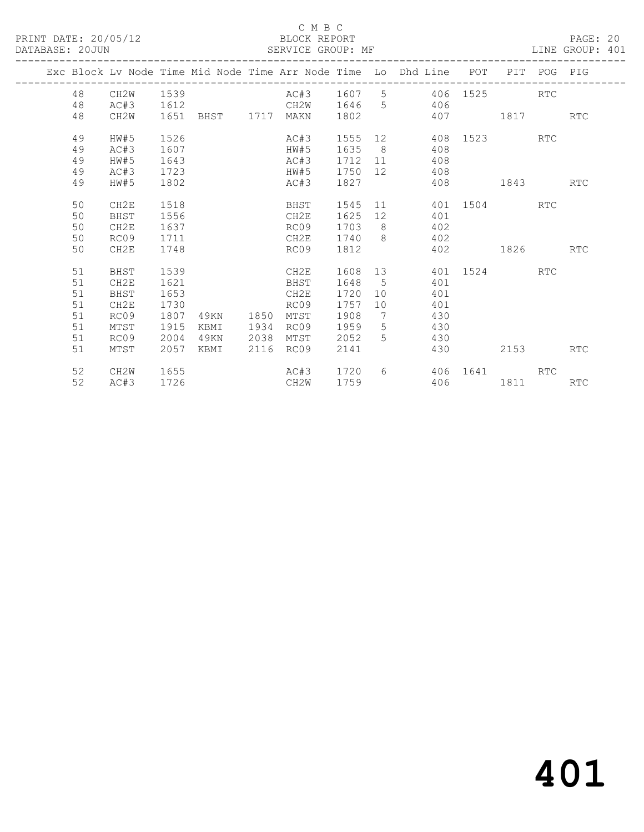#### C M B C<br>BLOCK REPORT

LINE GROUP: 401

|  |    |                  |      | Exc Block Lv Node Time Mid Node Time Arr Node Time Lo Dhd Line POT PIT POG PIG |      |      |             |                 |     |          |                      |            |            |
|--|----|------------------|------|--------------------------------------------------------------------------------|------|------|-------------|-----------------|-----|----------|----------------------|------------|------------|
|  | 48 | CH2W             | 1539 |                                                                                |      |      |             |                 |     |          | AC#3 1607 5 406 1525 | <b>RTC</b> |            |
|  | 48 | AC#3             | 1612 | CH2W 1646 5 406                                                                |      |      |             |                 |     |          |                      |            |            |
|  | 48 | CH2W             |      | 1651 BHST 1717 MAKN                                                            |      |      | 1802        |                 |     |          | 407 1817             |            | <b>RTC</b> |
|  |    |                  |      |                                                                                |      |      |             |                 |     |          |                      |            |            |
|  | 49 | HW#5             | 1526 |                                                                                |      | AC#3 | 1555 12     |                 |     |          | 408 1523             | <b>RTC</b> |            |
|  | 49 | AC#3             | 1607 |                                                                                |      | HW#5 | 1635 8      |                 | 408 |          |                      |            |            |
|  | 49 | HW#5             | 1643 |                                                                                |      | AC#3 | 1712 11     |                 | 408 |          |                      |            |            |
|  | 49 | AC#3             | 1723 |                                                                                |      | HW#5 | 1750 12 408 |                 |     |          |                      |            |            |
|  | 49 | HW#5             | 1802 |                                                                                |      | AC#3 | 1827        |                 |     |          | 408 1843             |            | <b>RTC</b> |
|  | 50 | CH2E             | 1518 |                                                                                |      | BHST |             |                 |     |          | 1545 11 401 1504 RTC |            |            |
|  | 50 | BHST             | 1556 |                                                                                |      | CH2E | 1625        | 12              | 401 |          |                      |            |            |
|  | 50 | CH2E             | 1637 |                                                                                |      | RC09 | 1703 8      |                 | 402 |          |                      |            |            |
|  | 50 | RC09             | 1711 |                                                                                |      | CH2E | 1740 8      |                 | 402 |          |                      |            |            |
|  | 50 | CH <sub>2E</sub> | 1748 |                                                                                |      | RC09 | 1812        |                 |     |          | 402 1826             |            | RTC        |
|  |    |                  |      |                                                                                |      |      |             |                 |     |          |                      |            |            |
|  | 51 | <b>BHST</b>      | 1539 |                                                                                |      | CH2E |             |                 |     |          | 1608 13 401 1524     | <b>RTC</b> |            |
|  | 51 | CH2E             | 1621 |                                                                                |      | BHST | 1648        | $5^{\circ}$     | 401 |          |                      |            |            |
|  | 51 | BHST             | 1653 |                                                                                |      | CH2E | 1720        |                 | 401 |          |                      |            |            |
|  | 51 | CH2E             | 1730 |                                                                                |      | RC09 | 1757        | 10              | 401 |          |                      |            |            |
|  | 51 | RC09             | 1807 | 4 9 K N                                                                        | 1850 | MTST | 1908        | $\overline{7}$  | 430 |          |                      |            |            |
|  | 51 | MTST             | 1915 | KBMI                                                                           | 1934 | RC09 | 1959        | $5\overline{)}$ | 430 |          |                      |            |            |
|  | 51 | RC09             | 2004 | 49KN                                                                           | 2038 | MTST | 2052        | 5 <sup>1</sup>  | 430 |          |                      |            |            |
|  | 51 | MTST             | 2057 | KBMI                                                                           | 2116 | RC09 | 2141        |                 | 430 |          | 2153                 |            | <b>RTC</b> |
|  |    |                  |      |                                                                                |      |      |             |                 |     |          |                      |            |            |
|  | 52 | CH2W             | 1655 |                                                                                |      | AC#3 | 1720        |                 |     |          | 6 406 1641 RTC       |            |            |
|  | 52 | AC#3             | 1726 |                                                                                |      | CH2W | 1759        |                 |     | 406 1811 |                      |            | <b>RTC</b> |
|  |    |                  |      |                                                                                |      |      |             |                 |     |          |                      |            |            |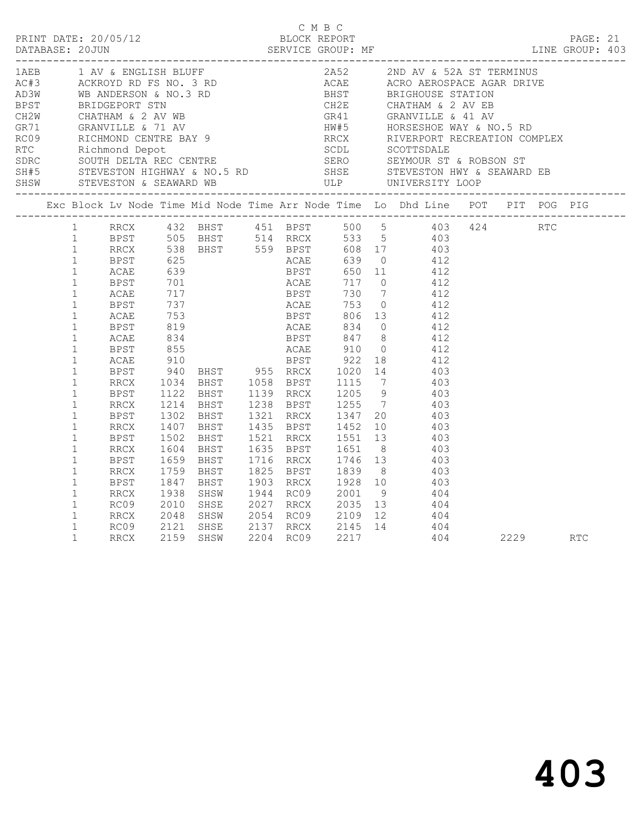|                                                                              |  |  | C M B C | BLOCK REPORT PAGE: 21<br>SERVICE GROUP: MF LINE GROUP: 403                                                                                                                                                                               |              |  |  |
|------------------------------------------------------------------------------|--|--|---------|------------------------------------------------------------------------------------------------------------------------------------------------------------------------------------------------------------------------------------------|--------------|--|--|
|                                                                              |  |  |         |                                                                                                                                                                                                                                          |              |  |  |
|                                                                              |  |  |         | Exc Block Lv Node Time Mid Node Time Arr Node Time Lo Dhd Line POT PIT POG PIG                                                                                                                                                           |              |  |  |
| $\mathbf{1}$<br>$\mathbf{1}$<br>$\mathbf{1}$                                 |  |  |         | 1 RRCX 432 BHST 451 BPST 500 5 403 424 RTC<br>1 BPST 505 BHST 514 RRCX 533 5 403<br>BPST 1302 BHST 1321 RRCX 1347 20 403<br>RRCX 1407 BHST 1435 BPST 1452 10 403                                                                         |              |  |  |
| $\mathbf{1}$<br>$\mathbf{1}$<br>$\mathbf{1}$                                 |  |  |         | REST 1502 BHST 1521 RRCX 1551 13 403<br>RRCX 1604 BHST 1635 BPST 1651 8 403<br>BPST 1659 BHST 1716 RRCX 1746 13 403<br>RRCX 1759 BHST 1825 BPST 1839 8 403<br>BPST 1847 BHST 1903 RRCX 1928 10 403<br>BPST 1847 BHST 1903 RRCX 1928 10 4 |              |  |  |
| $\mathbf{1}$<br>$\mathbf{1}$<br>$\mathbf{1}$<br>$\mathbf{1}$<br>$\mathbf{1}$ |  |  |         | RRCX 1938 SHSW 1944 RC09 2001 9 404<br>RC09 2010 SHSE 2027 RRCX 2035 13 404<br>RRCX 2048 SHSW 2054 RC09 2109 12 404                                                                                                                      |              |  |  |
| $\mathbf{1}$                                                                 |  |  |         | RC09 2121 SHSE 2137 RRCX 2145 14 404<br>RRCX 2159 SHSW 2204 RC09 2217 404                                                                                                                                                                | 404 2229 RTC |  |  |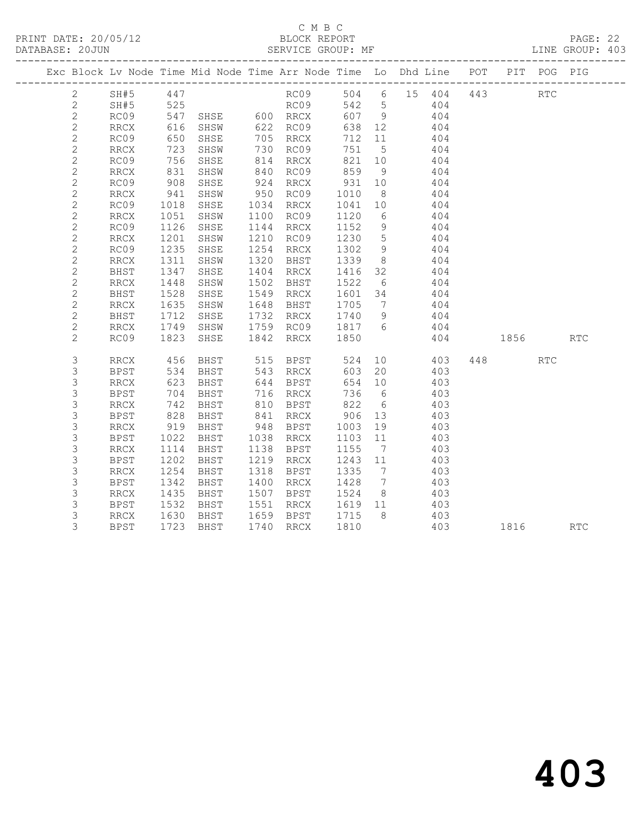PRINT DATE: 20/05/12 BLOCK REPORT BATABASE: 20JUN

### C M B C<br>BLOCK REPORT

PAGE: 22<br>LINE GROUP: 403

|                                |                          |              |                            |                                                             |                      |                 | Exc Block Lv Node Time Mid Node Time Arr Node Time Lo Dhd Line POT PIT POG PIG |          |     |            |
|--------------------------------|--------------------------|--------------|----------------------------|-------------------------------------------------------------|----------------------|-----------------|--------------------------------------------------------------------------------|----------|-----|------------|
| $2 \left( \frac{1}{2} \right)$ | SH#5 447                 |              |                            |                                                             |                      |                 | RC09 504 6 15 404 443 RTC                                                      |          |     |            |
| $\overline{2}$                 | SH#5 525                 |              |                            | RC09 542 5                                                  |                      |                 | 404                                                                            |          |     |            |
| $\mathbf{2}$                   | RC09                     |              |                            | 547 SHSE 600 RRCX<br>616 SHSW 622 RC09<br>650 SHSE 705 RRCX | 607 9                |                 | 404                                                                            |          |     |            |
| $\mathbf{2}$                   | RRCX                     |              |                            |                                                             | 638 12               |                 | 404                                                                            |          |     |            |
| $\mathbf{2}$                   | RC09                     |              |                            |                                                             | 712 11               |                 | 404                                                                            |          |     |            |
| $\mathbf{2}$                   | RRCX                     |              | 723 SHSW                   | 730 RC09                                                    | 751                  | $5^{\circ}$     | 404                                                                            |          |     |            |
| $\mathbf{2}$                   | RC09                     |              | 756 SHSE                   | 814 RRCX                                                    | 821                  | 10              | 404                                                                            |          |     |            |
| $\mathbf{2}$                   | RRCX                     |              | 831 SHSW<br>908 SHSE       | 840 RC09<br>924 RRCX                                        | 859 9<br>931 10      |                 | 404                                                                            |          |     |            |
| $\sqrt{2}$                     | RC09                     |              |                            |                                                             |                      |                 | 404                                                                            |          |     |            |
| $\mathbf{2}$                   | RRCX                     |              | 941 SHSW                   | 950 RC09                                                    | 1010                 | 8 <sup>8</sup>  | 404                                                                            |          |     |            |
| $\mathbf{2}$                   | RC09                     | 1018         | SHSE                       | 1034 RRCX                                                   | 1041                 | 10              | 404                                                                            |          |     |            |
| $\mathbf{2}$                   | RRCX                     |              | 1051 SHSW                  | 1100 RC09                                                   | 1120                 | $6\overline{6}$ | 404<br>404                                                                     |          |     |            |
| $\sqrt{2}$                     | RC09                     | 1126         | SHSE                       | 1144 RRCX                                                   | 1152                 | 9               |                                                                                |          |     |            |
| $\sqrt{2}$                     | RRCX                     | 1201         | SHSW                       | 1210 RC09                                                   | 1230                 | $5\overline{)}$ | 404                                                                            |          |     |            |
| $\sqrt{2}$                     | RC09                     | 1235         | SHSE                       | 1254 RRCX                                                   | 1302<br>1339         | 9               | 404                                                                            |          |     |            |
| $\mathbf{2}$                   | RRCX                     |              | 1311 SHSW                  | 1320 BHST                                                   |                      | 8 <sup>8</sup>  | 404<br>404                                                                     |          |     |            |
| $\mathbf{2}$                   | BHST                     |              | 1347 SHSE                  | 1404 RRCX                                                   | 1416 32              |                 |                                                                                |          |     |            |
| $\sqrt{2}$                     | RRCX                     | 1448         | SHSW                       | 1502 BHST                                                   | 1522                 | $6\overline{6}$ | 404                                                                            |          |     |            |
| $\mathbf{2}$<br>$\mathbf{2}$   | BHST<br>RRCX             | 1528<br>1635 | SHSE                       | 1549 RRCX<br>1648 BHST                                      | 1601 34<br>1705 7    |                 | 404<br>404                                                                     |          |     |            |
|                                |                          | 1712         | SHSW<br>SHSE               | 1732 RRCX                                                   | 1740                 | 9               | 404                                                                            |          |     |            |
| $\mathbf{2}$<br>$\mathbf{2}$   | BHST<br>RRCX             |              | 1749 SHSW                  |                                                             |                      |                 | 1759 RC09 1817 6 404                                                           |          |     |            |
| $\overline{2}$                 | RC09                     | 1823         | SHSE                       | 1842 RRCX                                                   | 1850                 |                 |                                                                                | 404 1856 |     | <b>RTC</b> |
|                                |                          |              |                            |                                                             |                      |                 |                                                                                |          |     |            |
| 3                              | RRCX                     |              |                            | 456 BHST 515 BPST                                           |                      |                 | 524 10<br>403                                                                  | 448      | RTC |            |
| 3                              | <b>BPST</b>              | 534          | BHST                       | 543 RRCX                                                    | 603                  | 20              | 403                                                                            |          |     |            |
| $\mathsf S$                    | RRCX                     | 623<br>704   | BHST                       | 644 BPST<br>716 RRCX                                        | 654 10               |                 | 403                                                                            |          |     |            |
| $\mathsf 3$                    | BPST                     |              | BHST                       |                                                             | 736 6                |                 | 403                                                                            |          |     |            |
| $\mathsf 3$                    | RRCX                     |              | 742 BHST                   | 810 BPST                                                    | 822                  | $6\overline{6}$ | 403                                                                            |          |     |            |
| 3                              | BPST                     | 828          | BHST                       | 841 RRCX                                                    | 906                  | 13              | 403                                                                            |          |     |            |
| 3                              | RRCX                     |              | BHST<br>919 BHST<br>1022 - | 948 BPST                                                    | 1003  19<br>1103  11 |                 | 403                                                                            |          |     |            |
| $\mathsf 3$                    | <b>BPST</b>              |              | 1022 BHST                  | 1038 RRCX                                                   |                      |                 | 403                                                                            |          |     |            |
| 3                              | RRCX                     | 1114         | BHST                       | 1138 BPST                                                   | 1155                 | $\overline{7}$  | 403                                                                            |          |     |            |
| $\mathsf 3$                    | <b>BPST</b>              | 1202         | BHST                       | 1219 RRCX                                                   | 1243 11              |                 | 403                                                                            |          |     |            |
| $\mathsf 3$                    | $\mathop{\mathrm{RRCX}}$ | 1254         | BHST                       | 1318 BPST                                                   | 1335                 | $7\overline{ }$ | 403<br>403                                                                     |          |     |            |
| $\mathsf 3$                    | <b>BPST</b>              | 1342         | BHST                       | 1400 RRCX                                                   | 1428                 | $7\phantom{0}$  |                                                                                |          |     |            |
| $\mathsf 3$                    | RRCX                     | 1435         | BHST                       | 1507 BPST                                                   | 1524                 | 8 <sup>8</sup>  | 403                                                                            |          |     |            |
| 3                              | BPST                     | 1532         | BHST                       | 1551 RRCX                                                   | 1619 11<br>1715 8    |                 | 403                                                                            |          |     |            |
| 3<br>3                         | RRCX                     |              | 1630 BHST                  | 1659 BPST                                                   | 1810                 |                 | 403<br>403                                                                     |          |     |            |
|                                | <b>BPST</b>              |              | 1723 BHST                  | 1740 RRCX                                                   |                      |                 |                                                                                | 1816 RTC |     |            |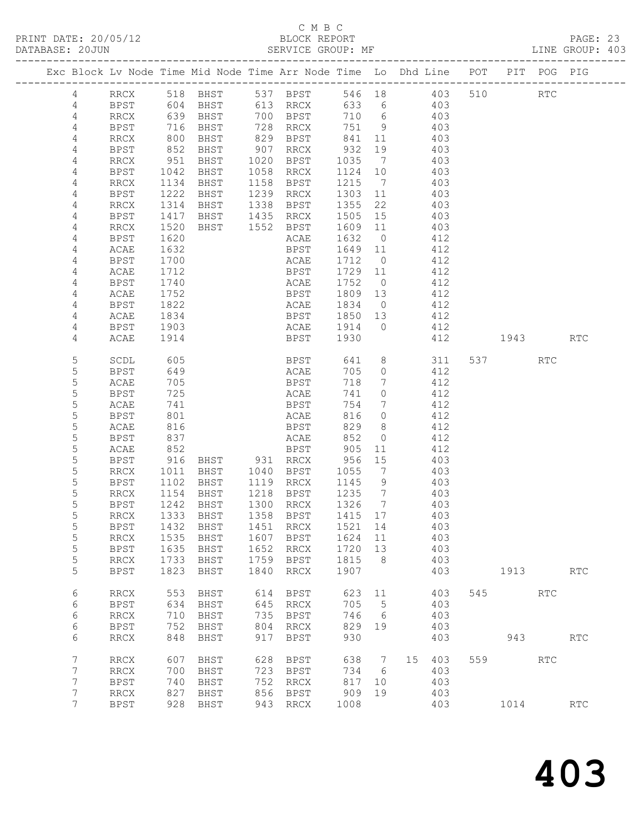### C M B C<br>BLOCK REPORT

| DATABASE: 20JUN |                 |             |                     | SERVICE GROUP: MF<br>------------------- |      |                                                                                            |                                             |                 |         |     |                       |             |            | LINE GROUP: 403 |
|-----------------|-----------------|-------------|---------------------|------------------------------------------|------|--------------------------------------------------------------------------------------------|---------------------------------------------|-----------------|---------|-----|-----------------------|-------------|------------|-----------------|
|                 |                 |             |                     |                                          |      | Exc Block Lv Node Time Mid Node Time Arr Node Time Lo Dhd Line POT PIT POG PIG             |                                             |                 |         |     |                       |             |            |                 |
|                 | 4               |             |                     |                                          |      | RRCX 518 BHST 537 BPST                                                                     |                                             |                 |         |     | 546 18  403  510  RTC |             |            |                 |
|                 | 4               |             |                     |                                          |      | BPST 604 BHST 613 RRCX 633 6 403                                                           |                                             |                 |         |     |                       |             |            |                 |
|                 | 4               | RRCX        |                     |                                          |      | 639 BHST 700 BPST 710 6 403<br>716 BHST 728 RRCX 751 9 403<br>800 BHST 829 BPST 841 11 403 |                                             |                 |         |     |                       |             |            |                 |
|                 | $\overline{4}$  | BPST        |                     |                                          |      |                                                                                            |                                             |                 |         |     |                       |             |            |                 |
|                 | 4               | RRCX        |                     |                                          |      |                                                                                            |                                             |                 |         |     |                       |             |            |                 |
|                 | 4               | BPST        | 852                 | BHST                                     |      | 907 RRCX 932                                                                               |                                             | 19              | 403     |     |                       |             |            |                 |
|                 | 4               | RRCX        |                     |                                          |      | BHST 1020 BPST 1035 7                                                                      |                                             |                 |         | 403 |                       |             |            |                 |
|                 | 4               | BPST        | 951<br>1042<br>1134 | BHST                                     |      | 1058 RRCX                                                                                  | 1124 10                                     |                 |         | 403 |                       |             |            |                 |
|                 | 4               | RRCX        |                     | <b>BHST</b>                              |      | 1158 BPST                                                                                  | 1215 7                                      |                 |         | 403 |                       |             |            |                 |
|                 | 4               | BPST        | 1222                | <b>BHST</b>                              |      | 1239 RRCX                                                                                  | 1303 11                                     |                 | 403     |     |                       |             |            |                 |
|                 | 4               | RRCX        | 1314                | BHST 1338 BPST                           |      |                                                                                            | 1355                                        | 22              | 403     |     |                       |             |            |                 |
|                 | 4               | BPST        |                     |                                          |      |                                                                                            | 1505 15                                     |                 |         | 403 |                       |             |            |                 |
|                 | 4               | RRCX        | 1417<br>1520        | BHST 1435 RRCX<br>BHST 1552 BPST         |      |                                                                                            | $\begin{array}{c}\n1609 \\ 11\n\end{array}$ |                 |         | 403 |                       |             |            |                 |
|                 | 4               | BPST        | 1620                |                                          |      | ACAE                                                                                       | 1632                                        |                 | $0$ 412 |     |                       |             |            |                 |
|                 | 4               | ACAE        | 1632                |                                          |      | BPST                                                                                       | 1649                                        | 11              | 412     |     |                       |             |            |                 |
|                 | 4               | BPST        | 1700                |                                          |      |                                                                                            | 1712 0                                      |                 |         | 412 |                       |             |            |                 |
|                 | 4               | ACAE        | $1100$<br>1712      |                                          |      | ANAE<br>BPST<br>20                                                                         | 1729 11                                     |                 |         | 412 |                       |             |            |                 |
|                 | 4               | BPST        | 1740                |                                          |      | ACAE                                                                                       | 1752 0                                      |                 | 412     |     |                       |             |            |                 |
|                 | 4               | ACAE        | 1752                |                                          |      | BPST                                                                                       | 1809 13                                     |                 | 412     |     |                       |             |            |                 |
|                 | 4               | BPST        |                     |                                          |      |                                                                                            |                                             |                 |         | 412 |                       |             |            |                 |
|                 | 4               | ACAE        | 1822<br>1834        |                                          |      | ACAE 1834 0<br>BPST 1850 13                                                                |                                             |                 |         | 412 |                       |             |            |                 |
|                 | 4               | BPST        | 1903                |                                          |      | ACAE 1914 0                                                                                |                                             |                 |         | 412 |                       |             |            |                 |
|                 | 4               | ACAE        | 1914                |                                          |      | <b>BPST</b>                                                                                | 1930                                        |                 |         |     | 412 1943              |             |            | <b>RTC</b>      |
|                 |                 |             |                     |                                          |      |                                                                                            |                                             |                 |         |     |                       |             |            |                 |
|                 | 5               | SCDL        | 605                 |                                          |      | <b>BPST</b>                                                                                |                                             |                 | 641 8   | 311 |                       | 537 RTC     |            |                 |
|                 | 5               | BPST        | 649                 |                                          |      | <b>ACAE</b>                                                                                | 705                                         | $\overline{0}$  |         | 412 |                       |             |            |                 |
|                 | 5               | ACAE        | 705                 |                                          |      | <b>BPST</b>                                                                                | 718                                         | $\overline{7}$  | 412     |     |                       |             |            |                 |
|                 | 5               | BPST        | 725                 |                                          |      | ACAE                                                                                       | 741                                         | $\overline{0}$  |         | 412 |                       |             |            |                 |
|                 | 5               | ACAE        | 741                 |                                          |      | BPST                                                                                       | 754                                         | $7\overline{ }$ |         | 412 |                       |             |            |                 |
|                 | 5               | BPST        | 801                 |                                          |      | <b>ACAE</b>                                                                                | 816                                         | $\overline{0}$  |         | 412 |                       |             |            |                 |
|                 | 5               | ACAE        | 816                 |                                          |      | <b>BPST</b>                                                                                | 829                                         | 8 <sup>8</sup>  | 412     |     |                       |             |            |                 |
|                 | 5               | BPST        | 837                 |                                          |      | ACAE                                                                                       | 852                                         | $\overline{0}$  |         | 412 |                       |             |            |                 |
|                 | 5               | ACAE        | 852                 |                                          |      | BPST 905<br>RRCX 956                                                                       |                                             | 11              |         | 412 |                       |             |            |                 |
|                 | 5               | BPST        |                     | 916 BHST 931 RRCX                        |      |                                                                                            |                                             | 15              |         | 403 |                       |             |            |                 |
|                 | 5               | RRCX        | 1011                |                                          |      | BHST 1040 BPST 1055 7                                                                      |                                             |                 | 403     |     |                       |             |            |                 |
|                 | 5               | BPST        | 1102                | BHST 1119 RRCX                           |      |                                                                                            | 1145 9                                      |                 |         | 403 |                       |             |            |                 |
|                 | 5               | RRCX        |                     | 1154 BHST<br>1242 BHST<br>BHST           |      | 1218 BPST                                                                                  | 1235 7<br>1326 7                            |                 |         | 403 |                       |             |            |                 |
|                 | 5               | BPST        |                     |                                          |      | 1300 RRCX                                                                                  |                                             |                 |         | 403 |                       |             |            |                 |
|                 | 5               |             |                     |                                          |      | RRCX 1333 BHST 1358 BPST 1415 17 403                                                       |                                             |                 |         |     |                       |             |            |                 |
|                 | 5               | BPST        | 1432                | BHST                                     | 1451 | RRCX                                                                                       | 1521                                        | 14              |         | 403 |                       |             |            |                 |
|                 | 5               | RRCX        | 1535                | BHST                                     | 1607 | BPST                                                                                       | 1624                                        | 11              |         | 403 |                       |             |            |                 |
|                 | 5               | <b>BPST</b> | 1635                | BHST                                     | 1652 | RRCX                                                                                       | 1720                                        | 13              |         | 403 |                       |             |            |                 |
|                 | 5               | RRCX        | 1733                | BHST                                     | 1759 | BPST                                                                                       | 1815                                        | 8 <sup>8</sup>  |         | 403 |                       |             |            |                 |
|                 | 5               | <b>BPST</b> | 1823                | BHST                                     | 1840 | RRCX                                                                                       | 1907                                        |                 |         | 403 |                       | 1913 — 1913 |            | RTC             |
|                 | 6               | RRCX        | 553                 | BHST                                     | 614  | BPST                                                                                       | 623 11                                      |                 |         | 403 | 545                   | RTC         |            |                 |
|                 | 6               | <b>BPST</b> | 634                 | BHST                                     | 645  | RRCX                                                                                       | 705                                         | $5^{\circ}$     |         | 403 |                       |             |            |                 |
|                 | 6               | RRCX        | 710                 | BHST                                     | 735  | BPST                                                                                       | 746                                         | $6\overline{6}$ |         | 403 |                       |             |            |                 |
|                 | 6               | BPST        | 752                 | BHST                                     | 804  | RRCX                                                                                       | 829                                         | 19              |         | 403 |                       |             |            |                 |
|                 | 6               | RRCX        | 848                 | BHST                                     | 917  | <b>BPST</b>                                                                                | 930                                         |                 |         | 403 |                       | 943         |            | RTC             |
|                 | 7               | RRCX        | 607                 | BHST                                     | 628  | BPST                                                                                       | 638                                         | $\overline{7}$  | 15      | 403 |                       | 559 35      | <b>RTC</b> |                 |
|                 | 7               | RRCX        | 700                 | BHST                                     | 723  | BPST                                                                                       | 734                                         | 6               |         | 403 |                       |             |            |                 |
|                 | 7               | <b>BPST</b> | 740                 | BHST                                     | 752  | RRCX                                                                                       | 817                                         | 10              |         | 403 |                       |             |            |                 |
|                 | 7               | RRCX        | 827                 | BHST                                     | 856  | BPST                                                                                       | 909                                         | 19              |         | 403 |                       |             |            |                 |
|                 | $7\phantom{.0}$ | <b>BPST</b> | 928                 | BHST                                     | 943  | RRCX                                                                                       | 1008                                        |                 |         | 403 |                       | 1014        |            | <b>RTC</b>      |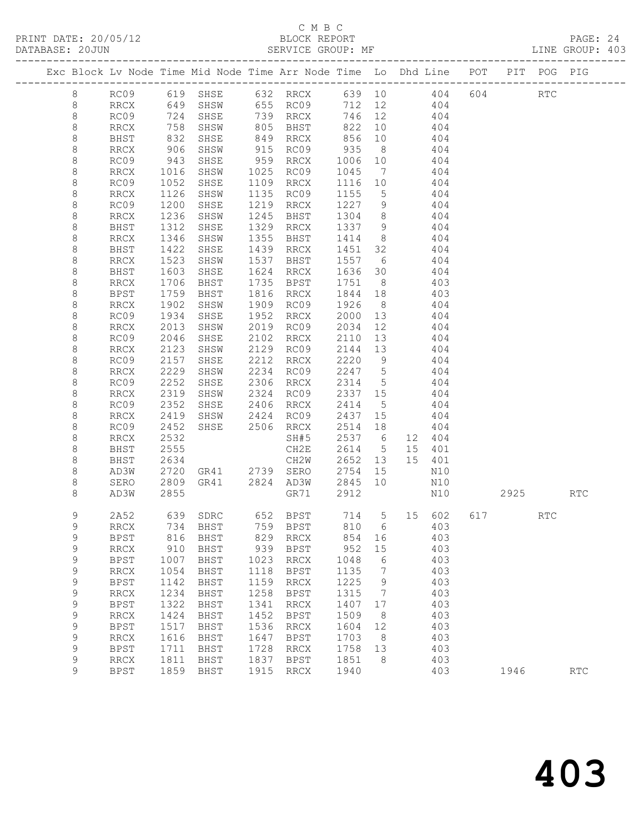### C M B C

| DATABASE: 20JUN | ------------------ |                     |              |      | SERVICE GROUP: MF                   |                   |                |                                                                                              |      |     | LINE GROUP: 403 |  |
|-----------------|--------------------|---------------------|--------------|------|-------------------------------------|-------------------|----------------|----------------------------------------------------------------------------------------------|------|-----|-----------------|--|
|                 |                    |                     |              |      |                                     |                   |                | Exc Block Lv Node Time Mid Node Time Arr Node Time Lo Dhd Line POT PIT POG PIG               |      |     |                 |  |
| 8               |                    |                     |              |      |                                     |                   |                | RC09 619 SHSE 632 RRCX 639 10 404 604 RTC                                                    |      |     |                 |  |
| 8               |                    |                     |              |      |                                     |                   |                | RRCX 649 SHSW 655 RC09 712 12 404                                                            |      |     |                 |  |
| 8               | RC09               |                     |              |      |                                     |                   |                | 724 SHSE 739 RRCX 746 12 404<br>758 SHSW 805 BHST 822 10 404<br>832 SHSE 849 RRCX 856 10 404 |      |     |                 |  |
| $\,8\,$         | RRCX               |                     |              |      |                                     |                   |                |                                                                                              |      |     |                 |  |
| 8               | BHST               |                     |              |      |                                     |                   |                | $\begin{array}{c} \overline{1} & \overline{0} & \overline{1} \\ 4 & 0 & 4 \end{array}$       |      |     |                 |  |
| 8               | RRCX               | 906                 | SHSW         |      | 915 RC09 935 8                      |                   |                | 404                                                                                          |      |     |                 |  |
| 8               | RC09               |                     | SHSE         |      | 959 RRCX                            | 1006 10           |                | 404                                                                                          |      |     |                 |  |
| $\,8\,$         | RRCX               | 943<br>1016<br>1052 | SHSW         |      | 1025 RC09                           | 1045 7            |                | 404                                                                                          |      |     |                 |  |
| $\,8\,$         | RC09               |                     | SHSE         |      | 1109 RRCX                           | 1116 10           |                | 404                                                                                          |      |     |                 |  |
| 8               | RRCX               | 1126                | SHSW         |      | 1135 RC09                           | 1155 5            |                | 404                                                                                          |      |     |                 |  |
| 8               | RC09               | 1200                | SHSE         |      | 1219 RRCX                           | 1227 9            |                | 404                                                                                          |      |     |                 |  |
| 8               | RRCX               | 1236<br>1312        | SHSW         |      | 1245 BHST                           | 1304 8<br>1337 9  |                | 404<br>$1337$ 9 404                                                                          |      |     |                 |  |
| $\,8\,$         | BHST               | 1346                | SHSE         |      | 1329 RRCX<br>1355 BHST 1414 8 404   |                   |                |                                                                                              |      |     |                 |  |
| 8               | RRCX               | 1422                | SHSW         |      | 1439 RRCX                           |                   |                | 1451 32 404                                                                                  |      |     |                 |  |
| $\,8\,$<br>8    | BHST<br>RRCX       |                     | SHSE<br>SHSW |      | 1537 BHST                           |                   |                | 404                                                                                          |      |     |                 |  |
| $\,8\,$         | BHST               | 1523<br>1603        | SHSE         |      | 1624 RRCX                           | 1557 6<br>1636 30 |                | 404                                                                                          |      |     |                 |  |
| 8               | RRCX               | 1706                | <b>BHST</b>  |      | 1735 BPST                           | 1751 8            |                | 403                                                                                          |      |     |                 |  |
| 8               | BPST               | 1759                | BHST         |      | 1816 RRCX                           | 1844 18           |                | 403                                                                                          |      |     |                 |  |
| 8               | RRCX               |                     | SHSW         |      | 1909 RC09                           | 1926              | 8 <sup>8</sup> | 404                                                                                          |      |     |                 |  |
| $\,8\,$         | RC09               | 1902<br>1934        | SHSE         |      | 1952 RRCX                           | 2000 13           |                | 404                                                                                          |      |     |                 |  |
| 8               | RRCX               | 2013                | SHSW         |      | 2019 RC09                           | 2034 12           |                | 404                                                                                          |      |     |                 |  |
| 8               | RC09               | 2046                | SHSE         |      | 2102 RRCX                           |                   |                | 2110 13 404                                                                                  |      |     |                 |  |
| 8               | RRCX               | 2123                | SHSW         |      | 2129 RC09                           | 2144 13           |                | 404                                                                                          |      |     |                 |  |
| $\,8\,$         | RC09               | 2157                | SHSE         |      | 2212 RRCX                           | 2220 9            |                | 404                                                                                          |      |     |                 |  |
| 8               | RRCX               | 2229                | SHSW         |      | 2234 RC09 2247 5                    |                   |                | 404                                                                                          |      |     |                 |  |
| 8               | RC09               | 2252                | SHSE         |      | 2306 RRCX                           | 2314 5            |                | 404                                                                                          |      |     |                 |  |
| 8               | RRCX               | 2319                | SHSW         |      | 2324 RC09                           | 2337 15           |                | 404                                                                                          |      |     |                 |  |
| 8               | RC09               | 2352                | SHSE         |      | 2406 RRCX<br>SHSW 2424 RC09 2437 15 | 2414 5            |                | 404                                                                                          |      |     |                 |  |
| 8               | RRCX               | 2419                |              |      | SHSE 2506 RRCX                      |                   |                | 404                                                                                          |      |     |                 |  |
| 8               | RC09               | 2452                |              |      |                                     | 2514 18<br>2537 6 |                | 404<br>12 404                                                                                |      |     |                 |  |
| 8<br>8          | RRCX<br>BHST       | 2532<br>2555        |              |      | SH#5                                |                   |                | 15 401                                                                                       |      |     |                 |  |
| 8               | BHST               | 2634                |              |      | CH2E 2614 5<br>CH2W 2652 13         | 2652 13           |                | 15 401                                                                                       |      |     |                 |  |
| 8               | AD3W               | 2720                |              |      | GR41 2739 SERO 2754 15              |                   |                | N10                                                                                          |      |     |                 |  |
| 8               | SERO               | 2809                |              |      | GR41 2824 AD3W                      | 2845 10           |                | N10                                                                                          |      |     |                 |  |
| 8               | AD3W               | 2855                |              |      | GR71                                | 2912              |                | N10                                                                                          | 2925 |     | RTC             |  |
| 9               | 2A52               |                     |              |      |                                     |                   |                | 639 SDRC 652 BPST 714 5 15 602 617                                                           |      | RTC |                 |  |
| 9               | RRCX               | 734                 | BHST         | 759  | BPST                                | 810               | 6              | 403                                                                                          |      |     |                 |  |
| 9               | <b>BPST</b>        | 816                 | BHST         | 829  | RRCX                                | 854               | 16             | 403                                                                                          |      |     |                 |  |
| 9               | <b>RRCX</b>        | 910                 | BHST         | 939  | BPST                                | 952               | 15             | 403                                                                                          |      |     |                 |  |
| 9               | <b>BPST</b>        | 1007                | BHST         | 1023 | RRCX                                | 1048              | 6              | 403                                                                                          |      |     |                 |  |
| 9               | <b>RRCX</b>        | 1054                | BHST         | 1118 | BPST                                | 1135              | $\overline{7}$ | 403                                                                                          |      |     |                 |  |
| 9               | <b>BPST</b>        | 1142                | <b>BHST</b>  | 1159 | $\operatorname{RRCX}$               | 1225              | 9              | 403                                                                                          |      |     |                 |  |
| $\mathsf 9$     | <b>RRCX</b>        | 1234                | BHST         | 1258 | <b>BPST</b>                         | 1315              | $\overline{7}$ | 403                                                                                          |      |     |                 |  |
| 9               | <b>BPST</b>        | 1322                | <b>BHST</b>  | 1341 | RRCX                                | 1407              | 17             | 403                                                                                          |      |     |                 |  |
| 9               | <b>RRCX</b>        | 1424                | BHST         | 1452 | BPST                                | 1509              | 8              | 403                                                                                          |      |     |                 |  |
| 9               | <b>BPST</b>        | 1517                | <b>BHST</b>  | 1536 | $\operatorname{RRCX}$               | 1604              | 12             | 403                                                                                          |      |     |                 |  |
| $\mathsf 9$     | <b>RRCX</b>        | 1616                | BHST         | 1647 | <b>BPST</b>                         | 1703              | 8              | 403                                                                                          |      |     |                 |  |
| 9               | <b>BPST</b>        | 1711                | BHST         | 1728 | RRCX                                | 1758              | 13             | 403                                                                                          |      |     |                 |  |
| 9               | <b>RRCX</b>        | 1811                | BHST         | 1837 | BPST                                | 1851              | - 8            | 403                                                                                          |      |     |                 |  |
| 9               | <b>BPST</b>        | 1859                | BHST         | 1915 | RRCX                                | 1940              |                | 403                                                                                          | 1946 |     | <b>RTC</b>      |  |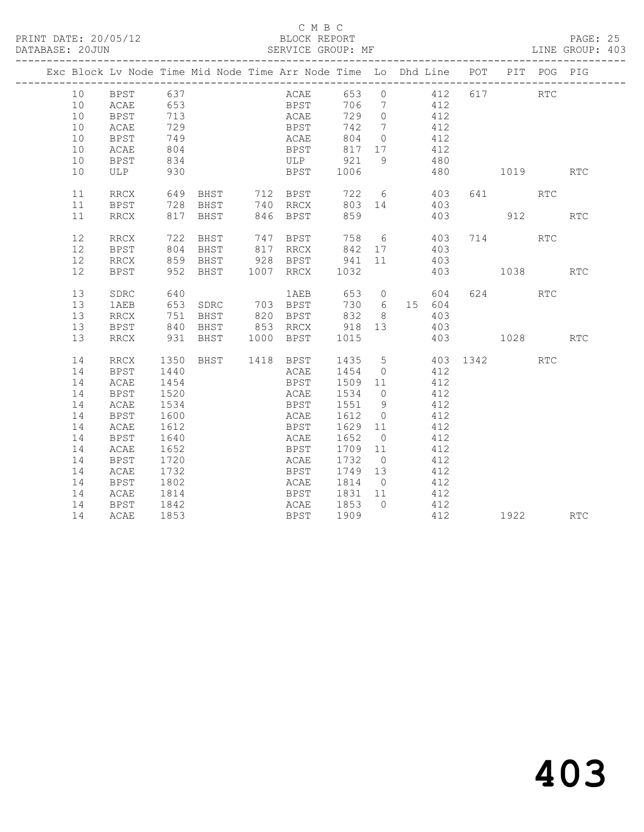PRINT DATE: 20/05/12 BLOCK REPORT BATABASE: 20JUN

#### C M B C<br>BLOCK REPORT

PAGE: 25<br>LINE GROUP: 403

|  |          | Exc Block Lv Node Time Mid Node Time Arr Node Time Lo Dhd Line POT PIT POG PIG |              |            |                                                                                                     |             |                             |           |     |                                          |            |                             |
|--|----------|--------------------------------------------------------------------------------|--------------|------------|-----------------------------------------------------------------------------------------------------|-------------|-----------------------------|-----------|-----|------------------------------------------|------------|-----------------------------|
|  | 10       |                                                                                |              |            |                                                                                                     |             |                             |           |     |                                          |            |                             |
|  | 10       |                                                                                |              |            |                                                                                                     |             |                             |           | 412 | ACAE 653 0 412 617 RTC<br>BPST 706 7 412 |            |                             |
|  | 10       | <b>BPST</b>                                                                    | 653<br>713   |            |                                                                                                     | <b>ACAE</b> | 729 0                       | 412       |     |                                          |            |                             |
|  | 10       | ACAE                                                                           | 729          |            |                                                                                                     | <b>BPST</b> |                             | 742 7 412 |     |                                          |            |                             |
|  | 10       | BPST                                                                           |              |            |                                                                                                     |             |                             |           | 412 |                                          |            |                             |
|  | 10       | ACAE                                                                           | 749<br>804   |            |                                                                                                     |             | ACAE 804 0<br>BPST 817 17   |           | 412 |                                          |            |                             |
|  | 10       | BPST                                                                           | 834          |            |                                                                                                     |             | ULP 921 9                   | 480       |     |                                          |            |                             |
|  | 10       | ULP                                                                            | 930          |            |                                                                                                     | <b>BPST</b> | 1006                        |           |     | 480 1019                                 |            | $\mathop{\rm RTC}\nolimits$ |
|  | 11       | RRCX                                                                           |              |            |                                                                                                     |             |                             |           |     | 641 RTC                                  |            |                             |
|  | 11       | BPST                                                                           |              |            |                                                                                                     |             |                             |           |     |                                          |            |                             |
|  | 11       | RRCX                                                                           |              |            |                                                                                                     |             |                             |           |     | 403 912 RTC                              |            |                             |
|  | 12       | RRCX                                                                           |              |            | 722 BHST 747 BPST 758 6 403 714 RTC<br>804 BHST 817 RRCX 842 17 403<br>859 BHST 928 BPST 941 11 403 |             |                             |           |     |                                          |            |                             |
|  | 12       | BPST                                                                           |              |            |                                                                                                     |             |                             |           |     |                                          |            |                             |
|  | 12       | RRCX                                                                           |              | $859$ BHST |                                                                                                     |             |                             |           |     |                                          |            |                             |
|  | 12       | BPST                                                                           |              |            | 952 BHST 1007 RRCX                                                                                  |             | 1032                        |           |     | 403 1038                                 |            | <b>RTC</b>                  |
|  | 13       | SDRC                                                                           |              |            | 640         1AEB   653   0     604<br>653  SDRC    703  BPST    730   6   15  604                   |             |                             |           |     | 624 RTC                                  |            |                             |
|  | 13       | 1AEB                                                                           |              |            |                                                                                                     |             |                             |           |     |                                          |            |                             |
|  | 13       | RRCX                                                                           | 751          |            | BHST 820 BPST 832 8 403                                                                             |             |                             |           |     |                                          |            |                             |
|  | 13       | BPST                                                                           |              |            | 840 BHST 853 RRCX 918 13                                                                            |             |                             | 403       |     |                                          |            |                             |
|  | 13       | RRCX                                                                           |              |            | 931 BHST 1000 BPST 1015                                                                             |             |                             |           |     | 403 1028 RTC                             |            |                             |
|  | 14       | RRCX                                                                           | 1350         |            | BHST 1418 BPST 1435 5 403 1342                                                                      |             |                             |           |     |                                          | <b>RTC</b> |                             |
|  | 14       | BPST                                                                           | 1440         |            |                                                                                                     |             | ACAE 1454 0 412             |           |     |                                          |            |                             |
|  | 14       | ACAE                                                                           | 1454         |            |                                                                                                     |             | BPST 1509 11 412            |           |     |                                          |            |                             |
|  | 14       | BPST                                                                           | 1520<br>1534 |            |                                                                                                     |             | ACAE 1534 0<br>BPST 1551 9  |           | 412 |                                          |            |                             |
|  | 14       | ACAE                                                                           |              |            |                                                                                                     |             | ACAE 1612 0                 | 412       | 412 |                                          |            |                             |
|  | 14       | BPST                                                                           | 1600         |            |                                                                                                     |             |                             |           |     |                                          |            |                             |
|  | 14<br>14 | ACAE<br>BPST                                                                   | 1612<br>1640 |            |                                                                                                     |             | BPST 1629 11                | 412       | 412 |                                          |            |                             |
|  | 14       |                                                                                | 1652         |            |                                                                                                     |             | ACAE 1652 0<br>BPST 1709 11 |           | 412 |                                          |            |                             |
|  | 14       | ACAE<br>BPST                                                                   | 1720         |            |                                                                                                     |             | ACAE 1732 0                 |           | 412 |                                          |            |                             |
|  | 14       | ACAE                                                                           | 1732         |            |                                                                                                     |             | BPST 1749 13                | 412       |     |                                          |            |                             |
|  | 14       | BPST                                                                           | 1802         |            |                                                                                                     |             | ACAE 1814 0                 | 412       |     |                                          |            |                             |
|  | 14       | ACAE                                                                           | 1814         |            |                                                                                                     |             |                             |           | 412 |                                          |            |                             |
|  | 14       | <b>BPST</b>                                                                    | 1842         |            |                                                                                                     |             | BPST 1831 11<br>ACAE 1853 0 |           | 412 |                                          |            |                             |
|  | 14       | ACAE                                                                           | 1853         |            |                                                                                                     |             | BPST 1909                   |           | 412 | 1922 RTC                                 |            |                             |
|  |          |                                                                                |              |            |                                                                                                     |             |                             |           |     |                                          |            |                             |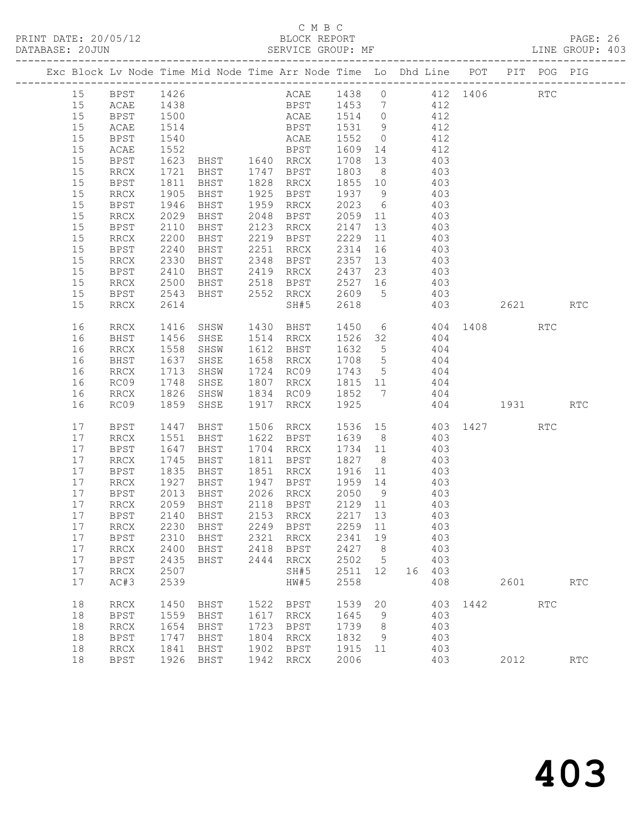#### C M B C<br>BLOCK REPORT SERVICE GROUP: MF

|  |    |             |                   | Exc Block Lv Node Time Mid Node Time Arr Node Time Lo Dhd Line POT PIT POG PIG |      |                                                  |             |                 |     |            |     |                  |            |                             |
|--|----|-------------|-------------------|--------------------------------------------------------------------------------|------|--------------------------------------------------|-------------|-----------------|-----|------------|-----|------------------|------------|-----------------------------|
|  | 15 | BPST 1426   |                   |                                                                                |      | ACAE 1438 0 412 1406 RTC                         |             |                 |     |            |     |                  |            |                             |
|  | 15 | ACAE        | 1438              |                                                                                |      | BPST 1453 7 412                                  |             |                 |     |            |     |                  |            |                             |
|  | 15 | <b>BPST</b> | 1500              |                                                                                |      | ACAE 1514 0                                      |             |                 | 412 |            |     |                  |            |                             |
|  | 15 | ACAE        | 1514              |                                                                                |      | <b>BPST</b>                                      | 1531 9      |                 |     | 412        |     |                  |            |                             |
|  | 15 | BPST        | 1540              |                                                                                |      | ACAE                                             | 1552 0      |                 |     | 412        |     |                  |            |                             |
|  | 15 | ACAE        | 1552              |                                                                                |      | <b>BPST</b>                                      | 1609 14     |                 | 412 |            |     |                  |            |                             |
|  | 15 | BPST        | 1623              | BHST 1640 RRCX                                                                 |      |                                                  | 1708 13     |                 | 403 |            |     |                  |            |                             |
|  | 15 | RRCX        | 1721              | BHST 1747 BPST                                                                 |      |                                                  | 1803 8      |                 |     | 403        |     |                  |            |                             |
|  | 15 | BPST        |                   | BHST                                                                           |      | 1828 RRCX                                        | 1855 10     |                 |     |            |     |                  |            |                             |
|  | 15 | RRCX        | 1811<br>1905      | BHST                                                                           |      | 1925 BPST 1937 9                                 |             |                 |     | 403<br>403 |     |                  |            |                             |
|  | 15 | BPST        | 1946              | BHST                                                                           |      | 1959 RRCX                                        | 2023 6      |                 | 403 |            |     |                  |            |                             |
|  | 15 | RRCX        | 2029              | BHST                                                                           | 2048 | <b>BPST</b>                                      | 2059 11     |                 | 403 |            |     |                  |            |                             |
|  | 15 | BPST        | 2110              | BHST                                                                           |      | 2123 RRCX                                        | 2147 13     |                 |     | 403        |     |                  |            |                             |
|  | 15 | RRCX        | 2200              | BHST                                                                           |      | $2219$ BPST                                      | 2229 11     |                 |     | 403        |     |                  |            |                             |
|  | 15 | BPST        | 2240              | BHST                                                                           |      | 2251 RRCX                                        | 2314        | 16              | 403 |            |     |                  |            |                             |
|  | 15 | RRCX        | 2330              | BHST                                                                           |      | 2348 BPST                                        | 2357 13     |                 | 403 |            |     |                  |            |                             |
|  | 15 | BPST        |                   |                                                                                |      |                                                  |             |                 |     | 403        |     |                  |            |                             |
|  | 15 | RRCX        | 2410<br>2500      |                                                                                |      | BHST 2419 RRCX 2437 23<br>BHST 2518 BPST 2527 16 |             |                 |     | 403        |     |                  |            |                             |
|  | 15 | BPST        | 2543              |                                                                                |      | BHST 2552 RRCX 2609 5 403                        |             |                 |     |            |     |                  |            |                             |
|  | 15 | RRCX        | 2614              |                                                                                |      | SH#5                                             | 2618        |                 |     |            | 403 | 2621 RTC         |            |                             |
|  |    |             |                   |                                                                                |      |                                                  |             |                 |     |            |     |                  |            |                             |
|  | 16 | RRCX        | 1416              | SHSW                                                                           |      | 1430 BHST 1450 6 404 1408 RTC                    |             |                 |     |            |     |                  |            |                             |
|  | 16 | BHST        | 1456              | SHSE                                                                           |      | 1514 RRCX                                        | 1526 32 404 |                 |     |            |     |                  |            |                             |
|  | 16 | RRCX        | 1558              | SHSW                                                                           |      | 1612 BHST                                        | 1632 5      |                 | 404 |            |     |                  |            |                             |
|  | 16 | BHST        | 1637              | SHSE                                                                           |      | 1658 RRCX                                        | 1708 5      |                 |     | 404        |     |                  |            |                             |
|  | 16 | RRCX        | 1637<br>1713      | SHSW                                                                           |      | 1724 RC09 1743 5                                 |             |                 |     | 404        |     |                  |            |                             |
|  | 16 | RC09        | $\frac{1}{1}$ 748 | SHSE                                                                           |      | 1807 RRCX 1815 11                                |             |                 | 404 |            |     |                  |            |                             |
|  | 16 | RRCX        |                   | 1826 SHSW                                                                      |      | 1834 RC09 1852 7 404                             |             |                 |     |            |     |                  |            |                             |
|  | 16 | RC09        | 1859              | SHSE                                                                           |      | 1917 RRCX                                        | 1925        |                 |     |            |     | 404 1931         |            | RTC                         |
|  | 17 | BPST        | 1447              | BHST                                                                           |      | 1506 RRCX                                        |             |                 |     |            |     | 1536 15 403 1427 | <b>RTC</b> |                             |
|  | 17 | RRCX        | 1551              | BHST                                                                           |      | 1622 BPST                                        | 1639 8      |                 | 403 |            |     |                  |            |                             |
|  | 17 | BPST        | 1647              | BHST                                                                           |      | 1704 RRCX                                        | 1734 11     |                 |     | 403        |     |                  |            |                             |
|  | 17 | RRCX        | 1745              | BHST                                                                           |      | 1811 BPST                                        | 1827 8      |                 |     | 403        |     |                  |            |                             |
|  | 17 | BPST        | $\frac{1}{1835}$  | BHST                                                                           |      | 1851 RRCX                                        | 1916 11     |                 |     | 403        |     |                  |            |                             |
|  | 17 | RRCX        | 1927              | BHST                                                                           |      | 1947 BPST 1959 14                                |             |                 | 403 |            |     |                  |            |                             |
|  | 17 | BPST        | 2013              | BHST                                                                           |      | 2026 RRCX 2050 9                                 |             |                 |     | 403        |     |                  |            |                             |
|  | 17 | RRCX        | 2059              | BHST                                                                           |      | 2118 BPST                                        | 2129 11     |                 |     | 403        |     |                  |            |                             |
|  | 17 | BPST        |                   | 2140 BHST                                                                      |      | 2153 RRCX                                        | 2217 13     |                 |     | 403        |     |                  |            |                             |
|  |    |             |                   | 17 RRCX 2230 BHST 2249 BPST 2259 11 403                                        |      |                                                  |             |                 |     |            |     |                  |            |                             |
|  | 17 | BPST        | 2310              | BHST                                                                           |      | 2321 RRCX                                        | 2341        | 19              |     | 403        |     |                  |            |                             |
|  | 17 | RRCX        | 2400              | BHST                                                                           |      | 2418 BPST                                        | 2427 8      |                 |     | 403        |     |                  |            |                             |
|  | 17 | BPST        | 2435              | BHST                                                                           |      | 2444 RRCX                                        | 2502        | $5\overline{)}$ |     | 403        |     |                  |            |                             |
|  | 17 | RRCX        | 2507              |                                                                                |      | SH#5                                             | 2511 12     |                 |     | 16 403     |     |                  |            |                             |
|  | 17 | AC#3        | 2539              |                                                                                |      | HW#5                                             | 2558        |                 |     | 408        |     | 2601             |            | RTC                         |
|  | 18 | RRCX        | 1450              | BHST                                                                           |      | 1522 BPST                                        | 1539        | 20              |     |            |     | 403 1442 RTC     |            |                             |
|  | 18 | <b>BPST</b> | 1559              | BHST                                                                           | 1617 | RRCX                                             | 1645        | 9               |     | 403        |     |                  |            |                             |
|  | 18 | RRCX        | 1654              | BHST                                                                           | 1723 | BPST                                             | 1739        | 8               |     | 403        |     |                  |            |                             |
|  | 18 | BPST        | 1747              | BHST                                                                           | 1804 | RRCX                                             | 1832        | 9               |     | 403        |     |                  |            |                             |
|  | 18 | RRCX        | 1841              | BHST                                                                           | 1902 | BPST                                             | 1915 11     |                 |     | 403        |     |                  |            |                             |
|  | 18 | <b>BPST</b> | 1926              | BHST                                                                           | 1942 | RRCX                                             | 2006        |                 |     | 403        |     | 2012             |            | $\mathop{\rm RTC}\nolimits$ |
|  |    |             |                   |                                                                                |      |                                                  |             |                 |     |            |     |                  |            |                             |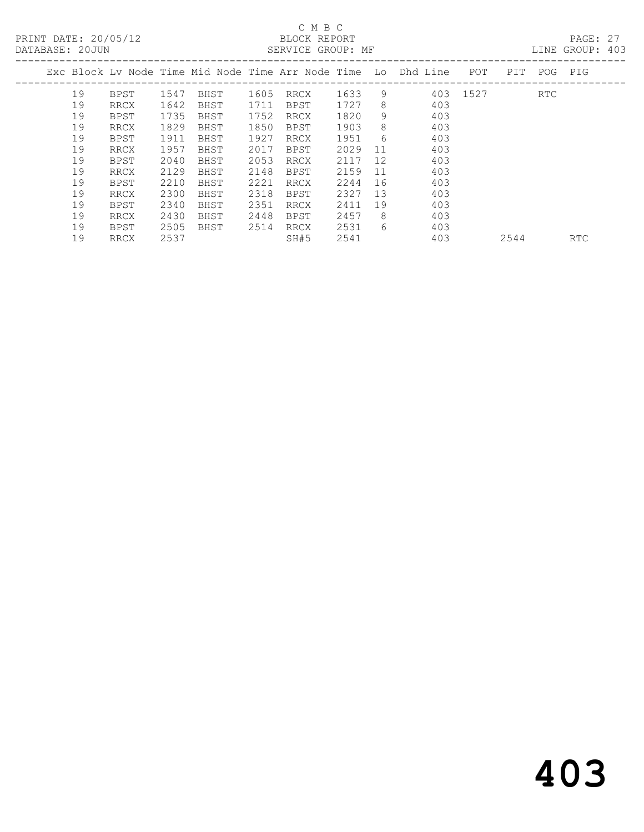#### C M B C<br>BLOCK REPORT SERVICE GROUP: MF

|    |             |      |      |      |             |      |    | Exc Block Ly Node Time Mid Node Time Arr Node Time Lo Dhd Line | POT      | PIT | POG        | PIG |
|----|-------------|------|------|------|-------------|------|----|----------------------------------------------------------------|----------|-----|------------|-----|
| 19 | BPST        | 1547 | BHST | 1605 | RRCX        | 1633 | 9  |                                                                | 403 1527 |     | <b>RTC</b> |     |
| 19 | RRCX        | 1642 | BHST | 1711 | BPST        | 1727 | 8  | 403                                                            |          |     |            |     |
| 19 | BPST        | 1735 | BHST | 1752 | <b>RRCX</b> | 1820 | 9  | 403                                                            |          |     |            |     |
| 19 | RRCX        | 1829 | BHST | 1850 | BPST        | 1903 | 8  | 403                                                            |          |     |            |     |
| 19 | BPST        | 1911 | BHST | 1927 | RRCX        | 1951 | 6  | 403                                                            |          |     |            |     |
| 19 | RRCX        | 1957 | BHST | 2017 | BPST        | 2029 | 11 | 403                                                            |          |     |            |     |
| 19 | BPST        | 2040 | BHST | 2053 | RRCX        | 2117 | 12 | 403                                                            |          |     |            |     |
| 19 | RRCX        | 2129 | BHST | 2148 | BPST        | 2159 | 11 | 403                                                            |          |     |            |     |
| 19 | <b>BPST</b> | 2210 | BHST | 2221 | <b>RRCX</b> | 2244 | 16 | 403                                                            |          |     |            |     |
| 19 | <b>RRCX</b> | 2300 | BHST | 2318 | <b>BPST</b> | 2327 | 13 | 403                                                            |          |     |            |     |
| 19 | BPST        | 2340 | BHST | 2351 | RRCX        | 2411 | 19 | 403                                                            |          |     |            |     |
| 19 | RRCX        | 2430 | BHST | 2448 | BPST        | 2457 | 8  | 403                                                            |          |     |            |     |
| 19 | BPST        | 2505 | BHST | 2514 | RRCX        | 2531 | 6  | 403                                                            |          |     |            |     |
|    |             |      |      |      |             |      |    |                                                                |          |     |            |     |

19 RRCX 2537 SH#5 2541 403 2544 RTC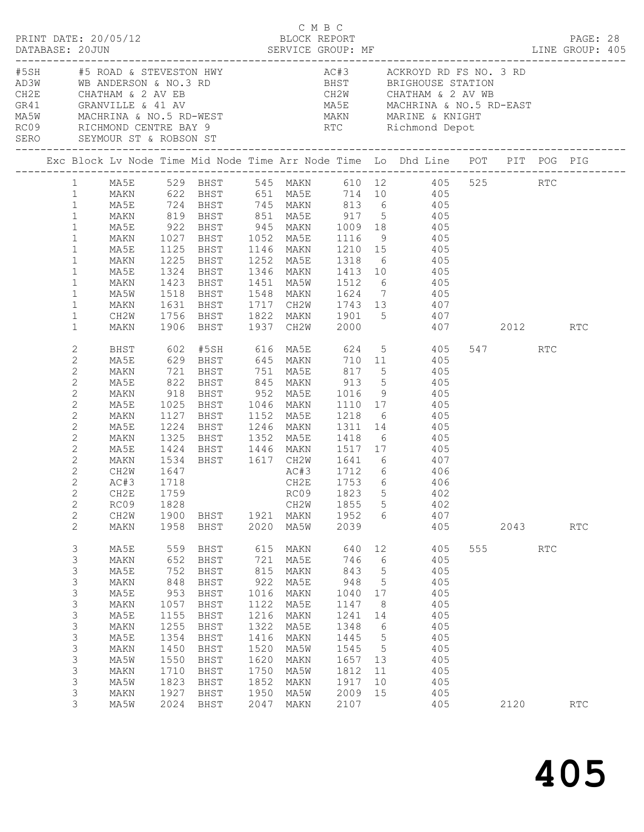|  | DATABASE: 20JUN                                                                                                                                                                                                                             | PRINT DATE: 20/05/12                                                                                                 |                                                                                                                 |                                                                                                                      |                                                                                                                  | BLOCK REPORT<br>TERROUP: MF                                                                                          |                                                                                                                  |                                                                                                                                                  | DATABASE: 20JUN SERVICE GROUP: MF LINE GROUP: 405                                                                                                                                                                                                                                                                                                                                                                                                                         |                 |            | PAGE: 28 |  |
|--|---------------------------------------------------------------------------------------------------------------------------------------------------------------------------------------------------------------------------------------------|----------------------------------------------------------------------------------------------------------------------|-----------------------------------------------------------------------------------------------------------------|----------------------------------------------------------------------------------------------------------------------|------------------------------------------------------------------------------------------------------------------|----------------------------------------------------------------------------------------------------------------------|------------------------------------------------------------------------------------------------------------------|--------------------------------------------------------------------------------------------------------------------------------------------------|---------------------------------------------------------------------------------------------------------------------------------------------------------------------------------------------------------------------------------------------------------------------------------------------------------------------------------------------------------------------------------------------------------------------------------------------------------------------------|-----------------|------------|----------|--|
|  |                                                                                                                                                                                                                                             | SERO SEYMOUR ST & ROBSON ST                                                                                          |                                                                                                                 |                                                                                                                      |                                                                                                                  |                                                                                                                      |                                                                                                                  |                                                                                                                                                  | RC09 RICHMOND CENTRE BAY 9 RTC Richmond Depot                                                                                                                                                                                                                                                                                                                                                                                                                             |                 |            |          |  |
|  |                                                                                                                                                                                                                                             |                                                                                                                      |                                                                                                                 |                                                                                                                      |                                                                                                                  |                                                                                                                      |                                                                                                                  |                                                                                                                                                  | Exc Block Lv Node Time Mid Node Time Arr Node Time Lo Dhd Line POT PIT POG PIG                                                                                                                                                                                                                                                                                                                                                                                            |                 |            |          |  |
|  | $\mathbf{1}$<br>$\mathbf{1}$<br>$\mathbf{1}$<br>$\mathbf{1}$<br>$\mathbf{1}$<br>$\mathbf{1}$<br>$\mathbf{1}$<br>$\mathbf{1}$                                                                                                                | MA5E<br>MAKN<br>MA5E<br>MAKN<br>MA5W<br>MAKN                                                                         |                                                                                                                 |                                                                                                                      |                                                                                                                  |                                                                                                                      |                                                                                                                  |                                                                                                                                                  | 1 MA5E 529 BHST 545 MAKN 610 12 405 525 RTC<br>1 MAKN 622 BHST 651 MA5E 714 10 405<br>1 MA5E 724 BHST 745 MAKN 813 6 405<br>1 MAKN 819 BHST 851 MAEH 917 5 405<br>922 BHST 945 MAKN 1009 18 405<br>MAKN 1027 BHST 1052 MA5E 1116 9 405<br>MA5E 1125 BHST 1146 MAKN 1210 15 405<br>1225 BHST 1252 MA5E 1318 6 405<br>1324 BHST 1346 MAKN 1413 10 405<br>1423 BHST 1451 MA5W 1512 6 405<br>1518 BHST 1548 MAKN 1624 7 405<br>1631 BHST 1717 CH2W 1743 13 407                |                 |            |          |  |
|  | $\mathbf{1}$<br>$\mathbf{1}$                                                                                                                                                                                                                | CH2W<br>MAKN                                                                                                         |                                                                                                                 | 1906 BHST                                                                                                            |                                                                                                                  | 1937 CH2W                                                                                                            |                                                                                                                  |                                                                                                                                                  | 1756 BHST 1822 MAKN 1901 5 407<br>2000 407 2012                                                                                                                                                                                                                                                                                                                                                                                                                           |                 |            | RTC      |  |
|  | $\mathbf{2}$<br>$\mathbf{2}$<br>$\mathbf{2}$<br>$\mathbf{2}$<br>$\mathbf{2}$<br>$\mathbf{2}$<br>$\mathbf{2}$<br>$\mathbf{2}$<br>2<br>$\mathbf{2}$<br>2<br>$\mathbf{2}$<br>$\mathbf{2}$<br>$\mathbf{2}$<br>$\mathbf{2}$<br>$\mathbf{2}$<br>2 | MA5E<br>MAKN<br>MA5E<br>MAKN<br>MA5E<br>MAKN<br>MA5E<br>MAKN<br>MA5E<br>MAKN<br>CH2W<br>AC#3<br>RC09<br>CH2W<br>MAKN | 1534<br>1647<br>1718<br>1828<br>1958                                                                            | 1900 BHST<br>BHST                                                                                                    |                                                                                                                  | CH2W<br>1921 MAKN<br>2020 MA5W                                                                                       | 1855<br>1952<br>2039                                                                                             | $5\overline{)}$<br>6                                                                                                                             | BHST 602 #5SH 616 MA5E 624 5 405<br>629 BHST 645 MAKN 710 11 405<br>721 BHST 751 MA5E 817 5 405<br>822 BHST 845 MAKN 913 5 405<br>918 BHST 952 MA5E 1016 9 405<br>1025 BHST 1046 MAKN 1110 17 405<br>1127 BHST 1152 MA5E 1218 6 405<br>1224 BHST 1246 MAKN 1311 14      405<br>1325 BHST 1352 MA5E 1418 6     405<br>1424 BHST 1446 MAKN 1517 17 405<br>BHST 1617 CH2W 1641 6 407<br>AC#3 1712 6 406<br>CH2E 1753 6 406<br>CH2E 1759 RC09 1823 5 402<br>402<br>407<br>405 | 547 RTC<br>2043 |            | RTC      |  |
|  | 3<br>3<br>3<br>3<br>3<br>3<br>3<br>3<br>$\mathsf 3$<br>3<br>$\mathsf 3$<br>3<br>3<br>3<br>3                                                                                                                                                 | MA5E<br>MAKN<br>MA5E<br>MAKN<br>MA5E<br>MAKN<br>MA5E<br>MAKN<br>MA5E<br>MAKN<br>MA5W<br>MAKN<br>MA5W<br>MAKN<br>MA5W | 559<br>652<br>752<br>848<br>953<br>1057<br>1155<br>1255<br>1354<br>1450<br>1550<br>1710<br>1823<br>1927<br>2024 | BHST<br>BHST<br>BHST<br>BHST<br>BHST<br>BHST<br>BHST<br>BHST<br>BHST<br>BHST<br>BHST<br>BHST<br>BHST<br>BHST<br>BHST | 615<br>721<br>815<br>922<br>1016<br>1122<br>1216<br>1322<br>1416<br>1520<br>1620<br>1750<br>1852<br>1950<br>2047 | MAKN<br>MA5E<br>MAKN<br>MA5E<br>MAKN<br>MA5E<br>MAKN<br>MA5E<br>MAKN<br>MA5W<br>MAKN<br>MA5W<br>MAKN<br>MA5W<br>MAKN | 640<br>746<br>843<br>948<br>1040<br>1147<br>1241<br>1348<br>1445<br>1545<br>1657<br>1812<br>1917<br>2009<br>2107 | 12<br>6<br>$5\phantom{.0}$<br>$5^{\circ}$<br>17<br>8 <sup>8</sup><br>14<br>$6\overline{6}$<br>$5^{\circ}$<br>$5^{\circ}$<br>13<br>11<br>10<br>15 | 405<br>405<br>405<br>405<br>405<br>405<br>405<br>405<br>405<br>405<br>405<br>405<br>405<br>405<br>405                                                                                                                                                                                                                                                                                                                                                                     | 555 000<br>2120 | <b>RTC</b> | RTC      |  |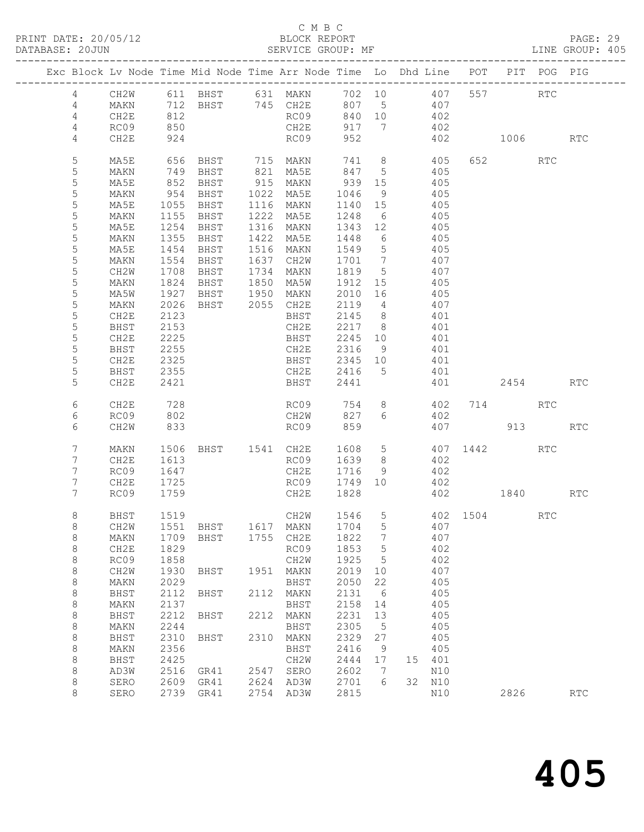#### C M B C<br>BLOCK REPORT

SERVICE GROUP: MF

|                  | Exc Block Lv Node Time Mid Node Time Arr Node Time Lo Dhd Line POT PIT POG PIG |      |           |                                            |           |      |                             |                 |       |            |                          |          |     |                             |
|------------------|--------------------------------------------------------------------------------|------|-----------|--------------------------------------------|-----------|------|-----------------------------|-----------------|-------|------------|--------------------------|----------|-----|-----------------------------|
| $4\overline{ }$  | CH2W                                                                           |      |           | 611 BHST 631 MAKN 702 10 407 557 RTC       |           |      |                             |                 |       |            |                          |          |     |                             |
| $\overline{4}$   | MAKN                                                                           |      |           | 712 BHST 745 CH2E 807 5 407                |           |      |                             |                 |       |            |                          |          |     |                             |
| 4                | CH2E                                                                           | 812  |           |                                            |           |      | RC09 840 10                 |                 | 402   |            |                          |          |     |                             |
| 4                | RC09                                                                           | 850  |           |                                            | CH2E      |      | 917                         | $\overline{7}$  | 402   |            |                          |          |     |                             |
| $\overline{4}$   | CH2E                                                                           | 924  |           |                                            |           | RC09 | 952                         |                 |       |            | 402 1006                 |          |     | <b>RTC</b>                  |
|                  |                                                                                |      |           |                                            |           |      |                             |                 |       |            |                          |          |     |                             |
| 5                | MA5E                                                                           | 656  |           | BHST 715 MAKN                              |           |      | 741                         |                 | 8 405 |            |                          | 652 000  | RTC |                             |
| 5                | MAKN                                                                           |      |           | 821 MA5E                                   |           |      | 847 5                       |                 |       | 405        |                          |          |     |                             |
| 5                | MA5E                                                                           |      |           |                                            |           |      | 939<br>1046                 | 15              |       | 405        |                          |          |     |                             |
| $\mathsf S$      | MAKN                                                                           |      |           |                                            |           |      |                             | 9               |       | 405        |                          |          |     |                             |
| 5                | MA5E                                                                           |      |           | 1055 BHST 1116 MAKN                        |           |      | 1140 15                     |                 | 405   |            |                          |          |     |                             |
| 5                | MAKN                                                                           | 1155 | BHST      | 1222 MA5E                                  |           |      | 1248                        | $6\overline{6}$ |       | 405        |                          |          |     |                             |
| $\mathsf S$      | MA5E                                                                           | 1254 | BHST      | 1316 MAKN<br>1422 MA5E                     |           |      | 1343 12<br>1448 6           |                 |       | 405        |                          |          |     |                             |
| $\mathsf S$      | MAKN                                                                           |      | 1355 BHST |                                            |           |      | 1549                        | $5\overline{)}$ | 405   | 405        |                          |          |     |                             |
| 5                | MA5E                                                                           |      | 1454 BHST | 1516 MAKN                                  |           |      |                             | $7\overline{)}$ |       |            |                          |          |     |                             |
| $\mathsf S$<br>5 | MAKN                                                                           | 1554 | BHST      | 1637 CH2W                                  |           |      | 1701                        |                 |       | 407        |                          |          |     |                             |
| $\mathsf S$      | CH2W<br>MAKN                                                                   |      |           | 1708 BHST 1734 MAKN<br>1824 BHST 1850 MA5W |           |      | 1819 5<br>1912 15           |                 |       | 407<br>405 |                          |          |     |                             |
| 5                | MA5W                                                                           |      |           | 1927 BHST 1950 MAKN                        |           |      | 2010 16                     |                 | 405   |            |                          |          |     |                             |
| $\mathsf S$      | MAKN                                                                           | 2026 |           | BHST 2055 CH2E                             |           |      | 2119 4                      |                 |       | 407        |                          |          |     |                             |
| 5                | CH2E                                                                           | 2123 |           |                                            | BHST      |      |                             |                 |       | 401        |                          |          |     |                             |
| $\mathsf S$      | BHST                                                                           | 2153 |           |                                            | CH2E      |      | $2145$ 8<br>2217 8          |                 |       | 401        |                          |          |     |                             |
| $\mathsf S$      | CH2E                                                                           | 2225 |           |                                            | BHST      |      | 2245 10                     |                 | 401   |            |                          |          |     |                             |
| 5                | BHST                                                                           | 2255 |           |                                            |           |      | CH2E 2316                   | 9               | 401   |            |                          |          |     |                             |
| 5                | CH2E                                                                           | 2325 |           |                                            |           |      |                             |                 |       | 401        |                          |          |     |                             |
| $\mathsf S$      | BHST                                                                           | 2355 |           |                                            |           |      | BHST 2345 10<br>CH2E 2416 5 |                 |       | 401        |                          |          |     |                             |
| 5                | CH2E                                                                           | 2421 |           |                                            |           | BHST | 2441                        |                 |       |            | 401                      | 2454 RTC |     |                             |
|                  |                                                                                |      |           |                                            |           |      |                             |                 |       |            |                          |          |     |                             |
| 6                | CH2E                                                                           | 728  |           |                                            |           |      | RC09 754                    | 8               |       | 402        |                          | 714 RTC  |     |                             |
| 6                | RC09                                                                           | 802  |           |                                            | CH2W      |      | 827                         | 6               |       | 402        |                          |          |     |                             |
| 6                | CH2W                                                                           | 833  |           |                                            |           |      | RC09 859                    |                 |       |            | 407 913                  |          |     | $\mathop{\rm RTC}\nolimits$ |
|                  |                                                                                |      |           |                                            |           |      |                             |                 |       |            |                          |          |     |                             |
| 7                | MAKN                                                                           | 1506 |           | BHST 1541 CH2E                             |           |      | 1608                        | $5\overline{)}$ |       |            | 407 1442                 |          | RTC |                             |
| $7\overline{ }$  | CH2E                                                                           | 1613 |           |                                            |           |      | RC09 1639                   | 8 <sup>8</sup>  |       | 402        |                          |          |     |                             |
| 7                | RC09                                                                           | 1647 |           |                                            | CH2E      |      | 1716                        | 9               |       | 402        |                          |          |     |                             |
| $7\phantom{.0}$  | CH2E                                                                           | 1725 |           |                                            |           |      | RC09 1749 10                |                 |       | 402        |                          |          |     |                             |
| 7                | RC09                                                                           | 1759 |           |                                            |           |      | CH2E 1828                   |                 |       |            | 402 1840 RTC             |          |     |                             |
| 8                | BHST                                                                           | 1519 |           |                                            |           |      |                             |                 |       |            | CH2W 1546 5 402 1504 RTC |          |     |                             |
| 8                |                                                                                |      |           | CH2W 1551 BHST 1617 MAKN 1704 5 407        |           |      |                             |                 |       |            |                          |          |     |                             |
| 8                | MAKN                                                                           | 1709 | BHST      |                                            | 1755 CH2E |      | 1822                        | $\overline{7}$  |       | 407        |                          |          |     |                             |
| $\,8\,$          | CH2E                                                                           | 1829 |           |                                            | RC09      |      | 1853                        | $5\overline{)}$ |       | 402        |                          |          |     |                             |
| 8                | RC09                                                                           | 1858 |           |                                            | CH2W      |      | 1925                        | $5^{\circ}$     |       | 402        |                          |          |     |                             |
| 8                | CH2W                                                                           | 1930 | BHST      |                                            | 1951 MAKN |      | 2019                        | 10              |       | 407        |                          |          |     |                             |
| 8                | MAKN                                                                           | 2029 |           |                                            | BHST      |      | 2050                        | 22              |       | 405        |                          |          |     |                             |
| $\,8\,$          | BHST                                                                           | 2112 | BHST      |                                            | 2112 MAKN |      | 2131                        | 6               |       | 405        |                          |          |     |                             |
| $\,8\,$          | MAKN                                                                           | 2137 |           |                                            | BHST      |      | 2158                        | 14              |       | 405        |                          |          |     |                             |
| 8                | BHST                                                                           | 2212 | BHST      | 2212 MAKN                                  |           |      | 2231                        | 13              |       | 405        |                          |          |     |                             |
| 8                | MAKN                                                                           | 2244 |           |                                            | BHST      |      | 2305                        | $5^{\circ}$     |       | 405        |                          |          |     |                             |
| 8                | BHST                                                                           | 2310 | BHST      |                                            | 2310 MAKN |      | 2329                        | 27              |       | 405        |                          |          |     |                             |
| 8                | MAKN                                                                           | 2356 |           |                                            | BHST      |      | 2416                        | 9               |       | 405        |                          |          |     |                             |
| $\,8\,$          | BHST                                                                           | 2425 |           |                                            | CH2W      |      | 2444                        | 17              |       | 15 401     |                          |          |     |                             |
| 8                | AD3W                                                                           | 2516 | GR41      | 2547 SERO                                  |           |      | 2602                        | $\overline{7}$  |       | N10        |                          |          |     |                             |
| 8                | SERO                                                                           | 2609 | GR41      | 2624 AD3W                                  |           |      | 2701                        | 6               |       | 32 N10     |                          |          |     |                             |
| 8                | SERO                                                                           |      | 2739 GR41 |                                            | 2754 AD3W |      | 2815                        |                 |       | N10        |                          | 2826     |     | RTC                         |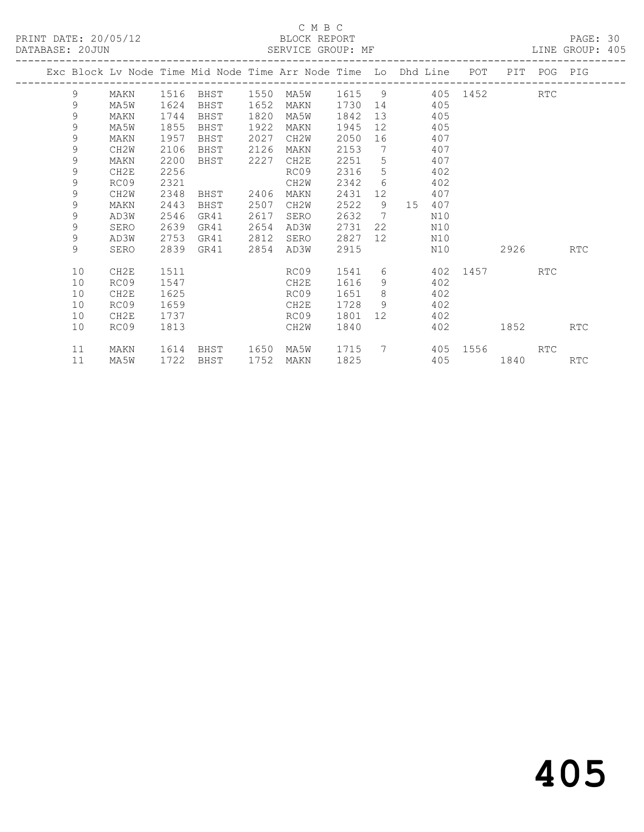#### C M B C<br>BLOCK REPORT SERVICE GROUP: MF

|  |             |                  |      |      |      | Exc Block Lv Node Time Mid Node Time Arr Node Time Lo Dhd Line POT |        |                 |    |     |          | PIT POG  |     | PIG        |
|--|-------------|------------------|------|------|------|--------------------------------------------------------------------|--------|-----------------|----|-----|----------|----------|-----|------------|
|  | 9           | MAKN             | 1516 | BHST | 1550 | MA5W                                                               | 1615 9 |                 |    |     |          | 405 1452 | RTC |            |
|  | $\mathsf 9$ | MA5W             | 1624 | BHST | 1652 | MAKN                                                               | 1730   | 14              |    | 405 |          |          |     |            |
|  | 9           | MAKN             | 1744 | BHST | 1820 | MA5W                                                               | 1842   | 13              |    | 405 |          |          |     |            |
|  | 9           | MA5W             | 1855 | BHST | 1922 | MAKN                                                               | 1945   | 12 <sup>°</sup> |    | 405 |          |          |     |            |
|  | $\mathsf 9$ | MAKN             | 1957 | BHST | 2027 | CH2W                                                               | 2050   | 16              |    | 407 |          |          |     |            |
|  | $\mathsf 9$ | CH2W             | 2106 | BHST | 2126 | MAKN                                                               | 2153   | 7               |    | 407 |          |          |     |            |
|  | 9           | MAKN             | 2200 | BHST | 2227 | CH2E                                                               | 2251   | 5               |    | 407 |          |          |     |            |
|  | $\mathsf 9$ | CH2E             | 2256 |      |      | RC09                                                               | 2316   | 5               |    | 402 |          |          |     |            |
|  | 9           | RC09             | 2321 |      |      | CH <sub>2</sub> W                                                  | 2342   | 6               |    | 402 |          |          |     |            |
|  | 9           | CH2W             | 2348 | BHST | 2406 | MAKN                                                               | 2431   | 12              |    | 407 |          |          |     |            |
|  | 9           | MAKN             | 2443 | BHST | 2507 | CH <sub>2</sub> W                                                  | 2522   | 9               | 15 | 407 |          |          |     |            |
|  | 9           | AD3W             | 2546 | GR41 | 2617 | SERO                                                               | 2632   | $\overline{7}$  |    | N10 |          |          |     |            |
|  | 9           | SERO             | 2639 | GR41 | 2654 | AD3W                                                               | 2731   | 22              |    | N10 |          |          |     |            |
|  | $\mathsf 9$ | AD3W             | 2753 | GR41 | 2812 | SERO                                                               | 2827   | 12 <sup>°</sup> |    | N10 |          |          |     |            |
|  | 9           | SERO             | 2839 | GR41 | 2854 | AD3W                                                               | 2915   |                 |    | N10 |          | 2926     |     | <b>RTC</b> |
|  | 10          | CH <sub>2E</sub> | 1511 |      |      | RC09                                                               | 1541   | 6               |    |     | 402 1457 |          | RTC |            |
|  | 10          | RC09             | 1547 |      |      | CH2E                                                               | 1616   | 9               |    | 402 |          |          |     |            |
|  | 10          | CH2E             | 1625 |      |      | RC09                                                               | 1651   | 8               |    | 402 |          |          |     |            |
|  | 10          | RC09             | 1659 |      |      | CH2E                                                               | 1728   | -9              |    | 402 |          |          |     |            |
|  | 10          | CH <sub>2E</sub> | 1737 |      |      | RC09                                                               | 1801   | 12 <sup>7</sup> |    | 402 |          |          |     |            |
|  | 10          | RC09             | 1813 |      |      | CH2W                                                               | 1840   |                 |    | 402 |          | 1852     |     | RTC        |
|  |             |                  |      |      |      |                                                                    |        |                 |    |     |          |          |     |            |
|  | 11          | MAKN             | 1614 | BHST | 1650 | MA5W                                                               | 1715   | $7\phantom{0}$  |    |     |          | 405 1556 | RTC |            |
|  | 11          | MA5W             | 1722 | BHST | 1752 | MAKN                                                               | 1825   |                 |    |     |          | 405 1840 |     | <b>RTC</b> |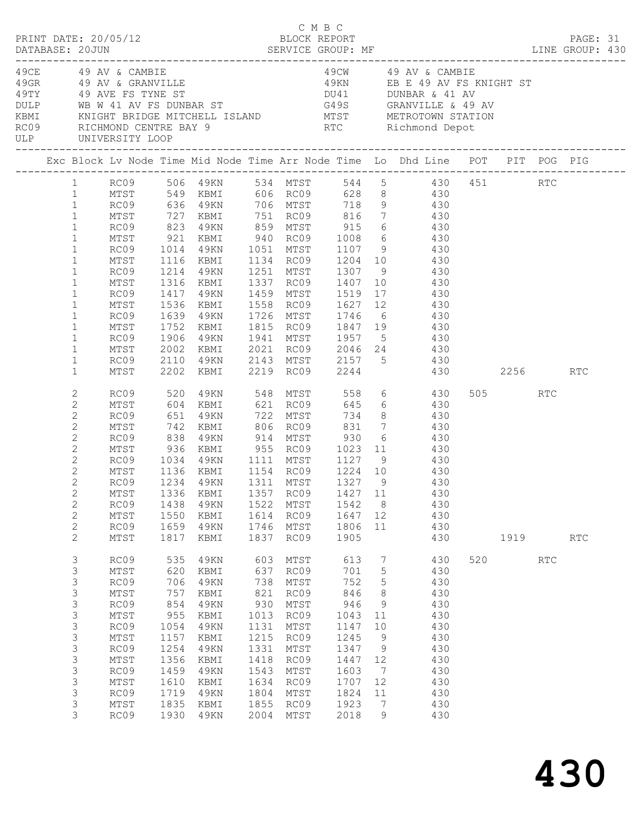|                                                                                                                                                                                                                                  |                                                                                                                                         |                                                                                                                        |                                                                                                                                                              |                                                                                                                         |                                                                                                                              |                                                                                                                         |                                                                                                                                                  |                                                                                                                                                                                                                                                                                                                                                                                                                                                                                                                                                          |     |      |            | PAGE: 31 |  |
|----------------------------------------------------------------------------------------------------------------------------------------------------------------------------------------------------------------------------------|-----------------------------------------------------------------------------------------------------------------------------------------|------------------------------------------------------------------------------------------------------------------------|--------------------------------------------------------------------------------------------------------------------------------------------------------------|-------------------------------------------------------------------------------------------------------------------------|------------------------------------------------------------------------------------------------------------------------------|-------------------------------------------------------------------------------------------------------------------------|--------------------------------------------------------------------------------------------------------------------------------------------------|----------------------------------------------------------------------------------------------------------------------------------------------------------------------------------------------------------------------------------------------------------------------------------------------------------------------------------------------------------------------------------------------------------------------------------------------------------------------------------------------------------------------------------------------------------|-----|------|------------|----------|--|
|                                                                                                                                                                                                                                  | 49CE 49 AV & CAMBIE<br>ULP UNIVERSITY LOOP                                                                                              |                                                                                                                        |                                                                                                                                                              |                                                                                                                         |                                                                                                                              |                                                                                                                         |                                                                                                                                                  | 49CW 49 AV & CAMBIE                                                                                                                                                                                                                                                                                                                                                                                                                                                                                                                                      |     |      |            |          |  |
|                                                                                                                                                                                                                                  |                                                                                                                                         |                                                                                                                        |                                                                                                                                                              |                                                                                                                         |                                                                                                                              |                                                                                                                         |                                                                                                                                                  |                                                                                                                                                                                                                                                                                                                                                                                                                                                                                                                                                          |     |      |            |          |  |
| 1<br>$\mathbf{1}$<br>$\mathbf{1}$<br>$\mathbf{1}$<br>$\mathbf{1}$<br>$\mathbf{1}$<br>$\mathbf{1}$<br>$\mathbf{1}$<br>$\mathbf{1}$<br>$\mathbf{1}$<br>$\mathbf{1}$<br>$\mathbf{1}$<br>$\mathbf{1}$<br>$\mathbf{1}$<br>$\mathbf 1$ | MTST<br>RC09<br>MTST 921<br>RC09 1014<br>MTST<br>MTST<br>RC09<br>MTST<br>RC09<br>MTST<br>RC09<br>MTST<br>RC09<br>MTST                   | 1116<br>1214<br>1316<br>1417<br>1536<br>1639<br>1752<br>1906<br>2002                                                   | KBMI<br>49KN<br>KBMI                                                                                                                                         |                                                                                                                         |                                                                                                                              |                                                                                                                         |                                                                                                                                                  | 1 RC09 506 49KN 534 MTST 544 5 430 451 RTC<br>MTST 549 KBMI 606 RC09 628 8     430<br>RC09    636  49KN    706  MTST     718   9         430<br>727 KBMI 751 RC09 816 7 430<br>823 49KN 859 MTST 915 6 430<br>921 KBMI 940 RC09 1008 6 430<br>1014 49KN 1051 MTST 1107 9 430<br>KBMI 1134 RC09 1204 10 430<br>49KN 1251 MTST 1307 9 430<br>1337 RC09 1407 10 430<br>1459 MTST 1519 17 430<br>KBMI 1558 RC09 1627 12 430<br>49KN 1726 MTST 1746 6 430<br>KBMI 1815 RC09 1847 19       430<br>49KN 1941 MTST 1957 5     430<br>$2021$ RC09 $2046$ 24 $430$ |     |      |            |          |  |
| $\mathbf{1}$<br>$\mathbf{1}$                                                                                                                                                                                                     | RC09<br>MTST                                                                                                                            | 2110<br>2202                                                                                                           |                                                                                                                                                              |                                                                                                                         |                                                                                                                              |                                                                                                                         |                                                                                                                                                  | 49KN 2143 MTST 2157 5 430<br>KBMI 2219 RC09 2244 430 2256 RTC                                                                                                                                                                                                                                                                                                                                                                                                                                                                                            |     |      |            |          |  |
| 2<br>$\mathbf{2}$<br>2<br>$\overline{c}$<br>2<br>$\mathbf{2}$<br>$\mathbf{2}$<br>$\mathbf{2}$<br>2<br>$\mathbf{2}$<br>$\mathbf{2}$<br>$\mathbf{2}$<br>$\mathbf{2}$                                                               | RC09<br>MTST<br>RC09<br>MTST<br>RC09<br>MTST<br>RC09<br>MTST<br>RC09<br>RC09<br>MTST<br>RC09                                            | 520<br>651<br>742<br>838<br>936<br>1034<br>1438<br>1550<br>1659                                                        | 49KN 548 MTST<br>604 KBMI 621 RC09<br>49KN<br>1136 KBMI     1154   RC09      1224   10<br>1234   49KN      1311   MTST     1327    9<br>49KN<br>KBMI<br>49KN |                                                                                                                         | 722 MTST<br>1522 MTST<br>1614 RC09<br>1746 MTST                                                                              | 1542<br>1647 12<br>1806                                                                                                 | 8 <sup>8</sup><br>11                                                                                                                             | 558 6 430<br>645 6 430<br>734 8 430<br>XBMI 806 RC09 831 7 430<br>49KN 914 MTST 930 6 430<br>KBMI 955 RC09 1023 11 430<br>49KN 1111 MTST 1127 9 430<br>430<br>430<br>MTST 1336 KBMI 1357 RC09 1427 11 430<br>430<br>430<br>430                                                                                                                                                                                                                                                                                                                           |     | 505  | RTC        |          |  |
| 2<br>3<br>3<br>3<br>3<br>$\mathsf 3$<br>$\mathsf 3$<br>$\mathsf 3$<br>3<br>$\mathsf 3$<br>$\mathsf 3$<br>3<br>3<br>3<br>3<br>3                                                                                                   | MTST<br>RC09<br>MTST<br>RC09<br>MTST<br>RC09<br>$\mathtt{MTST}$<br>RC09<br>MTST<br>RC09<br>MTST<br>RC09<br>MTST<br>RC09<br>MTST<br>RC09 | 1817<br>535<br>620<br>706<br>757<br>854<br>955<br>1054<br>1157<br>1254<br>1356<br>1459<br>1610<br>1719<br>1835<br>1930 | KBMI<br>49KN<br>KBMI<br>49KN<br>KBMI<br>49KN<br>KBMI<br>49KN<br>KBMI<br>49KN<br>KBMI<br>49KN<br>KBMI<br>49KN<br>KBMI<br>49KN                                 | 1837<br>603<br>637<br>738<br>821<br>930<br>1013<br>1131<br>1215<br>1331<br>1418<br>1543<br>1634<br>1804<br>1855<br>2004 | RC09<br>MTST<br>RC09<br>MTST<br>RC09<br>MTST<br>RC09<br>MTST<br>RC09<br>MTST<br>RC09<br>MTST<br>RC09<br>MTST<br>RC09<br>MTST | 1905<br>613<br>701<br>752<br>846<br>946<br>1043<br>1147<br>1245<br>1347<br>1447<br>1603<br>1707<br>1824<br>1923<br>2018 | $\overline{7}$<br>$5\phantom{.0}$<br>5<br>8<br>9<br>11<br>10<br>9<br>9<br>12<br>$7\phantom{.0}$<br>12<br>11<br>$7\phantom{.0}\phantom{.0}7$<br>9 | 430<br>430<br>430<br>430<br>430<br>430<br>430<br>430<br>430<br>430<br>430<br>430<br>430<br>430<br>430<br>430                                                                                                                                                                                                                                                                                                                                                                                                                                             | 520 | 1919 | <b>RTC</b> | RTC      |  |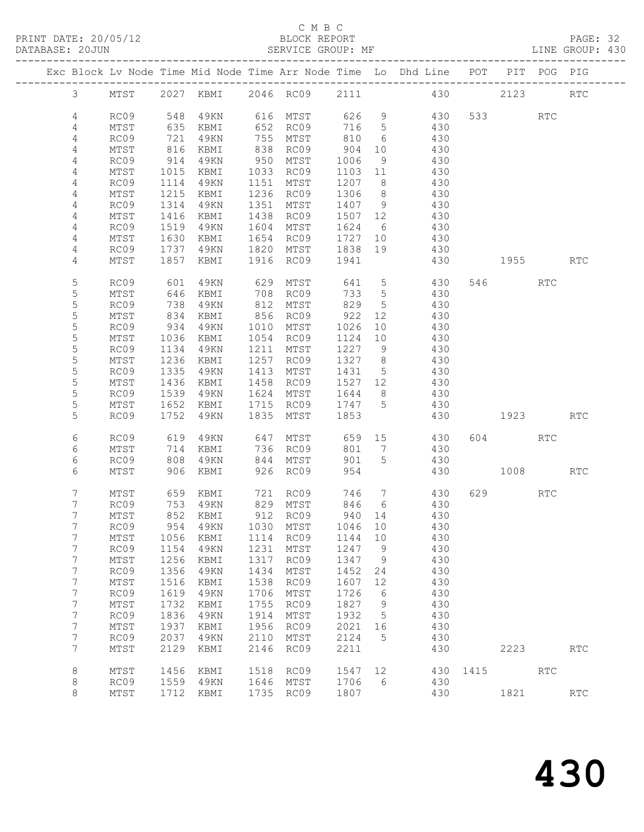PRINT DATE: 20/05/12 BLOCK REPORT PAGE: 32 DATABASE: 20JUN SERVICE GROUP: MF LINE GROUP: 430

#### C M B C

|                |      |      |            |      |                  |         |                 | Exc Block Lv Node Time Mid Node Time Arr Node Time Lo Dhd Line POT |      |          | PIT POG PIG |            |
|----------------|------|------|------------|------|------------------|---------|-----------------|--------------------------------------------------------------------|------|----------|-------------|------------|
| $\mathcal{S}$  |      |      |            |      |                  |         |                 | MTST 2027 KBMI 2046 RC09 2111 430                                  |      | 2123     |             | <b>RTC</b> |
| 4              | RC09 | 548  | 4 9 K N    |      |                  |         |                 | 616 MTST 626 9 430                                                 |      | 533 RTC  |             |            |
| 4              | MTST | 635  | KBMI       |      | 652 RC09         | 716 5   |                 | 430                                                                |      |          |             |            |
| 4              | RC09 | 721  | 49KN       |      | 755 MTST         | 810     | 6               | 430                                                                |      |          |             |            |
| $\overline{4}$ | MTST | 816  | KBMI       |      | 838 RC09         | 904     | 10              | 430                                                                |      |          |             |            |
| 4              | RC09 | 914  | 49KN       |      | 950 MTST         | 1006    | 9               | 430                                                                |      |          |             |            |
| 4              | MTST | 1015 | KBMI       |      | 1033 RC09        | 1103 11 |                 | 430                                                                |      |          |             |            |
| 4              | RC09 | 1114 | 49KN       | 1151 | MTST             | 1207 8  |                 | 430                                                                |      |          |             |            |
| 4              | MTST | 1215 | KBMI       |      | 1236 RC09        | 1306 8  |                 | 430                                                                |      |          |             |            |
| 4              | RC09 | 1314 | 49KN       | 1351 | MTST             | 1407 9  |                 | 430                                                                |      |          |             |            |
| 4              | MTST | 1416 | KBMI       | 1438 | RC09             | 1507 12 |                 | 430                                                                |      |          |             |            |
| 4              | RC09 | 1519 | 49KN       | 1604 | MTST             | 1624    | 6               | 430                                                                |      |          |             |            |
| 4              | MTST | 1630 | KBMI       |      | 1654 RC09        | 1727 10 |                 | 430                                                                |      |          |             |            |
| 4              | RC09 | 1737 | 49KN       | 1820 | MTST             | 1838    | 19              | 430                                                                |      |          |             |            |
| 4              | MTST | 1857 | KBMI       |      | 1916 RC09        | 1941    |                 | 430                                                                |      | 1955     |             | <b>RTC</b> |
|                |      |      |            |      |                  |         |                 |                                                                    |      |          |             |            |
| 5              | RC09 | 601  | 49KN       | 629  | MTST             | 641 5   |                 | 430                                                                |      | 546 RTC  |             |            |
| 5              | MTST | 646  | KBMI       | 708  | RC09             | 733     | $5\overline{)}$ | 430                                                                |      |          |             |            |
| 5              | RC09 | 738  | 49KN       | 812  | MTST             | 829     | $5\overline{)}$ | 430                                                                |      |          |             |            |
| 5              | MTST | 834  | KBMI       | 856  | RC09             | 922     | 12              | 430                                                                |      |          |             |            |
| 5              | RC09 | 934  | 49KN       |      | 1010 MTST        | 1026    | 10              | 430                                                                |      |          |             |            |
| 5              | MTST | 1036 | KBMI       |      | 1054 RC09        | 1124    | 10              | 430                                                                |      |          |             |            |
| 5              | RC09 | 1134 | 49KN       | 1211 | MTST             | 1227 9  |                 | 430                                                                |      |          |             |            |
| 5              | MTST | 1236 | KBMI       | 1257 | RC09             | 1327 8  |                 | 430                                                                |      |          |             |            |
| $\mathsf S$    | RC09 | 1335 | 49KN       |      | 1413 MTST        | 1431 5  |                 | 430                                                                |      |          |             |            |
| $\mathsf S$    | MTST | 1436 | KBMI       |      | 1458 RC09        | 1527 12 |                 | 430                                                                |      |          |             |            |
| 5              | RC09 | 1539 | 49KN       |      | 1624 MTST        | 1644 8  |                 | 430                                                                |      |          |             |            |
| 5              | MTST | 1652 | KBMI       |      | 1715 RC09 1747 5 |         |                 | 430                                                                |      |          |             |            |
| 5              | RC09 | 1752 | 49KN       |      | 1835 MTST        | 1853    |                 | 430                                                                |      | 1923 RTC |             |            |
|                |      |      |            |      |                  |         |                 |                                                                    |      |          |             |            |
| 6              | RC09 | 619  | 49KN       | 647  | MTST             |         |                 | 659 15 430                                                         |      | 604      | RTC         |            |
| 6              | MTST | 714  | KBMI       |      | 736 RC09         | 801 7   |                 | 430                                                                |      |          |             |            |
| 6              | RC09 | 808  | 49KN       |      | 844 MTST         | 901     | 5               | 430                                                                |      |          |             |            |
| 6              | MTST | 906  | KBMI       |      | 926 RC09         | 954     |                 | 430                                                                |      | 1008 RTC |             |            |
|                |      |      |            |      |                  |         |                 |                                                                    |      |          |             |            |
| 7              | MTST |      | 659 KBMI   |      | 721 RC09         |         |                 | 746 7 430                                                          |      | 629 RTC  |             |            |
| 7              | RC09 |      | $753$ 49KN |      | 829 MTST         | 846 6   |                 | 430                                                                |      |          |             |            |
| 7              | MTST |      | 852 KBMI   |      | 912 RC09         | 940 14  |                 | 430                                                                |      |          |             |            |
| $7\phantom{.}$ |      |      |            |      |                  |         |                 | RC09 954 49KN 1030 MTST 1046 10 430                                |      |          |             |            |
| 7              | MTST | 1056 | KBMI       | 1114 | RC09             | 1144    | 10              | 430                                                                |      |          |             |            |
| 7              | RC09 | 1154 | 49KN       | 1231 | MTST             | 1247    | 9               | 430                                                                |      |          |             |            |
| 7              | MTST | 1256 | KBMI       | 1317 | RC09             | 1347    | $\overline{9}$  | 430                                                                |      |          |             |            |
| 7              | RC09 | 1356 | 49KN       | 1434 | MTST             | 1452    | 24              | 430                                                                |      |          |             |            |
| 7              | MTST | 1516 | KBMI       | 1538 | RC09             | 1607    | 12              | 430                                                                |      |          |             |            |
| 7              | RC09 | 1619 | 49KN       | 1706 | MTST             | 1726    | 6               | 430                                                                |      |          |             |            |
| 7              | MTST | 1732 | KBMI       | 1755 | RC09             | 1827    | 9               | 430                                                                |      |          |             |            |
| 7              | RC09 | 1836 | 49KN       | 1914 | MTST             | 1932    | $5^{\circ}$     | 430                                                                |      |          |             |            |
| 7              | MTST | 1937 | KBMI       | 1956 | RC09             | 2021 16 |                 | 430                                                                |      |          |             |            |
| 7              | RC09 | 2037 | 49KN       | 2110 | MTST             | 2124    | 5               | 430                                                                |      |          |             |            |
| 7              | MTST | 2129 | KBMI       | 2146 | RC09             | 2211    |                 | 430                                                                |      | 2223     |             | RTC        |
|                |      |      |            |      |                  |         |                 |                                                                    |      |          |             |            |
| 8              | MTST | 1456 | KBMI       | 1518 | RC09             | 1547    | 12              | 430                                                                | 1415 |          | <b>RTC</b>  |            |
| 8              | RC09 | 1559 | 49KN       |      | 1646 MTST        | 1706    | 6               | 430                                                                |      |          |             |            |
| 8              | MTST | 1712 | KBMI       |      | 1735 RC09        | 1807    |                 | 430                                                                |      | 1821     |             | <b>RTC</b> |
|                |      |      |            |      |                  |         |                 |                                                                    |      |          |             |            |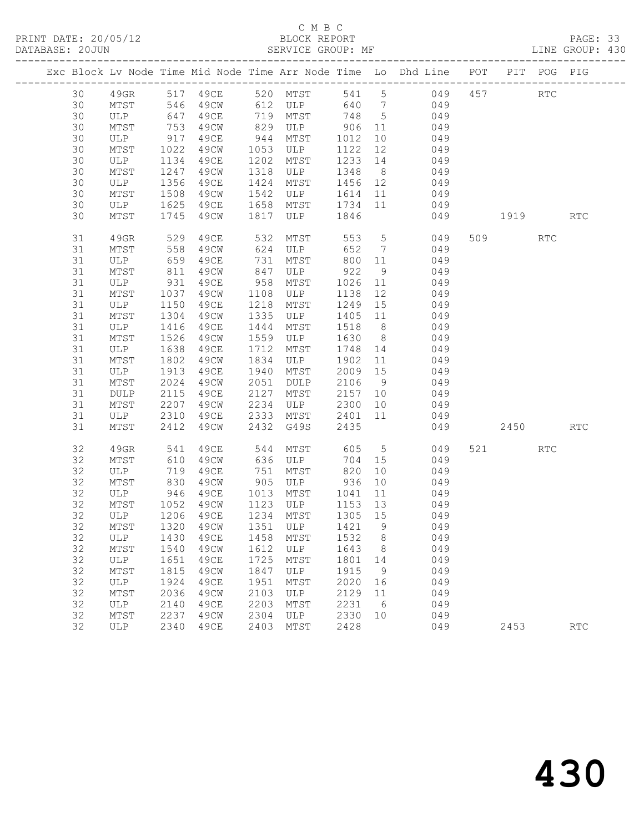PRINT DATE: 20/05/12 BLOCK REPORT BATABASE: 20JUN

### C M B C<br>BLOCK REPORT

PAGE: 33<br>LINE GROUP: 430

|  |          |                  |              |              |              |                                   |                   |                | Exc Block Lv Node Time Mid Node Time Arr Node Time Lo Dhd Line POT PIT POG PIG |          |     |                             |
|--|----------|------------------|--------------|--------------|--------------|-----------------------------------|-------------------|----------------|--------------------------------------------------------------------------------|----------|-----|-----------------------------|
|  | 30       | 49GR             |              | 517 49CE     |              |                                   |                   |                | 520 MTST 541 5 049                                                             | 457      | RTC |                             |
|  | 30       | MTST             |              |              |              |                                   |                   |                |                                                                                |          |     |                             |
|  | 30       | ULP              |              |              |              |                                   |                   |                |                                                                                |          |     |                             |
|  | 30       | MTST             | 753          | 49CW         | 829          | ULP 906 11                        |                   |                | 049                                                                            |          |     |                             |
|  | 30       | ULP              | 917          | 49CE         | 944          | MTST                              | 1012              | 10             | 049                                                                            |          |     |                             |
|  | 30       | MTST             | 1022<br>1134 | 49CW         | 1053         | ULP                               | 1122              | 12             | 049                                                                            |          |     |                             |
|  | 30       | ULP              | 1134         | 49CE         | 1202         | MTST                              | 1233              | 14             | 049                                                                            |          |     |                             |
|  | 30       | MTST             | 1247         | 49CW         | 1318         | ULP                               | 1348              |                | 8 049                                                                          |          |     |                             |
|  | 30       | ULP              | 1356         | 49CE         | 1424         | MTST                              |                   |                | 1456 12 049                                                                    |          |     |                             |
|  | 30       | MTST             | 1508         | 49CW         | 1542         | ULP                               | 1614              | 11             | 049                                                                            |          |     |                             |
|  | 30       | ULP              | 1625         | 49CE         | 1658         | MTST                              | 1734 11           |                | 049                                                                            |          |     |                             |
|  | 30       | MTST             | 1745         | 49CW         | 1817         | ULP                               | 1846              |                | 049                                                                            | 1919 RTC |     |                             |
|  | 31       | 49GR             | 529          | 49CE         | 532          | MTST                              | 553               |                | 5 049                                                                          | 509      | RTC |                             |
|  | 31       | MTST             | 558          | 49CW         | 624          | ULP                               | 652               | 7              | 049                                                                            |          |     |                             |
|  | 31       | ULP              | 659          | 49CE         | 731          | MTST                              | 800               | 11             | 049                                                                            |          |     |                             |
|  | 31       | MTST             | 811          | 49CW         | 847          | ULP 922                           |                   | 9              | 049                                                                            |          |     |                             |
|  | 31       | ULP              | 931          | 49CE         | 958          | MTST                              | 1026              | 11             | 049                                                                            |          |     |                             |
|  | 31       | MTST<br>ULP 1150 | 1037         | 49CW         | 1108         | ULP                               | 1138              | 12             | 049                                                                            |          |     |                             |
|  | 31       |                  |              | 49CE         | 1218         | MTST                              | 1249              | 15             | 049                                                                            |          |     |                             |
|  | 31       | MTST             | 1304         | 49CW         | 1335         | ULP                               |                   |                | 1405 11 049                                                                    |          |     |                             |
|  | 31       | ULP              | 1416         | 49CE         | 1444         | MTST                              | 1518              | 8 <sup>8</sup> | 049                                                                            |          |     |                             |
|  | 31       | MTST             | 1526         | 49CW         | 1559         | ULP                               | 1630              | 8 <sup>1</sup> | 049                                                                            |          |     |                             |
|  | 31       | ULP              | 1638         | 49CE         | 1712         | MTST                              | 1748              | 14             | 049<br>11 049                                                                  |          |     |                             |
|  | 31<br>31 | MTST             | 1802         | 49CW         | 1834<br>1940 | ULP                               | 1902              |                | 049                                                                            |          |     |                             |
|  |          | ULP              | 1913         | 49CE         |              | MTST                              | 2009              | 15             |                                                                                |          |     |                             |
|  | 31<br>31 | MTST             | 2024<br>2115 | 49CW<br>49CE | 2051<br>2127 | DULP                              | 2106 9<br>2157 10 |                | 049<br>049                                                                     |          |     |                             |
|  | 31       | DULP<br>MTST     | 2207         | 49CW         | 2234         | MTST<br>ULP                       | 2300              | 10             | 049                                                                            |          |     |                             |
|  | 31       | ULP              | 2310         | 49CE         | 2333         | MTST                              | 2401              |                | 11 049                                                                         |          |     |                             |
|  | 31       | MTST             | 2412         | 49CW         | 2432         | G49S                              | 2435              |                | 049                                                                            | 2450     |     | <b>RTC</b>                  |
|  |          |                  |              |              |              |                                   |                   |                |                                                                                |          |     |                             |
|  | 32       | 49GR             | 541          | 49CE         | 544          | MTST                              | 605               |                | $5 - 5$<br>049                                                                 | 521 72   | RTC |                             |
|  | 32       | MTST             | 610          | 49CW         |              | 636 ULP                           | 704 15            |                | 049                                                                            |          |     |                             |
|  | 32       | ULP              | 719          | 49CE         | 751          | MTST                              | 820               | 10             | 049                                                                            |          |     |                             |
|  | 32       | MTST             | 830          | 49CW         | 905          | ULP                               | 936               | 10             | 049                                                                            |          |     |                             |
|  | 32       | ULP 946 49CE     |              |              |              | 1013 MTST                         | 1041              | 11             | 049                                                                            |          |     |                             |
|  | 32       | MTST             | 1052         | 49CW         |              | 1123 ULP 1153 13                  |                   |                | 049                                                                            |          |     |                             |
|  | 32       | ULP              |              | 1206 49CE    |              | 1234 MTST                         | 1305 15           |                | 049                                                                            |          |     |                             |
|  |          |                  |              |              |              | 32 MTST 1320 49CW 1351 ULP 1421 9 |                   |                | 049                                                                            |          |     |                             |
|  | 32       | ULP              | 1430         | 49CE         | 1458         | MTST                              | 1532              | 8              | 049                                                                            |          |     |                             |
|  | 32       | MTST             | 1540         | 49CW         | 1612         | ULP                               | 1643              | 8              | 049                                                                            |          |     |                             |
|  | 32       | ULP              | 1651         | 49CE         | 1725         | MTST                              | 1801              | 14             | 049                                                                            |          |     |                             |
|  | 32       | MTST             | 1815         | 49CW         | 1847         | ULP                               | 1915              | 9              | 049                                                                            |          |     |                             |
|  | 32       | ULP              | 1924         | 49CE         | 1951         | MTST                              | 2020              | 16             | 049                                                                            |          |     |                             |
|  | 32       | MTST             | 2036         | 49CW         | 2103         | ULP                               | 2129              | 11             | 049                                                                            |          |     |                             |
|  | 32<br>32 | ULP              | 2140         | 49CE         | 2203         | MTST                              | 2231              | 6              | 049                                                                            |          |     |                             |
|  | 32       | MTST             | 2237<br>2340 | 49CW         | 2304<br>2403 | ULP<br>MTST                       | 2330<br>2428      | 10             | 049                                                                            | 2453     |     |                             |
|  |          | ULP              |              | 49CE         |              |                                   |                   |                | 049                                                                            |          |     | $\mathop{\rm RTC}\nolimits$ |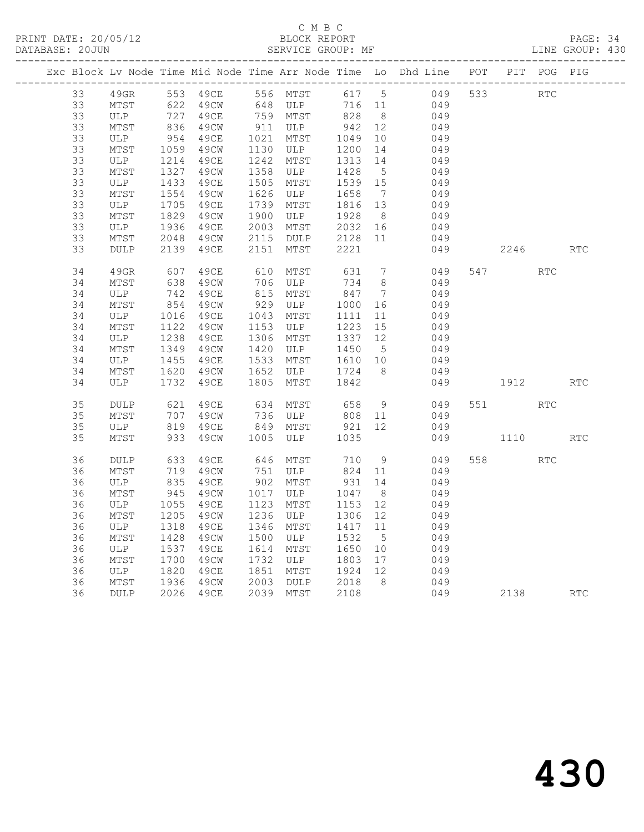#### C M B C DATABASE: 20JUN SERVICE GROUP: MF LINE GROUP: 430

|    |                               |                  |           |      |                             |         |                 | Exc Block Lv Node Time Mid Node Time Arr Node Time Lo Dhd Line POT PIT POG PIG |          |            |            |
|----|-------------------------------|------------------|-----------|------|-----------------------------|---------|-----------------|--------------------------------------------------------------------------------|----------|------------|------------|
| 33 |                               |                  |           |      |                             |         |                 | 49GR 553 49CE 556 MTST 617 5 049 533 RTC<br>MTST 622 49CW 648 ULP 716 11 049   |          |            |            |
| 33 | MTST                          |                  |           |      |                             |         |                 |                                                                                |          |            |            |
| 33 | ULP 727 49CE<br>MTST 836 49CW |                  |           |      | 759 MTST<br>911 ULP         | 828 8   |                 | 049<br>049                                                                     |          |            |            |
| 33 |                               |                  |           |      |                             | 942     | 12              |                                                                                |          |            |            |
| 33 | ULP                           | 954<br>1059      | 49ce      | 1021 | MTST                        | 1049    | 10              | 049                                                                            |          |            |            |
| 33 | MTST                          |                  | 49CW      |      | 1130 ULP                    | 1200    | 14              | $049$                                                                          |          |            |            |
| 33 | ULP                           | 1214<br>1327     | 49ce      | 1242 | MTST                        | 1313    | 14              | 049                                                                            |          |            |            |
| 33 | MTST                          |                  | 49CW      | 1358 | ULP                         | 1428    | 5 <sup>5</sup>  | 049                                                                            |          |            |            |
| 33 | ULP                           | 1433<br>1554     | 49CE      | 1505 | MTST                        | 1539 15 |                 | 049                                                                            |          |            |            |
| 33 | MTST                          |                  | 49CW      | 1626 | ULP                         | 1658    | $\overline{7}$  | 049                                                                            |          |            |            |
| 33 | ULP                           | 1705<br>1829     | 49CE      |      | 1739 MTST                   | 1816 13 |                 | 049                                                                            |          |            |            |
| 33 | MTST                          |                  | 49CW      |      | 1900 ULP                    | 1928 8  |                 | 049                                                                            |          |            |            |
| 33 | ULP                           | 1936             | 49CE      |      | 2003 MTST                   | 2032 16 |                 | 049                                                                            |          |            |            |
| 33 | MTST                          | 2048             | 49CW      | 2115 | DULP                        | 2128 11 |                 | 049                                                                            |          |            |            |
| 33 | <b>DULP</b>                   | 2139             | 49CE      | 2151 | MTST                        | 2221    |                 | 049                                                                            | 2246     |            | RTC        |
| 34 | 49GR                          | 607              | 49CE      |      | 610 MTST                    | 631     | $\overline{7}$  | 049                                                                            | 547      | <b>RTC</b> |            |
| 34 | MTST                          | 638              | 49CW      | 706  | ULP                         | 734     | 8 <sup>8</sup>  | 049                                                                            |          |            |            |
| 34 | ULP                           | 742              | 49CE      |      | $815$ MTST                  | 847     | $\overline{7}$  | 049                                                                            |          |            |            |
| 34 | MTST                          | 854              | 49CW      | 929  | ULP 1000<br>MTST 1111       |         | 16              | 049                                                                            |          |            |            |
| 34 | ULP                           | 1016             | 49CE      | 1043 |                             |         | 11              | 049                                                                            |          |            |            |
| 34 | MTST                          | 1122             | 49CW      | 1153 |                             | 1223    | 15              | 049                                                                            |          |            |            |
| 34 | ULP                           | $1122$<br>$1238$ | 49CE      | 1306 | ULP<br>MTST<br>MTST         | 1337    | 12              | 049                                                                            |          |            |            |
| 34 | MTST                          | 1349             | 49CW      | 1420 |                             | 1450    | $5^{\circ}$     | 049                                                                            |          |            |            |
| 34 | ULP                           | $134$<br>$1455$  | 49CE      | 1533 | ULP<br>MTST<br>MTST         | 1610 10 |                 | 049                                                                            |          |            |            |
| 34 | MTST                          | 1620             | 49CW      | 1652 | ULP                         | 1724    | 8 <sup>8</sup>  | 049                                                                            |          |            |            |
| 34 | ULP                           | 1732             | 49CE      | 1805 | MTST                        | 1842    |                 | 049                                                                            | 1912     |            | <b>RTC</b> |
| 35 | DULP                          | 621              | 49CE      |      |                             |         |                 | 634 MTST 658 9 049                                                             | 551 RTC  |            |            |
| 35 | MTST                          | 707              | 49CW      |      | 736 ULP 808 11              |         |                 | 049                                                                            |          |            |            |
| 35 | ULP                           | 819              | 49CE      |      | 849 MTST 921                |         | 12              | 049                                                                            |          |            |            |
| 35 | MTST                          | 933              | 49CW      | 1005 | ULP                         | 1035    |                 | 049                                                                            | 1110     |            | RTC        |
|    |                               |                  |           |      |                             |         |                 |                                                                                |          |            |            |
| 36 | DULP                          | 633              | 49CE      |      | 646 MTST                    | 710     |                 | 9<br>049                                                                       | 558 30   | <b>RTC</b> |            |
| 36 | MTST                          | 719<br>835       | 49CW      |      | 751 ULP                     | 824 11  |                 | 049                                                                            |          |            |            |
| 36 | ULP                           |                  | 49CE      |      | 902 MTST                    | 931 14  |                 | 049                                                                            |          |            |            |
| 36 | MTST                          | 945              | 49CW      |      | 1017 ULP                    | 1047    | 8 <sup>8</sup>  | 049                                                                            |          |            |            |
| 36 | ULP                           | 1055             | 49ce      | 1123 | MTST                        | 1153    | 12              | 049                                                                            |          |            |            |
| 36 | MTST                          | 1205             | 49CW      | 1236 | ULP                         | 1306    | 12              | 049                                                                            |          |            |            |
| 36 | ULP                           | 1318             | 49CE      | 1346 | MTST                        | 1417 11 |                 | 049                                                                            |          |            |            |
| 36 | MTST                          | 1428             | 49CW      | 1500 | ULP<br>MTST                 | 1532    | $5\overline{)}$ | 049                                                                            |          |            |            |
| 36 | ULP                           | 1537             | 49CE      | 1614 | MTST                        | 1650    | 10              | 049                                                                            |          |            |            |
| 36 | MTST                          | 1700             | 49CW      | 1732 | ULP 1803 17<br>MTST 1924 12 |         |                 | 049<br>049                                                                     |          |            |            |
| 36 | ULP                           | 1820             | 49CE      | 1851 |                             |         |                 |                                                                                |          |            |            |
| 36 | MTST                          | 1936             | 49CW      | 2003 | DULP 2018 8                 |         |                 | 049                                                                            |          |            |            |
| 36 | <b>DULP</b>                   |                  | 2026 49CE |      | 2039 MTST                   | 2108    |                 | 049                                                                            | 2138 RTC |            |            |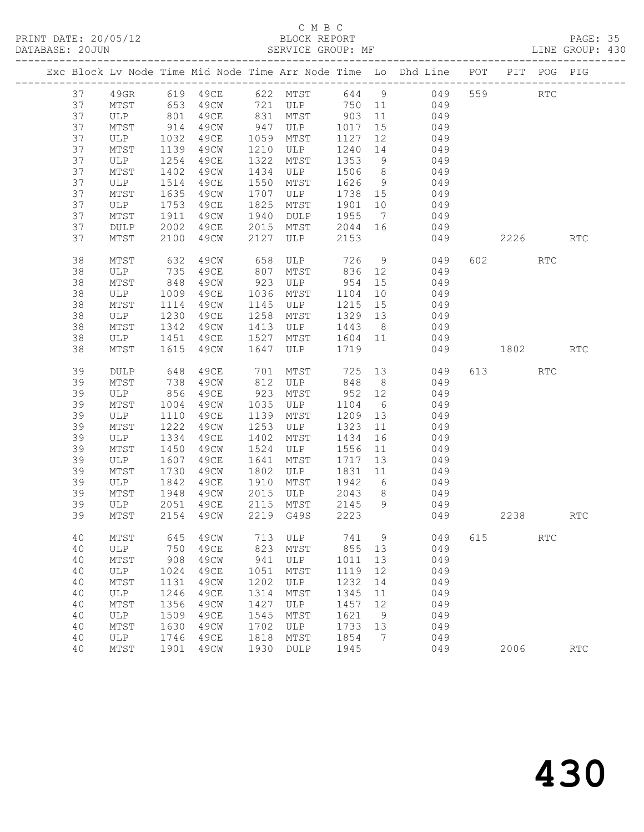PRINT DATE: 20/05/12 BLOCK REPORT BATABASE: 20JUN

### C M B C<br>BLOCK REPORT

PAGE: 35<br>LINE GROUP: 430

|    |              |      |             |      |                 |      |                 | Exc Block Lv Node Time Mid Node Time Arr Node Time Lo Dhd Line POT PIT POG PIG |     |         |                      |                             |
|----|--------------|------|-------------|------|-----------------|------|-----------------|--------------------------------------------------------------------------------|-----|---------|----------------------|-----------------------------|
| 37 | 49GR         |      | 619 49CE    |      | 622 MTST        |      | 644 9           | 049                                                                            | 559 |         | $\operatorname{RTC}$ |                             |
| 37 | MTST         | 653  | 49CW        | 721  | ULP             | 750  | 11              | 049                                                                            |     |         |                      |                             |
| 37 | ULP          | 801  | 49CE        | 831  | MTST            | 903  | 11              | 049                                                                            |     |         |                      |                             |
| 37 | MTST         | 914  | 49CW        | 947  | ULP             | 1017 | 15              | 049                                                                            |     |         |                      |                             |
| 37 | ULP          | 1032 | 49CE        | 1059 | MTST            | 1127 | 12              | 049                                                                            |     |         |                      |                             |
| 37 | MTST         | 1139 | 49CW        | 1210 | ULP             | 1240 | 14              | 049                                                                            |     |         |                      |                             |
| 37 | ULP          | 1254 | 49CE        | 1322 | MTST            | 1353 | 9               | 049                                                                            |     |         |                      |                             |
| 37 | MTST         | 1402 | 49CW        | 1434 | ULP             | 1506 | 8 <sup>8</sup>  | 049                                                                            |     |         |                      |                             |
| 37 | ULP          | 1514 | 49CE        | 1550 | MTST            | 1626 | 9               | 049                                                                            |     |         |                      |                             |
| 37 | MTST         | 1635 | 49CW        | 1707 | ULP             | 1738 | 15              | 049                                                                            |     |         |                      |                             |
| 37 | ULP          | 1753 | 49CE        | 1825 | MTST            | 1901 | 10              | 049                                                                            |     |         |                      |                             |
| 37 | MTST         | 1911 | 49CW        | 1940 | DULP            | 1955 | $7\overline{ }$ | 049                                                                            |     |         |                      |                             |
| 37 | <b>DULP</b>  | 2002 | 49CE        | 2015 | MTST            | 2044 | 16              | 049                                                                            |     |         |                      |                             |
| 37 | MTST         | 2100 | 49CW        | 2127 | ULP             | 2153 |                 | 049                                                                            |     | 2226    |                      | <b>RTC</b>                  |
| 38 | MTST         | 632  | 49CW        | 658  | ULP             | 726  | 9               | 049                                                                            |     | 602 000 | <b>RTC</b>           |                             |
| 38 | ULP          | 735  | 49CE        | 807  | MTST            | 836  | 12              | 049                                                                            |     |         |                      |                             |
| 38 | MTST         | 848  | 49CW        | 923  | ULP             | 954  | 15              | 049                                                                            |     |         |                      |                             |
| 38 | ULP          | 1009 | 49CE        | 1036 | MTST            | 1104 | 10              | 049                                                                            |     |         |                      |                             |
| 38 | MTST         | 1114 | 49CW        | 1145 | ULP             | 1215 | 15              | 049                                                                            |     |         |                      |                             |
| 38 | ULP          | 1230 | 49CE        | 1258 | MTST            | 1329 | 13              | 049                                                                            |     |         |                      |                             |
| 38 | MTST         | 1342 | 49CW        | 1413 | ULP             | 1443 | 8 <sup>8</sup>  | 049                                                                            |     |         |                      |                             |
| 38 | ULP          | 1451 | 49CE        | 1527 | MTST            | 1604 | 11              | 049                                                                            |     |         |                      |                             |
| 38 | MTST         | 1615 | 49CW        | 1647 | ULP             | 1719 |                 | 049                                                                            |     | 1802    |                      | <b>RTC</b>                  |
| 39 | <b>DULP</b>  | 648  | 49CE        | 701  | MTST            | 725  | 13              | 049                                                                            |     | 613     | <b>RTC</b>           |                             |
| 39 | MTST         | 738  | 49CW        | 812  | ULP             | 848  | 8 <sup>8</sup>  | 049                                                                            |     |         |                      |                             |
| 39 | ULP          | 856  | 49CE        | 923  | MTST            | 952  | 12              | 049                                                                            |     |         |                      |                             |
| 39 | MTST         | 1004 | 49CW        | 1035 | ULP             | 1104 | 6               | 049                                                                            |     |         |                      |                             |
| 39 | ULP          | 1110 | 49CE        | 1139 | MTST            | 1209 | 13              | 049                                                                            |     |         |                      |                             |
| 39 | MTST         | 1222 | 49CW        | 1253 | ULP             | 1323 | 11              | 049                                                                            |     |         |                      |                             |
| 39 | ULP          | 1334 | 49CE        | 1402 | MTST            | 1434 | 16              | 049                                                                            |     |         |                      |                             |
| 39 | MTST         | 1450 | 49CW        | 1524 | ULP             | 1556 | 11              | 049                                                                            |     |         |                      |                             |
| 39 | ULP          | 1607 | 49CE        | 1641 | MTST            | 1717 | 13              | 049                                                                            |     |         |                      |                             |
| 39 | MTST         | 1730 | 49CW        | 1802 | ULP             | 1831 | 11              | 049                                                                            |     |         |                      |                             |
| 39 | ULP          | 1842 | 49CE        | 1910 | MTST            | 1942 | 6               | 049                                                                            |     |         |                      |                             |
| 39 | MTST         | 1948 | 49CW        | 2015 | ULP             | 2043 | 8               | 049                                                                            |     |         |                      |                             |
| 39 | ULP          | 2051 | 49CE        | 2115 | MTST            | 2145 | 9               | 049                                                                            |     |         |                      |                             |
| 39 | MTST         | 2154 | 49CW        | 2219 | G49S            | 2223 |                 | 049                                                                            |     | 2238    |                      | <b>RTC</b>                  |
| 40 | MTST         | 645  | 49CW        | 713  | ULP             | 741  | 9               | 049                                                                            | 615 |         | <b>RTC</b>           |                             |
| 40 | ULP          | 750  | <b>49CE</b> | 823  | MTST            | 855  | 13              | 049                                                                            |     |         |                      |                             |
| 40 | MTST         | 908  | 49CW        | 941  | ULP             | 1011 | 13              | 049                                                                            |     |         |                      |                             |
| 40 | ULP          | 1024 | 49CE        | 1051 | MTST            | 1119 | 12              | 049                                                                            |     |         |                      |                             |
| 40 | MTST         | 1131 | 49CW        | 1202 | ULP             | 1232 | 14              | 049                                                                            |     |         |                      |                             |
| 40 | $_{\rm ULP}$ | 1246 | <b>49CE</b> | 1314 | MTST            | 1345 | 11              | 049                                                                            |     |         |                      |                             |
| 40 | MTST         | 1356 | 49CW        | 1427 | ULP             | 1457 | 12              | 049                                                                            |     |         |                      |                             |
| 40 | $_{\rm ULP}$ | 1509 | 49CE        | 1545 | MTST            | 1621 | 9               | 049                                                                            |     |         |                      |                             |
| 40 | MTST         | 1630 | 49CW        | 1702 | ULP             | 1733 | 13              | 049                                                                            |     |         |                      |                             |
| 40 | ULP          | 1746 | 49CE        | 1818 | MTST            | 1854 | 7               | 049                                                                            |     |         |                      |                             |
| 40 | MTST         | 1901 | 49CW        | 1930 | $\texttt{DULP}$ | 1945 |                 | 049                                                                            |     | 2006    |                      | $\mathop{\rm RTC}\nolimits$ |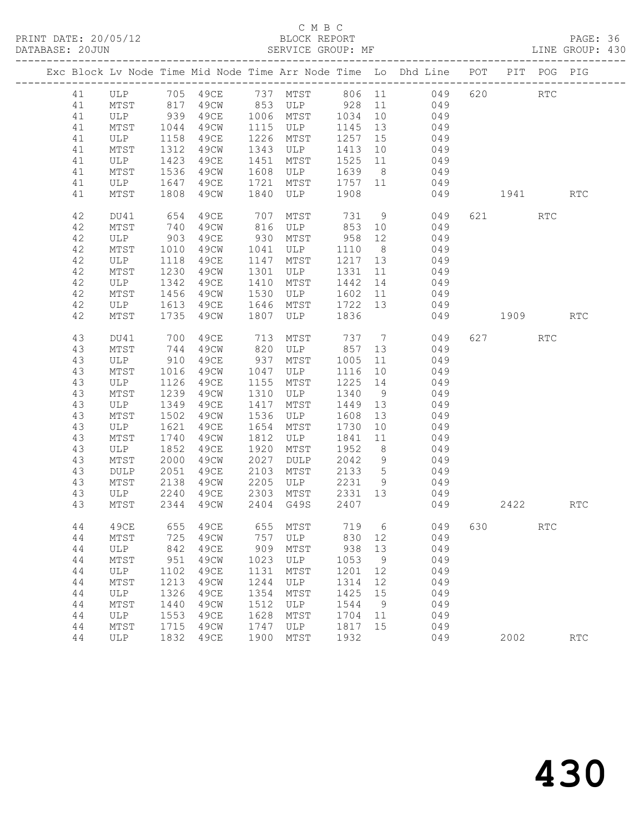PRINT DATE: 20/05/12 BLOCK REPORT BATABASE: 20JUN

### C M B C<br>BLOCK REPORT

PAGE: 36<br>LINE GROUP: 430

|          |                 |                                                         |                       |              |                             |                  |                | Exc Block Lv Node Time Mid Node Time Arr Node Time Lo Dhd Line POT PIT POG PIG |          |                      |            |
|----------|-----------------|---------------------------------------------------------|-----------------------|--------------|-----------------------------|------------------|----------------|--------------------------------------------------------------------------------|----------|----------------------|------------|
| 41       |                 |                                                         |                       |              |                             |                  |                | ULP 705 49CE 737 MTST 806 11 049                                               | 620 RTC  |                      |            |
| 41       | MTST            |                                                         |                       |              |                             |                  |                | 817 49CW 853 ULP 928 11 049                                                    |          |                      |            |
| 41       | ULP 939         |                                                         |                       |              | 49CE 1006 MTST 1034 10      |                  |                | 049                                                                            |          |                      |            |
| 41       | MTST            | 1044                                                    | 49CW                  |              | 1115 ULP                    | 1145 13          |                | 049                                                                            |          |                      |            |
| 41       | ULP             | 1158                                                    | 49CE                  |              | 1226 MTST                   | 1257 15          |                | 049                                                                            |          |                      |            |
| 41       | $\mathtt{MTST}$ | 1312                                                    | 49CW                  |              | 1343 ULP                    | 1413 10          |                | 049                                                                            |          |                      |            |
| 41       | ULP             | 1423                                                    | 49CE                  | 1451         | MTST                        | 1525 11          |                | 049                                                                            |          |                      |            |
| 41       | MTST            | 1536                                                    | 49CW                  | 1608         | ULP                         | 1639 8           |                | 049                                                                            |          |                      |            |
| 41       | ULP             | 1647                                                    | 49CE                  | 1721         | MTST 1757 11<br>ULP 1908    |                  |                | 049                                                                            |          |                      |            |
| 41       | MTST            |                                                         | 1808 49CW             | 1840         |                             |                  |                | 049                                                                            | 1941 RTC |                      |            |
| 42       | DU41            | 654                                                     | 49CE                  | 707          | MTST                        |                  |                | 731 9 049                                                                      | 621 000  | RTC                  |            |
| 42       | MTST            | 740<br>903                                              | 49CW                  |              | 816 ULP                     | 853 10<br>958 12 |                | 049                                                                            |          |                      |            |
| 42       | ULP             |                                                         | 49CE                  | 930          | MTST                        |                  |                | 049                                                                            |          |                      |            |
| 42       | MTST            | 1010                                                    | 49CW                  | 1041         | ULP                         | 1110 8           |                | 049                                                                            |          |                      |            |
| 42       | ULP             | 1118                                                    | 49CE                  | 1147         | MTST                        | 1217 13          |                | 049                                                                            |          |                      |            |
| 42       | MTST            | 1230                                                    | 49CW                  |              | 114/<br>1301 ULP<br>22 MTST | 1331 11          |                | $049$                                                                          |          |                      |            |
| 42       | ULP             | 1342                                                    | 49CE                  |              |                             | 1442 14          |                | 049                                                                            |          |                      |            |
| 42       | MTST            | 1456                                                    | 49CW                  | 1530         | ULP                         | 1602 11          |                | 049                                                                            |          |                      |            |
| 42       | ULP             | 1613                                                    | 49CE                  | 1646         | MTST 1722 13                |                  |                | 049                                                                            |          |                      |            |
| 42       | MTST            | 1735                                                    | 49CW                  | 1807         | ULP                         | 1836             |                | 049                                                                            | 1909     |                      | RTC        |
| 43       | DU41            | 700                                                     | 49CE                  | 713          | MTST                        |                  |                | 737 7 049                                                                      | 627      | RTC                  |            |
| 43       | MTST            | 744                                                     | 49CW                  |              | 820 ULP 857 13              |                  |                | 049                                                                            |          |                      |            |
| 43       | ULP             | $\begin{array}{c}\n 910 \\  \hline\n 101\n \end{array}$ | 49CE 937<br>49CW 1047 |              | MTST                        | 1005 11          |                | 049                                                                            |          |                      |            |
| 43       | MTST            | 1016                                                    |                       |              | ULP                         | 1116 10          |                | 049                                                                            |          |                      |            |
| 43       | ULP             | 1126                                                    | 49CE                  | 1155         | MTST                        | 1225 14          |                | 049                                                                            |          |                      |            |
| 43       | MTST            | 1239                                                    | 49CW                  | 1310         | ULP                         | 1340 9           |                | 049                                                                            |          |                      |            |
| 43       | ULP             | 1349                                                    | 49CE                  | 1417         | MTST                        | 1449 13          |                | 049                                                                            |          |                      |            |
| 43       | MTST            | 1502                                                    | 49CW                  | 1536         | ULP                         | 1608 13          |                | 049<br>049                                                                     |          |                      |            |
| 43       | ULP             | 1621                                                    | 49CE                  | 1654         | MTST                        | 1730 10          |                |                                                                                |          |                      |            |
| 43       | MTST            | 1740                                                    | 49CW                  | 1812         | <b>ULP</b>                  | 1841 11          | 8 <sup>8</sup> | 049                                                                            |          |                      |            |
| 43       | ULP             | 1852                                                    | 49CE                  | 1920<br>2027 | MTST                        | 1952<br>2042 9   |                | 049                                                                            |          |                      |            |
| 43<br>43 | MTST<br>DULP    | 2000<br>2051                                            | 49CW<br>49CE          | 2103         | DULP<br>MTST                | 2133 5           |                | 049<br>049                                                                     |          |                      |            |
| 43       | MTST            | 2138                                                    | 49CW                  | 2205         | ULP                         | 2231 9           |                | 049                                                                            |          |                      |            |
| 43       | ULP             | 2240                                                    | 49CE                  | 2303         | MTST                        | 2331 13          |                | 049                                                                            |          |                      |            |
| 43       | MTST            | 2344                                                    | 49CW                  |              | 2404 G49S                   | 2407             |                | 049                                                                            | 2422     |                      | <b>RTC</b> |
| 44       |                 |                                                         |                       |              |                             |                  |                | 49CE 655 49CE 655 MTST 719 6 049 630                                           |          | $\operatorname{RTC}$ |            |
| 44       | MTST            | 725                                                     | 49CW                  | 757          | ULP                         | 830              | 12             | 049                                                                            |          |                      |            |
| 44       | ULP             | 842                                                     | 49CE                  | 909          | MTST                        | 938              | 13             | 049                                                                            |          |                      |            |
| 44       | MTST            | 951                                                     | 49CW                  | 1023         | ULP                         | 1053             | 9              | 049                                                                            |          |                      |            |
| 44       | ULP             | 1102                                                    | 49CE                  | 1131         | MTST                        | 1201             | 12             | 049                                                                            |          |                      |            |
| 44       | MTST            | 1213                                                    | 49CW                  | 1244         | ULP                         | 1314             | 12             | 049                                                                            |          |                      |            |
| 44       | ULP             | 1326                                                    | 49CE                  | 1354         | MTST                        | 1425             | 15             | 049                                                                            |          |                      |            |
| 44       | MTST            | 1440                                                    | 49CW                  | 1512         | ULP                         | 1544             | 9              | 049                                                                            |          |                      |            |
| 44       | ULP             | 1553                                                    | 49CE                  | 1628         | MTST                        | 1704             | 11             | 049                                                                            |          |                      |            |
| 44       | MTST            | 1715                                                    | 49CW                  | 1747         | ULP                         | 1817             | 15             | 049                                                                            |          |                      |            |
| 44       | ULP             | 1832                                                    | 49CE                  | 1900         | MTST                        | 1932             |                | 049                                                                            | 2002     |                      | RTC        |
|          |                 |                                                         |                       |              |                             |                  |                |                                                                                |          |                      |            |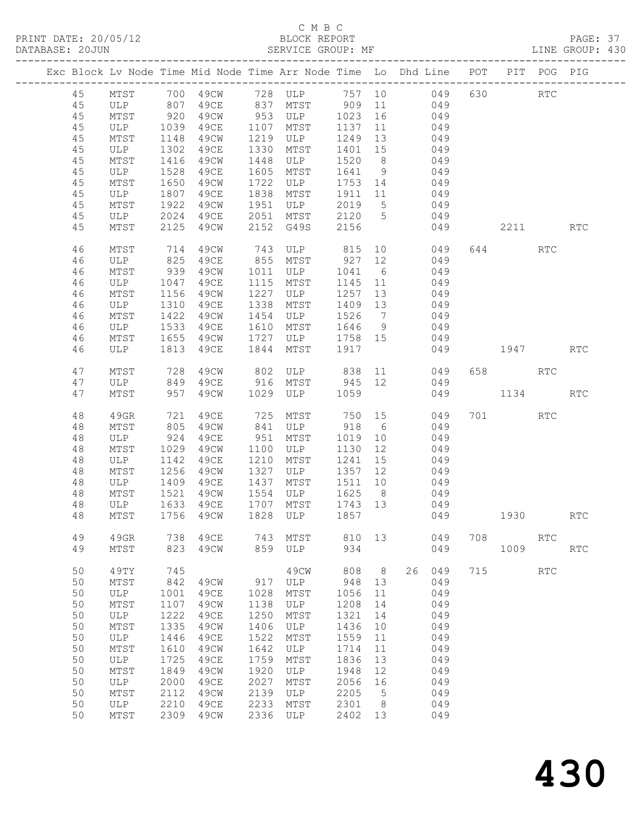### C M B C<br>BLOCK REPORT

| DATABASE: 20JUN |    |                                   |             |           |      | SERVICE GROUP: MF      |         |                 | LINE GROUP: 430                                                                |     |          |            |            |  |
|-----------------|----|-----------------------------------|-------------|-----------|------|------------------------|---------|-----------------|--------------------------------------------------------------------------------|-----|----------|------------|------------|--|
|                 |    |                                   |             |           |      |                        |         |                 | Exc Block Lv Node Time Mid Node Time Arr Node Time Lo Dhd Line POT PIT POG PIG |     |          |            |            |  |
|                 | 45 |                                   |             |           |      |                        |         |                 | MTST 700 49CW 728 ULP 757 10 049 630 RTC                                       |     |          |            |            |  |
|                 | 45 | ULP 807                           |             |           |      |                        |         |                 | 49CE 837 MTST 909 11 049                                                       |     |          |            |            |  |
|                 | 45 |                                   |             |           |      |                        |         |                 | 49CW 953 ULP 1023 16 049                                                       |     |          |            |            |  |
|                 | 45 | MTST 920<br>ULP 1039<br>MTST 1148 |             |           |      | 49CE 1107 MTST         | 1137 11 |                 | 049                                                                            |     |          |            |            |  |
|                 |    |                                   |             |           |      | 1219 ULP               |         |                 | $\frac{11}{13}$ 049                                                            |     |          |            |            |  |
|                 | 45 |                                   |             | 49CW      |      |                        | 1249    |                 |                                                                                |     |          |            |            |  |
|                 | 45 | ULP                               | 1302        | 49CE      | 1330 | MTST                   | 1401 15 |                 | 049                                                                            |     |          |            |            |  |
|                 | 45 | MTST                              | 1416        | 49CW      | 1448 | ULP                    | 1520 8  |                 | 049                                                                            |     |          |            |            |  |
|                 | 45 | ULP                               | 1528        | 49CE      | 1605 | MTST                   | 1641 9  |                 | 049                                                                            |     |          |            |            |  |
|                 | 45 | MTST                              | 1650        | 49CW      | 1722 | ULP                    |         |                 | 1753 14 049                                                                    |     |          |            |            |  |
|                 | 45 | ULP                               | 1807        | 49CE      | 1838 | MTST                   |         |                 | 1911 11 049                                                                    |     |          |            |            |  |
|                 | 45 | MTST                              | 1922        | 49CW      | 1951 | ULP                    | 2019    | 5 <sup>5</sup>  | 049                                                                            |     |          |            |            |  |
|                 | 45 | ULP                               | 2024        | 49CE      |      |                        | 2120 5  |                 | 049                                                                            |     |          |            |            |  |
|                 | 45 | MTST                              | 2125        | 49CW      |      | 2051 MTST<br>2152 G49S | 2156    |                 | 049                                                                            |     | 2211     |            | <b>RTC</b> |  |
|                 | 46 | MTST                              | 714         | 49CW      |      | 743 ULP 815            |         |                 | 10 049                                                                         |     | 644      | RTC        |            |  |
|                 | 46 | ULP                               |             | 49CE      |      | 855 MTST               | 927 12  |                 | 049                                                                            |     |          |            |            |  |
|                 |    |                                   | 825<br>939  |           |      |                        |         |                 |                                                                                |     |          |            |            |  |
|                 | 46 | MTST                              |             | 49CW      |      | 1011 ULP               | 1041 6  |                 | 049                                                                            |     |          |            |            |  |
|                 | 46 | ULP                               | 1047        | 49CE      | 1115 | MTST                   | 1145 11 |                 | 049                                                                            |     |          |            |            |  |
|                 | 46 | MTST                              | 1156        | 49CW      | 1227 | ULP                    | 1257    | 13              | 049                                                                            |     |          |            |            |  |
|                 | 46 | ULP                               | $13 + 1422$ | 49ce      | 1338 | MTST                   | 1409 13 |                 | 049                                                                            |     |          |            |            |  |
|                 | 46 | MTST                              |             | 49CW      | 1454 | ULP                    | 1526 7  |                 | 049                                                                            |     |          |            |            |  |
|                 | 46 | ULP                               | 1533        | 49CE      | 1610 | MTST                   |         |                 | 1646 9 049                                                                     |     |          |            |            |  |
|                 | 46 | MTST                              | 1655        | 49CW      | 1727 | <b>ULP</b>             |         |                 | 1758 15 049                                                                    |     |          |            |            |  |
|                 | 46 | ULP                               | 1813        | 49CE      | 1844 | MTST                   | 1917    |                 |                                                                                |     | 049 1947 |            | <b>RTC</b> |  |
|                 | 47 | MTST                              | 728         | 49CW      |      | 802 ULP 838 11         |         |                 | 049                                                                            |     | 658 RTC  |            |            |  |
|                 |    |                                   | 849         |           |      |                        |         |                 |                                                                                |     |          |            |            |  |
|                 | 47 | ULP                               |             | 49CE      |      | 916 MTST 945 12        |         |                 | 049                                                                            |     |          |            |            |  |
|                 | 47 | MTST                              | 957         | 49CW 1029 |      | ULP 1059               |         |                 | 049                                                                            |     | 1134     |            | <b>RTC</b> |  |
|                 | 48 | 49GR                              | 721         | 49CE      |      | 725 MTST               | 750 15  |                 | 049                                                                            |     | 701 701  | RTC        |            |  |
|                 | 48 | MTST                              | 805         | 49CW      |      | 841 ULP 918 6          |         |                 | 049                                                                            |     |          |            |            |  |
|                 | 48 | ULP                               | 924         | 49CE      | 951  | MTST                   | 1019    | 10              | 049                                                                            |     |          |            |            |  |
|                 | 48 | MTST                              | 1029        | 49CW      |      | 1100 ULP               | 1130 12 |                 | 049                                                                            |     |          |            |            |  |
|                 | 48 | ULP                               | 1142        | 49CE      | 1210 | MTST                   | 1241    | 15              | 049                                                                            |     |          |            |            |  |
|                 | 48 | MTST                              | 1256        | 49CW      | 1327 | ULP                    | 1357 12 |                 | 049                                                                            |     |          |            |            |  |
|                 | 48 | ULP                               | 1409        | 49CE      | 1437 | MTST                   |         | 10              |                                                                                |     |          |            |            |  |
|                 |    |                                   |             |           |      |                        | 1511    |                 | 049                                                                            |     |          |            |            |  |
|                 | 48 | MTST<br>ULP 1633 49CE             | 1521        | 49CW      |      |                        |         |                 |                                                                                |     |          |            |            |  |
|                 | 48 |                                   |             |           |      |                        |         |                 |                                                                                |     |          |            |            |  |
|                 | 48 |                                   |             |           |      |                        |         |                 | MTST 1756 49CW 1828 ULP 1857 049 1930                                          |     |          |            | RTC        |  |
|                 | 49 | 49GR                              | 738         | 49CE      | 743  | MTST                   | 810     | 13              | 049                                                                            | 708 |          | <b>RTC</b> |            |  |
|                 | 49 | MTST                              | 823         | 49CW      |      | 859 ULP                | 934     |                 | 049                                                                            |     | 1009     |            | <b>RTC</b> |  |
|                 | 50 | 49TY                              | 745         |           |      | 49CW                   | 808     | 8 <sup>8</sup>  | 26<br>049                                                                      |     | 715      | RTC        |            |  |
|                 | 50 | MTST                              | 842         | 49CW      | 917  | ULP                    | 948     | 13              | 049                                                                            |     |          |            |            |  |
|                 | 50 | ULP                               | 1001        | 49CE      | 1028 | MTST                   | 1056    | 11              | 049                                                                            |     |          |            |            |  |
|                 | 50 | MTST                              | 1107        | 49CW      | 1138 | ULP                    | 1208    | 14              | 049                                                                            |     |          |            |            |  |
|                 | 50 |                                   | 1222        |           | 1250 |                        | 1321    | 14              | 049                                                                            |     |          |            |            |  |
|                 |    | ULP                               |             | 49CE      |      | MTST                   |         |                 |                                                                                |     |          |            |            |  |
|                 | 50 | MTST                              | 1335        | 49CW      | 1406 | ULP                    | 1436    | 10              | 049                                                                            |     |          |            |            |  |
|                 | 50 | ULP                               | 1446        | 49CE      | 1522 | MTST                   | 1559    | 11              | 049                                                                            |     |          |            |            |  |
|                 | 50 | MTST                              | 1610        | 49CW      | 1642 | ULP                    | 1714    | 11              | 049                                                                            |     |          |            |            |  |
|                 | 50 | ULP                               | 1725        | 49CE      | 1759 | MTST                   | 1836    | 13              | 049                                                                            |     |          |            |            |  |
|                 | 50 | MTST                              | 1849        | 49CW      | 1920 | ULP                    | 1948    | 12              | 049                                                                            |     |          |            |            |  |
|                 | 50 | ULP                               | 2000        | 49CE      | 2027 | MTST                   | 2056    | 16              | 049                                                                            |     |          |            |            |  |
|                 | 50 | MTST                              | 2112        | 49CW      | 2139 | ULP                    | 2205    | $5\overline{)}$ | 049                                                                            |     |          |            |            |  |
|                 |    |                                   |             |           |      |                        |         |                 |                                                                                |     |          |            |            |  |
|                 | 50 | ULP                               | 2210        | 49CE      | 2233 | MTST                   | 2301    | 8 <sup>8</sup>  | 049                                                                            |     |          |            |            |  |
|                 | 50 | MTST                              | 2309        | 49CW      | 2336 | ULP                    | 2402    | 13              | 049                                                                            |     |          |            |            |  |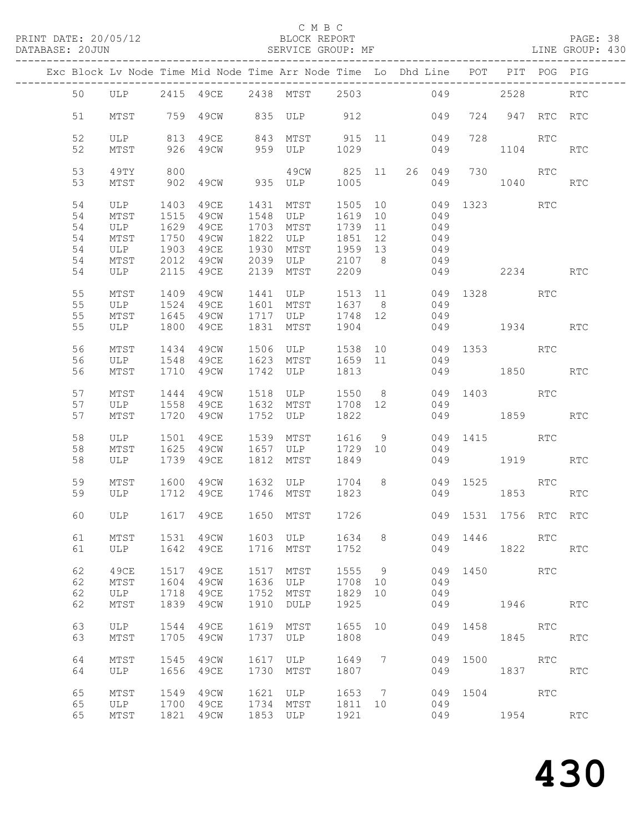PRINT DATE: 20/05/12 BLOCK REPORT BATABASE: 20JUN

#### C M B C<br>BLOCK REPORT

PAGE: 38<br>LINE GROUP: 430

|          |              |              |                        |              | Exc Block Lv Node Time Mid Node Time Arr Node Time Lo Dhd Line POT PIT POG PIG |                    |    |               |      |                       |     |            |
|----------|--------------|--------------|------------------------|--------------|--------------------------------------------------------------------------------|--------------------|----|---------------|------|-----------------------|-----|------------|
| 50       |              |              |                        |              | ULP 2415 49CE 2438 MTST 2503                                                   |                    |    | 049           |      | 2528                  |     | <b>RTC</b> |
| 51       | MTST         |              | 759 49CW               |              | 835 ULP 912                                                                    |                    |    | 049           |      | 724 947 RTC RTC       |     |            |
| 52       |              |              |                        |              | ULP 813 49CE 843 MTST 915 11 049<br>MTST 926 49CW 959 ULP 1029 049             |                    |    |               | 728  |                       | RTC |            |
| 52       |              |              | 926 49CW               |              |                                                                                |                    |    |               |      | 1104                  |     | RTC        |
| 53<br>53 | 49TY<br>MTST | 800          | 902 49CW 935 ULP       |              | 49CW 825 11                                                                    | 1005               |    | 26 049<br>049 |      | 730<br>1040           | RTC | RTC        |
| 54       | ULP          |              |                        |              | 1403 49CE 1431 MTST 1505 10                                                    |                    |    |               |      | 049 1323 RTC          |     |            |
| 54<br>54 | MTST<br>ULP  | 1515<br>1629 | 49CW 1548 ULP<br>49CE  |              | 1703 MTST                                                                      | 1619 10<br>1739 11 |    | 049<br>049    |      |                       |     |            |
| 54       | MTST         | 1750         | 49CW                   |              | 1822 ULP                                                                       | 1851 12            |    | 049           |      |                       |     |            |
| 54       | ULP          | 1903         | 49CE                   | 1930         | MTST                                                                           | 1959 13            |    | 049           |      |                       |     |            |
| 54       | MTST         | 2012         | 49CW                   |              | 2039 ULP 2107 8                                                                |                    |    | 049           |      |                       |     |            |
| 54       | ULP          |              | 2115 49CE              | 2139         | MTST                                                                           | 2209               |    |               |      | 049 2234              |     | <b>RTC</b> |
| 55       | MTST         |              | 1409 49CW              |              | 1441 ULP                                                                       | 1513 11            |    |               |      | 049 1328 RTC          |     |            |
| 55       | ULP          | 1524         | 49CE                   |              | 1601 MTST                                                                      | 1637 8             |    | 049           |      |                       |     |            |
| 55       | MTST         |              | 1645 49CW              |              | 1717 ULP                                                                       | 1748 12            |    | 049           |      |                       |     |            |
| 55       | ULP          |              | 1800 49CE              |              | 1831 MTST                                                                      | 1904               |    |               |      | 049 1934              |     | RTC        |
| 56       | MTST         | 1434         | 49CW                   |              | 1506 ULP                                                                       | 1538 10            |    |               |      | 049 1353 RTC          |     |            |
| 56       | ULP          |              | 1548 49CE              |              | 1623 MTST                                                                      | 1659 11            |    | 049           |      |                       |     |            |
| 56       | MTST         |              | 1710 49CW              |              | 1742 ULP                                                                       | 1813               |    |               |      | 049 1850              |     | RTC        |
| 57       | MTST         |              |                        |              | 1444 49CW 1518 ULP 1550 8                                                      |                    |    |               |      | 049 1403 RTC          |     |            |
| 57       | ULP          | 1558         | 49CE                   |              | 1632 MTST                                                                      | 1708 12            |    | 049           |      |                       |     |            |
| 57       | MTST         |              | 1720 49CW              |              | 1752 ULP                                                                       | 1822               |    |               |      | 049 1859              |     | RTC        |
| 58<br>58 | ULP          | 1501         | 49CE                   |              | 1539 MTST<br>1657 ULP                                                          | 1616               | 9  |               |      | 049 1415              | RTC |            |
| 58       | MTST<br>ULP  |              | 1625 49CW<br>1739 49CE |              | 1812 MTST                                                                      | 1729 10<br>1849    |    | 049           |      | 049 1919              |     | RTC        |
|          |              |              |                        |              |                                                                                |                    |    |               |      |                       |     |            |
| 59       | MTST         |              |                        |              | 1600 49CW 1632 ULP 1704 8                                                      |                    |    |               |      | 049 1525              | RTC |            |
| 59       | ULP          |              | 1712 49CE              |              | 1746 MTST                                                                      | 1823               |    |               | 049  | 1853                  |     | <b>RTC</b> |
| 60       |              |              |                        |              | ULP 1617 49CE 1650 MTST 1726                                                   |                    |    |               |      | 049 1531 1756 RTC RTC |     |            |
| 61       | MTST         | 1531         | 49CW                   | 1603         | ULP                                                                            | 1634               | 8  | 049           | 1446 | <b>RTC</b>            |     |            |
| 61       | ULP          | 1642         | 49CE                   | 1716         | MTST                                                                           | 1752               |    | 049           |      | 1822                  |     | RTC        |
| 62       | 49CE         | 1517         | 49CE                   | 1517         | MTST                                                                           | 1555               | 9  | 049           |      | 1450 30               | RTC |            |
| 62       | MTST         | 1604         | 49CW                   | 1636         | ULP                                                                            | 1708               | 10 | 049           |      |                       |     |            |
| 62       | ULP          | 1718         | 49CE                   | 1752         | MTST                                                                           | 1829               | 10 | 049           |      |                       |     |            |
| 62       | MTST         | 1839         | 49CW                   | 1910         | DULP                                                                           | 1925               |    | 049           |      | 1946 RTC              |     |            |
| 63       | ULP          | 1544         | 49CE                   | 1619         | MTST                                                                           | 1655 10            |    | 049           | 1458 | RTC                   |     |            |
| 63       | MTST         | 1705         | 49CW                   |              | 1737 ULP                                                                       | 1808               |    | 049           |      | 1845                  |     | RTC        |
|          |              |              |                        |              |                                                                                |                    |    |               |      |                       |     |            |
| 64<br>64 | MTST<br>ULP  | 1545<br>1656 | 49CW<br>49CE           | 1617<br>1730 | ULP<br>MTST                                                                    | 1649<br>1807       | 7  | 049<br>049    | 1500 | 1837                  | RTC | <b>RTC</b> |
|          |              |              |                        |              |                                                                                |                    |    |               |      |                       |     |            |
| 65       | MTST         | 1549         | 49CW                   |              | 1621 ULP                                                                       | 1653 7             |    | 049           |      | 1504 RTC              |     |            |
| 65       | ULP          | 1700         | 49CE                   |              | 1734 MTST                                                                      | 1811 10            |    | 049           |      |                       |     |            |
| 65       | MTST         | 1821         | 49CW                   |              | 1853 ULP                                                                       | 1921               |    | 049           |      | 1954                  |     | <b>RTC</b> |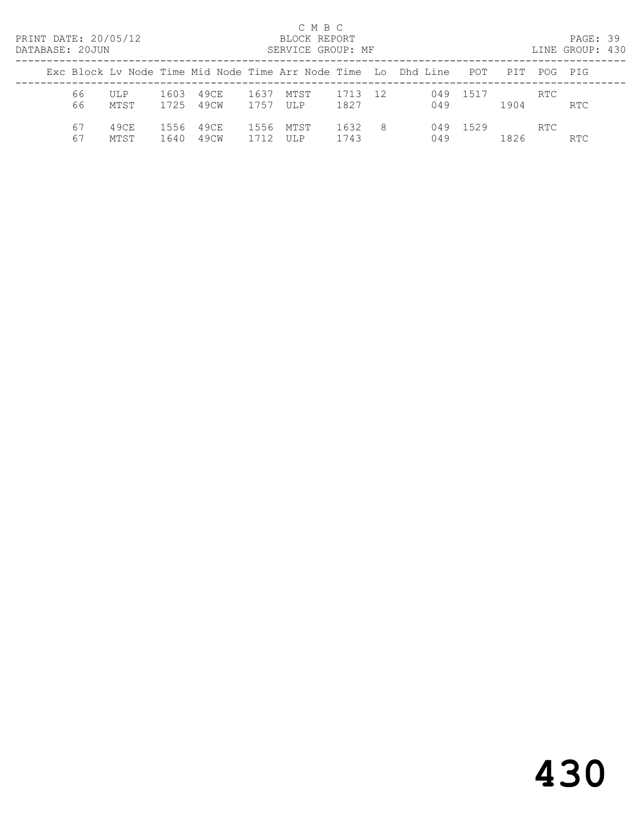| PRINT DATE: 20/05/12<br>DATABASE: 20JUN |              |              |              |              | C M B C<br>BLOCK REPORT<br>SERVICE GROUP: MF |              |     |                                                                           |          |      |      | PAGE: 39<br>LINE GROUP: 430 |  |
|-----------------------------------------|--------------|--------------|--------------|--------------|----------------------------------------------|--------------|-----|---------------------------------------------------------------------------|----------|------|------|-----------------------------|--|
|                                         |              |              |              |              |                                              |              |     | Exc Block Lv Node Time Mid Node Time Arr Node Time   Lo   Dhd Line    POT |          | PTT  |      | POG PIG                     |  |
| 66<br>66                                | ULP<br>MTST  | 1603<br>1725 | 49CE<br>49CW | 1637<br>1757 | MTST<br>UL P                                 | 1713<br>1827 | 12  | 049<br>049                                                                | 1517     | 1904 | RTC. | RTC                         |  |
| 67<br>67                                | 49CE<br>MTST | 1556<br>1640 | 49CE<br>49CW | 1556<br>1712 | MTST<br>IIT.P                                | 1632<br>1743 | - 8 | 049                                                                       | 049 1529 | 1826 | RTC. | <b>RTC</b>                  |  |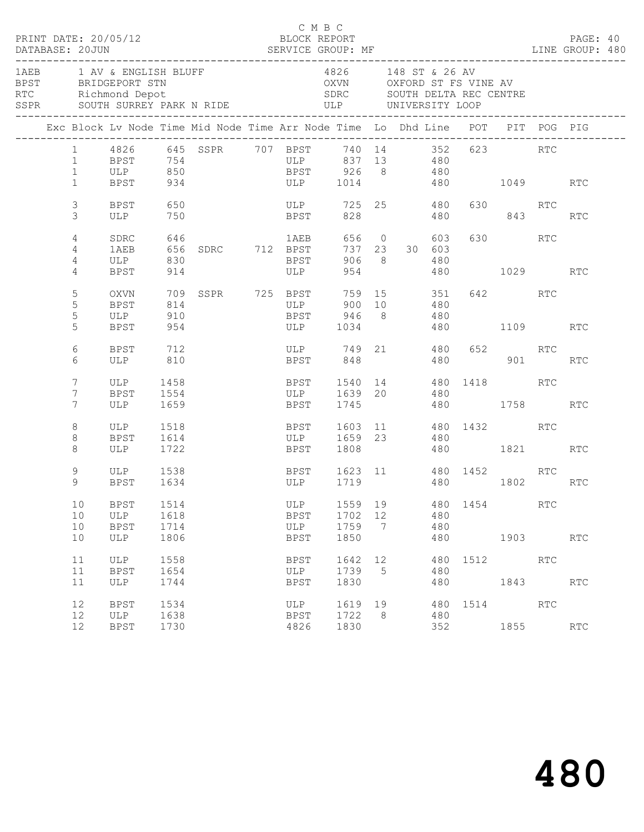| DATABASE: 20JUN           | PRINT DATE: 20/05/12                                                                                                                          |                              |                   | C M B C                                                                         |                                    |                             |                        |                          |                                    |              |                      |            |  |
|---------------------------|-----------------------------------------------------------------------------------------------------------------------------------------------|------------------------------|-------------------|---------------------------------------------------------------------------------|------------------------------------|-----------------------------|------------------------|--------------------------|------------------------------------|--------------|----------------------|------------|--|
|                           | 1AEB 1 AV & ENGLISH BLUFF<br>BPST BRIDGEPORT STN<br>RTC Richmond Depot<br>SSPR SOUTH SURREY PARK N RIDE                                       |                              |                   | OXVN OXFORD ST FS VINE AV<br>SDRC SOUTH DELTA REC CENTRE<br>ULP UNIVERSITY LOOP | 4826 148 ST & 26 AV                |                             |                        |                          |                                    |              |                      |            |  |
|                           | Exc Block Lv Node Time Mid Node Time Arr Node Time Lo Dhd Line POT PIT POG PIG                                                                |                              |                   |                                                                                 |                                    |                             |                        |                          |                                    |              |                      |            |  |
| $\mathbf{1}$              | 1 4826 645 SSPR 707 BPST 740 14 352 623 RTC<br>1 BPST 754 ULP 837 13 480<br>1 BPST 754 ULP 837 13 480<br>1 ULP 850 BPST 926 8 480<br>BPST 934 |                              |                   | ULP 1014 480 1049 RTC                                                           |                                    |                             |                        |                          |                                    |              |                      |            |  |
| 3<br>3                    | BPST<br>ULP 750                                                                                                                               | 650                          |                   | <b>BPST</b>                                                                     | ULP 725 25 480                     |                             | 828 328                |                          | 480 843                            | 630 RTC      |                      | RTC        |  |
| 4<br>4<br>4               | SDRC<br>1AEB<br>ULP 830                                                                                                                       |                              |                   | <b>BPST</b><br>ULP                                                              | 906 8                              |                             | 656 0<br>737 23 30 603 | 603<br>480               |                                    | 630 RTC      |                      |            |  |
| 4<br>5<br>5<br>5          | BPST 914<br>OXVN<br>BPST<br>ULP 910                                                                                                           | 814                          | 709 SSPR 725 BPST | ULP                                                                             | BPST 946 8 480                     |                             | 954 200<br>900 10 480  |                          | 480 1029 RTC<br>759 15 351 642 RTC |              |                      |            |  |
| 5                         | BPST                                                                                                                                          | 954                          |                   |                                                                                 | ULP 1034 480 1109 RTC              |                             |                        |                          |                                    |              |                      |            |  |
| 6<br>6                    | BPST 712<br>ULP 810                                                                                                                           |                              |                   |                                                                                 | ULP 749 21 480 652 RTC<br>BPST 848 |                             |                        |                          | 480 901 RTC                        |              |                      |            |  |
| 7<br>7<br>$7\phantom{.0}$ | ULP<br>BPST<br>ULP                                                                                                                            | 1458<br>1554<br>1659         |                   | BPST 1540 14 480 1418 RTC<br>ULP 1639 20 480<br><b>BPST</b>                     | 1745                               |                             |                        |                          | 480 1758                           |              |                      | <b>RTC</b> |  |
| 8<br>8<br>8               | ULP<br>BPST<br>ULP                                                                                                                            | 1518<br>1614<br>1722         |                   | BPST 1603 11 480 1432 RTC<br>ULP 1659 23 480                                    | BPST 1808                          |                             |                        |                          | 480 1821 RTC                       |              |                      |            |  |
| 9<br>9                    | ULP<br>BPST                                                                                                                                   | 1538<br>1634                 |                   | BPST 1623 11 480 1452 RTC<br>ULP 1719 480 1802                                  |                                    |                             |                        |                          | 480 1802 RTC                       |              |                      |            |  |
| 10<br>10<br>10<br>10      | BPST<br>ULP<br><b>BPST</b><br>ULP                                                                                                             | 1514<br>1618<br>1714<br>1806 |                   | ULP<br><b>BPST</b><br>ULP<br><b>BPST</b>                                        | 1559<br>1702<br>1759<br>1850       | 19<br>12<br>$7\phantom{.0}$ |                        | 480<br>480<br>480<br>480 | 1454                               | 1903         | RTC                  | RTC        |  |
| 11<br>11<br>11            | ULP<br><b>BPST</b><br><b>ULP</b>                                                                                                              | 1558<br>1654<br>1744         |                   | BPST<br>ULP<br><b>BPST</b>                                                      | 1642<br>1739<br>1830               | 12<br>5                     |                        | 480<br>480<br>480        | 1512                               | 1843         | RTC                  | RTC        |  |
| 12<br>12<br>12            | <b>BPST</b><br>ULP<br><b>BPST</b>                                                                                                             | 1534<br>1638<br>1730         |                   | ULP<br><b>BPST</b><br>4826                                                      | 1619<br>1722<br>1830               | 19<br>8                     |                        | 480<br>480<br>352        |                                    | 1514<br>1855 | $\operatorname{RTC}$ | RTC        |  |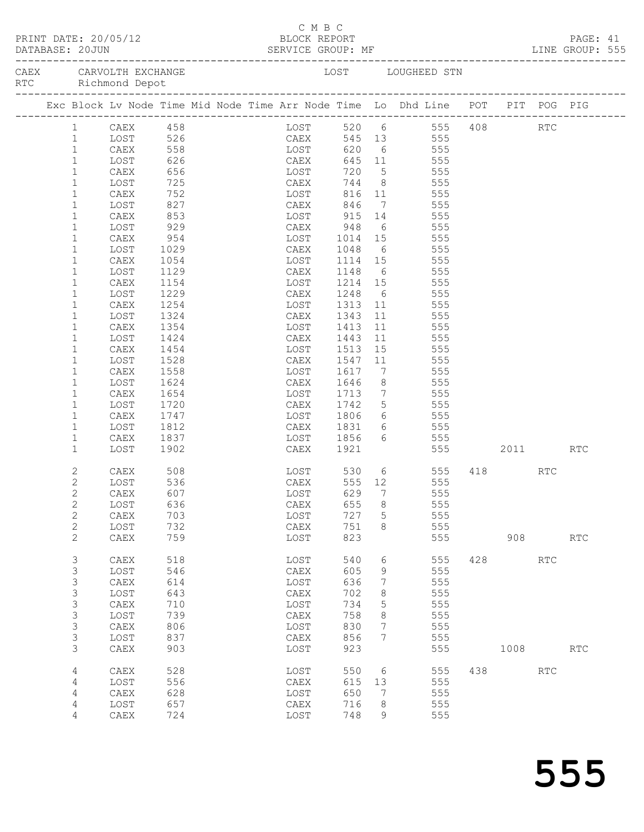|  |                              | PRINT DATE: 20/05/12                                                                   |              |  |      |              | C M B C |                             |                 |                                       |                                   |     |          |            |                      |  |
|--|------------------------------|----------------------------------------------------------------------------------------|--------------|--|------|--------------|---------|-----------------------------|-----------------|---------------------------------------|-----------------------------------|-----|----------|------------|----------------------|--|
|  |                              | PRINT DATE: 20/05/12 BLOCK REPORT<br>DATABASE: 20JUN SERVICE GROUP: MF LINE GROUP: 555 |              |  |      |              |         |                             |                 |                                       |                                   |     |          |            |                      |  |
|  |                              |                                                                                        |              |  |      |              |         |                             |                 |                                       |                                   |     |          |            |                      |  |
|  |                              | Exc Block Lv Node Time Mid Node Time Arr Node Time Lo Dhd Line POT PIT POG PIG         |              |  |      |              |         |                             |                 |                                       |                                   |     |          |            |                      |  |
|  |                              | 1 CAEX 458                                                                             |              |  |      |              |         |                             |                 |                                       | LOST 520 6 555 408 RTC            |     |          |            |                      |  |
|  | 1                            | LOST                                                                                   |              |  |      |              |         | 526 CAEX 545 13 555         |                 |                                       |                                   |     |          |            |                      |  |
|  | $\mathbf{1}$                 | CAEX                                                                                   |              |  |      |              |         |                             |                 |                                       | 555<br>$645$ $11$ $555$           |     |          |            |                      |  |
|  | $\mathbf{1}$<br>$\mathbf{1}$ | LOST<br>CAEX                                                                           | 656 LOST     |  |      |              |         | 720                         |                 |                                       | 5 555                             |     |          |            |                      |  |
|  | $\mathbf{1}$                 | LOST                                                                                   | 725          |  |      |              |         | 744                         |                 |                                       | 8 555                             |     |          |            |                      |  |
|  | $\mathbf{1}$                 | CAEX                                                                                   | 752          |  | CAEX |              |         |                             |                 |                                       | 555                               |     |          |            |                      |  |
|  | $\mathbf{1}$                 | LOST                                                                                   | $827$        |  |      | LOST<br>CAEX |         |                             |                 | 816 11<br>846 7                       | 555                               |     |          |            |                      |  |
|  | $\mathbf{1}$                 | CAEX                                                                                   | 853          |  |      |              |         | LOST 915 14 555             |                 |                                       |                                   |     |          |            |                      |  |
|  | $\mathbf{1}$                 | LOST                                                                                   | 929          |  |      | CAEX         |         | 948                         |                 |                                       | 6 555                             |     |          |            |                      |  |
|  | $\mathbf{1}$                 | CAEX                                                                                   | 954          |  |      |              |         | LOST 1014 15<br>CAEX 1048 6 |                 |                                       | 555                               |     |          |            |                      |  |
|  | 1                            | LOST                                                                                   | 1029         |  |      |              |         |                             |                 |                                       | 555                               |     |          |            |                      |  |
|  | $\mathbf{1}$                 | CAEX                                                                                   | 1054         |  |      |              |         | LOST 1114 15 555            |                 |                                       |                                   |     |          |            |                      |  |
|  | $\mathbf{1}$                 | LOST                                                                                   | 1129         |  |      |              | CAEX    | 1148                        |                 |                                       | 6 555                             |     |          |            |                      |  |
|  | $\mathbf{1}$                 | CAEX                                                                                   | 1154         |  |      | LOST         |         | 1214 15                     |                 |                                       | 555                               |     |          |            |                      |  |
|  | 1                            | LOST                                                                                   | 1229         |  |      | CAEX         |         | 1248                        | $6\overline{6}$ |                                       | 555<br>11 555                     |     |          |            |                      |  |
|  | $\mathbf{1}$<br>$\mathbf{1}$ | CAEX<br>LOST                                                                           | 1254<br>1324 |  |      |              |         | LOST 1313<br>CAEX 1343      |                 |                                       |                                   |     |          |            |                      |  |
|  | $\mathbf{1}$                 | CAEX                                                                                   | 1354         |  |      | LOST         |         | 1413                        | 11              |                                       | 11 555<br>555                     |     |          |            |                      |  |
|  | $\mathbf{1}$                 | LOST                                                                                   | 1424         |  |      | CAEX         |         | 1443                        | 11              |                                       | 555                               |     |          |            |                      |  |
|  | $\mathbf{1}$                 | CAEX                                                                                   | 1454         |  |      |              |         | LOST 1513                   |                 |                                       | 15 555                            |     |          |            |                      |  |
|  | $\mathbf{1}$                 | LOST                                                                                   | 1528         |  |      |              | CAEX    | 1547                        |                 |                                       | 11 555                            |     |          |            |                      |  |
|  | $\mathbf{1}$                 | CAEX                                                                                   | 1558         |  |      | LOST         |         | 1617                        |                 | $7\overline{ }$                       | 555                               |     |          |            |                      |  |
|  | $\mathbf{1}$                 | LOST                                                                                   | 1624         |  |      | CAEX         |         | 1646                        | 8               |                                       | 555                               |     |          |            |                      |  |
|  | $\mathbf{1}$                 | CAEX                                                                                   | 1654         |  |      | LOST         |         | 1713                        |                 |                                       | $\frac{333}{7}$ 555               |     |          |            |                      |  |
|  | $\mathbf{1}$                 | LOST                                                                                   | 1720         |  |      |              |         | CAEX 1742                   |                 |                                       | 5 555                             |     |          |            |                      |  |
|  | $\mathbf{1}$                 | CAEX                                                                                   | 1747         |  |      |              |         | $LOST$ 1806                 |                 |                                       | 6 555                             |     |          |            |                      |  |
|  | $\mathbf{1}$                 | LOST                                                                                   | 1812         |  |      |              |         | CAEX 1831<br>LOST 1856      |                 | $\begin{array}{c} 6 \\ 6 \end{array}$ | 555                               |     |          |            |                      |  |
|  | $\mathbf{1}$<br>$\mathbf{1}$ | CAEX                                                                                   | 1837<br>1902 |  |      |              | CAEX    | 1921                        |                 |                                       | 555<br>555 2011 RTC               |     |          |            |                      |  |
|  |                              | LOST                                                                                   |              |  |      |              |         |                             |                 |                                       |                                   |     |          |            |                      |  |
|  | 2                            | CAEX                                                                                   | 508<br>536   |  |      |              |         |                             |                 |                                       | LOST 530 6 555<br>CAEX 555 12 555 |     | 418 — 18 | RTC        |                      |  |
|  | 2                            | LOST                                                                                   |              |  |      |              |         |                             |                 |                                       |                                   |     |          |            |                      |  |
|  | $\overline{2}$               | CAEX 607                                                                               |              |  |      |              |         | LOST 629 7                  |                 |                                       | 555                               |     |          |            |                      |  |
|  | $\overline{c}$               | LOST                                                                                   | 636          |  |      | CAEX         |         | 655                         | 8               |                                       | 555                               |     |          |            |                      |  |
|  | $\mathbf{2}$                 | CAEX<br>LOST                                                                           | 703<br>732   |  |      | LOST<br>CAEX |         | 727<br>751                  | 5               |                                       | 555<br>555                        |     |          |            |                      |  |
|  | $\overline{c}$<br>2          | CAEX                                                                                   | 759          |  |      | LOST         |         | 823                         | 8               |                                       | 555                               |     | 908      |            | $\operatorname{RTC}$ |  |
|  |                              |                                                                                        |              |  |      |              |         |                             |                 |                                       |                                   |     |          |            |                      |  |
|  | $\mathfrak{Z}$               | CAEX                                                                                   | 518          |  |      | LOST         |         | 540                         | 6               |                                       | 555                               | 428 |          | <b>RTC</b> |                      |  |
|  | 3                            | LOST                                                                                   | 546          |  |      | CAEX         |         | 605                         | 9               |                                       | 555                               |     |          |            |                      |  |
|  | 3                            | CAEX                                                                                   | 614          |  |      | LOST         |         | 636                         | 7               |                                       | 555                               |     |          |            |                      |  |
|  | 3                            | LOST                                                                                   | 643          |  |      | CAEX         |         | 702                         | 8               |                                       | 555                               |     |          |            |                      |  |
|  | 3                            | CAEX                                                                                   | 710          |  |      | LOST         |         | 734                         | 5               |                                       | 555                               |     |          |            |                      |  |
|  | 3                            | LOST                                                                                   | 739          |  |      | CAEX         |         | 758                         | 8               |                                       | 555                               |     |          |            |                      |  |
|  | 3<br>3                       | CAEX<br>LOST                                                                           | 806<br>837   |  |      | LOST<br>CAEX |         | 830<br>856                  | 7<br>7          |                                       | 555<br>555                        |     |          |            |                      |  |
|  | 3                            | CAEX                                                                                   | 903          |  |      | LOST         |         | 923                         |                 |                                       | 555                               |     | 1008     |            | <b>RTC</b>           |  |
|  |                              |                                                                                        |              |  |      |              |         |                             |                 |                                       |                                   |     |          |            |                      |  |
|  | 4                            | CAEX                                                                                   | 528          |  |      | LOST         |         | 550                         | 6               |                                       | 555                               | 438 |          | <b>RTC</b> |                      |  |
|  | 4                            | LOST                                                                                   | 556          |  |      | CAEX         |         | 615                         | 13              |                                       | 555                               |     |          |            |                      |  |
|  | 4                            | CAEX                                                                                   | 628<br>657   |  |      | LOST<br>CAEX |         | 650<br>716                  | 7               |                                       | 555<br>555                        |     |          |            |                      |  |
|  | 4<br>4                       | LOST<br>CAEX                                                                           | 724          |  |      | LOST         |         | 748                         | 8<br>9          |                                       | 555                               |     |          |            |                      |  |
|  |                              |                                                                                        |              |  |      |              |         |                             |                 |                                       |                                   |     |          |            |                      |  |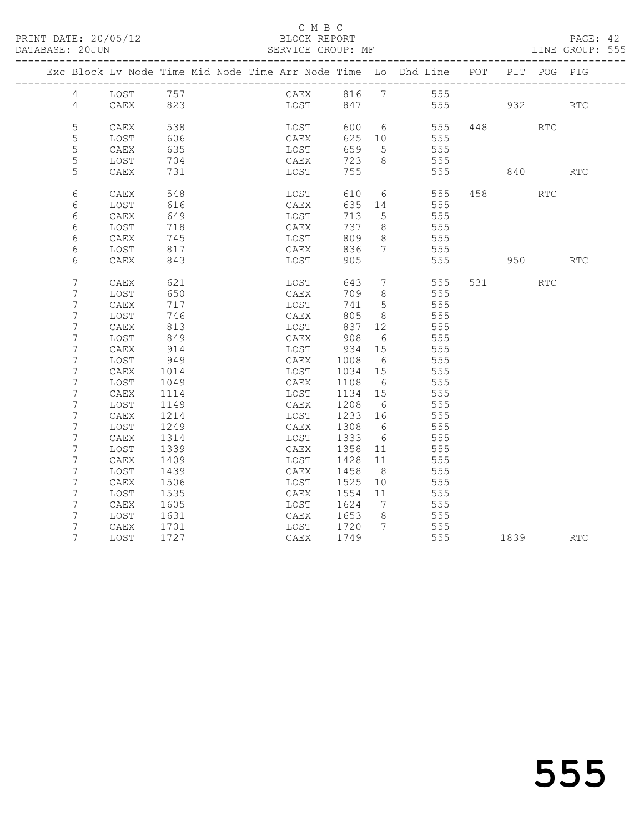PRINT DATE: 20/05/12 BLOCK REPORT<br>DATABASE: 20JUN BATABASE: 2010

#### C M B C<br>BLOCK REPORT

PAGE: 42<br>LINE GROUP: 555

|                 | Exc Block Lv Node Time Mid Node Time Arr Node Time Lo Dhd Line POT |      |  |              |      |      |                 |                 |                |       |         | PIT POG PIG |            |
|-----------------|--------------------------------------------------------------------|------|--|--------------|------|------|-----------------|-----------------|----------------|-------|---------|-------------|------------|
| $4\overline{ }$ | LOST 757                                                           |      |  |              |      |      |                 |                 | CAEX 816 7 555 |       |         |             |            |
| $\overline{4}$  | CAEX                                                               | 823  |  |              | LOST |      |                 |                 | 847 555 932    |       |         |             | <b>RTC</b> |
|                 |                                                                    |      |  |              |      |      |                 |                 |                |       |         |             |            |
| 5               | CAEX                                                               | 538  |  |              | LOST | 600  |                 | $6\overline{6}$ | 555            |       | 448     | RTC         |            |
| 5               | LOST                                                               | 606  |  | CAEX         |      | 625  | 10              |                 | 555            |       |         |             |            |
| 5               | CAEX                                                               | 635  |  | LOST         |      | 659  | $5^{\circ}$     |                 | 555            |       |         |             |            |
| 5               | LOST                                                               | 704  |  | CAEX         |      | 723  | 8               |                 | 555            |       |         |             |            |
| 5               | CAEX                                                               | 731  |  | LOST         |      | 755  |                 |                 | 555            | 840   |         |             | <b>RTC</b> |
| 6               |                                                                    | 548  |  |              |      | 610  | 6               |                 | 555            |       | 458 3   | RTC         |            |
| 6               | CAEX<br>LOST                                                       | 616  |  | LOST<br>CAEX |      | 635  | 14              |                 | 555            |       |         |             |            |
| 6               | CAEX                                                               | 649  |  | LOST         |      | 713  | 5               |                 | 555            |       |         |             |            |
| 6               | LOST                                                               | 718  |  | CAEX         |      | 737  | 8               |                 | 555            |       |         |             |            |
| 6               | CAEX                                                               | 745  |  | LOST         |      | 809  | 8               |                 | 555            |       |         |             |            |
| 6               | LOST                                                               | 817  |  | CAEX         |      | 836  | $7^{\circ}$     |                 | 555            |       |         |             |            |
| 6               | CAEX                                                               | 843  |  | LOST         |      | 905  |                 |                 | 555            |       | 950 000 |             | RTC        |
|                 |                                                                    |      |  |              |      |      |                 |                 |                |       |         |             |            |
| 7               | CAEX                                                               | 621  |  | LOST         |      | 643  | $7\overline{ }$ |                 | 555            | 531 7 |         | <b>RTC</b>  |            |
| 7               | LOST                                                               | 650  |  | CAEX         |      | 709  | 8               |                 | 555            |       |         |             |            |
| 7               | CAEX                                                               | 717  |  | LOST         |      | 741  | $5\overline{)}$ |                 | 555            |       |         |             |            |
| 7               | LOST                                                               | 746  |  | CAEX         |      | 805  | 8               |                 | 555            |       |         |             |            |
| 7               | CAEX                                                               | 813  |  | LOST         |      | 837  | 12              |                 | 555            |       |         |             |            |
| 7               | LOST                                                               | 849  |  | CAEX         |      | 908  | 6               |                 | 555            |       |         |             |            |
| 7               | CAEX                                                               | 914  |  | LOST         |      | 934  | 15              |                 | 555            |       |         |             |            |
| 7               | LOST                                                               | 949  |  | CAEX         |      | 1008 | 6               |                 | 555            |       |         |             |            |
| 7               | CAEX                                                               | 1014 |  | LOST         |      | 1034 | 15              |                 | 555            |       |         |             |            |
| 7               | LOST                                                               | 1049 |  | CAEX         |      | 1108 | 6               |                 | 555            |       |         |             |            |
| 7               | CAEX                                                               | 1114 |  | LOST         |      | 1134 | 15              |                 | 555            |       |         |             |            |
| 7               | LOST                                                               | 1149 |  | CAEX         |      | 1208 | 6               |                 | 555            |       |         |             |            |
| 7               | CAEX                                                               | 1214 |  | LOST         |      | 1233 | 16              |                 | 555            |       |         |             |            |
| 7               | LOST                                                               | 1249 |  | CAEX         |      | 1308 | 6               |                 | 555            |       |         |             |            |
| 7               | CAEX                                                               | 1314 |  | LOST         |      | 1333 | 6               |                 | 555            |       |         |             |            |
| 7               | LOST                                                               | 1339 |  | CAEX         |      | 1358 | 11              |                 | 555            |       |         |             |            |
| 7               | CAEX                                                               | 1409 |  | LOST         |      | 1428 | 11              |                 | 555            |       |         |             |            |
| 7               | LOST                                                               | 1439 |  | CAEX         |      | 1458 | 8 <sup>8</sup>  |                 | 555            |       |         |             |            |
| 7               | CAEX                                                               | 1506 |  | LOST         |      | 1525 | 10              |                 | 555            |       |         |             |            |
| 7               | LOST                                                               | 1535 |  | CAEX         |      | 1554 | 11              |                 | 555            |       |         |             |            |
| 7               | CAEX                                                               | 1605 |  | LOST         |      | 1624 | $\overline{7}$  |                 | 555            |       |         |             |            |
| 7               | LOST                                                               | 1631 |  | CAEX         |      | 1653 | 8 <sup>8</sup>  |                 | 555            |       |         |             |            |
| 7               | CAEX                                                               | 1701 |  |              | LOST | 1720 | $7\phantom{.0}$ |                 | 555            |       |         |             |            |
| 7               | LOST                                                               | 1727 |  | CAEX         |      | 1749 |                 |                 | 555            |       | 1839    |             | RTC        |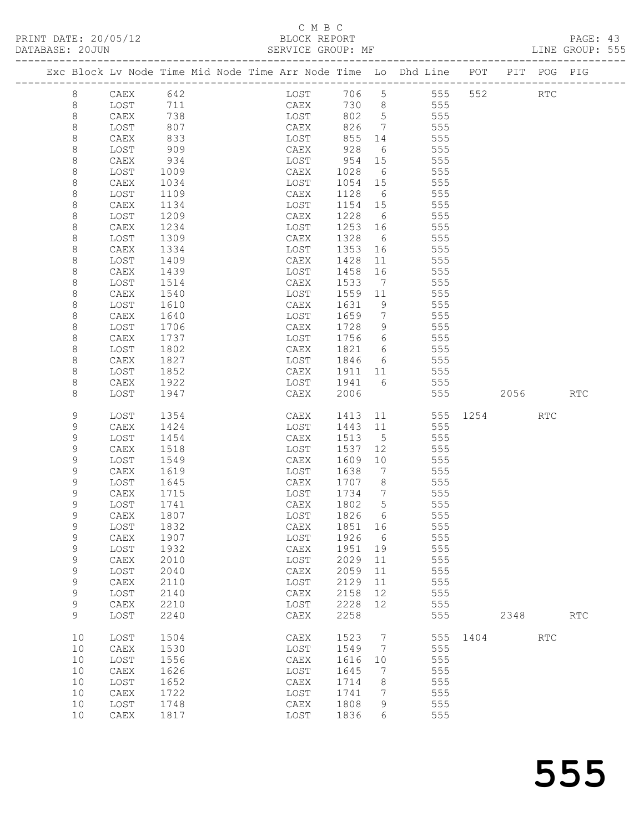### C M B C

|             |              |            |  |              |                  |                 |                                                                                |      |      |                      | PAGE: 43<br>LINE GROUP: 555 |  |
|-------------|--------------|------------|--|--------------|------------------|-----------------|--------------------------------------------------------------------------------|------|------|----------------------|-----------------------------|--|
|             |              |            |  |              |                  |                 | Exc Block Lv Node Time Mid Node Time Arr Node Time Lo Dhd Line POT PIT POG PIG |      |      |                      |                             |  |
| $8 - 8$     | CAEX 642     |            |  |              |                  |                 | LOST 706 5 555 552                                                             |      |      | $\operatorname{RTC}$ |                             |  |
| $\,8\,$     | LOST         |            |  |              |                  |                 | 711 CAEX 730 8 555                                                             |      |      |                      |                             |  |
| $\,8\,$     | CAEX         |            |  |              |                  |                 |                                                                                |      |      |                      |                             |  |
| $\,8\,$     | LOST         | 738<br>807 |  | LOST<br>CAEX |                  |                 | 802 5 555<br>826 7 555                                                         |      |      |                      |                             |  |
| $\,8\,$     | CAEX         | 833        |  | LOST         |                  |                 | 855 14 555                                                                     |      |      |                      |                             |  |
| $\,8\,$     | LOST         | 909        |  | CAEX         | 928              |                 | 6 555                                                                          |      |      |                      |                             |  |
| $\,8\,$     | CAEX         | 934        |  | LOST         |                  |                 |                                                                                |      |      |                      |                             |  |
| 8           | LOST         | 1009       |  | CAEX         | 954 15<br>1028 6 |                 | ט ט<br>555<br>הבר                                                              |      |      |                      |                             |  |
| 8           | CAEX         | 1034       |  | LOST         |                  |                 | 1054 15 555                                                                    |      |      |                      |                             |  |
| 8           | LOST         | 1109       |  | CAEX         |                  |                 | 1128 6 555                                                                     |      |      |                      |                             |  |
| $\,8\,$     | CAEX         | 1134       |  | LOST         | 1154 15          |                 | 555                                                                            |      |      |                      |                             |  |
| 8           | LOST         | 1209       |  | CAEX         | 1228             | $6\overline{6}$ | 555                                                                            |      |      |                      |                             |  |
| 8           | CAEX         | 1234       |  | LOST         |                  |                 | 1253 16 555                                                                    |      |      |                      |                             |  |
| 8           | LOST         | 1309       |  | CAEX         | 1328             |                 | 6 555                                                                          |      |      |                      |                             |  |
| 8           | CAEX         | 1334       |  | LOST         | 1353             |                 | 555                                                                            |      |      |                      |                             |  |
| 8           | LOST         | 1409       |  | CAEX         | 1428             | 11              | 555                                                                            |      |      |                      |                             |  |
| 8           | CAEX         | 1439       |  | LOST         | 1458             |                 | 16<br>555                                                                      |      |      |                      |                             |  |
| 8           | LOST         | 1514       |  | CAEX         | 1533             | $\overline{7}$  | 555                                                                            |      |      |                      |                             |  |
| 8           | CAEX         | 1540       |  | LOST         | 1559             | 11              | 555                                                                            |      |      |                      |                             |  |
| 8           | LOST         | 1610       |  | CAEX         | 1631             | 9               | 555                                                                            |      |      |                      |                             |  |
| 8           | CAEX         | 1640       |  | LOST         | 1659             |                 | $7\overline{ }$<br>555                                                         |      |      |                      |                             |  |
| 8           | LOST         | 1706       |  | CAEX         | 1728             |                 | 9 555                                                                          |      |      |                      |                             |  |
| 8           | CAEX         | 1737       |  | LOST         | 1756             |                 | 6 555                                                                          |      |      |                      |                             |  |
| 8           | LOST         | 1802       |  | CAEX         |                  |                 |                                                                                |      |      |                      |                             |  |
| 8           | CAEX         | 1827       |  | LOST         | 1846             |                 | 1821 6 555<br>1846 6 555                                                       |      |      |                      |                             |  |
| 8           | LOST         | 1852       |  | CAEX         |                  |                 | 1911 11 555                                                                    |      |      |                      |                             |  |
| 8           | CAEX         | 1922       |  | LOST         |                  |                 | 1941 6 555                                                                     |      |      |                      |                             |  |
| 8           | LOST         | 1947       |  | CAEX         | 2006             |                 | 555                                                                            | 2056 |      |                      | <b>RTC</b>                  |  |
| 9           | LOST         | 1354       |  | CAEX         |                  |                 | 1413 11 555 1254 RTC                                                           |      |      |                      |                             |  |
| $\mathsf 9$ | CAEX         | 1424       |  | LOST         | 1443             | 11              | 555                                                                            |      |      |                      |                             |  |
| $\mathsf 9$ | LOST         | 1454       |  | CAEX         | 1513             | 5 <sup>5</sup>  | 555                                                                            |      |      |                      |                             |  |
| $\mathsf 9$ | CAEX         | 1518       |  | LOST         | 1537             | 12              | 555                                                                            |      |      |                      |                             |  |
| 9           | LOST         | 1549       |  | CAEX         | 1609             | 10              | 555                                                                            |      |      |                      |                             |  |
| 9           | CAEX         | 1619       |  | LOST         | 1638             | $\overline{7}$  | 555                                                                            |      |      |                      |                             |  |
| 9           | LOST         | 1645       |  | CAEX         | 1707 8           |                 | 555                                                                            |      |      |                      |                             |  |
| 9           | CAEX         | 1715       |  | LOST         | 1734             | $\overline{7}$  | 555                                                                            |      |      |                      |                             |  |
| 9           | LOST         | 1741       |  | ${\tt CAEX}$ | 1802             | 5               | 555                                                                            |      |      |                      |                             |  |
| 9           | ${\tt CAEX}$ | 1807       |  | LOST         | 1826             | 6               | 555                                                                            |      |      |                      |                             |  |
| 9           | LOST         | 1832       |  | CAEX         | 1851             | 16              | 555                                                                            |      |      |                      |                             |  |
| $\mathsf 9$ | CAEX         | 1907       |  | LOST         | 1926             | 6               | 555                                                                            |      |      |                      |                             |  |
| 9           | LOST         | 1932       |  | ${\tt CAEX}$ | 1951             | 19              | 555                                                                            |      |      |                      |                             |  |
| 9           | CAEX         | 2010       |  | LOST         | 2029             | 11              | 555                                                                            |      |      |                      |                             |  |
| 9           | LOST         | 2040       |  | CAEX         | 2059             | 11              | 555                                                                            |      |      |                      |                             |  |
| 9           | CAEX         | 2110       |  | LOST         | 2129             | 11              | 555                                                                            |      |      |                      |                             |  |
| 9           | LOST         | 2140       |  | ${\tt CAEX}$ | 2158             | 12              | 555                                                                            |      |      |                      |                             |  |
| 9           | CAEX         | 2210       |  | LOST         | 2228             | 12              | 555                                                                            |      |      |                      |                             |  |
| 9           | LOST         | 2240       |  | CAEX         | 2258             |                 | 555                                                                            |      | 2348 |                      | $\operatorname{RTC}$        |  |
| 10          | LOST         | 1504       |  | CAEX         | 1523             | 7               | 555                                                                            | 1404 |      | $\operatorname{RTC}$ |                             |  |
| $10$        | CAEX         | 1530       |  | LOST         | 1549             | 7               | 555                                                                            |      |      |                      |                             |  |
| 10          | LOST         | 1556       |  | CAEX         | 1616             | 10              | 555                                                                            |      |      |                      |                             |  |
| $10$        | CAEX         | 1626       |  | LOST         | 1645             | 7               | 555                                                                            |      |      |                      |                             |  |
| 10          | LOST         | 1652       |  | CAEX         | 1714             | 8               | 555                                                                            |      |      |                      |                             |  |
| 10          | CAEX         | 1722       |  | LOST         | 1741             | 7               | 555                                                                            |      |      |                      |                             |  |
| 10          | LOST         | 1748       |  | CAEX         | 1808             | 9               | 555                                                                            |      |      |                      |                             |  |
| 10          | CAEX         | 1817       |  | LOST         | 1836             | 6               | 555                                                                            |      |      |                      |                             |  |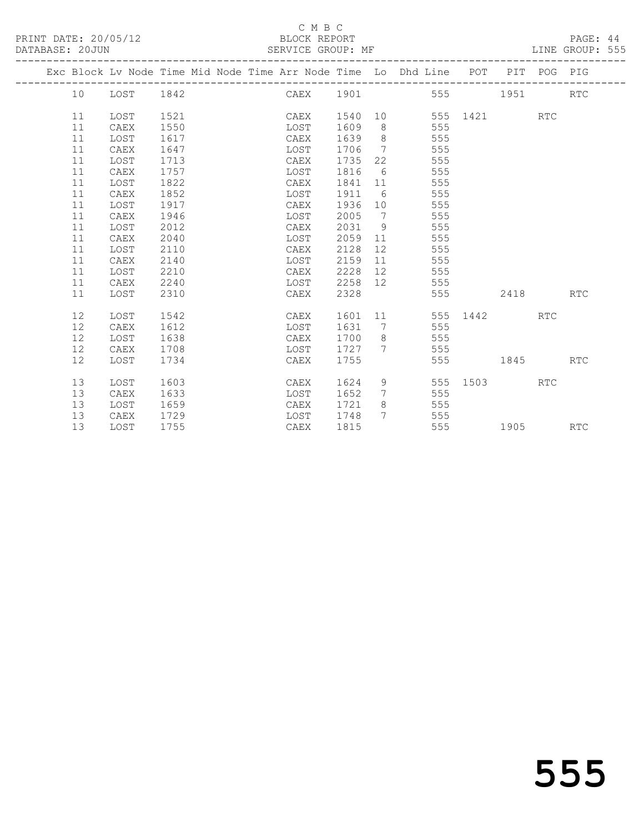#### C M B C<br>BLOCK REPORT SERVICE GROUP: MF

|  |    |      | Exc Block Lv Node Time Mid Node Time Arr Node Time Lo Dhd Line POT PIT POG PIG |                    |         |                              |                   |                                                                                                                                                                                                                                 |            |            |
|--|----|------|--------------------------------------------------------------------------------|--------------------|---------|------------------------------|-------------------|---------------------------------------------------------------------------------------------------------------------------------------------------------------------------------------------------------------------------------|------------|------------|
|  | 10 | LOST | 1842                                                                           | CAEX 1901 555 1951 |         |                              |                   |                                                                                                                                                                                                                                 |            | <b>RTC</b> |
|  | 11 | LOST | 1521                                                                           | CAEX               | 1540    |                              | 10 555 1421       |                                                                                                                                                                                                                                 | <b>RTC</b> |            |
|  | 11 | CAEX | 1550                                                                           | LOST               | 1609    | 8 <sup>8</sup>               | 555               |                                                                                                                                                                                                                                 |            |            |
|  | 11 | LOST | 1617                                                                           | CAEX               | 1639    | 8 <sup>8</sup>               | 555               |                                                                                                                                                                                                                                 |            |            |
|  | 11 | CAEX | 1647                                                                           | LOST               | 1706    | $7\phantom{.0}\phantom{.0}7$ | 555               |                                                                                                                                                                                                                                 |            |            |
|  | 11 | LOST | 1713                                                                           | CAEX               | 1735    | 22                           | 555               |                                                                                                                                                                                                                                 |            |            |
|  | 11 | CAEX | 1757                                                                           | LOST               | 1816    | 6                            | 555               |                                                                                                                                                                                                                                 |            |            |
|  | 11 | LOST | 1822                                                                           | CAEX               | 1841 11 |                              | 555               |                                                                                                                                                                                                                                 |            |            |
|  | 11 | CAEX | 1852                                                                           | LOST               | 1911    |                              | $6\degree$<br>555 |                                                                                                                                                                                                                                 |            |            |
|  | 11 | LOST | 1917                                                                           | CAEX               | 1936 10 |                              | 555               |                                                                                                                                                                                                                                 |            |            |
|  | 11 | CAEX | 1946                                                                           | LOST               | 2005    | $\overline{7}$               | 555               |                                                                                                                                                                                                                                 |            |            |
|  | 11 | LOST | 2012                                                                           | CAEX               | 2031    | 9                            | 555               |                                                                                                                                                                                                                                 |            |            |
|  | 11 | CAEX | 2040                                                                           | LOST               | 2059    | 11                           | 555               |                                                                                                                                                                                                                                 |            |            |
|  | 11 | LOST | 2110                                                                           | CAEX               | 2128    | 12                           | 555               |                                                                                                                                                                                                                                 |            |            |
|  | 11 | CAEX | 2140                                                                           | LOST               | 2159    | 11                           | 555               |                                                                                                                                                                                                                                 |            |            |
|  | 11 | LOST | 2210                                                                           | CAEX               | 2228    | 12                           | 555               |                                                                                                                                                                                                                                 |            |            |
|  | 11 | CAEX | 2240                                                                           | LOST               | 2258    | 12                           | 555               |                                                                                                                                                                                                                                 |            |            |
|  | 11 | LOST | 2310                                                                           | CAEX               | 2328    |                              | 555               | 2418                                                                                                                                                                                                                            |            | <b>RTC</b> |
|  | 12 | LOST | 1542                                                                           | CAEX               |         |                              | 1601 11           | 555 1442                                                                                                                                                                                                                        | <b>RTC</b> |            |
|  | 12 | CAEX | 1612                                                                           | LOST               | 1631    | $7\overline{ }$              | 555               |                                                                                                                                                                                                                                 |            |            |
|  | 12 | LOST | 1638                                                                           | CAEX               | 1700    | 8 <sup>8</sup>               | 555               |                                                                                                                                                                                                                                 |            |            |
|  | 12 | CAEX | 1708                                                                           | LOST               | 1727    | $7\phantom{0}$               | 555               |                                                                                                                                                                                                                                 |            |            |
|  | 12 | LOST | 1734                                                                           | CAEX               | 1755    |                              | 555               | 1845                                                                                                                                                                                                                            |            | <b>RTC</b> |
|  |    |      |                                                                                |                    |         |                              |                   |                                                                                                                                                                                                                                 |            |            |
|  | 13 | LOST | 1603                                                                           | CAEX               | 1624    | 9                            |                   | 555 1503                                                                                                                                                                                                                        | <b>RTC</b> |            |
|  | 13 | CAEX | 1633                                                                           | LOST               | 1652    |                              | 555<br>7          |                                                                                                                                                                                                                                 |            |            |
|  | 13 | LOST | 1659                                                                           | CAEX               | 1721    | 8                            | 555               |                                                                                                                                                                                                                                 |            |            |
|  | 13 | CAEX | 1729                                                                           | LOST               | 1748    |                              | 7 555             |                                                                                                                                                                                                                                 |            |            |
|  | 13 | LOST | 1755                                                                           | CAEX               | 1815    |                              | 555 300           | 1905 - 1905 - 1906 - 1910 - 1920 - 1920 - 1930 - 1930 - 1930 - 1930 - 1930 - 1930 - 1930 - 1930 - 1930 - 1930 - 1930 - 1930 - 1930 - 1930 - 1930 - 1930 - 1930 - 1930 - 1930 - 1930 - 1930 - 1930 - 1930 - 1930 - 1930 - 1930 - |            | <b>RTC</b> |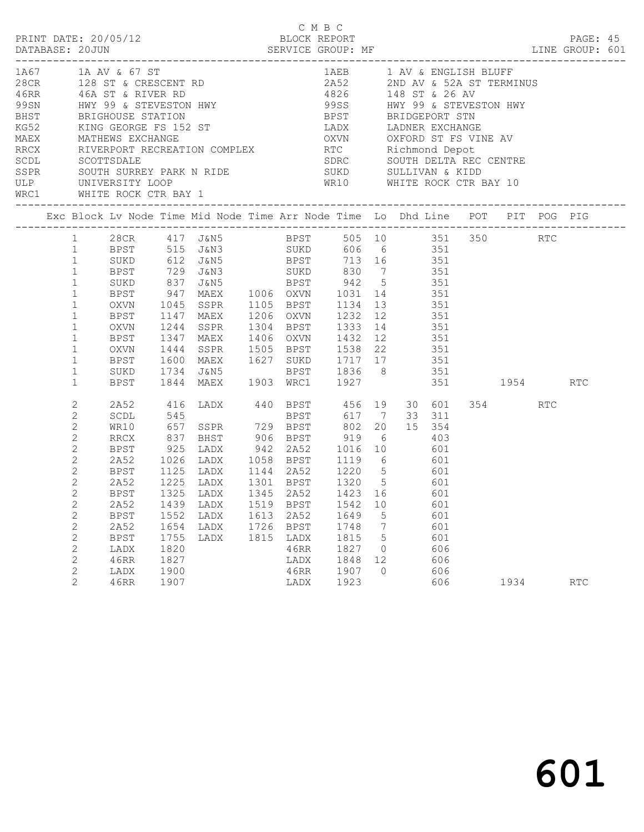|  |                                                                                                                                                                                                                                    | PRINT DATE: 20/05/12                                                                                                             |                                                                     |                                                                                                                                                                                                                                                                                                                                          |      | C M B C                                                                     | BLOCK REPORT                                                                            |                                              |                                                      |                 |     | PAGE: 45   |  |
|--|------------------------------------------------------------------------------------------------------------------------------------------------------------------------------------------------------------------------------------|----------------------------------------------------------------------------------------------------------------------------------|---------------------------------------------------------------------|------------------------------------------------------------------------------------------------------------------------------------------------------------------------------------------------------------------------------------------------------------------------------------------------------------------------------------------|------|-----------------------------------------------------------------------------|-----------------------------------------------------------------------------------------|----------------------------------------------|------------------------------------------------------|-----------------|-----|------------|--|
|  |                                                                                                                                                                                                                                    | 1A67 1A AV & 67 ST<br>ULP UNIVERSITY LOOP                                                                                        |                                                                     | 1 AV & ENGLISH BLUF<br>1 AV & ENGLISH BLUF<br>1 AV & ENGLISH BLUF<br>1 AV & ENGLISH BLUF<br>1 AV & ENGLISH BLUF<br>1 AV & ENGLISH BLUF<br>2 ASS<br>2 2 AD AV & ENGLISH BLUF<br>2 ASS<br>1 AV & ENGLISH BLUF<br>2 ASS<br>2 2 AD AV & ENGLISH BLUF<br>2<br>SSPR SOUTH SURREY PARK N RIDE SUKD SULLIVAN & KIDD<br>WRC1 WHITE ROCK CTR BAY 1 |      |                                                                             | 1AEB 1 AV & ENGLISH BLUFF<br>WR10 WHITE ROCK CTR BAY 10<br>____________________________ |                                              |                                                      |                 |     |            |  |
|  |                                                                                                                                                                                                                                    |                                                                                                                                  |                                                                     | Exc Block Lv Node Time Mid Node Time Arr Node Time Lo Dhd Line POT PIT POG PIG                                                                                                                                                                                                                                                           |      |                                                                             |                                                                                         |                                              |                                                      |                 |     |            |  |
|  | $\mathbf{1}$<br>$\mathbf{1}$<br>$\mathbf{1}$<br>$\mathbf{1}$<br>$\mathbf{1}$<br>$\mathbf{1}$<br>$\mathbf{1}$<br>$\mathbf 1$<br>$\mathbf{1}$<br>$\mathbf{1}$<br>$\mathbf{1}$                                                        | BPST<br>SUKD<br>BPST<br>OXVN<br>BPST<br>OXVN<br>BPST<br>OXVN<br>BPST<br>SUKD<br>BPST                                             |                                                                     | 1 28CR 417 J&N5 BPST 505 10 351 350 RTC<br>1 BPST 515 J&N3 SUKD 606 6 351<br>1 SUKD 612 J&N5 BPST 713 16 351<br>729 J&N3 SUKD 830 7 351<br>1045 SSPR 1105 BPST 1134 13 351<br>1147 MAEX<br>1244 SSPR 1304 BPST 1333 14 351<br>1347 MAEX 1406 OXVN 1432 12 351<br>1444 SSPR 1505 BPST 1538 22 351<br>1600 MAEX 1627 SUKD 1717 17 351      |      |                                                                             | 1206 OXVN 1232 12 351                                                                   |                                              |                                                      |                 |     |            |  |
|  | 2<br>2<br>$\mathbf{2}$<br>$\mathbf{2}$<br>$\mathbf{2}$<br>2<br>$\mathbf{2}$<br>$\mathbf{2}$<br>$\overline{c}$<br>2<br>$\mathbf{2}$<br>$\sqrt{2}$<br>$\mathbf{2}$<br>$\mathbf{2}$<br>$\mathbf{2}$<br>$\mathbf{2}$<br>$\overline{2}$ | 2A52<br>SCDL<br>WR10<br>RRCX<br>2A52 1026<br>BPST<br>2A52<br>2A52<br>BPST<br>2A52<br><b>BPST</b><br>LADX<br>46RR<br>LADX<br>46RR | 545<br>1439<br>1552<br>1654<br>1755<br>1820<br>1827<br>1900<br>1907 | 416 LADX 440 BPST 456 19 30 601<br>BPST 925 LADX 942 2A52 1016 10 601<br>1026 LADX 1058 BPST 1119 6 601<br>1125 LADX 1144 2A52 1220 5 601<br>1225 LADX 1301 BPST 1320 5 601<br>BPST 1325 LADX 1345 2A52 1423 16 601<br>LADX<br>LADX<br>LADX<br>LADX                                                                                      | 1815 | 1519 BPST<br>1613 2A52<br>1726 BPST<br>LADX<br>46RR<br>LADX<br>46RR<br>LADX | 1542<br>1649<br>1748<br>1815<br>1827<br>1848<br>1907<br>1923                            | 10<br>5<br>7<br>5<br>0<br>12<br>$\mathbf{0}$ | 601<br>601<br>601<br>601<br>606<br>606<br>606<br>606 | 354 356<br>1934 | RTC | <b>RTC</b> |  |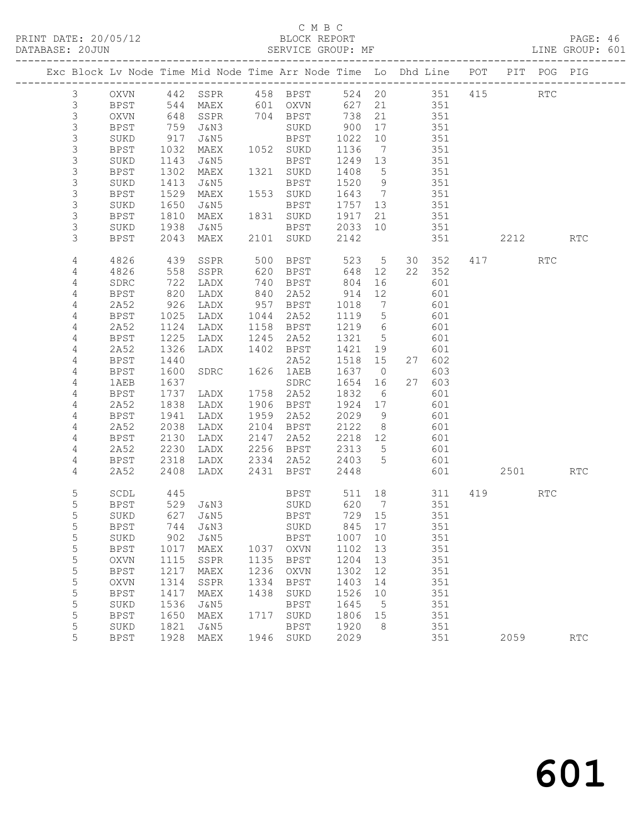#### C M B C<br>BLOCK REPORT SERVICE GROUP: MF

|                |             |      | Exc Block Lv Node Time Mid Node Time Arr Node Time Lo Dhd Line POT PIT POG PIG |      |             |         |                 |        |                |          |                      |            |
|----------------|-------------|------|--------------------------------------------------------------------------------|------|-------------|---------|-----------------|--------|----------------|----------|----------------------|------------|
| $\mathcal{S}$  | OXVN        |      | 442 SSPR                                                                       |      | 458 BPST    |         |                 |        | 524 20 351 415 |          | $\operatorname{RTC}$ |            |
| $\mathfrak{Z}$ | <b>BPST</b> |      | 544 MAEX<br>648 SSPR                                                           |      | 601 OXVN    | 627     | 21              | 351    |                |          |                      |            |
| $\mathfrak{Z}$ | OXVN        |      |                                                                                |      | 704 BPST    | 738     | 21              | 351    |                |          |                      |            |
| 3              | BPST        | 759  | J&N3                                                                           |      | SUKD        | 900     | 17              | 351    |                |          |                      |            |
| 3              | SUKD        | 917  | J&N5                                                                           |      | BPST        | 1022    | 10              | 351    |                |          |                      |            |
| 3              | BPST        | 1032 | MAEX                                                                           |      | 1052 SUKD   | 1136    | $\overline{7}$  | 351    |                |          |                      |            |
| $\mathsf 3$    | SUKD        | 1143 | J&N5                                                                           |      | BPST        | 1249    | 13              | 351    |                |          |                      |            |
| 3              | BPST        | 1302 | MAEX                                                                           |      | 1321 SUKD   | 1408    | $5^{\circ}$     | 351    |                |          |                      |            |
| 3              | SUKD        | 1413 | J&N5                                                                           |      | BPST        | 1520    | 9               | 351    |                |          |                      |            |
| 3              | <b>BPST</b> | 1529 | MAEX                                                                           |      | 1553 SUKD   | 1643    | $\overline{7}$  | 351    |                |          |                      |            |
| 3              | SUKD        | 1650 | J&N5                                                                           |      | BPST        | 1757 13 |                 | 351    |                |          |                      |            |
| 3              | <b>BPST</b> | 1810 | MAEX                                                                           |      | 1831 SUKD   | 1917    | 21              | 351    |                |          |                      |            |
| 3              | SUKD        | 1938 | J&N5                                                                           |      | BPST        | 2033    | 10              | 351    |                |          |                      |            |
| 3              | <b>BPST</b> | 2043 | MAEX                                                                           |      | 2101 SUKD   | 2142    |                 | 351    |                | 2212     |                      | <b>RTC</b> |
| 4              | 4826        | 439  | SSPR                                                                           | 500  | BPST        | 523     | $5\overline{)}$ | 30 352 |                | 417      | RTC                  |            |
| 4              | 4826        | 558  | SSPR                                                                           | 620  | BPST        | 648     | 12              | 22 352 |                |          |                      |            |
| 4              | SDRC        | 722  | LADX                                                                           | 740  | BPST        | 804     | 16              | 601    |                |          |                      |            |
| $\overline{4}$ | BPST        | 820  | LADX                                                                           | 840  | 2A52        | 914     | 12              | 601    |                |          |                      |            |
| 4              | 2A52        | 926  | LADX                                                                           | 957  | BPST        | 1018    | $\overline{7}$  | 601    |                |          |                      |            |
| 4              | BPST        | 1025 | LADX                                                                           | 1044 | 2A52        | 1119    | $5^{\circ}$     | 601    |                |          |                      |            |
| 4              | 2A52        | 1124 | LADX                                                                           | 1158 | BPST        | 1219    | $6\overline{6}$ | 601    |                |          |                      |            |
| 4              | <b>BPST</b> | 1225 | LADX                                                                           | 1245 | 2A52        | 1321    | $5\overline{)}$ | 601    |                |          |                      |            |
| 4              | 2A52        | 1326 | LADX                                                                           |      | 1402 BPST   | 1421    | 19              | 601    |                |          |                      |            |
| 4              | <b>BPST</b> | 1440 |                                                                                |      | 2A52        | 1518    | 15              | 27 602 |                |          |                      |            |
| 4              | BPST        | 1600 | SDRC                                                                           | 1626 | 1AEB        | 1637    | $\overline{0}$  | 603    |                |          |                      |            |
| 4              | 1AEB        | 1637 |                                                                                |      | SDRC        | 1654    | 16              | 27 603 |                |          |                      |            |
| $\overline{4}$ | BPST        | 1737 | LADX                                                                           | 1758 | 2A52        | 1832    | 6               | 601    |                |          |                      |            |
| 4              | 2A52        | 1838 | LADX                                                                           | 1906 | BPST        | 1924    | 17              | 601    |                |          |                      |            |
| 4              | BPST        | 1941 | LADX                                                                           | 1959 | 2A52        | 2029    | 9               | 601    |                |          |                      |            |
| 4              | 2A52        | 2038 | LADX                                                                           | 2104 | BPST        | 2122    | 8 <sup>8</sup>  | 601    |                |          |                      |            |
| 4              | BPST        | 2130 | LADX                                                                           | 2147 | 2A52        | 2218    | 12              | 601    |                |          |                      |            |
| 4              | 2A52        | 2230 | LADX                                                                           | 2256 | BPST        | 2313    | $5\overline{)}$ | 601    |                |          |                      |            |
| 4              | BPST        | 2318 | LADX                                                                           | 2334 | 2A52        | 2403    | $5\overline{)}$ | 601    |                |          |                      |            |
| 4              | 2A52        | 2408 | LADX                                                                           | 2431 | BPST        | 2448    |                 | 601    |                | 2501 250 |                      | <b>RTC</b> |
| 5              | SCDL        | 445  |                                                                                |      | <b>BPST</b> | 511 18  |                 | 311    |                | 419      | <b>RTC</b>           |            |
| 5              | BPST        |      | 529 J&N3 SUKD                                                                  |      |             | 620     | $\overline{7}$  | 351    |                |          |                      |            |
| 5              | SUKD        |      | 627 J&N5                                                                       |      | BPST        | 729 15  |                 | 351    |                |          |                      |            |
| 5              | BPST        |      | 744 J&N3                                                                       |      | SUKD        | 845 17  |                 | 351    |                |          |                      |            |
| 5              | SUKD        | 902  | <b>J&amp;N5</b>                                                                |      | <b>BPST</b> | 1007    | 10              | 351    |                |          |                      |            |
| 5              | <b>BPST</b> | 1017 | MAEX                                                                           | 1037 | <b>OXVN</b> | 1102    | 13              | 351    |                |          |                      |            |
| 5              | <b>OXVN</b> | 1115 | SSPR                                                                           | 1135 | <b>BPST</b> | 1204    | 13              | 351    |                |          |                      |            |
| $\mathsf S$    | <b>BPST</b> | 1217 | MAEX                                                                           | 1236 | <b>OXVN</b> | 1302    | 12              | 351    |                |          |                      |            |
| 5              | OXVN        | 1314 | SSPR                                                                           | 1334 | <b>BPST</b> | 1403    | 14              | 351    |                |          |                      |            |
| 5              | <b>BPST</b> | 1417 | MAEX                                                                           | 1438 | SUKD        | 1526    | 10              | 351    |                |          |                      |            |
| 5              | SUKD        | 1536 | J&N5                                                                           |      | <b>BPST</b> | 1645    | 5               | 351    |                |          |                      |            |
| $\mathsf S$    | <b>BPST</b> | 1650 | MAEX                                                                           | 1717 | SUKD        | 1806    | 15              | 351    |                |          |                      |            |
| 5              | SUKD        | 1821 | J&N5                                                                           |      | <b>BPST</b> | 1920    | 8               | 351    |                |          |                      |            |
| 5              | <b>BPST</b> | 1928 | MAEX                                                                           | 1946 | SUKD        | 2029    |                 | 351    |                | 2059     |                      | RTC        |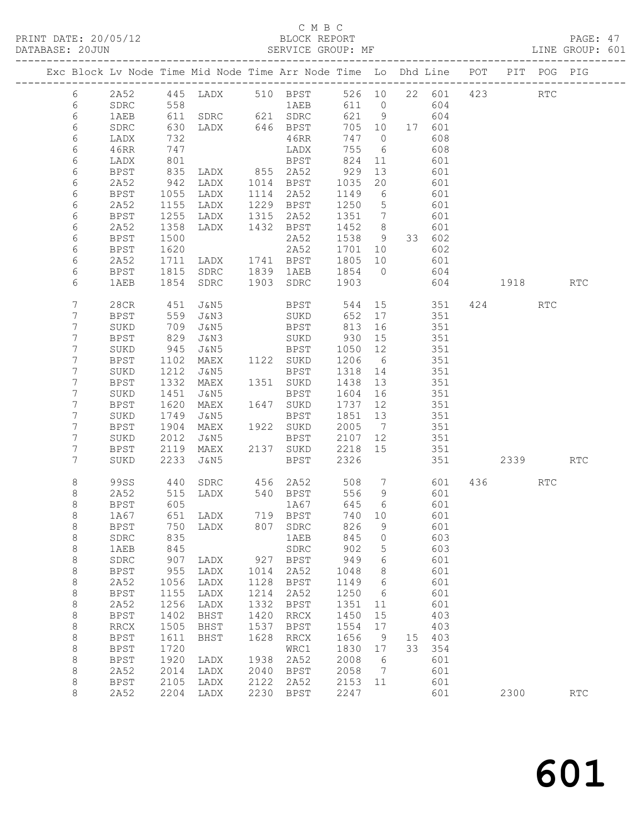### C M B C<br>BLOCK REPORT

| DATABASE: 20JUN  | 11.11.1 <i>DI</i> III. 20709712 |                  |                                                                                                                                                  | LUUCIN IWI UINI<br>SERVICE GROUP: MF                                          |                |       |               |            |              |      | LINE GROUP: 601 |
|------------------|---------------------------------|------------------|--------------------------------------------------------------------------------------------------------------------------------------------------|-------------------------------------------------------------------------------|----------------|-------|---------------|------------|--------------|------|-----------------|
|                  |                                 |                  | Exc Block Lv Node Time Mid Node Time Arr Node Time Lo Dhd Line POT PIT POG PIG                                                                   |                                                                               |                |       |               |            |              |      |                 |
| 6                |                                 |                  | 2A52 445 LADX 510 BPST 526 10 22 601 423 RTC                                                                                                     |                                                                               |                |       |               |            |              |      |                 |
| $6\phantom{.}6$  |                                 |                  | SDRC 558 1AEB 611 0<br>1AEB 611 SDRC 621 SDRC 621 9                                                                                              |                                                                               |                |       |               | 604        |              |      |                 |
| 6                | 1AEB                            |                  |                                                                                                                                                  |                                                                               |                |       | $621$ 9 604   |            |              |      |                 |
| 6                | SDRC                            |                  |                                                                                                                                                  |                                                                               |                |       | 705 10 17 601 |            |              |      |                 |
| 6                | LADX                            |                  |                                                                                                                                                  |                                                                               | 747 0          |       |               | 608        |              |      |                 |
| 6                | 46RR                            | 747<br>801       |                                                                                                                                                  | LADX<br>BPST                                                                  | 755 6          |       |               | 608        |              |      |                 |
| 6                | LADX                            |                  |                                                                                                                                                  |                                                                               | 824 11         |       |               | 601        |              |      |                 |
| 6                | BPST                            |                  | 835 LADX 855 2A52 929 13<br>942 LADX 1014 BPST 1035 20<br>1055 LADX 1114 2A52 1149 6<br>1155 LADX 1229 BPST 1250 5<br>1255 LADX 1315 2A52 1351 7 |                                                                               |                |       |               | 601        |              |      |                 |
| 6                | 2A52                            |                  |                                                                                                                                                  |                                                                               |                |       |               | 601        |              |      |                 |
| 6                | BPST                            |                  |                                                                                                                                                  |                                                                               |                |       |               | 601        |              |      |                 |
| 6                | 2A52                            |                  |                                                                                                                                                  |                                                                               |                |       |               | 601        |              |      |                 |
| 6                | BPST                            |                  |                                                                                                                                                  | LADX 1225 13<br>LADX 1315 2A52 1351 /<br>LADX 1432 BPST 1452 8<br>2A52 1538 9 |                |       |               | 601        |              |      |                 |
| 6                | 2A52                            | $1358$<br>$1500$ |                                                                                                                                                  |                                                                               |                |       |               | 601        |              |      |                 |
| 6                | BPST                            |                  |                                                                                                                                                  |                                                                               |                |       |               | 33 602     |              |      |                 |
| 6                | BPST                            |                  |                                                                                                                                                  |                                                                               |                |       |               | 602        |              |      |                 |
| 6                | 2A52                            |                  |                                                                                                                                                  |                                                                               |                |       |               | 601        |              |      |                 |
| 6                | BPST                            |                  | 1620 2A52 1701 10<br>1711 LADX 1741 BPST 1805 10<br>1815 SDRC 1839 1AEB 1854 0<br>1854 SDRC 1903 SDRC 1903                                       |                                                                               |                |       |               | 604        |              |      |                 |
| 6                | 1AEB                            |                  |                                                                                                                                                  |                                                                               |                |       |               |            | 604 1918 RTC |      |                 |
| $\overline{7}$   | 28CR                            | 451              | J&N5 – J                                                                                                                                         | BPST 544 15 351 424                                                           |                |       |               |            |              | RTC  |                 |
| $\overline{7}$   | BPST                            | 559              | J&N3                                                                                                                                             | SUKD 652 17                                                                   |                |       |               | 351        |              |      |                 |
| 7                | SUKD                            | 709<br>829       | J&N5<br>J&N3                                                                                                                                     | BPST 813 16<br>SUKD 930 15                                                    |                |       |               | 351        |              |      |                 |
| 7                | BPST                            |                  |                                                                                                                                                  |                                                                               |                |       |               | 351        |              |      |                 |
| 7                | SUKD                            | $945$<br>1102    |                                                                                                                                                  | J&N5 BPST 1050 12<br>MAEX 1122 SUKD 1206 6                                    |                |       |               | 351        |              |      |                 |
| $\overline{7}$   | BPST                            |                  |                                                                                                                                                  |                                                                               |                |       |               | 351        |              |      |                 |
| 7                | SUKD                            |                  | 1212 J&N5<br>1332 MAEX 1351 SUKD<br>1451 J&N5 BPST                                                                                               | BPST 1318 14                                                                  |                |       |               | 351        |              |      |                 |
| $\overline{7}$   | BPST                            |                  |                                                                                                                                                  |                                                                               | 1438 13        |       |               | 351        |              |      |                 |
| $7\phantom{.}$   | SUKD                            |                  |                                                                                                                                                  | BPST 1604 16                                                                  |                |       |               | 351        |              |      |                 |
| 7                | BPST                            | 1620<br>1749     |                                                                                                                                                  | MAEX 1647 SUKD<br>J&N5 BPST                                                   | 1737 12        |       |               | 351        |              |      |                 |
| $\boldsymbol{7}$ | SUKD                            |                  |                                                                                                                                                  | BPST 1851 13                                                                  |                |       |               | 351        |              |      |                 |
| 7                | <b>BPST</b>                     | 1904<br>2012     |                                                                                                                                                  | MAEX 1922 SUKD 2005 7<br>J&N5 BPST 2107 12                                    |                |       |               | 351        |              |      |                 |
| $\overline{7}$   | SUKD                            |                  |                                                                                                                                                  |                                                                               |                |       |               | 351        |              |      |                 |
| 7                | BPST                            | 2119             |                                                                                                                                                  | MAEX 2137 SUKD                                                                | 2218 15        |       |               | 351        |              |      |                 |
| 7                | SUKD                            | 2233             | J&N5 STATISTICS                                                                                                                                  | BPST                                                                          | 2326           |       |               |            |              | 2339 | RTC             |
| 8                | 99SS                            | 440              |                                                                                                                                                  | SDRC 456 2A52                                                                 |                | 508 7 |               |            | 601 436 RTC  |      |                 |
| 8                | 2A52                            | 515              | LADX                                                                                                                                             | 540 BPST                                                                      | 556            | - 9   |               | 601        |              |      |                 |
| 8                | BPST                            | 605              |                                                                                                                                                  | 1A67                                                                          | 645            | 6     |               | 601        |              |      |                 |
| 8                | 1A67                            | 651              | LADX 719 BPST                                                                                                                                    |                                                                               | 740 10         |       |               | 601        |              |      |                 |
| $\,8\,$          | BPST                            | 750<br>835       | LADX 807 SDRC                                                                                                                                    |                                                                               | 826            | 9     |               | 601        |              |      |                 |
| $\,8\,$          | SDRC                            |                  |                                                                                                                                                  | 1AEB                                                                          | 845 0          |       |               | 603        |              |      |                 |
| 8                | 1AEB                            |                  |                                                                                                                                                  |                                                                               | 902 5<br>949 6 |       |               | 603<br>601 |              |      |                 |
| 8                | SDRC                            |                  |                                                                                                                                                  |                                                                               |                |       |               |            |              |      |                 |
| 8                | BPST                            |                  | 955 LADX 1014 2A52 1048 8                                                                                                                        |                                                                               |                |       |               | 601        |              |      |                 |

8 2A52 2204 LADX 2230 BPST 2247 601 2300 RTC

8 BPST 955 LADX 1014 2A52 1048 8 601

 8 BPST 1155 LADX 1214 2A52 1250 6 601 8 2A52 1256 LADX 1332 BPST 1351 11 601 8 BPST 1402 BHST 1420 RRCX 1450 15 403 8 RRCX 1505 BHST 1537 BPST 1554 17 403 8 BPST 1611 BHST 1628 RRCX 1656 9 15 403 8 BPST 1720 WRC1 1830 17 33 354 8 BPST 1920 LADX 1938 2A52 2008 6 601 8 2A52 2014 LADX 2040 BPST 2058 7 601 8 BPST 2105 LADX 2122 2A52 2153 11 601

8 2A52 1056 LADX 1128 BPST 1149 6 601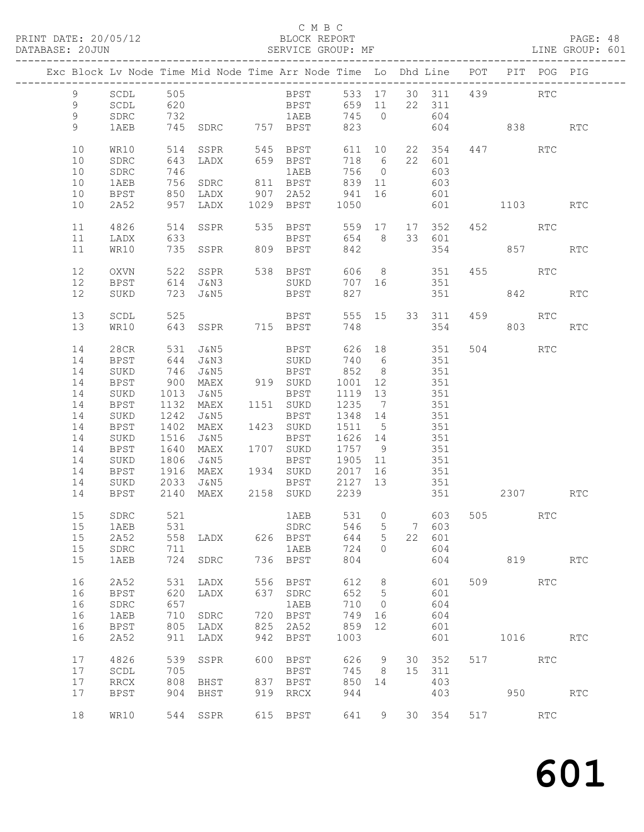## C M B C<br>BLOCK REPORT<br>SERVICE GROUP: MF

| DATABASE: 20JUN |                |                     |            | SERVICE GROUP: MF                                                              |     |                            |            |                     |     |                  |         |             |         | LINE GROUP: 601 |
|-----------------|----------------|---------------------|------------|--------------------------------------------------------------------------------|-----|----------------------------|------------|---------------------|-----|------------------|---------|-------------|---------|-----------------|
|                 |                |                     |            | Exc Block Lv Node Time Mid Node Time Arr Node Time Lo Dhd Line POT PIT POG PIG |     |                            |            |                     |     |                  |         |             |         |                 |
|                 | 9              | SCDL 505            |            |                                                                                |     | BPST 533 17 30 311 439 RTC |            |                     |     |                  |         |             |         |                 |
|                 | 9              | SCDL                |            | 620 BPST 659 11 22 311                                                         |     |                            |            |                     |     |                  |         |             |         |                 |
|                 | 9              | SDRC                |            |                                                                                |     | 1AEB 745 0                 |            |                     |     | 604              |         |             |         |                 |
|                 | $\overline{9}$ | 1AEB                |            |                                                                                |     |                            | 823        |                     |     |                  |         | 604 838     |         | <b>RTC</b>      |
|                 |                |                     |            |                                                                                |     |                            |            |                     |     |                  |         |             |         |                 |
|                 | 10             | WR10                | 514        | SSPR                                                                           |     | 545 BPST                   |            | 611 10              |     | 22 354           |         | 447         | RTC     |                 |
|                 | 10             | SDRC                | 643        | LADX                                                                           |     | 659 BPST                   | 718 6      |                     |     | 22 601           |         |             |         |                 |
|                 | 10             | SDRC                |            |                                                                                |     |                            | 756 0      |                     |     | 603              |         |             |         |                 |
|                 | 10             | 1AEB                |            |                                                                                |     |                            | 839 11     |                     | 603 |                  |         |             |         |                 |
|                 | 10             | BPST                |            | 850 LADX                                                                       |     | 907 2A52 941 16            |            |                     | 601 |                  |         |             |         |                 |
|                 | 10             | 2A52                |            | 957 LADX                                                                       |     | 1029 BPST                  | 1050       |                     |     |                  | 601 000 | 1103        |         | <b>RTC</b>      |
|                 | 11             | 4826                | 514        | SSPR                                                                           |     | 535 BPST                   |            |                     |     | 559 17 17 352    |         | 452         | RTC     |                 |
|                 | 11             | LADX                | 633        |                                                                                |     | <b>BPST</b>                | 654 8      |                     |     | 33 601           |         |             |         |                 |
|                 | 11             | WR10                |            | 735 SSPR                                                                       |     | 809 BPST                   | 842        |                     |     |                  | 354     |             | 857   1 | <b>RTC</b>      |
|                 |                |                     |            |                                                                                |     |                            |            |                     |     |                  |         |             |         |                 |
|                 | 12             | OXVN                |            | 522 SSPR 538 BPST                                                              |     |                            |            | 606 8               |     |                  |         | 351 455 RTC |         |                 |
|                 | 12             | BPST                |            | 614 J&N3                                                                       |     | SUKD                       | 707 16     |                     | 351 |                  |         |             |         |                 |
|                 | 12             | SUKD                |            | 723 J&N5                                                                       |     | BPST                       | 827        |                     |     |                  | 351     |             | 842     | RTC             |
|                 | 13             | SCDL                | 525        |                                                                                |     | <b>BPST</b>                |            |                     |     | 555 15 33 311    | 459     |             | RTC     |                 |
|                 | 13             | WR10                |            | 643 SSPR 715 BPST                                                              |     |                            | 748        |                     |     | 354              |         | 803         |         | <b>RTC</b>      |
|                 |                |                     |            |                                                                                |     |                            |            |                     |     |                  |         |             |         |                 |
|                 | 14             | 28CR                | 531        | J&N5                                                                           |     | BPST                       |            | 626 18              |     | 351              |         | 504 700     | RTC     |                 |
|                 | 14             | BPST                | 644        | J&N3                                                                           |     | SUKD                       | 740 6      |                     |     | 351              |         |             |         |                 |
|                 | 14             | SUKD                |            | 746 J&N5                                                                       |     | <b>BPST</b>                | 852        | 8 <sup>8</sup>      | 351 |                  |         |             |         |                 |
|                 | 14             | BPST                | 900        | MAEX                                                                           |     | 919 SUKD                   | 1001 12    |                     | 351 |                  |         |             |         |                 |
|                 | 14             | SUKD                | 1013       | J&N5                                                                           |     | BPST                       | 1119       | 13                  | 351 |                  |         |             |         |                 |
|                 | 14             | BPST                | 1132       | MAEX                                                                           |     | 1151 SUKD                  | 1235       | $7\overline{ }$     |     | 351              |         |             |         |                 |
|                 | 14             | SUKD                | 1242       | J&N5                                                                           |     | BPST                       | 1348 14    |                     |     | $\frac{1}{351}$  |         |             |         |                 |
|                 | 14             | BPST                | 1402       | MAEX                                                                           |     | 1423 SUKD                  | 1511       | $5\overline{)}$     | 351 |                  |         |             |         |                 |
|                 | 14             | SUKD                | 1516       | J&N5                                                                           |     | BPST                       | 1626 14    |                     |     | 351              |         |             |         |                 |
|                 | 14             | BPST                | 1640       | MAEX                                                                           |     | 1707 SUKD                  | 1757 9     |                     |     | 351              |         |             |         |                 |
|                 | 14             | SUKD                | 1806       | J&N5                                                                           |     | BPST                       | 1905       | 11                  | 351 |                  |         |             |         |                 |
|                 | 14             | <b>BPST</b>         | 1916       | MAEX                                                                           |     | 1934 SUKD 2017             |            | 16                  | 351 |                  |         |             |         |                 |
|                 | 14             | SUKD                | 2033       | J&N5                                                                           |     | BPST 2127                  |            | 13                  | 351 |                  |         |             |         |                 |
|                 | 14             | BPST                |            | 2140 MAEX                                                                      |     | 2158 SUKD 2239             |            |                     |     | 351              |         | 2307        |         | RTC             |
|                 |                |                     |            |                                                                                |     | 1AEB 531 0 603 505         |            |                     |     |                  |         |             |         |                 |
|                 | 15             | SDRC                | 521        |                                                                                |     |                            |            |                     |     |                  |         |             | RTC     |                 |
|                 | 15             | 1AEB                | 531        |                                                                                |     | SDRC                       | 546        | 5                   |     | 7 603            |         |             |         |                 |
|                 | 15             | 2A52                | 558        | LADX                                                                           |     | 626 BPST                   | 644        | 5 <sup>5</sup>      |     | 22 601           |         |             |         |                 |
|                 | 15             | SDRC                | 711        |                                                                                |     | 1AEB                       | 724        | $\Omega$            |     | 604              |         |             |         |                 |
|                 | 15             | 1AEB                | 724        | SDRC                                                                           |     | 736 BPST                   | 804        |                     |     | 604              |         | 819         |         | <b>RTC</b>      |
|                 | 16             | 2A52                | 531        | LADX                                                                           |     | 556 BPST                   | 612        | 8                   |     | 601              |         | 509 RTC     |         |                 |
|                 | 16             | BPST                | 620        | LADX                                                                           |     | 637 SDRC                   | 652        | $5\overline{)}$     |     | 601              |         |             |         |                 |
|                 | 16             | SDRC                | 657        |                                                                                |     | 1AEB                       | 710        | $\overline{0}$      |     | 604              |         |             |         |                 |
|                 | 16             | 1AEB                | 710        | SDRC                                                                           |     | 720 BPST                   | 749        | 16                  |     | 604              |         |             |         |                 |
|                 | 16             | BPST                | 805        | LADX                                                                           | 825 | 2A52                       | 859        | 12                  |     | 601              |         |             |         |                 |
|                 | 16             | 2A52                | 911        | LADX                                                                           | 942 | BPST                       | 1003       |                     |     | 601              |         | 1016        |         | <b>RTC</b>      |
|                 |                |                     |            |                                                                                |     |                            |            |                     |     |                  |         |             |         |                 |
|                 | 17<br>17       | 4826<br>SCDL        | 539<br>705 | SSPR                                                                           | 600 | BPST<br>BPST               | 626<br>745 | 9<br>8 <sup>8</sup> |     | 30 352<br>15 311 |         | 517         | RTC     |                 |
|                 | 17             |                     | 808        |                                                                                |     | 837 BPST                   | 850        | 14                  |     | 403              |         |             |         |                 |
|                 | 17             | RRCX<br><b>BPST</b> | 904        | BHST<br>BHST                                                                   |     | 919 RRCX                   | 944        |                     |     | 403              |         |             | 950 000 | <b>RTC</b>      |
|                 |                |                     |            |                                                                                |     |                            |            |                     |     |                  |         |             |         |                 |
|                 | 18             | WR10                |            | 544 SSPR                                                                       |     | 615 BPST                   | 641        | 9                   |     | 30 354           |         | 517 RTC     |         |                 |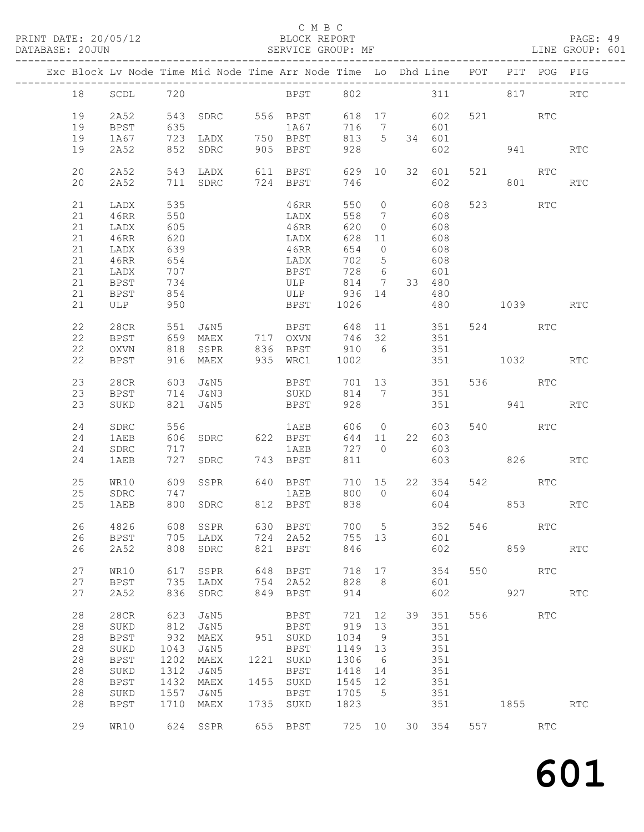#### C M B C<br>BLOCK REPORT

#### SERVICE GROUP: MF

|    |             |            |                                                    |     | Exc Block Lv Node Time Mid Node Time Arr Node Time Lo Dhd Line POT             |           |                |           |               |              | PIT POG PIG |                      |
|----|-------------|------------|----------------------------------------------------|-----|--------------------------------------------------------------------------------|-----------|----------------|-----------|---------------|--------------|-------------|----------------------|
| 18 | SCDL 720    |            |                                                    |     | BPST 802 311 817 RTC                                                           |           |                |           |               |              |             |                      |
| 19 | 2A52        |            |                                                    |     | 543 SDRC 556 BPST                                                              |           |                |           | 618 17 602    | 521 RTC      |             |                      |
| 19 | BPST        | 635        |                                                    |     | 1A67                                                                           | 716 7 601 |                |           |               |              |             |                      |
| 19 | 1A67        |            |                                                    |     |                                                                                | 813 5     |                |           | 34 601        |              |             |                      |
| 19 | 2A52        |            | 723 LADX      750  BPST<br>852  SDRC     905  BPST |     |                                                                                | 928       |                |           | 602           | 941 — 10     |             | $\operatorname{RTC}$ |
| 20 | 2A52        |            |                                                    |     | 543 LADX 611 BPST                                                              | 629 10    |                |           | 32 601        | 521 RTC      |             |                      |
| 20 |             |            |                                                    |     |                                                                                | 746       |                |           | 602           |              |             |                      |
|    | 2A52        |            | 711 SDRC 724 BPST                                  |     |                                                                                |           |                |           |               |              | 801 12      | RTC                  |
| 21 | LADX        | 535        |                                                    |     | 46RR                                                                           |           |                |           | 550 0 608     | 523 RTC      |             |                      |
| 21 | 46RR        | 550        |                                                    |     | LADX                                                                           |           |                | 558 7 608 |               |              |             |                      |
| 21 | LADX        | 605        |                                                    |     | 46RR                                                                           | 620       | $\overline{0}$ |           | 608           |              |             |                      |
| 21 | 46RR        | 620        |                                                    |     | LADX                                                                           | 628 11    |                |           | 608           |              |             |                      |
| 21 |             | 639        |                                                    |     | 46RR                                                                           | 654 0     |                |           | 608           |              |             |                      |
|    | LADX        |            |                                                    |     |                                                                                |           |                |           |               |              |             |                      |
| 21 | 46RR        | 654        |                                                    |     | LADX                                                                           | 702 5     |                |           | 608           |              |             |                      |
| 21 | LADX        | 707<br>701 |                                                    |     | BPST                                                                           | 728 6     |                |           | 601           |              |             |                      |
| 21 | BPST        |            |                                                    |     | $\begin{array}{c}\n\cdot & \cdot & \cdot \\ \text{ULP} \\ \cdots\n\end{array}$ | 814 7     |                |           | 33 480        |              |             |                      |
| 21 | BPST        | 854        |                                                    |     | ULP 936 14                                                                     |           |                |           | 480           |              |             |                      |
| 21 | ULP         | 950        |                                                    |     | <b>BPST</b>                                                                    | 1026      |                |           |               | 480 1039 RTC |             |                      |
| 22 | 28CR        | 551        | J&N5                                               |     |                                                                                |           |                |           |               | 524 RTC      |             |                      |
| 22 | <b>BPST</b> |            |                                                    |     | BPST 648 11 351<br>OXVN 746 32 351<br>659 MAEX 717 OXVN                        |           |                |           |               |              |             |                      |
| 22 |             | 818        |                                                    |     | SSPR 836 BPST 910 6 351                                                        |           |                |           |               |              |             |                      |
|    | OXVN        |            |                                                    |     |                                                                                |           |                |           |               |              |             |                      |
| 22 | BPST        |            | 916 MAEX                                           |     | 935 WRC1 1002                                                                  |           |                |           |               | 351 1032     |             | <b>RTC</b>           |
| 23 | 28CR        |            |                                                    |     | 603 J&N5 BPST                                                                  |           |                |           | 701 13 351    | 536 RTC      |             |                      |
| 23 | BPST        |            |                                                    |     | 714 J&N3 SUKD                                                                  |           |                |           | 814 7 351     |              |             |                      |
| 23 | SUKD        |            | 821 J&N5                                           |     | <b>BPST</b>                                                                    | 928       |                |           |               | 351 941 RTC  |             |                      |
|    |             |            |                                                    |     |                                                                                |           |                |           |               |              |             |                      |
| 24 | SDRC        | 556        |                                                    |     | 1AEB                                                                           |           |                | 606 0     | 603           | 540 540      | RTC         |                      |
| 24 | 1AEB        | 606        |                                                    |     | SDRC 622 BPST                                                                  | 644 11    |                |           | 22 603        |              |             |                      |
| 24 | SDRC        | 717        |                                                    |     | 1AEB                                                                           | 727 0     |                |           | 603           |              |             |                      |
| 24 | 1AEB        |            | 727 SDRC                                           |     | 743 BPST                                                                       | 811       |                |           | 603           | 826 18       |             | RTC                  |
| 25 | WR10        |            | 609 SSPR                                           |     | 640 BPST                                                                       |           |                |           | 710 15 22 354 | 542 RTC      |             |                      |
| 25 | SDRC        | 747        |                                                    |     | 1AEB                                                                           |           |                |           | 800 0 604     |              |             |                      |
| 25 | 1AEB        |            | 800 SDRC 812 BPST                                  |     |                                                                                | 838       |                |           |               | 604 853      |             | RTC                  |
|    |             |            |                                                    |     |                                                                                |           |                |           |               |              |             |                      |
| 26 | 4826        |            |                                                    |     |                                                                                |           |                |           | 700 5 352     | 546          | RTC         |                      |
| 26 | BPST        |            | 705 LADX                                           |     | 724 2A52                                                                       | 755 13    |                |           | 601           |              |             |                      |
| 26 | 2A52        |            | 808 SDRC                                           |     | 821 BPST                                                                       | 846       |                |           | 602           | 859          |             | <b>RTC</b>           |
| 27 | WR10        | 617        | SSPR                                               | 648 | BPST                                                                           | 718 17    |                |           | 354           | 550 000      | RTC         |                      |
|    |             |            |                                                    |     |                                                                                |           |                |           |               |              |             |                      |
| 27 | BPST        | 735        | LADX                                               |     | 754 2A52                                                                       | 828       | 8 <sup>8</sup> |           | 601           |              |             |                      |
| 27 | 2A52        | 836        | SDRC                                               | 849 | BPST                                                                           | 914       |                |           | 602           |              | 927         | RTC                  |
| 28 | 28CR        | 623        | J&N5                                               |     | BPST                                                                           | 721       | 12             |           | 39 351        | 556 RTC      |             |                      |
| 28 | SUKD        | 812        | J&N5                                               |     | BPST                                                                           | 919       | 13             |           | 351           |              |             |                      |
| 28 | <b>BPST</b> | 932        | MAEX                                               |     | 951 SUKD                                                                       | 1034      | 9              |           | 351           |              |             |                      |
| 28 | SUKD        | 1043       | J&N5                                               |     | BPST                                                                           | 1149 13   |                |           | 351           |              |             |                      |
| 28 | <b>BPST</b> | 1202       | MAEX                                               |     | 1221 SUKD                                                                      | 1306      | 6              |           | 351           |              |             |                      |
|    |             |            |                                                    |     |                                                                                |           |                |           |               |              |             |                      |
| 28 | SUKD        | 1312       | J&N5                                               |     | BPST                                                                           | 1418 14   |                |           | 351           |              |             |                      |
| 28 | <b>BPST</b> | 1432       | MAEX                                               |     | 1455 SUKD                                                                      | 1545 12   |                |           | 351           |              |             |                      |
| 28 | SUKD        | 1557       | J&N5                                               |     | BPST                                                                           | 1705 5    |                |           | 351           |              |             |                      |
| 28 | <b>BPST</b> | 1710       | MAEX                                               |     | 1735 SUKD                                                                      | 1823      |                |           | 351           | 1855         |             | RTC                  |
| 29 | WR10        |            | 624 SSPR                                           |     | 655 BPST 725 10                                                                |           |                |           | 30 354        | 557          | RTC         |                      |
|    |             |            |                                                    |     |                                                                                |           |                |           |               |              |             |                      |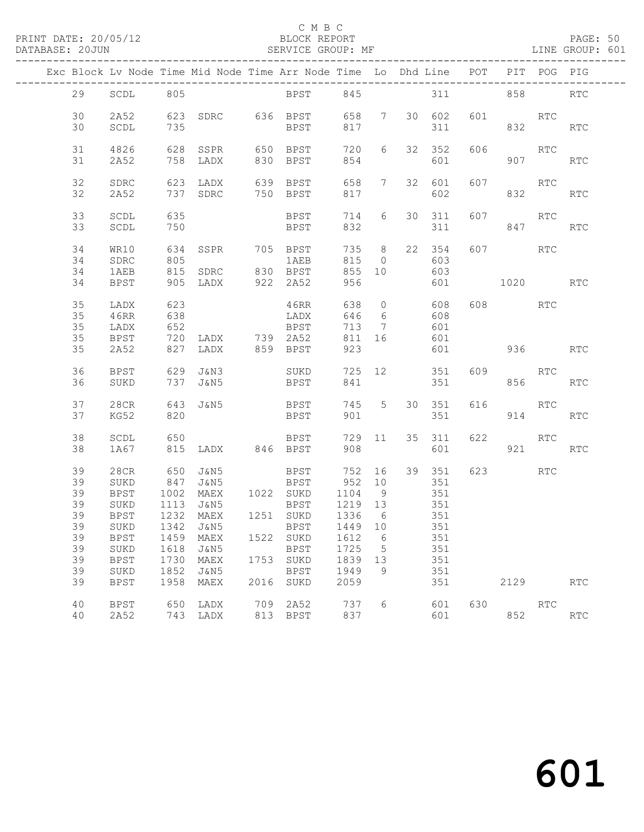#### C M B C<br>BLOCK REPORT

#### SERVICE GROUP: MF

|  |          |                     |              |                   |      | Exc Block Lv Node Time Mid Node Time Arr Node Time Lo Dhd Line POT |              |                  |               |     |            | PIT POG PIG |                             |
|--|----------|---------------------|--------------|-------------------|------|--------------------------------------------------------------------|--------------|------------------|---------------|-----|------------|-------------|-----------------------------|
|  | 29       | SCDL                | 805          |                   |      | BPST 845                                                           |              |                  |               |     | 311 858    |             | <b>RTC</b>                  |
|  |          |                     |              |                   |      |                                                                    |              |                  |               |     |            |             |                             |
|  | 30<br>30 | 2A52<br>SCDL        | 735          |                   |      | 623 SDRC 636 BPST 658 7 30 602<br><b>BPST</b>                      | 817          |                  | 311           | 601 | <b>RTC</b> | 832         | RTC                         |
|  |          |                     |              |                   |      |                                                                    |              |                  |               |     |            |             |                             |
|  | 31<br>31 | 4826<br>2A52        | 628          | SSPR<br>758 LADX  |      | 650 BPST<br>830 BPST                                               | 720<br>854   | 6                | 32 352<br>601 | 606 | 907        | RTC         | <b>RTC</b>                  |
|  |          |                     |              |                   |      |                                                                    |              |                  |               |     |            |             |                             |
|  | 32<br>32 | SDRC<br>2A52        |              |                   |      |                                                                    | 658 7<br>817 |                  | 32 601<br>602 |     | 607 RTC    |             | RTC                         |
|  |          |                     |              |                   |      |                                                                    |              |                  |               |     |            |             |                             |
|  | 33<br>33 | SCDL<br>SCDL        | 635<br>750   |                   |      | <b>BPST</b><br>BPST                                                | 714<br>832   | 6                | 30 311<br>311 | 607 | RTC        | 847         | RTC                         |
|  |          |                     |              |                   |      |                                                                    |              |                  |               |     |            |             |                             |
|  | 34<br>34 | WR10<br>SDRC        | 634<br>805   | SSPR              |      | 705 BPST<br>1 AEB                                                  | 735 8<br>815 | $\overline{0}$   | 22 354<br>603 |     | 607        | RTC         |                             |
|  | 34       | 1AEB                |              | 815 SDRC 830 BPST |      |                                                                    | 855 10       |                  | 603           |     |            |             |                             |
|  | 34       | BPST                |              | 905 LADX 922 2A52 |      |                                                                    | 956          |                  | 601           |     | 1020 RTC   |             |                             |
|  | 35       | LADX                | 623          |                   |      | 46RR                                                               | 638          |                  | 0 608         |     | 608 RTC    |             |                             |
|  | 35       | 46RR                | 638          |                   |      | LADX                                                               | 646          | 6                | 608           |     |            |             |                             |
|  | 35       | LADX                | 652          |                   |      | BPST                                                               | 713          | $\overline{7}$   | 601           |     |            |             |                             |
|  | 35       | BPST                | 720          | LADX 739 2A52     |      |                                                                    | 811 16       |                  | 601           |     |            |             |                             |
|  | 35       | 2A52                |              | 827 LADX          |      | 859 BPST                                                           | 923          |                  | 601           |     | 936 — 10   |             | <b>RTC</b>                  |
|  | 36       | BPST                |              | 629 J&N3          |      | SUKD                                                               |              |                  | 725 12 351    | 609 | <b>RTC</b> |             |                             |
|  | 36       | SUKD                |              | 737 J&N5          |      | <b>BPST</b>                                                        | 841          |                  | 351           |     |            | 856 8       | RTC                         |
|  | 37       | 28CR                |              | 643 J&N5          |      | <b>BPST</b>                                                        | 745 5        |                  | 30 351        | 616 | <b>RTC</b> |             |                             |
|  | 37       | KG52                | 820          |                   |      | BPST                                                               | 901          |                  | 351           |     |            | 914         | RTC                         |
|  | 38       | SCDL                | 650          |                   |      | BPST                                                               | 729 11       |                  | 35 311        | 622 |            | RTC         |                             |
|  | 38       | 1A67                |              | 815 LADX 846 BPST |      |                                                                    | 908          |                  | 601           |     |            | 921 72      | <b>RTC</b>                  |
|  | 39       | 28CR                | 650          | J&N5              |      | <b>BPST</b>                                                        | 752 16       |                  | 39 351        |     | 623 RTC    |             |                             |
|  | 39       | SUKD                | 847          | J&N5              |      | <b>BPST</b>                                                        | 952 10       |                  | 351           |     |            |             |                             |
|  | 39       | BPST                | 1002         | MAEX 1022 SUKD    |      |                                                                    | 1104         | 9                | 351           |     |            |             |                             |
|  | 39       | SUKD                | 1113         | J&N5              |      | BPST                                                               | 1219 13      |                  | 351<br>351    |     |            |             |                             |
|  | 39       | <b>BPST</b>         |              | 1232 MAEX         |      | 1251 SUKD                                                          | 1336 6       |                  |               |     |            |             |                             |
|  | 39       |                     |              |                   |      | SUKD 1342 J&N5 BPST 1449 10 351                                    |              |                  |               |     |            |             |                             |
|  | 39<br>39 | <b>BPST</b><br>SUKD | 1459<br>1618 | MAEX<br>J&N5      |      | 1522 SUKD<br>BPST                                                  | 1612<br>1725 | 6<br>$5^{\circ}$ | 351<br>351    |     |            |             |                             |
|  | 39       | <b>BPST</b>         | 1730         | MAEX              |      | 1753 SUKD                                                          | 1839         | 13               | 351           |     |            |             |                             |
|  | 39       | SUKD                | 1852         | J&N5              |      | BPST                                                               | 1949         | 9                | 351           |     |            |             |                             |
|  | 39       | BPST                | 1958         | MAEX              | 2016 | SUKD                                                               | 2059         |                  | 351           |     | 2129       |             | RTC                         |
|  | 40       | BPST                | 650          | LADX              |      | 709 2A52                                                           | 737          | 6                | 601           | 630 |            | RTC         |                             |
|  | 40       | 2A52                |              | 743 LADX          |      | 813 BPST                                                           | 837          |                  | 601           |     | 852        |             | $\mathop{\rm RTC}\nolimits$ |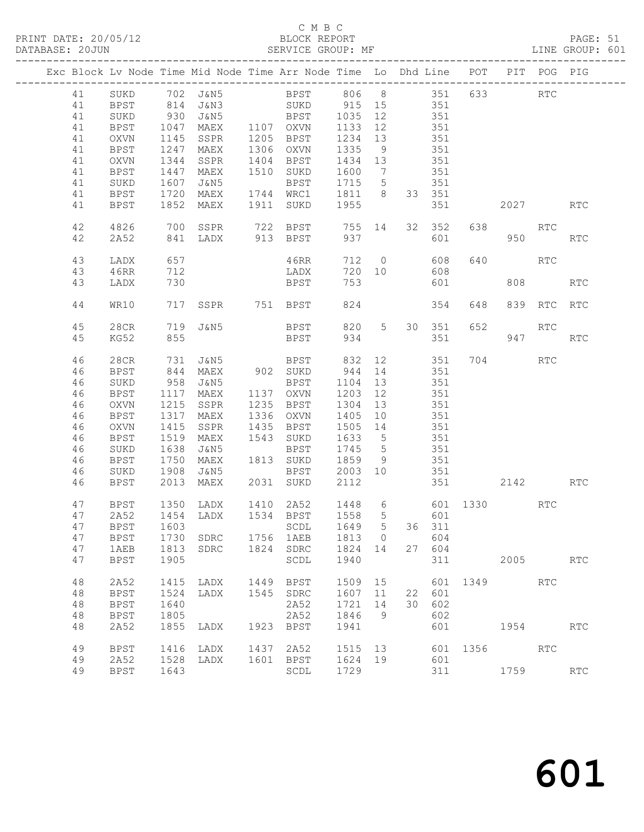### C M B C

| DATABASE: 20JUN |    |             |                   | SERVICE GROUP: MF                                                              |      |                             |         |                 |     |        |              |             |             | LINE GROUP: 601 |
|-----------------|----|-------------|-------------------|--------------------------------------------------------------------------------|------|-----------------------------|---------|-----------------|-----|--------|--------------|-------------|-------------|-----------------|
|                 |    |             |                   | Exc Block Lv Node Time Mid Node Time Arr Node Time Lo Dhd Line POT PIT POG PIG |      |                             |         |                 |     |        |              |             |             |                 |
|                 | 41 |             |                   | SUKD 702 J&N5 BPST 806 8 351 633 RTC                                           |      |                             |         |                 |     |        |              |             |             |                 |
|                 | 41 | BPST        |                   | 814 J&N3 SUKD 915 15 351                                                       |      |                             |         |                 |     |        |              |             |             |                 |
|                 | 41 | SUKD        |                   |                                                                                |      |                             |         |                 | 351 |        |              |             |             |                 |
|                 | 41 | BPST        |                   |                                                                                |      |                             |         |                 |     | 351    |              |             |             |                 |
|                 | 41 | OXVN        |                   | 1047 MAEX 1107 OXVN<br>1145 SSPR 1205 BPST                                     |      | 1205 BPST                   | 1234    | 13              |     | 351    |              |             |             |                 |
|                 | 41 | BPST        |                   | 1247 MAEX                                                                      |      | 1306 OXVN                   | 1335    | 9               | 351 |        |              |             |             |                 |
|                 | 41 | OXVN        | 1344              | SSPR                                                                           |      | 1404 BPST                   | 1434    | 13              |     | 351    |              |             |             |                 |
|                 | 41 | BPST        |                   | 1447 MAEX                                                                      |      | 1510 SUKD                   | 1600    | $\overline{7}$  |     | 351    |              |             |             |                 |
|                 | 41 | SUKD        |                   | 1607 J&N5                                                                      |      | BPST                        | 1715    | $5\overline{)}$ |     | 351    |              |             |             |                 |
|                 | 41 | BPST        |                   | 1720 MAEX                                                                      |      | 1744 WRC1  1811  8  33  351 |         |                 |     |        |              |             |             |                 |
|                 | 41 | BPST        | 1852              | MAEX                                                                           |      | 1911 SUKD                   | 1955    |                 |     |        |              | 2027 — 2027 |             | <b>RTC</b>      |
|                 | 42 | 4826        | 700               |                                                                                |      | SSPR 722 BPST               | 755 14  |                 |     | 32 352 |              | 638 8       | RTC         |                 |
|                 | 42 | 2A52        |                   | 841 LADX                                                                       |      | 913 BPST                    | 937     |                 |     | 601    |              | 950         |             | RTC             |
|                 | 43 | LADX        | 657<br>712<br>730 |                                                                                |      | 46RR                        | 712     | $\overline{0}$  |     | 608    | 640          |             | RTC         |                 |
|                 | 43 | 46RR        |                   |                                                                                |      | LADX                        | 720 10  |                 |     | 608    |              |             |             |                 |
|                 | 43 | LADX        |                   |                                                                                |      | BPST                        | 753     |                 |     | 601    |              | 808         |             | <b>RTC</b>      |
|                 | 44 | WR10        | 717               | SSPR 751 BPST                                                                  |      |                             | 824     |                 |     | 354    | 648          |             | 839 RTC RTC |                 |
|                 | 45 | 28CR        | 719               | J&N5                                                                           |      | BPST                        |         | 820 5           |     | 30 351 | 652          |             | RTC         |                 |
|                 | 45 | KG52        | 855               |                                                                                |      | BPST                        | 934     |                 |     | 351    |              | 947         |             | <b>RTC</b>      |
|                 | 46 | 28CR        |                   |                                                                                |      |                             | 832 12  |                 |     | 351    |              | 704 RTC     |             |                 |
|                 | 46 | BPST        |                   |                                                                                |      |                             | 944 14  |                 |     | 351    |              |             |             |                 |
|                 | 46 | SUKD        |                   | 958 J&N5                                                                       |      | BPST                        | 1104 13 |                 |     | 351    |              |             |             |                 |
|                 | 46 | <b>BPST</b> |                   | 1117 MAEX                                                                      |      | 1137 OXVN                   | 1203    | 12              |     | 351    |              |             |             |                 |
|                 | 46 | OXVN        | 1215              | SSPR                                                                           |      | 1235 BPST                   | 1304    | 13              |     | 351    |              |             |             |                 |
|                 | 46 | <b>BPST</b> |                   | 1317 MAEX                                                                      |      | 1336 OXVN                   | 1405    | 10              |     | 351    |              |             |             |                 |
|                 | 46 | OXVN        | 1415              | SSPR                                                                           |      | 1435 BPST                   | 1505    | 14              | 351 |        |              |             |             |                 |
|                 | 46 | BPST        |                   | 1519 MAEX                                                                      |      | 1543 SUKD                   | 1633    | $5\overline{)}$ |     | 351    |              |             |             |                 |
|                 | 46 | SUKD        | 1638              | J&N5                                                                           |      | BPST                        | 1745    | $5\overline{)}$ |     | 351    |              |             |             |                 |
|                 | 46 | <b>BPST</b> |                   | 1750 MAEX                                                                      |      | 1813 SUKD                   | 1859    | 9               |     | 351    |              |             |             |                 |
|                 | 46 | SUKD        | 1908              | J&N5                                                                           |      | BPST 2003 10                |         |                 |     | 351    |              |             |             |                 |
|                 | 46 | BPST        | 2013              | MAEX                                                                           |      | 2031 SUKD                   | 2112    |                 |     |        | 351          | 2142        |             | <b>RTC</b>      |
|                 | 47 | BPST        |                   | 1350 LADX                                                                      |      | 1410 2A52 1448 6            |         |                 |     |        | 601 1330     |             | RTC         |                 |
|                 | 47 |             |                   | 2A52 1454 LADX 1534 BPST 1558 5 601                                            |      |                             |         |                 |     |        |              |             |             |                 |
|                 | 47 | BPST        | 1603              |                                                                                |      | SCDL                        | 1649    | 5               |     | 36 311 |              |             |             |                 |
|                 | 47 | BPST        |                   | 1730 SDRC                                                                      |      | 1756 1AEB                   | 1813    | $\overline{0}$  |     | 604    |              |             |             |                 |
|                 | 47 | 1AEB        | 1813              | SDRC                                                                           |      | 1824 SDRC                   | 1824    | 14              |     | 27 604 |              |             |             |                 |
|                 | 47 | <b>BPST</b> | 1905              |                                                                                |      | SCDL                        | 1940    |                 |     | 311    |              |             | 2005        | RTC             |
|                 | 48 | 2A52        | 1415              | LADX                                                                           |      | 1449 BPST                   | 1509 15 |                 |     |        | 601 1349 RTC |             |             |                 |
|                 | 48 | <b>BPST</b> | 1524              | LADX                                                                           |      | 1545 SDRC                   | 1607 11 |                 |     | 22 601 |              |             |             |                 |
|                 | 48 | <b>BPST</b> | 1640              |                                                                                |      | 2A52                        | 1721    | 14              | 30  | 602    |              |             |             |                 |
|                 | 48 | <b>BPST</b> | 1805              |                                                                                |      | 2A52                        | 1846    | - 9             |     | 602    |              |             |             |                 |
|                 | 48 | 2A52        | 1855              | LADX                                                                           |      | 1923 BPST                   | 1941    |                 |     | 601    |              | 1954        |             | RTC             |
|                 | 49 | <b>BPST</b> | 1416              | LADX                                                                           | 1437 | 2A52                        | 1515 13 |                 |     |        | 601 1356     |             | <b>RTC</b>  |                 |
|                 | 49 | 2A52        | 1528              | LADX                                                                           |      | 1601 BPST                   | 1624 19 |                 |     | 601    |              |             |             |                 |
|                 | 49 | <b>BPST</b> | 1643              |                                                                                |      | SCDL                        | 1729    |                 |     | 311    |              |             | 1759        | RTC             |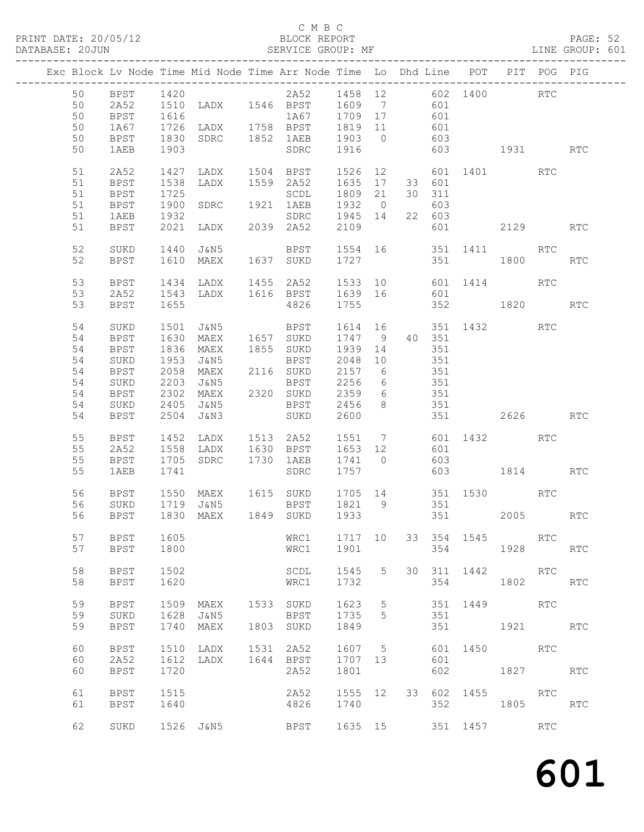PRINT DATE: 20/05/12 BLOCK REPORT BATABASE: 20JUN

#### C M B C<br>BLOCK REPORT

PAGE: 52<br>LINE GROUP: 601

|  |    |             |      |                                                         | Exc Block Lv Node Time Mid Node Time Arr Node Time Lo Dhd Line POT PIT POG PIG |                     |                |     |                        |             |                      |     |            |
|--|----|-------------|------|---------------------------------------------------------|--------------------------------------------------------------------------------|---------------------|----------------|-----|------------------------|-------------|----------------------|-----|------------|
|  | 50 | BPST 1420   |      |                                                         | 2A52 1458 12 602 1400 RTC                                                      |                     |                |     |                        |             |                      |     |            |
|  | 50 | 2A52        |      |                                                         | 1120<br>1510 LADX 1546 BPST 1609 7 601                                         |                     |                |     |                        |             |                      |     |            |
|  | 50 | <b>BPST</b> | 1616 |                                                         | 1A67 1709 17                                                                   |                     |                | 601 |                        |             |                      |     |            |
|  | 50 | 1A67        |      |                                                         | 1816<br>1726 LADX 1758 BPST 1819 11                                            |                     |                | 601 |                        |             |                      |     |            |
|  | 50 | <b>BPST</b> |      |                                                         |                                                                                |                     |                |     |                        |             |                      |     |            |
|  | 50 | 1AEB        | 1903 |                                                         | SDRC                                                                           | 1916                |                |     |                        |             |                      |     | <b>RTC</b> |
|  |    |             |      |                                                         |                                                                                |                     |                |     |                        |             |                      |     |            |
|  | 51 | 2A52        |      |                                                         | 1427 LADX 1504 BPST 1526 12 601 1401 RTC                                       |                     |                |     |                        |             |                      |     |            |
|  | 51 | BPST        | 1538 |                                                         |                                                                                |                     |                |     | 33 601                 |             |                      |     |            |
|  | 51 | BPST        | 1725 |                                                         | LADX 1559 2A52 1635 17<br>SCDL 1809 21                                         |                     |                |     | 30 311                 |             |                      |     |            |
|  | 51 | BPST        |      |                                                         | 1900 SDRC 1921 1AEB 1932 0                                                     |                     |                |     | 603                    |             |                      |     |            |
|  | 51 | 1AEB        | 1932 |                                                         | SDRC 1945 14                                                                   |                     |                |     | 22 603                 |             |                      |     |            |
|  |    |             |      |                                                         |                                                                                |                     |                |     |                        |             |                      |     |            |
|  | 51 | BPST        |      |                                                         |                                                                                | 2109                |                |     |                        |             | 601 2129             |     | RTC        |
|  | 52 | SUKD        | 1440 |                                                         | J&N5 BPST 1554 16 351 1411 RTC                                                 |                     |                |     |                        |             |                      |     |            |
|  | 52 | BPST        |      | 1610 MAEX                                               | 1637 SUKD                                                                      | 1727                |                |     |                        | 351 1800    |                      |     | <b>RTC</b> |
|  | 53 | BPST        |      |                                                         | 1434 LADX 1455 2A52 1533 10 601 1414 RTC                                       |                     |                |     |                        |             |                      |     |            |
|  |    |             |      |                                                         | 1543 LADX 1616 BPST 1639 16 601                                                |                     |                |     |                        |             |                      |     |            |
|  | 53 | 2A52        |      |                                                         |                                                                                |                     |                |     |                        |             |                      |     |            |
|  | 53 | BPST        | 1655 |                                                         | 4826 1755                                                                      |                     |                |     |                        |             | 352 1820 RTC         |     |            |
|  | 54 | SUKD        |      | 1501 J&N5                                               | <b>BPST</b>                                                                    |                     |                |     |                        |             | 1614 16 351 1432 RTC |     |            |
|  | 54 | <b>BPST</b> | 1630 | MAEX                                                    | 1657 SUKD                                                                      | 1747 9 40 351       |                |     |                        |             |                      |     |            |
|  | 54 | <b>BPST</b> | 1836 | MAEX                                                    | 1855 SUKD 1939 14                                                              |                     |                | 351 |                        |             |                      |     |            |
|  | 54 |             |      |                                                         |                                                                                |                     |                |     |                        |             |                      |     |            |
|  |    | SUKD        |      |                                                         |                                                                                |                     |                |     | 351                    |             |                      |     |            |
|  | 54 | BPST        |      | 1953 J&N5 BPST<br>2058 MAEX 2116 SUKD<br>2203 J&N5 BPST |                                                                                | $2048$ 10<br>2157 6 |                |     | 351<br>$rac{351}{351}$ |             |                      |     |            |
|  | 54 | SUKD        |      |                                                         | BPST 2256 6                                                                    |                     |                |     |                        |             |                      |     |            |
|  | 54 | <b>BPST</b> |      |                                                         | 2302 MAEX 2320 SUKD 2359 6 351                                                 |                     |                |     |                        |             |                      |     |            |
|  | 54 | SUKD        | 2405 | J&N5                                                    | BPST 2456                                                                      |                     | 8 <sup>8</sup> |     | 351                    |             |                      |     |            |
|  | 54 | BPST        |      | 2504 J&N3                                               | SUKD 2600                                                                      |                     |                |     |                        |             | 351 2626 RTC         |     |            |
|  | 55 | BPST        |      |                                                         | 1452 LADX 1513 2A52 1551 7 601 1432                                            |                     |                |     |                        |             |                      | RTC |            |
|  |    |             |      |                                                         |                                                                                |                     |                |     |                        |             |                      |     |            |
|  | 55 | 2A52        |      |                                                         | 1558 LADX 1630 BPST 1653 12                                                    |                     |                |     | 601                    |             |                      |     |            |
|  | 55 | BPST        |      | 1705 SDRC 1730 1AEB                                     |                                                                                | 1741 0              |                |     | 603                    |             |                      |     |            |
|  | 55 | 1AEB        | 1741 |                                                         | SDRC                                                                           | 1757                |                |     |                        |             | 603 1814 RTC         |     |            |
|  | 56 | BPST        |      |                                                         | 1550 MAEX 1615 SUKD 1705 14 351 1530 RTC                                       |                     |                |     |                        |             |                      |     |            |
|  | 56 | SUKD        |      |                                                         |                                                                                |                     |                |     | $35\overline{1}$       |             |                      |     |            |
|  | 56 | BPST        |      |                                                         |                                                                                |                     |                |     |                        |             | $351$ 2005 RTC       |     |            |
|  |    |             |      |                                                         |                                                                                |                     |                |     |                        |             |                      |     |            |
|  | 57 | <b>BPST</b> | 1605 |                                                         | WRC1                                                                           | 1717 10             |                |     |                        | 33 354 1545 |                      | RTC |            |
|  | 57 | BPST        | 1800 |                                                         | WRC1                                                                           | 1901                |                |     | 354                    |             | 1928                 |     | RTC        |
|  |    |             |      |                                                         |                                                                                |                     |                |     |                        |             |                      |     |            |
|  | 58 | <b>BPST</b> | 1502 |                                                         | SCDL                                                                           | 1545                | 5              |     | 30 311                 |             | 1442                 | RTC |            |
|  | 58 | <b>BPST</b> | 1620 |                                                         | WRC1                                                                           | 1732                |                |     | 354                    |             | 1802                 |     | <b>RTC</b> |
|  |    |             |      |                                                         |                                                                                |                     |                |     |                        |             |                      |     |            |
|  | 59 | <b>BPST</b> | 1509 | MAEX                                                    | 1533 SUKD                                                                      | 1623                | 5              |     |                        | 351 1449    | <b>RTC</b>           |     |            |
|  | 59 | SUKD        | 1628 | J&N5                                                    | BPST                                                                           | 1735                | 5              |     | 351                    |             |                      |     |            |
|  | 59 |             | 1740 |                                                         |                                                                                |                     |                |     | 351                    |             | 1921 RTC             |     |            |
|  |    | <b>BPST</b> |      | MAEX                                                    | 1803 SUKD                                                                      | 1849                |                |     |                        |             |                      |     |            |
|  | 60 | BPST        | 1510 | LADX                                                    | 1531 2A52                                                                      | 1607                | $5^{\circ}$    |     |                        |             | 601 1450 RTC         |     |            |
|  | 60 | 2A52        | 1612 | LADX                                                    | 1644 BPST                                                                      | 1707                | 13             |     | 601                    |             |                      |     |            |
|  | 60 | <b>BPST</b> | 1720 |                                                         | 2A52                                                                           | 1801                |                |     | 602                    |             | 1827                 |     | <b>RTC</b> |
|  |    |             |      |                                                         |                                                                                |                     |                |     |                        |             |                      |     |            |
|  |    |             |      |                                                         |                                                                                |                     |                |     |                        |             |                      |     |            |
|  | 61 | BPST        | 1515 |                                                         | 2A52                                                                           | 1555 12             |                |     |                        | 33 602 1455 | <b>RTC</b>           |     |            |
|  | 61 | BPST        | 1640 |                                                         | 4826                                                                           | 1740                |                |     | 352                    |             | 1805                 |     | RTC        |
|  |    |             |      |                                                         |                                                                                |                     |                |     |                        |             |                      |     |            |
|  | 62 | SUKD        |      | 1526 J&N5                                               | <b>BPST</b>                                                                    | 1635 15             |                |     |                        |             | 351 1457 RTC         |     |            |
|  |    |             |      |                                                         |                                                                                |                     |                |     |                        |             |                      |     |            |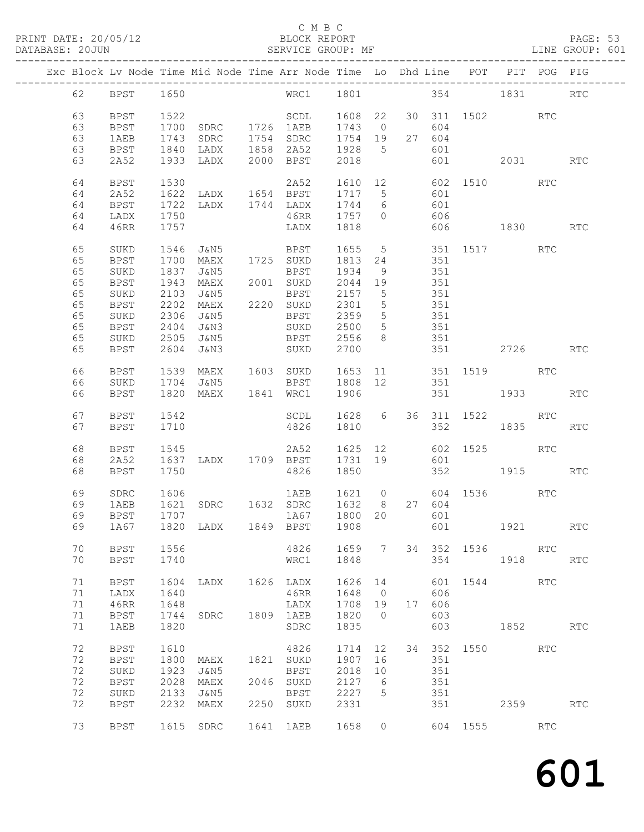PRINT DATE: 20/05/12 BLOCK REPORT BATABASE: 20JUN

#### C M B C<br>BLOCK REPORT

|  |    |             |      | Exc Block Lv Node Time Mid Node Time Arr Node Time Lo Dhd Line POT PIT POG PIG |                                                                          |         |                 |     |        |                        |          |     |            |
|--|----|-------------|------|--------------------------------------------------------------------------------|--------------------------------------------------------------------------|---------|-----------------|-----|--------|------------------------|----------|-----|------------|
|  | 62 | BPST 1650   |      |                                                                                | WRC1 1801 354 1831 RTC                                                   |         |                 |     |        |                        |          |     |            |
|  | 63 | BPST        | 1522 |                                                                                | SCDL 1608 22                                                             |         |                 |     |        | 30 311 1502 RTC        |          |     |            |
|  | 63 | BPST        | 1700 |                                                                                |                                                                          | 1743 0  |                 |     | 604    |                        |          |     |            |
|  | 63 | 1AEB        | 1743 |                                                                                |                                                                          | 1754 19 |                 |     | 27 604 |                        |          |     |            |
|  | 63 | <b>BPST</b> | 1840 |                                                                                | SDRC 1726 1AEB 1743 0<br>SDRC 1754 SDRC 1754 19<br>LADX 1858 2A52 1928 5 |         |                 |     | 601    |                        |          |     |            |
|  | 63 | 2A52        |      | 1933 LADX 2000 BPST                                                            |                                                                          | 2018    |                 |     |        | 601 2031               |          |     | <b>RTC</b> |
|  |    |             |      |                                                                                |                                                                          |         |                 |     |        |                        |          |     |            |
|  | 64 | BPST        |      |                                                                                |                                                                          |         |                 |     |        |                        |          |     |            |
|  |    |             |      |                                                                                |                                                                          |         |                 |     |        |                        |          |     |            |
|  | 64 | 2A52        |      | LADX 1744 LADX                                                                 |                                                                          |         |                 | 601 |        |                        |          |     |            |
|  | 64 | BPST        | 1722 |                                                                                |                                                                          | 1744 6  |                 |     |        |                        |          |     |            |
|  | 64 | LADX        | 1750 |                                                                                | 46RR                                                                     | 1757 0  |                 | 606 |        |                        |          |     |            |
|  | 64 | 46RR        | 1757 |                                                                                | LADX                                                                     | 1818    |                 |     |        | 606 1830               |          |     | RTC        |
|  |    |             |      |                                                                                |                                                                          |         |                 |     |        |                        |          |     |            |
|  | 65 | SUKD        | 1546 |                                                                                | J&N5 BPST 1655 5 351 1517                                                |         |                 |     |        |                        |          | RTC |            |
|  | 65 | <b>BPST</b> | 1700 | MAEX                                                                           | 1725 SUKD                                                                | 1813 24 |                 |     | 351    |                        |          |     |            |
|  | 65 | SUKD        | 1837 |                                                                                |                                                                          | 1934 9  |                 |     | 351    |                        |          |     |            |
|  | 65 | BPST        | 1943 |                                                                                |                                                                          | 2044 19 |                 |     | 351    |                        |          |     |            |
|  | 65 | SUKD        | 2103 | J&N5                                                                           | <b>BPST</b>                                                              | 2157 5  |                 |     | 351    |                        |          |     |            |
|  | 65 | BPST        | 2202 |                                                                                | MAEX 2220 SUKD                                                           | 2301 5  |                 | 351 |        |                        |          |     |            |
|  | 65 | SUKD        | 2306 | J&N5                                                                           | <b>BPST</b>                                                              | 2359 5  |                 |     | 351    |                        |          |     |            |
|  | 65 | <b>BPST</b> | 2404 | J&N3                                                                           | SUKD                                                                     | 2500 5  |                 |     | 351    |                        |          |     |            |
|  | 65 | SUKD        | 2505 | J&N5                                                                           | <b>BPST</b>                                                              | 2556 8  |                 |     | 351    |                        |          |     |            |
|  | 65 | BPST        | 2604 | J&N3                                                                           | SUKD                                                                     | 2700    |                 |     |        |                        | 2726     |     | <b>RTC</b> |
|  |    |             |      |                                                                                |                                                                          |         |                 |     |        |                        |          |     |            |
|  | 66 | BPST        |      | 1539 MAEX 1603 SUKD 1653 11 351 1519 RTC                                       |                                                                          |         |                 |     |        |                        |          |     |            |
|  | 66 | SUKD        |      | 1704 J&N5                                                                      | <b>BPST</b>                                                              | 1808 12 |                 |     | 351    |                        |          |     |            |
|  | 66 | BPST        |      | 1820 MAEX 1841 WRC1                                                            |                                                                          | 1906    |                 |     |        | 351 1933 RTC           |          |     |            |
|  |    |             |      |                                                                                |                                                                          |         |                 |     |        |                        |          |     |            |
|  | 67 | <b>BPST</b> | 1542 |                                                                                | SCDL                                                                     |         |                 |     |        | 1628 6 36 311 1522 RTC |          |     |            |
|  | 67 | <b>BPST</b> | 1710 |                                                                                | 4826                                                                     | 1810    |                 |     | 352    |                        | 1835     |     | <b>RTC</b> |
|  |    |             |      |                                                                                |                                                                          |         |                 |     |        |                        |          |     |            |
|  | 68 | BPST        | 1545 |                                                                                | 2A52                                                                     |         |                 |     |        | 1625 12 602 1525       |          | RTC |            |
|  | 68 | 2A52        | 1637 | LADX 1709 BPST                                                                 |                                                                          | 1731 19 |                 |     | 601    |                        |          |     |            |
|  | 68 | BPST        | 1750 |                                                                                | 4826                                                                     | 1850    |                 |     |        | 352 1915 RTC           |          |     |            |
|  |    |             |      |                                                                                |                                                                          |         |                 |     |        |                        |          |     |            |
|  | 69 | SDRC        | 1606 |                                                                                | 1AEB 1621 0 604 1536 RTC                                                 |         |                 |     |        |                        |          |     |            |
|  | 69 | 1AEB        | 1621 |                                                                                | SDRC 1632 SDRC 1632 8 27 604<br>1A67 1800 20 601                         |         |                 |     |        |                        |          |     |            |
|  | 69 | <b>BPST</b> | 1707 |                                                                                |                                                                          |         |                 |     |        |                        |          |     |            |
|  |    |             |      | 69 1A67 1820 LADX 1849 BPST 1908 601 1921                                      |                                                                          |         |                 |     |        |                        |          |     | RTC        |
|  |    |             |      |                                                                                |                                                                          |         |                 |     |        |                        |          |     |            |
|  | 70 | BPST        | 1556 |                                                                                | 4826                                                                     | 1659 7  |                 |     |        | 34 352 1536            |          | RTC |            |
|  | 70 | BPST        | 1740 |                                                                                | WRC1                                                                     | 1848    |                 |     |        | 354                    | 1918     |     | RTC        |
|  |    |             |      |                                                                                |                                                                          |         |                 |     |        |                        |          |     |            |
|  | 71 | BPST        | 1604 | LADX                                                                           | 1626 LADX                                                                | 1626    | 14              |     | 601    | 1544                   |          | RTC |            |
|  | 71 | LADX        | 1640 |                                                                                | 46RR                                                                     | 1648    | $\overline{0}$  |     | 606    |                        |          |     |            |
|  | 71 | 46RR        | 1648 |                                                                                | LADX                                                                     | 1708    | 19              |     | 17 606 |                        |          |     |            |
|  | 71 | <b>BPST</b> | 1744 | SDRC                                                                           | 1809 1AEB                                                                | 1820    | $\overline{0}$  |     | 603    |                        |          |     |            |
|  | 71 | 1AEB        | 1820 |                                                                                | SDRC                                                                     | 1835    |                 |     | 603    |                        | 1852 RTC |     |            |
|  |    |             |      |                                                                                |                                                                          |         |                 |     |        |                        |          |     |            |
|  | 72 | <b>BPST</b> | 1610 |                                                                                | 4826                                                                     | 1714    | 12              |     |        | 34 352 1550 RTC        |          |     |            |
|  | 72 | <b>BPST</b> | 1800 | MAEX                                                                           | 1821 SUKD                                                                | 1907    | 16              |     | 351    |                        |          |     |            |
|  | 72 | SUKD        | 1923 | J&N5                                                                           | BPST                                                                     | 2018    | 10              |     | 351    |                        |          |     |            |
|  | 72 | <b>BPST</b> | 2028 | MAEX                                                                           | 2046 SUKD                                                                | 2127    | - 6             |     | 351    |                        |          |     |            |
|  | 72 | $\rm SUKD$  | 2133 | J&N5                                                                           | BPST                                                                     | 2227    | $5\overline{)}$ |     | 351    |                        |          |     |            |
|  | 72 | <b>BPST</b> | 2232 | MAEX                                                                           | 2250 SUKD                                                                | 2331    |                 |     | 351    |                        | 2359     |     | RTC        |
|  |    |             |      |                                                                                |                                                                          |         |                 |     |        |                        |          |     |            |
|  | 73 | BPST        |      | 1615 SDRC                                                                      | 1641 1AEB                                                                | 1658    | $\overline{0}$  |     |        | 604 1555 RTC           |          |     |            |
|  |    |             |      |                                                                                |                                                                          |         |                 |     |        |                        |          |     |            |
|  |    |             |      |                                                                                |                                                                          |         |                 |     |        |                        |          |     |            |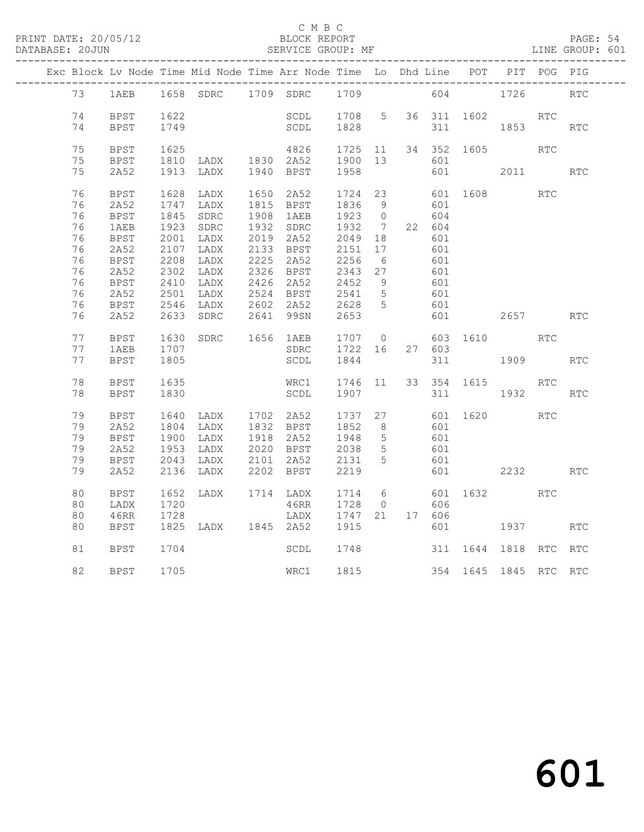#### C M B C<br>BLOCK REPORT

#### SERVICE GROUP: MF

|  |          |              |                          |                                  | Exc Block Lv Node Time Mid Node Time Arr Node Time Lo Dhd Line POT PIT POG PIG |                                                     |                 |            |             |                       |            |            |
|--|----------|--------------|--------------------------|----------------------------------|--------------------------------------------------------------------------------|-----------------------------------------------------|-----------------|------------|-------------|-----------------------|------------|------------|
|  |          |              |                          |                                  | 73 1AEB 1658 SDRC 1709 SDRC 1709                                               |                                                     |                 |            | 604         | 1726                  |            | <b>RTC</b> |
|  | 74       | BPST         | 1622                     |                                  | SCDL 1708 5                                                                    |                                                     |                 |            | 36 311 1602 |                       | RTC        |            |
|  | 74       | <b>BPST</b>  | 1749                     |                                  | SCDL                                                                           | 1828                                                |                 | 311        |             | 1853                  |            | <b>RTC</b> |
|  |          |              |                          |                                  |                                                                                |                                                     |                 |            |             |                       |            |            |
|  | 75       | <b>BPST</b>  | 1625<br>$1620$<br>$1810$ | 4020<br>LADX 1830 2A52           | 4826                                                                           | $1725$ $11$<br>1900 10                              |                 |            |             | 34 352 1605           | RTC        |            |
|  | 75<br>75 | BPST<br>2A52 | 1913                     | LADX                             | 1940 BPST                                                                      | 1900 13<br>1958                                     |                 | 601<br>601 |             | 2011 2012             |            | RTC        |
|  |          |              |                          |                                  |                                                                                |                                                     |                 |            |             |                       |            |            |
|  | 76       | <b>BPST</b>  | 1628                     | LADX                             | 1650 2A52                                                                      | 1724 23                                             |                 |            | 601 1608    |                       | <b>RTC</b> |            |
|  | 76       | 2A52         | 1747                     | LADX                             | 1815 BPST                                                                      | 1836 9<br>1923 0                                    |                 | 601        |             |                       |            |            |
|  | 76       | <b>BPST</b>  | 1845                     | SDRC                             | 1908 1AEB                                                                      |                                                     |                 | 604        |             |                       |            |            |
|  | 76       | 1AEB         | 1923                     | SDRC                             | 1932 SDRC                                                                      | 1932 7                                              |                 | 22 604     |             |                       |            |            |
|  | 76       | BPST         | 2001                     | LADX                             | 2019 2A52                                                                      | 2049 18                                             |                 | 601        |             |                       |            |            |
|  | 76       | 2A52         | 2107                     | LADX                             | 2133 BPST 2151                                                                 |                                                     | 17              | 601        |             |                       |            |            |
|  | 76       | <b>BPST</b>  | 2208                     | LADX                             | 2225 2A52                                                                      | 2256 6<br>2343 27                                   |                 | 601<br>601 |             |                       |            |            |
|  | 76<br>76 | 2A52<br>BPST | 2302<br>2410             | LADX<br>LADX                     | 2326 BPST                                                                      |                                                     | 9               | 601        |             |                       |            |            |
|  | 76       | 2A52         | 2501                     | LADX                             | 2426 2A52<br>2524 BPST                                                         | 2452<br>2541 5                                      |                 | 601        |             |                       |            |            |
|  | 76       | <b>BPST</b>  | 2546                     | LADX                             | 2602 2A52                                                                      | 2628 5                                              |                 | 601        |             |                       |            |            |
|  | 76       | 2A52         | 2633                     | SDRC                             | 2641 99SN                                                                      | 2653                                                |                 | 601        |             | 2657                  |            | RTC        |
|  |          |              |                          |                                  |                                                                                |                                                     |                 |            |             |                       |            |            |
|  | 77       | BPST         | 1630                     |                                  | SDRC 1656 1AEB 1707 0<br>SDRC 1722 16                                          |                                                     |                 |            |             | 603 1610              | <b>RTC</b> |            |
|  | 77       | 1AEB         | 1707                     |                                  |                                                                                |                                                     |                 | 27 603     |             |                       |            |            |
|  | 77       | <b>BPST</b>  | 1805                     |                                  | SCDL                                                                           | 1844                                                |                 |            |             | 311 1909              |            | <b>RTC</b> |
|  | 78       | BPST         | 1635                     |                                  | WRC1 1746 11                                                                   |                                                     |                 |            | 33 354 1615 |                       | RTC        |            |
|  | 78       | BPST         | 1830                     |                                  | SCDL                                                                           | 1907                                                |                 |            | 311 7       | 1932                  |            | RTC        |
|  | 79       | <b>BPST</b>  | 1640                     | LADX 1702 2A52<br>LADX 1832 BPST |                                                                                | $\begin{matrix} 1737 & 27 \\ 1852 & 2 \end{matrix}$ |                 |            | 601 1620    |                       | RTC        |            |
|  | 79       | 2A52         | 1804                     |                                  | 1832 BPST                                                                      | 1852 8                                              |                 | 601        |             |                       |            |            |
|  | 79       | <b>BPST</b>  | 1900                     | LADX                             | 1918 2A52                                                                      | 1948                                                | $5\overline{)}$ | 601        |             |                       |            |            |
|  | 79       | 2A52         | 1953                     | LADX                             | 2020 BPST                                                                      | 2038 5                                              |                 | 601        |             |                       |            |            |
|  | 79       | BPST         | 2043                     | LADX                             | 2101  2A52  2131  5                                                            |                                                     |                 | 601        |             |                       |            |            |
|  | 79       | 2A52         | 2136                     | LADX                             | 2202 BPST                                                                      | 2219                                                |                 | 601        |             | 2232                  |            | <b>RTC</b> |
|  | 80       | BPST         | 1652                     | LADX                             | 1714 LADX                                                                      | 1714 6                                              |                 |            | $601$ 1632  |                       | RTC        |            |
|  | 80       | LADX         | 1720                     |                                  | 46RR                                                                           | 1728 0                                              |                 | 606        |             |                       |            |            |
|  | 80       | 46RR         | 1728                     |                                  | LADX                                                                           | 1747 21                                             |                 | 17 606     |             |                       |            |            |
|  | 80       | BPST         |                          | 1825 LADX 1845 2A52              |                                                                                | 1915                                                |                 |            |             | 601 1937              |            | <b>RTC</b> |
|  | 81       | BPST         | 1704                     |                                  | SCDL                                                                           | 1748                                                |                 |            |             | 311 1644 1818 RTC     |            | <b>RTC</b> |
|  | 82       | BPST         | 1705                     |                                  | WRC1 1815                                                                      |                                                     |                 |            |             | 354 1645 1845 RTC RTC |            |            |
|  |          |              |                          |                                  |                                                                                |                                                     |                 |            |             |                       |            |            |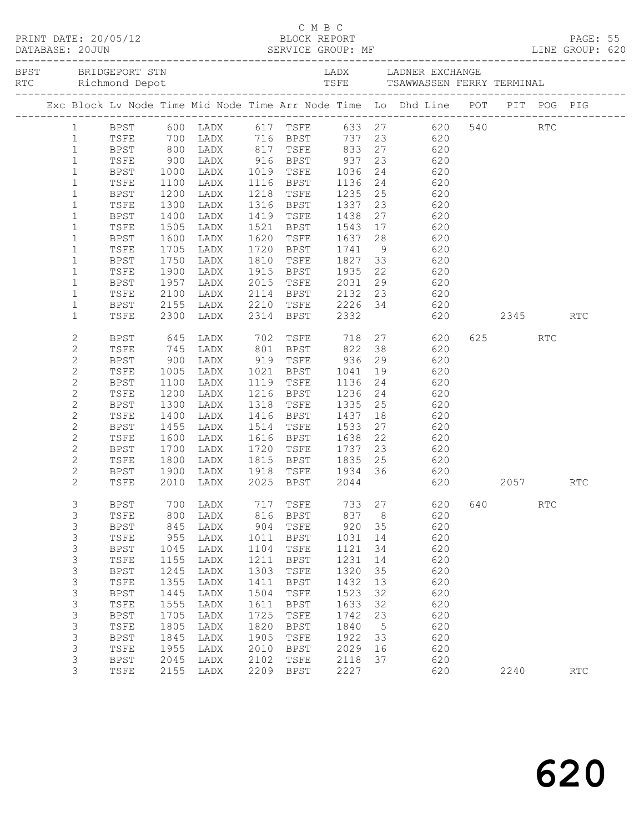|  |  |                |             |                                                    |                                                                    |      | C M B C                                            |              |    |                                                                                     |     |      |            |            |  |
|--|--|----------------|-------------|----------------------------------------------------|--------------------------------------------------------------------|------|----------------------------------------------------|--------------|----|-------------------------------------------------------------------------------------|-----|------|------------|------------|--|
|  |  |                |             |                                                    |                                                                    |      |                                                    |              |    |                                                                                     |     |      |            |            |  |
|  |  |                |             |                                                    |                                                                    |      |                                                    |              |    | Exc Block Lv Node Time Mid Node Time Arr Node Time Lo Dhd Line POT PIT POG PIG      |     |      |            |            |  |
|  |  | $\mathbf{1}$   |             |                                                    |                                                                    |      |                                                    |              |    | BPST 600 LADX 617 TSFE 633 27 620 540 RTC<br>TSFE 700 LADX 716 BPST 737 23 620      |     |      |            |            |  |
|  |  | $\mathbf{1}$   | TSFE        |                                                    |                                                                    |      |                                                    |              |    |                                                                                     |     |      |            |            |  |
|  |  | $\mathbf{1}$   | <b>BPST</b> |                                                    |                                                                    |      |                                                    |              |    | 800 LADX 817 TSFE 833 27 620                                                        |     |      |            |            |  |
|  |  | $\mathbf{1}$   | TSFE        | $\begin{array}{c} 900 \\ 1000 \\ 1100 \end{array}$ | 12001 1016 116 116<br>12018 1019 1116 1036<br>1202 1116 1116 11116 |      |                                                    |              |    |                                                                                     |     |      |            |            |  |
|  |  | $\mathbf{1}$   | BPST        |                                                    |                                                                    |      |                                                    |              |    | $\begin{array}{ccc} 23 & \phantom{00} & 620 \\ 24 & \phantom{00} & 620 \end{array}$ |     |      |            |            |  |
|  |  | $\mathbf{1}$   | TSFE        |                                                    |                                                                    |      |                                                    |              |    | $24$ 620                                                                            |     |      |            |            |  |
|  |  | $\mathbf{1}$   | BPST        | 1200                                               | LADX                                                               |      |                                                    |              |    | 1218 TSFE 1235 25 620                                                               |     |      |            |            |  |
|  |  | $\mathbf{1}$   | TSFE        | 1300                                               | LADX                                                               |      |                                                    |              |    | 23 620                                                                              |     |      |            |            |  |
|  |  | $\mathbf{1}$   | BPST        |                                                    | LADX                                                               |      | 1316 BPST 1337<br>1419 TSFE 1438<br>1521 BPST 1543 |              |    | 27<br>620                                                                           |     |      |            |            |  |
|  |  | $\mathbf{1}$   | TSFE        | 1400<br>1505                                       | LADX                                                               |      |                                                    |              |    | $\frac{27}{17}$ 620                                                                 |     |      |            |            |  |
|  |  | $\mathbf{1}$   | BPST        | 1600                                               | LADX                                                               |      |                                                    |              |    | 1620 TSFE 1637 28 620                                                               |     |      |            |            |  |
|  |  | $\mathbf{1}$   | TSFE        | 1705                                               | LADX                                                               |      |                                                    |              |    |                                                                                     |     |      |            |            |  |
|  |  | $\mathbf{1}$   | BPST        |                                                    | LADX                                                               |      |                                                    |              |    | 1720 BPST 1741 9 620<br>1810 TSFE 1827 33 620<br>1915 BPST 1935 22 620              |     |      |            |            |  |
|  |  | $\mathbf{1}$   | TSFE        | 1750<br>1900                                       | LADX                                                               |      |                                                    |              |    |                                                                                     |     |      |            |            |  |
|  |  | $\mathbf{1}$   | BPST        | 1957                                               | LADX                                                               | 2015 | TSFE 2031                                          |              |    | 29 620                                                                              |     |      |            |            |  |
|  |  | $\mathbf{1}$   | TSFE        | 2100                                               | LADX                                                               |      |                                                    |              |    |                                                                                     |     |      |            |            |  |
|  |  | $\mathbf{1}$   | BPST        | 2155                                               | LADX                                                               |      |                                                    |              |    |                                                                                     |     |      |            |            |  |
|  |  | $\mathbf{1}$   | TSFE        | 2300                                               | LADX                                                               |      |                                                    |              |    | 2114 BPST 2132 23 620<br>2210 TSFE 2226 34 620<br>2314 BPST 2332 620                |     |      | 2345       | <b>RTC</b> |  |
|  |  | $\mathbf{2}$   | BPST        | 645                                                | LADX 702 TSFE 718                                                  |      |                                                    |              |    | 27 620                                                                              |     | 625  | <b>RTC</b> |            |  |
|  |  | $\mathbf{2}$   | TSFE        |                                                    | LADX                                                               |      |                                                    |              |    |                                                                                     |     |      |            |            |  |
|  |  | $\mathbf{2}$   | BPST        | 745<br>900                                         | LADX 801 BPST 822<br>LADX 919 TSFE 936                             |      |                                                    |              |    | 38 620<br>29 620                                                                    |     |      |            |            |  |
|  |  | $\mathbf{2}$   | TSFE        | 1005                                               | LADX 1021 BPST 1041                                                |      |                                                    |              |    | 19 620                                                                              |     |      |            |            |  |
|  |  | $\mathbf{2}$   | BPST        | 1100                                               | LADX                                                               |      | 1119 TSFE 1136                                     |              |    | 24 620                                                                              |     |      |            |            |  |
|  |  | $\mathbf{2}$   | TSFE        |                                                    | LADX                                                               |      | 1216 BPST                                          |              |    | $24$ 620                                                                            |     |      |            |            |  |
|  |  | $\mathbf{2}$   | BPST        | 1200<br>1300                                       | LADX                                                               |      | 1318 TSFE                                          | 1236<br>1335 |    | 25<br>620                                                                           |     |      |            |            |  |
|  |  | 2              | TSFE        | 1400                                               | LADX                                                               |      | 1416 BPST 1437                                     |              |    | $\begin{array}{ccc}\n 18 & 620\n \end{array}$                                       |     |      |            |            |  |
|  |  | $\mathbf{2}$   | BPST        | 1455                                               | LADX                                                               |      | 1514 TSFE                                          | 1533         |    | 27 620                                                                              |     |      |            |            |  |
|  |  | $\mathbf{2}$   | TSFE        |                                                    | LADX                                                               |      |                                                    |              | 22 | 620                                                                                 |     |      |            |            |  |
|  |  | $\mathbf{2}$   | BPST        | 1600<br>1700<br>1800                               | LADX                                                               |      | 1616 BPST 1638<br>1720 TSFE 1737<br>1815 BPST 1835 |              |    | 23<br>620                                                                           |     |      |            |            |  |
|  |  | $\mathbf{2}$   | TSFE        |                                                    | LADX                                                               |      |                                                    |              |    | $25$ 620                                                                            |     |      |            |            |  |
|  |  | $\mathbf{2}$   | BPST        | 1900                                               |                                                                    |      |                                                    |              |    | LADX 1918 TSFE 1934 36 620                                                          |     |      |            |            |  |
|  |  | $\overline{2}$ | TSFE        | 2010                                               | LADX                                                               |      | 2025 BPST 2044                                     |              |    | 620 2057                                                                            |     |      |            | <b>RTC</b> |  |
|  |  | 3              | <b>BPST</b> | 700                                                | LADX                                                               | 717  | TSFE                                               | 733          | 27 | 620                                                                                 | 640 |      | <b>RTC</b> |            |  |
|  |  | 3              | TSFE        | 800                                                | LADX                                                               | 816  | <b>BPST</b>                                        | 837          | 8  | 620                                                                                 |     |      |            |            |  |
|  |  | 3              | <b>BPST</b> | 845                                                | LADX                                                               | 904  | TSFE                                               | 920          | 35 | 620                                                                                 |     |      |            |            |  |
|  |  | 3              | TSFE        | 955                                                | LADX                                                               | 1011 | <b>BPST</b>                                        | 1031         | 14 | 620                                                                                 |     |      |            |            |  |
|  |  | 3              | <b>BPST</b> | 1045                                               | LADX                                                               | 1104 | TSFE                                               | 1121         | 34 | 620                                                                                 |     |      |            |            |  |
|  |  | 3              | TSFE        | 1155                                               | LADX                                                               | 1211 | <b>BPST</b>                                        | 1231         | 14 | 620                                                                                 |     |      |            |            |  |
|  |  | 3              | <b>BPST</b> | 1245                                               | LADX                                                               | 1303 | TSFE                                               | 1320         | 35 | 620                                                                                 |     |      |            |            |  |
|  |  | $\mathsf 3$    | TSFE        | 1355                                               | LADX                                                               | 1411 | <b>BPST</b>                                        | 1432         | 13 | 620                                                                                 |     |      |            |            |  |
|  |  | $\mathsf S$    | <b>BPST</b> | 1445                                               | LADX                                                               | 1504 | TSFE                                               | 1523         | 32 | 620                                                                                 |     |      |            |            |  |
|  |  | 3              | TSFE        | 1555                                               | LADX                                                               | 1611 | <b>BPST</b>                                        | 1633         | 32 | 620                                                                                 |     |      |            |            |  |
|  |  | 3              | <b>BPST</b> | 1705                                               | LADX                                                               | 1725 | TSFE                                               | 1742         | 23 | 620                                                                                 |     |      |            |            |  |
|  |  | $\mathsf 3$    | TSFE        | 1805                                               | LADX                                                               | 1820 | <b>BPST</b>                                        | 1840         | 5  | 620                                                                                 |     |      |            |            |  |
|  |  | 3              | <b>BPST</b> | 1845                                               | LADX                                                               | 1905 | TSFE                                               | 1922         | 33 | 620                                                                                 |     |      |            |            |  |
|  |  | 3              | TSFE        | 1955                                               | LADX                                                               | 2010 | <b>BPST</b>                                        | 2029         | 16 | 620                                                                                 |     |      |            |            |  |
|  |  | 3              | <b>BPST</b> | 2045                                               | LADX                                                               | 2102 | TSFE                                               | 2118         | 37 | 620                                                                                 |     |      |            |            |  |
|  |  | 3              | TSFE        | 2155                                               | LADX                                                               | 2209 | $_{\rm BPST}$                                      | 2227         |    | 620                                                                                 |     | 2240 |            | RTC        |  |
|  |  |                |             |                                                    |                                                                    |      |                                                    |              |    |                                                                                     |     |      |            |            |  |